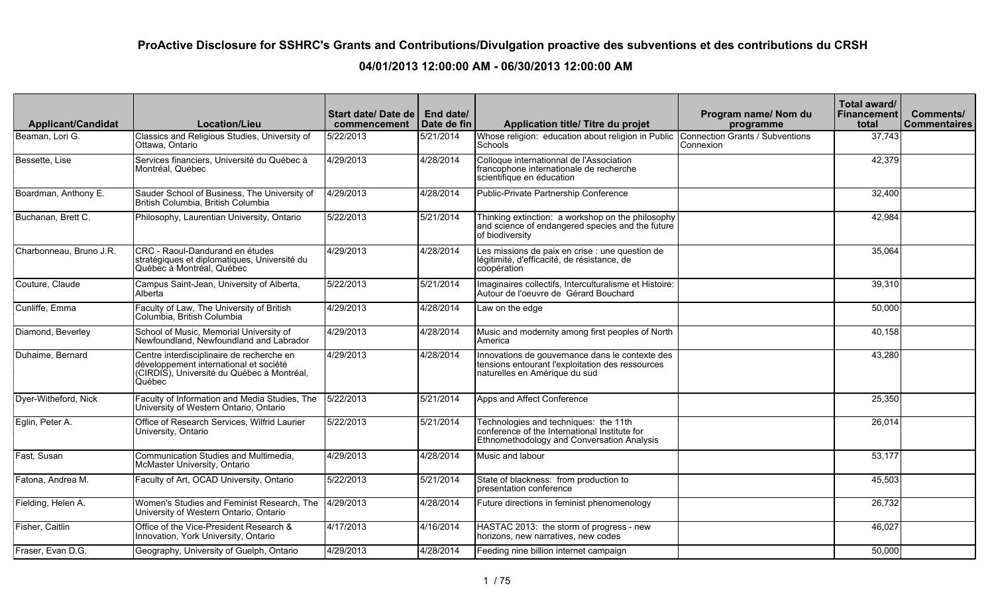| <b>Applicant/Candidat</b> | <b>Location/Lieu</b>                                                                                                                        | Start date/Date de<br>commencement | End date/<br>Date de fin | Application title/ Titre du projet                                                                                                   | Program name/ Nom du<br>programme | Total award/<br>Financement<br>total | Comments/<br><b>Commentaires</b> |
|---------------------------|---------------------------------------------------------------------------------------------------------------------------------------------|------------------------------------|--------------------------|--------------------------------------------------------------------------------------------------------------------------------------|-----------------------------------|--------------------------------------|----------------------------------|
| Beaman, Lori G.           | Classics and Religious Studies, University of<br>Ottawa, Ontario                                                                            | 5/22/2013                          | 5/21/2014                | Whose religion: education about religion in Public Connection Grants / Subventions<br>Schools                                        | Connexion                         | 37,743                               |                                  |
| Bessette, Lise            | Services financiers, Université du Québec à<br>Montréal, Québec                                                                             | 4/29/2013                          | 4/28/2014                | Colloque internationnal de l'Association<br>francophone internationale de recherche<br>scientifique en éducation                     |                                   | 42,379                               |                                  |
| Boardman, Anthony E.      | Sauder School of Business, The University of<br>British Columbia, British Columbia                                                          | 4/29/2013                          | 4/28/2014                | Public-Private Partnership Conference                                                                                                |                                   | 32,400                               |                                  |
| Buchanan, Brett C.        | Philosophy, Laurentian University, Ontario                                                                                                  | 5/22/2013                          | 5/21/2014                | Thinking extinction: a workshop on the philosophy<br>and science of endangered species and the future<br>of biodiversity             |                                   | 42,984                               |                                  |
| Charbonneau, Bruno J.R.   | CRC - Raoul-Dandurand en études<br>stratégiques et diplomatiques, Université du<br>Québec à Montréal, Québec                                | 4/29/2013                          | 4/28/2014                | Les missions de paix en crise : une question de<br>légitimité, d'efficacité, de résistance, de<br>coopération                        |                                   | 35,064                               |                                  |
| Couture, Claude           | Campus Saint-Jean, University of Alberta,<br>Alberta                                                                                        | 5/22/2013                          | 5/21/2014                | Imaginaires collectifs, Interculturalisme et Histoire:<br>Autour de l'oeuvre de Gérard Bouchard                                      |                                   | 39,310                               |                                  |
| Cunliffe, Emma            | Faculty of Law, The University of British<br>Columbia, British Columbia                                                                     | 4/29/2013                          | 4/28/2014                | Law on the edge                                                                                                                      |                                   | 50,000                               |                                  |
| Diamond, Beverley         | School of Music, Memorial University of<br>Newfoundland, Newfoundland and Labrador                                                          | 4/29/2013                          | 4/28/2014                | Music and modernity among first peoples of North<br>IAmerica                                                                         |                                   | 40,158                               |                                  |
| Duhaime, Bernard          | Centre interdisciplinaire de recherche en<br>développement international et société<br>(CIRDIS), Université du Québec à Montréal,<br>Québec | 4/29/2013                          | 4/28/2014                | Innovations de gouvernance dans le contexte des<br>tensions entourant l'exploitation des ressources<br>naturelles en Amérique du sud |                                   | 43,280                               |                                  |
| Dyer-Witheford, Nick      | Faculty of Information and Media Studies, The<br>University of Western Ontario, Ontario                                                     | 5/22/2013                          | 5/21/2014                | Apps and Affect Conference                                                                                                           |                                   | 25,350                               |                                  |
| Eglin, Peter A.           | Office of Research Services, Wilfrid Laurier<br>University, Ontario                                                                         | 5/22/2013                          | 5/21/2014                | Technologies and techniques: the 11th<br>conference of the International Institute for<br>Ethnomethodology and Conversation Analysis |                                   | 26,014                               |                                  |
| Fast, Susan               | Communication Studies and Multimedia,<br>McMaster University, Ontario                                                                       | 4/29/2013                          | 4/28/2014                | Music and labour                                                                                                                     |                                   | 53,177                               |                                  |
| Fatona, Andrea M.         | Faculty of Art, OCAD University, Ontario                                                                                                    | 5/22/2013                          | 5/21/2014                | State of blackness: from production to<br>presentation conference                                                                    |                                   | 45,503                               |                                  |
| Fielding, Helen A.        | Women's Studies and Feminist Research, The<br>University of Western Ontario, Ontario                                                        | 4/29/2013                          | 4/28/2014                | Future directions in feminist phenomenology                                                                                          |                                   | 26,732                               |                                  |
| Fisher, Caitlin           | Office of the Vice-President Research &<br>Innovation, York University, Ontario                                                             | 4/17/2013                          | 4/16/2014                | HASTAC 2013: the storm of progress - new<br>horizons, new narratives, new codes                                                      |                                   | 46,027                               |                                  |
| Fraser, Evan D.G.         | Geography, University of Guelph, Ontario                                                                                                    | 4/29/2013                          | 4/28/2014                | Feeding nine billion internet campaign                                                                                               |                                   | 50,000                               |                                  |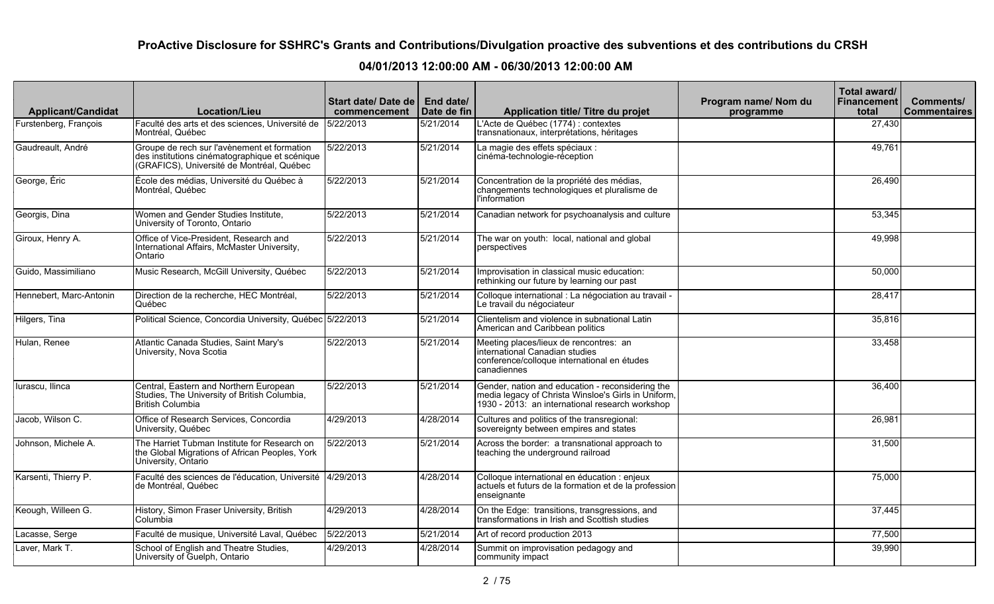| <b>Applicant/Candidat</b> | <b>Location/Lieu</b>                                                                                                                       | Start date/Date de<br>commencement | End date/<br>Date de fin | Application title/ Titre du projet                                                                                                                         | Program name/ Nom du<br>programme | Total award/<br><b>Financement</b><br>total | Comments/<br>  Commentaires |
|---------------------------|--------------------------------------------------------------------------------------------------------------------------------------------|------------------------------------|--------------------------|------------------------------------------------------------------------------------------------------------------------------------------------------------|-----------------------------------|---------------------------------------------|-----------------------------|
| Furstenberg, François     | Faculté des arts et des sciences, Université de<br>Montréal, Québec                                                                        | 5/22/2013                          | 5/21/2014                | L'Acte de Québec (1774) : contextes<br>transnationaux, interprétations, héritages                                                                          |                                   | 27,430                                      |                             |
| Gaudreault, André         | Groupe de rech sur l'avènement et formation<br>des institutions cinématographique et scénique<br>(GRAFICS), Université de Montréal, Québec | 5/22/2013                          | 5/21/2014                | La magie des effets spéciaux :<br>cinéma-technologie-réception                                                                                             |                                   | 49,761                                      |                             |
| George, Éric              | École des médias, Université du Québec à<br>Montréal, Québec                                                                               | 5/22/2013                          | 5/21/2014                | Concentration de la propriété des médias,<br>changements technologiques et pluralisme de<br>l'information                                                  |                                   | 26,490                                      |                             |
| Georgis, Dina             | Women and Gender Studies Institute.<br>University of Toronto, Ontario                                                                      | 5/22/2013                          | 5/21/2014                | Canadian network for psychoanalysis and culture                                                                                                            |                                   | 53,345                                      |                             |
| Giroux, Henry A.          | Office of Vice-President, Research and<br>International Affairs, McMaster University,<br>Ontario                                           | 5/22/2013                          | 5/21/2014                | The war on youth: local, national and global<br>perspectives                                                                                               |                                   | 49,998                                      |                             |
| Guido, Massimiliano       | Music Research, McGill University, Québec                                                                                                  | 5/22/2013                          | 5/21/2014                | Improvisation in classical music education:<br>rethinking our future by learning our past                                                                  |                                   | 50,000                                      |                             |
| Hennebert, Marc-Antonin   | Direction de la recherche, HEC Montréal,<br>Québec                                                                                         | 5/22/2013                          | 5/21/2014                | Colloque international : La négociation au travail -<br>Le travail du négociateur                                                                          |                                   | 28,417                                      |                             |
| Hilgers, Tina             | Political Science, Concordia University, Québec 5/22/2013                                                                                  |                                    | 5/21/2014                | Clientelism and violence in subnational Latin<br>American and Caribbean politics                                                                           |                                   | 35,816                                      |                             |
| Hulan, Renee              | Atlantic Canada Studies, Saint Mary's<br>University, Nova Scotia                                                                           | 5/22/2013                          | 5/21/2014                | Meeting places/lieux de rencontres: an<br>international Canadian studies<br>conference/colloque international en études<br>canadiennes                     |                                   | 33,458                                      |                             |
| lurascu, llinca           | Central, Eastern and Northern European<br>Studies, The University of British Columbia,<br><b>British Columbia</b>                          | 5/22/2013                          | 5/21/2014                | Gender, nation and education - reconsidering the<br>media legacy of Christa Winsloe's Girls in Uniform,<br>1930 - 2013: an international research workshop |                                   | 36,400                                      |                             |
| Jacob, Wilson C.          | Office of Research Services, Concordia<br>University, Québec                                                                               | 4/29/2013                          | 4/28/2014                | Cultures and politics of the transregional:<br>sovereignty between empires and states                                                                      |                                   | 26,981                                      |                             |
| Johnson, Michele A.       | The Harriet Tubman Institute for Research on<br>the Global Migrations of African Peoples, York<br>University, Ontario                      | 5/22/2013                          | 5/21/2014                | Across the border: a transnational approach to<br>teaching the underground railroad                                                                        |                                   | 31,500                                      |                             |
| Karsenti, Thierry P.      | Faculté des sciences de l'éducation, Université 4/29/2013<br>de Montréal, Québec                                                           |                                    | 4/28/2014                | Colloque international en éducation : enjeux<br>actuels et futurs de la formation et de la profession<br>lenseignante                                      |                                   | 75,000                                      |                             |
| Keough, Willeen G.        | History, Simon Fraser University, British<br>Columbia                                                                                      | 4/29/2013                          | 4/28/2014                | On the Edge: transitions, transgressions, and<br>transformations in Irish and Scottish studies                                                             |                                   | 37,445                                      |                             |
| Lacasse, Serge            | Faculté de musique, Université Laval, Québec                                                                                               | 5/22/2013                          | 5/21/2014                | Art of record production 2013                                                                                                                              |                                   | 77,500                                      |                             |
| Laver, Mark T.            | School of English and Theatre Studies,<br>University of Guelph, Ontario                                                                    | 4/29/2013                          | 4/28/2014                | Summit on improvisation pedagogy and<br>community impact                                                                                                   |                                   | 39,990                                      |                             |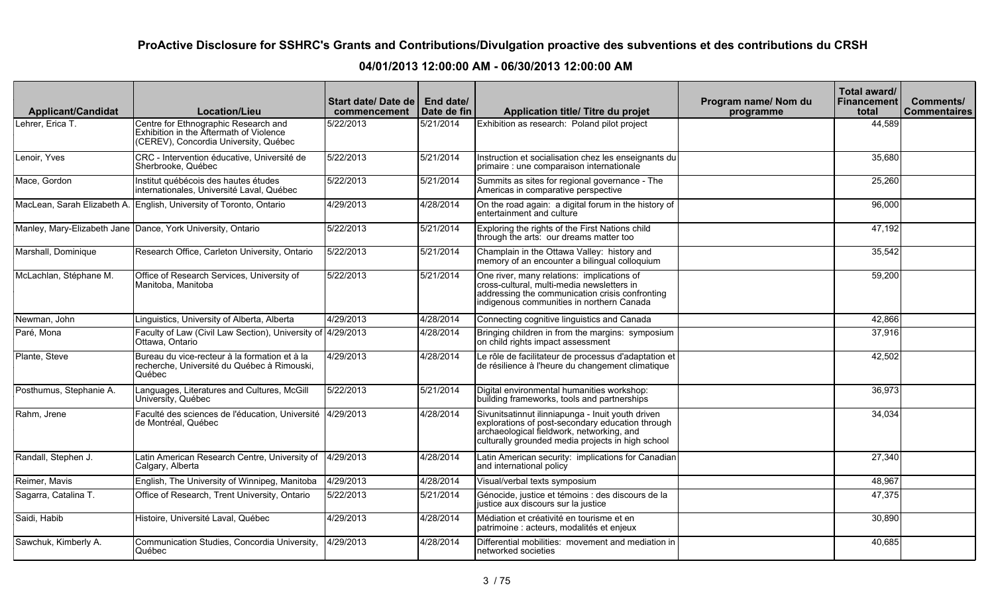| <b>Applicant/Candidat</b> | <b>Location/Lieu</b>                                                                                                     | Start date/ Date de   End date/<br>commencement | Date de fin | Application title/ Titre du projet                                                                                                                                                                      | Program name/ Nom du<br>programme | Total award/<br><b>Financement</b><br>total | Comments/<br><b>Commentaires</b> |
|---------------------------|--------------------------------------------------------------------------------------------------------------------------|-------------------------------------------------|-------------|---------------------------------------------------------------------------------------------------------------------------------------------------------------------------------------------------------|-----------------------------------|---------------------------------------------|----------------------------------|
| Lehrer, Erica T.          | Centre for Ethnographic Research and<br>Exhibition in the Aftermath of Violence<br>(CEREV), Concordia University, Québec | 5/22/2013                                       | 5/21/2014   | Exhibition as research: Poland pilot project                                                                                                                                                            |                                   | 44,589                                      |                                  |
| Lenoir, Yves              | CRC - Intervention éducative, Université de<br>Sherbrooke, Québec                                                        | 5/22/2013                                       | 5/21/2014   | Instruction et socialisation chez les enseignants du<br>primaire : une comparaison internationale                                                                                                       |                                   | 35,680                                      |                                  |
| Mace, Gordon              | Institut québécois des hautes études<br>internationales, Université Laval, Québec                                        | 5/22/2013                                       | 5/21/2014   | Summits as sites for regional governance - The<br>Americas in comparative perspective                                                                                                                   |                                   | 25,260                                      |                                  |
|                           | MacLean, Sarah Elizabeth A. English, University of Toronto, Ontario                                                      | 4/29/2013                                       | 4/28/2014   | On the road again: a digital forum in the history of<br>entertainment and culture                                                                                                                       |                                   | 96,000                                      |                                  |
|                           | Manley, Mary-Elizabeth Jane Dance, York University, Ontario                                                              | 5/22/2013                                       | 5/21/2014   | Exploring the rights of the First Nations child<br>through the arts: our dreams matter too                                                                                                              |                                   | 47,192                                      |                                  |
| Marshall, Dominique       | Research Office, Carleton University, Ontario                                                                            | 5/22/2013                                       | 5/21/2014   | Champlain in the Ottawa Valley: history and<br>memory of an encounter a bilingual colloquium                                                                                                            |                                   | 35,542                                      |                                  |
| McLachlan, Stéphane M.    | Office of Research Services, University of<br>Manitoba, Manitoba                                                         | 5/22/2013                                       | 5/21/2014   | One river, many relations: implications of<br>cross-cultural, multi-media newsletters in<br>addressing the communication crisis confronting<br>indigenous communities in northern Canada                |                                   | 59,200                                      |                                  |
| Newman, John              | Linguistics, University of Alberta, Alberta                                                                              | 4/29/2013                                       | 4/28/2014   | Connecting cognitive linguistics and Canada                                                                                                                                                             |                                   | 42,866                                      |                                  |
| Paré, Mona                | Faculty of Law (Civil Law Section), University of 4/29/2013<br>Ottawa, Ontario                                           |                                                 | 4/28/2014   | Bringing children in from the margins: symposium<br>on child rights impact assessment                                                                                                                   |                                   | 37,916                                      |                                  |
| Plante, Steve             | Bureau du vice-recteur à la formation et à la<br>recherche, Université du Québec à Rimouski,<br>Québec                   | 4/29/2013                                       | 4/28/2014   | Le rôle de facilitateur de processus d'adaptation et<br>de résilience à l'heure du changement climatique                                                                                                |                                   | 42,502                                      |                                  |
| Posthumus, Stephanie A.   | Languages, Literatures and Cultures, McGill<br>University, Québec                                                        | 5/22/2013                                       | 5/21/2014   | Digital environmental humanities workshop:<br>building frameworks, tools and partnerships                                                                                                               |                                   | 36,973                                      |                                  |
| Rahm, Jrene               | Faculté des sciences de l'éducation, Université<br>de Montréal, Québec                                                   | 4/29/2013                                       | 4/28/2014   | Sivunitsatinnut ilinniapunga - Inuit youth driven<br>explorations of post-secondary education through<br>archaeological fieldwork, networking, and<br>culturally grounded media projects in high school |                                   | 34,034                                      |                                  |
| Randall, Stephen J.       | Latin American Research Centre, University of<br>Calgary, Alberta                                                        | 4/29/2013                                       | 4/28/2014   | Latin American security: implications for Canadian<br>and international policy                                                                                                                          |                                   | 27,340                                      |                                  |
| Reimer, Mavis             | English, The University of Winnipeg, Manitoba                                                                            | 4/29/2013                                       | 4/28/2014   | Visual/verbal texts symposium                                                                                                                                                                           |                                   | 48,967                                      |                                  |
| Sagarra, Catalina T.      | Office of Research, Trent University, Ontario                                                                            | 5/22/2013                                       | 5/21/2014   | Génocide, justice et témoins : des discours de la<br>justice aux discours sur la justice                                                                                                                |                                   | 47,375                                      |                                  |
| Saidi, Habib              | Histoire, Université Laval, Québec                                                                                       | 4/29/2013                                       | 4/28/2014   | Médiation et créativité en tourisme et en<br>patrimoine : acteurs, modalités et enjeux                                                                                                                  |                                   | 30,890                                      |                                  |
| Sawchuk, Kimberly A.      | Communication Studies, Concordia University,<br>Québec                                                                   | 4/29/2013                                       | 4/28/2014   | Differential mobilities: movement and mediation in<br>Inetworked societies                                                                                                                              |                                   | 40,685                                      |                                  |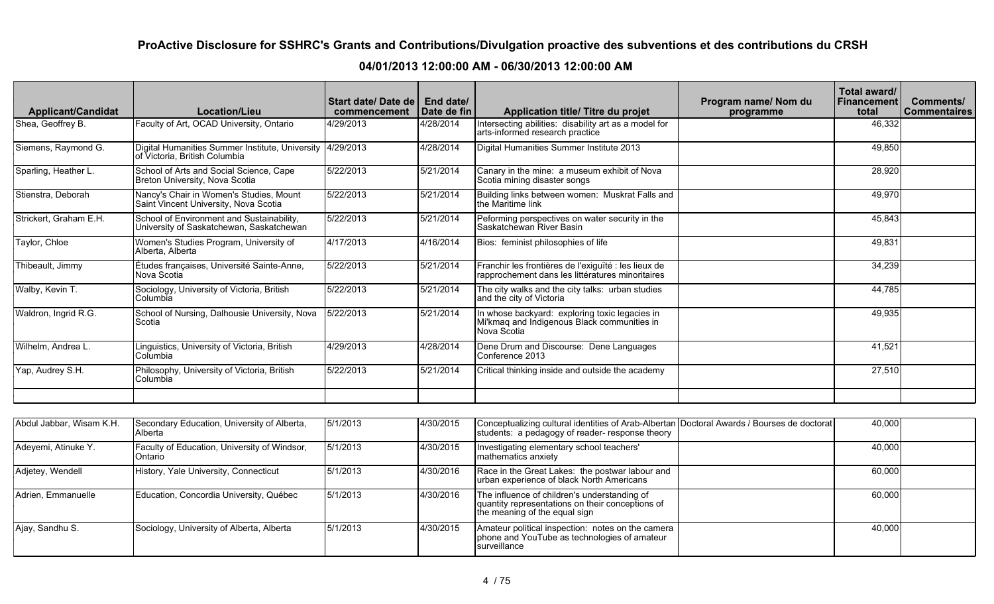| <b>Applicant/Candidat</b> | Location/Lieu                                                                              | <b>Start date/ Date de</b><br>commencement | End date/<br>Date de fin | Application title/ Titre du projet                                                                           | Program name/Nom du<br>programme | Total award/<br>Financement<br>total | Comments/<br>  Commentaires |
|---------------------------|--------------------------------------------------------------------------------------------|--------------------------------------------|--------------------------|--------------------------------------------------------------------------------------------------------------|----------------------------------|--------------------------------------|-----------------------------|
| Shea, Geoffrey B.         | Faculty of Art, OCAD University, Ontario                                                   | 4/29/2013                                  | 4/28/2014                | Intersecting abilities: disability art as a model for<br>arts-informed research practice                     |                                  | 46,332                               |                             |
| Siemens, Raymond G.       | Digital Humanities Summer Institute, University 4/29/2013<br>of Victoria, British Columbia |                                            | 4/28/2014                | Digital Humanities Summer Institute 2013                                                                     |                                  | 49,850                               |                             |
| Sparling, Heather L.      | School of Arts and Social Science, Cape<br>Breton University, Nova Scotia                  | 5/22/2013                                  | 5/21/2014                | Canary in the mine: a museum exhibit of Nova<br>Scotia mining disaster songs                                 |                                  | 28,920                               |                             |
| Stienstra, Deborah        | Nancy's Chair in Women's Studies, Mount<br>Saint Vincent University, Nova Scotia           | 5/22/2013                                  | 5/21/2014                | Building links between women: Muskrat Falls and<br>the Maritime link                                         |                                  | 49,970                               |                             |
| Strickert, Graham E.H.    | School of Environment and Sustainability,<br>University of Saskatchewan, Saskatchewan      | 5/22/2013                                  | 5/21/2014                | Peforming perspectives on water security in the<br>Saskatchewan River Basin                                  |                                  | 45,843                               |                             |
| Taylor, Chloe             | Women's Studies Program, University of<br><b>Alberta, Alberta</b>                          | 4/17/2013                                  | 4/16/2014                | Bios: feminist philosophies of life                                                                          |                                  | 49.831                               |                             |
| Thibeault, Jimmy          | Études françaises, Université Sainte-Anne,<br>Nova Scotia                                  | 5/22/2013                                  | 5/21/2014                | Franchir les frontières de l'exiguïté : les lieux de<br>rapprochement dans les littératures minoritaires     |                                  | 34,239                               |                             |
| Walby, Kevin T.           | Sociology, University of Victoria, British<br><b>Columbia</b>                              | 5/22/2013                                  | 5/21/2014                | The city walks and the city talks: urban studies<br>and the city of Victoria                                 |                                  | 44,785                               |                             |
| Waldron, Ingrid R.G.      | School of Nursing, Dalhousie University, Nova<br><b>I</b> Scotia                           | 5/22/2013                                  | 5/21/2014                | In whose backyard: exploring toxic legacies in<br>Mi'kmaq and Indigenous Black communities in<br>Nova Scotia |                                  | 49,935                               |                             |
| Wilhelm, Andrea L.        | Linguistics, University of Victoria, British<br>Columbia                                   | 4/29/2013                                  | 4/28/2014                | Dene Drum and Discourse: Dene Languages<br>Conference 2013                                                   |                                  | 41,521                               |                             |
| Yap, Audrey S.H.          | Philosophy, University of Victoria, British<br>Columbia                                    | 5/22/2013                                  | 5/21/2014                | Critical thinking inside and outside the academy                                                             |                                  | 27,510                               |                             |
|                           |                                                                                            |                                            |                          |                                                                                                              |                                  |                                      |                             |

| Abdul Jabbar, Wisam K.H. | Secondary Education, University of Alberta,<br>I Alberta i | 5/1/2013 | 4/30/2015 | Conceptualizing cultural identities of Arab-Albertan Doctoral Awards / Bourses de doctorat<br>students: a pedagogy of reader-response theory | 40,000 |  |
|--------------------------|------------------------------------------------------------|----------|-----------|----------------------------------------------------------------------------------------------------------------------------------------------|--------|--|
| Adeyemi, Atinuke Y.      | Faculty of Education, University of Windsor,<br>Ontario    | 5/1/2013 | 4/30/2015 | Investigating elementary school teachers'<br>mathematics anxiety                                                                             | 40,000 |  |
| Adjetey, Wendell         | History, Yale University, Connecticut                      | 5/1/2013 | 4/30/2016 | Race in the Great Lakes: the postwar labour and<br>urban experience of black North Americans                                                 | 60.000 |  |
| Adrien, Emmanuelle       | Education, Concordia University, Québec                    | 5/1/2013 | 4/30/2016 | The influence of children's understanding of<br>quantity representations on their conceptions of<br>the meaning of the equal sign            | 60,000 |  |
| Ajay, Sandhu S.          | Sociology, University of Alberta, Alberta                  | 5/1/2013 | 4/30/2015 | Amateur political inspection: notes on the camera<br>phone and YouTube as technologies of amateur<br>Isurveillance                           | 40.000 |  |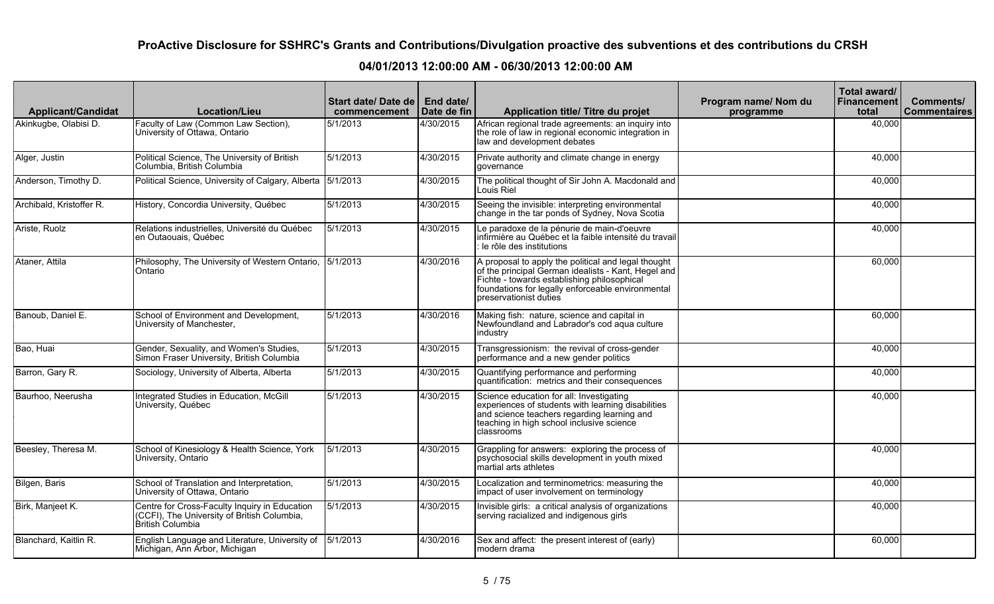| <b>Applicant/Candidat</b> | <b>Location/Lieu</b>                                                                                             | Start date/Date de   End date/<br>commencement | Date de fin | <b>Application title/ Titre du projet</b>                                                                                                                                                                                                | Program name/ Nom du<br>programme | Total award/<br><b>Financement</b><br>total | Comments/<br><b>Commentaires</b> |
|---------------------------|------------------------------------------------------------------------------------------------------------------|------------------------------------------------|-------------|------------------------------------------------------------------------------------------------------------------------------------------------------------------------------------------------------------------------------------------|-----------------------------------|---------------------------------------------|----------------------------------|
| Akinkugbe, Olabisi D.     | Faculty of Law (Common Law Section),<br>University of Ottawa, Ontario                                            | 5/1/2013                                       | 4/30/2015   | African regional trade agreements: an inquiry into<br>the role of law in regional economic integration in<br>law and development debates                                                                                                 |                                   | 40,000                                      |                                  |
| Alger, Justin             | Political Science, The University of British<br>Columbia, British Columbia                                       | 5/1/2013                                       | 4/30/2015   | Private authority and climate change in energy<br>qovernance                                                                                                                                                                             |                                   | 40,000                                      |                                  |
| Anderson, Timothy D.      | Political Science, University of Calgary, Alberta 5/1/2013                                                       |                                                | 4/30/2015   | The political thought of Sir John A. Macdonald and<br>Louis Riel                                                                                                                                                                         |                                   | 40,000                                      |                                  |
| Archibald, Kristoffer R.  | History, Concordia University, Québec                                                                            | 5/1/2013                                       | 4/30/2015   | Seeing the invisible: interpreting environmental<br>change in the tar ponds of Sydney, Nova Scotia                                                                                                                                       |                                   | 40,000                                      |                                  |
| Ariste, Ruolz             | Relations industrielles, Université du Québec<br>en Outaouais, Québec                                            | 5/1/2013                                       | 4/30/2015   | Le paradoxe de la pénurie de main-d'oeuvre<br>infirmière au Québec et la faible intensité du travail<br>le rôle des institutions                                                                                                         |                                   | 40,000                                      |                                  |
| Ataner, Attila            | Philosophy, The University of Western Ontario,<br>Ontario                                                        | 5/1/2013                                       | 4/30/2016   | A proposal to apply the political and legal thought<br>of the principal German idealists - Kant, Hegel and<br>Fichte - towards establishing philosophical<br>foundations for legally enforceable environmental<br>preservationist duties |                                   | 60,000                                      |                                  |
| Banoub, Daniel E.         | School of Environment and Development,<br>University of Manchester,                                              | 5/1/2013                                       | 4/30/2016   | Making fish: nature, science and capital in<br>Newfoundland and Labrador's cod aqua culture<br>industry                                                                                                                                  |                                   | 60,000                                      |                                  |
| Bao, Huai                 | Gender, Sexuality, and Women's Studies,<br>Simon Fraser University, British Columbia                             | 5/1/2013                                       | 4/30/2015   | Transgressionism: the revival of cross-gender<br>performance and a new gender politics                                                                                                                                                   |                                   | 40,000                                      |                                  |
| Barron, Gary R.           | Sociology, University of Alberta, Alberta                                                                        | 5/1/2013                                       | 4/30/2015   | Quantifying performance and performing<br>quantification: metrics and their consequences                                                                                                                                                 |                                   | 40,000                                      |                                  |
| Baurhoo, Neerusha         | Integrated Studies in Education, McGill<br>University, Québec                                                    | 5/1/2013                                       | 4/30/2015   | Science education for all: Investigating<br>experiences of students with learning disabilities<br>and science teachers regarding learning and<br>teaching in high school inclusive science<br>classrooms                                 |                                   | 40,000                                      |                                  |
| Beesley, Theresa M.       | School of Kinesiology & Health Science, York<br>University, Ontario                                              | 5/1/2013                                       | 4/30/2015   | Grappling for answers: exploring the process of<br>psychosocial skills development in youth mixed<br>martial arts athletes                                                                                                               |                                   | 40,000                                      |                                  |
| Bilgen, Baris             | School of Translation and Interpretation,<br>University of Ottawa, Ontario                                       | $\sqrt{5/1/2013}$                              | 4/30/2015   | Localization and terminometrics: measuring the<br>impact of user involvement on terminology                                                                                                                                              |                                   | 40,000                                      |                                  |
| Birk, Manjeet K.          | Centre for Cross-Faculty Inquiry in Education<br>(CCFI), The University of British Columbia,<br>British Columbia | 5/1/2013                                       | 4/30/2015   | Invisible girls: a critical analysis of organizations<br>serving racialized and indigenous girls                                                                                                                                         |                                   | 40,000                                      |                                  |
| Blanchard, Kaitlin R.     | English Language and Literature, University of<br>Michigan, Ann Arbor, Michigan                                  | 5/1/2013                                       | 4/30/2016   | Sex and affect: the present interest of (early)<br>modern drama                                                                                                                                                                          |                                   | 60,000                                      |                                  |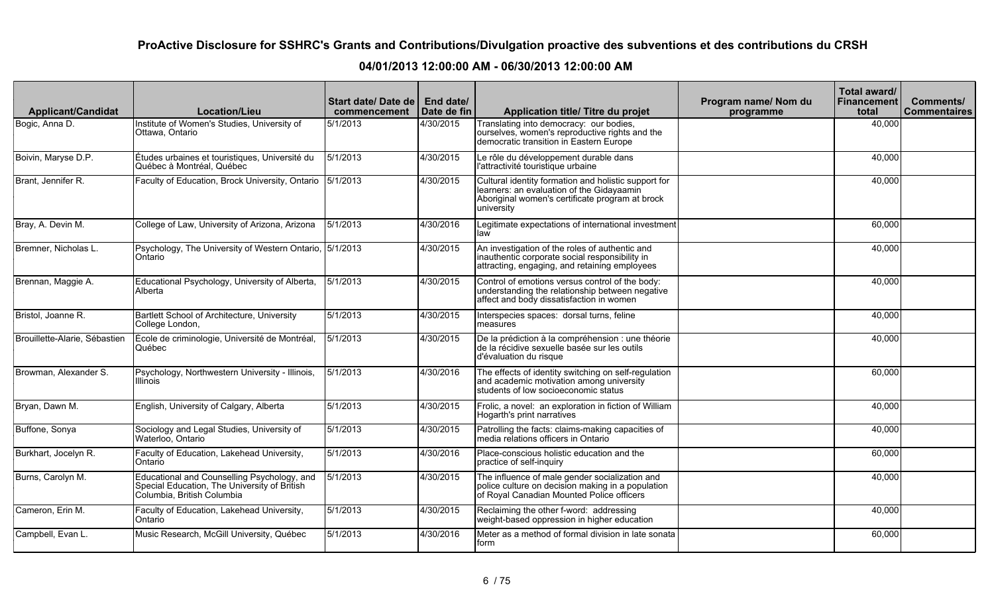| <b>Applicant/Candidat</b>     | <b>Location/Lieu</b>                                                                                                      | Start date/ Date de<br>commencement | <b>End date/</b><br>Date de fin | Application title/ Titre du projet                                                                                                                                 | Program name/ Nom du<br>programme | Total award/<br><b>Financement</b><br>total | <b>Comments/</b><br><b>Commentaires</b> |
|-------------------------------|---------------------------------------------------------------------------------------------------------------------------|-------------------------------------|---------------------------------|--------------------------------------------------------------------------------------------------------------------------------------------------------------------|-----------------------------------|---------------------------------------------|-----------------------------------------|
| Bogic, Anna D.                | Institute of Women's Studies, University of<br>Ottawa, Ontario                                                            | 5/1/2013                            | 4/30/2015                       | Translating into democracy: our bodies,<br>ourselves, women's reproductive rights and the<br>democratic transition in Eastern Europe                               |                                   | 40,000                                      |                                         |
| Boivin, Maryse D.P.           | Études urbaines et touristiques, Université du<br>Québec à Montréal, Québec                                               | 5/1/2013                            | 4/30/2015                       | Le rôle du développement durable dans<br>l'attractivité touristique urbaine                                                                                        |                                   | 40,000                                      |                                         |
| Brant, Jennifer R.            | Faculty of Education, Brock University, Ontario 5/1/2013                                                                  |                                     | 4/30/2015                       | Cultural identity formation and holistic support for<br>learners: an evaluation of the Gidayaamin<br>Aboriginal women's certificate program at brock<br>university |                                   | 40,000                                      |                                         |
| Bray, A. Devin M.             | College of Law, University of Arizona, Arizona                                                                            | 5/1/2013                            | 4/30/2016                       | Legitimate expectations of international investment<br>Ilaw                                                                                                        |                                   | 60,000                                      |                                         |
| Bremner, Nicholas L.          | Psychology, The University of Western Ontario, 5/1/2013<br>Ontario                                                        |                                     | 4/30/2015                       | An investigation of the roles of authentic and<br>inauthentic corporate social responsibility in<br>attracting, engaging, and retaining employees                  |                                   | 40,000                                      |                                         |
| Brennan, Maggie A.            | Educational Psychology, University of Alberta,<br>Alberta                                                                 | 5/1/2013                            | 4/30/2015                       | Control of emotions versus control of the body:<br>understanding the relationship between negative<br>affect and body dissatisfaction in women                     |                                   | 40,000                                      |                                         |
| Bristol, Joanne R.            | Bartlett School of Architecture, University<br>College London,                                                            | 5/1/2013                            | 4/30/2015                       | Interspecies spaces: dorsal turns, feline<br>Imeasures                                                                                                             |                                   | 40,000                                      |                                         |
| Brouillette-Alarie, Sébastien | École de criminologie, Université de Montréal,<br>Québec                                                                  | $\sqrt{5/1/2013}$                   | 4/30/2015                       | De la prédiction à la compréhension : une théorie<br>de la récidive sexuelle basée sur les outils<br>d'évaluation du risque                                        |                                   | 40.000                                      |                                         |
| Browman, Alexander S.         | Psychology, Northwestern University - Illinois,<br><b>Illinois</b>                                                        | 5/1/2013                            | 4/30/2016                       | The effects of identity switching on self-regulation<br>and academic motivation among university<br>students of low socioeconomic status                           |                                   | 60,000                                      |                                         |
| Bryan, Dawn M.                | English, University of Calgary, Alberta                                                                                   | 5/1/2013                            | 4/30/2015                       | Frolic, a novel: an exploration in fiction of William<br>Hogarth's print narratives                                                                                |                                   | 40,000                                      |                                         |
| Buffone, Sonya                | Sociology and Legal Studies, University of<br>Waterloo, Ontario                                                           | 5/1/2013                            | 4/30/2015                       | Patrolling the facts: claims-making capacities of<br>media relations officers in Ontario                                                                           |                                   | 40,000                                      |                                         |
| Burkhart, Jocelyn R.          | Faculty of Education, Lakehead University,<br>Ontario                                                                     | $\sqrt{5/1/2013}$                   | 4/30/2016                       | Place-conscious holistic education and the<br>practice of self-inquiry                                                                                             |                                   | 60,000                                      |                                         |
| Burns, Carolyn M.             | Educational and Counselling Psychology, and<br>Special Education, The University of British<br>Columbia, British Columbia | 5/1/2013                            | 4/30/2015                       | The influence of male gender socialization and<br>police culture on decision making in a population<br>of Royal Canadian Mounted Police officers                   |                                   | 40,000                                      |                                         |
| Cameron, Erin M.              | Faculty of Education, Lakehead University,<br>Ontario                                                                     | 5/1/2013                            | 4/30/2015                       | Reclaiming the other f-word: addressing<br>weight-based oppression in higher education                                                                             |                                   | 40,000                                      |                                         |
| Campbell, Evan L.             | Music Research, McGill University, Québec                                                                                 | 5/1/2013                            | 4/30/2016                       | Meter as a method of formal division in late sonata<br>Iform                                                                                                       |                                   | 60,000                                      |                                         |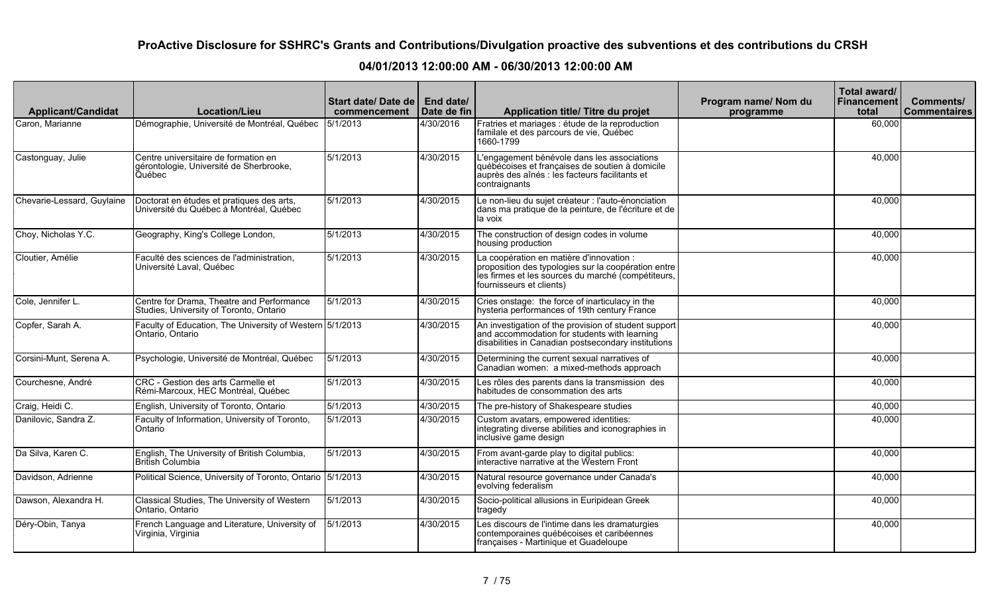| <b>Applicant/Candidat</b>  | <b>Location/Lieu</b>                                                                      | Start date/ Date de  <br>commencement | End date/<br>Date de fin | Application title/ Titre du projet                                                                                                                                                | Program name/Nom du<br>programme | Total award/<br><b>Financement</b><br>total | <b>Comments/</b><br><b>Commentaires</b> |
|----------------------------|-------------------------------------------------------------------------------------------|---------------------------------------|--------------------------|-----------------------------------------------------------------------------------------------------------------------------------------------------------------------------------|----------------------------------|---------------------------------------------|-----------------------------------------|
| Caron, Marianne            | Démographie, Université de Montréal, Québec                                               | 5/1/2013                              | 4/30/2016                | Fratries et mariages : étude de la reproduction<br>familale et des parcours de vie, Québec<br>1660-1799                                                                           |                                  | 60,000                                      |                                         |
| Castonguay, Julie          | Centre universitaire de formation en<br>gérontologie, Université de Sherbrooke,<br>Québec | 5/1/2013                              | 4/30/2015                | L'engagement bénévole dans les associations<br>québécoises et françaises de soutien à domicile<br>auprès des aînés : les facteurs facilitants et<br>contraignants                 |                                  | 40,000                                      |                                         |
| Chevarie-Lessard, Guylaine | Doctorat en études et pratiques des arts,<br>Université du Québec à Montréal, Québec      | 5/1/2013                              | 4/30/2015                | Le non-lieu du sujet créateur : l'auto-énonciation<br>dans ma pratique de la peinture, de l'écriture et de<br>la voix                                                             |                                  | 40,000                                      |                                         |
| Choy, Nicholas Y.C.        | Geography, King's College London,                                                         | 5/1/2013                              | 4/30/2015                | The construction of design codes in volume<br>housing production                                                                                                                  |                                  | 40,000                                      |                                         |
| Cloutier, Amélie           | Faculté des sciences de l'administration,<br>Université Laval, Québec                     | 5/1/2013                              | 4/30/2015                | La coopération en matière d'innovation :<br>proposition des typologies sur la coopération entre<br>les firmes et les sources du marché (compétiteurs,<br>fournisseurs et clients) |                                  | 40,000                                      |                                         |
| Cole, Jennifer L.          | Centre for Drama, Theatre and Performance<br>Studies, University of Toronto, Ontario      | 5/1/2013                              | 4/30/2015                | Cries onstage: the force of inarticulacy in the<br>hysteria performances of 19th century France                                                                                   |                                  | 40,000                                      |                                         |
| Copfer, Sarah A.           | Faculty of Education, The University of Western 5/1/2013<br>Ontario, Ontario              |                                       | 4/30/2015                | An investigation of the provision of student support<br>and accommodation for students with learning<br>disabilities in Canadian postsecondary institutions                       |                                  | 40,000                                      |                                         |
| Corsini-Munt, Serena A.    | Psychologie, Université de Montréal, Québec                                               | 5/1/2013                              | 4/30/2015                | Determining the current sexual narratives of<br>Canadian women: a mixed-methods approach                                                                                          |                                  | 40,000                                      |                                         |
| Courchesne, André          | CRC - Gestion des arts Carmelle et<br>Rémi-Marcoux, HEC Montréal, Québec                  | 5/1/2013                              | 4/30/2015                | Les rôles des parents dans la transmission des<br>habitudes de consommation des arts                                                                                              |                                  | 40,000                                      |                                         |
| Craig, Heidi C.            | English, University of Toronto, Ontario                                                   | 5/1/2013                              | 4/30/2015                | The pre-history of Shakespeare studies                                                                                                                                            |                                  | 40,000                                      |                                         |
| Danilovic, Sandra Z.       | Faculty of Information, University of Toronto,<br>Ontario                                 | 5/1/2013                              | 4/30/2015                | Custom avatars, empowered identities:<br>integrating diverse abilities and iconographies in<br>inclusive game design                                                              |                                  | 40,000                                      |                                         |
| Da Silva, Karen C.         | English, The University of British Columbia,<br>British Columbia                          | 5/1/2013                              | 4/30/2015                | From avant-garde play to digital publics:<br> interactive narrative at the Western Front                                                                                          |                                  | 40,000                                      |                                         |
| Davidson, Adrienne         | Political Science, University of Toronto, Ontario 5/1/2013                                |                                       | 4/30/2015                | Natural resource governance under Canada's<br>evolving federalism                                                                                                                 |                                  | 40,000                                      |                                         |
| Dawson, Alexandra H.       | Classical Studies, The University of Western<br>Ontario, Ontario                          | 5/1/2013                              | 4/30/2015                | Socio-political allusions in Euripidean Greek<br>tragedy                                                                                                                          |                                  | 40,000                                      |                                         |
| Déry-Obin, Tanya           | French Language and Literature, University of<br>Virginia, Virginia                       | 5/1/2013                              | 4/30/2015                | Les discours de l'intime dans les dramaturgies<br>contemporaines québécoises et caribéennes<br>françaises - Martinique et Guadeloupe                                              |                                  | 40,000                                      |                                         |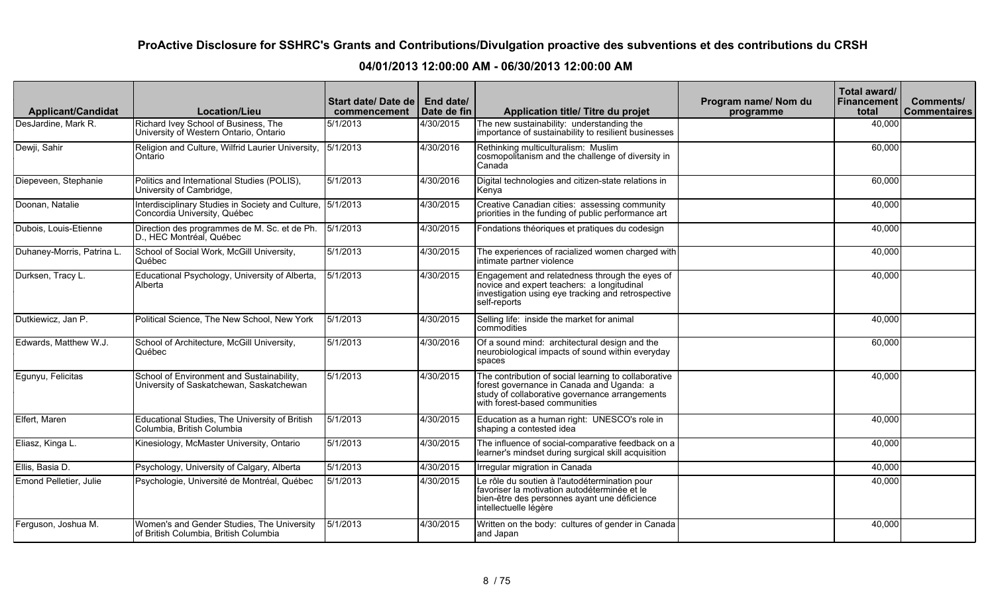| <b>Applicant/Candidat</b>  | <b>Location/Lieu</b>                                                                  | Start date/ Date de   End date/<br>commencement | Date de fin | <b>Application title/ Titre du projet</b>                                                                                                                                            | Program name/ Nom du<br>programme | Total award/<br>Financement<br>total | Comments/<br><b>Commentaires</b> |
|----------------------------|---------------------------------------------------------------------------------------|-------------------------------------------------|-------------|--------------------------------------------------------------------------------------------------------------------------------------------------------------------------------------|-----------------------------------|--------------------------------------|----------------------------------|
| DesJardine, Mark R.        | Richard Ivey School of Business, The<br>University of Western Ontario, Ontario        | 5/1/2013                                        | 4/30/2015   | The new sustainability: understanding the<br>importance of sustainability to resilient businesses                                                                                    |                                   | 40,000                               |                                  |
| Dewji, Sahir               | Religion and Culture, Wilfrid Laurier University,<br>Ontario                          | 5/1/2013                                        | 4/30/2016   | Rethinking multiculturalism: Muslim<br>cosmopolitanism and the challenge of diversity in<br>Canada                                                                                   |                                   | 60,000                               |                                  |
| Diepeveen, Stephanie       | Politics and International Studies (POLIS),<br>University of Cambridge,               | 5/1/2013                                        | 4/30/2016   | Digital technologies and citizen-state relations in<br>Kenya                                                                                                                         |                                   | 60,000                               |                                  |
| Doonan, Natalie            | Interdisciplinary Studies in Society and Culture,<br>Concordia University, Québec     | 5/1/2013                                        | 4/30/2015   | Creative Canadian cities: assessing community<br>priorities in the funding of public performance art                                                                                 |                                   | 40,000                               |                                  |
| Dubois, Louis-Etienne      | Direction des programmes de M. Sc. et de Ph.<br>D., HEC Montréal, Québec              | 5/1/2013                                        | 4/30/2015   | Fondations théoriques et pratiques du codesign                                                                                                                                       |                                   | 40,000                               |                                  |
| Duhaney-Morris, Patrina L. | School of Social Work, McGill University,<br>Québec                                   | 5/1/2013                                        | 4/30/2015   | The experiences of racialized women charged with<br>intimate partner violence                                                                                                        |                                   | 40,000                               |                                  |
| Durksen, Tracy L.          | Educational Psychology, University of Alberta,<br>Alberta                             | 5/1/2013                                        | 4/30/2015   | Engagement and relatedness through the eyes of<br>novice and expert teachers: a longitudinal<br>investigation using eye tracking and retrospective<br>Iself-reports                  |                                   | 40,000                               |                                  |
| Dutkiewicz, Jan P.         | Political Science, The New School, New York                                           | 5/1/2013                                        | 4/30/2015   | Selling life: inside the market for animal<br>Icommodities                                                                                                                           |                                   | 40,000                               |                                  |
| Edwards, Matthew W.J.      | School of Architecture, McGill University,<br>Québec                                  | 5/1/2013                                        | 4/30/2016   | Of a sound mind: architectural design and the<br>neurobiological impacts of sound within everyday<br>spaces                                                                          |                                   | 60,000                               |                                  |
| Egunyu, Felicitas          | School of Environment and Sustainability,<br>University of Saskatchewan, Saskatchewan | $\sqrt{5/1/2013}$                               | 4/30/2015   | The contribution of social learning to collaborative<br>forest governance in Canada and Uganda: a<br>study of collaborative governance arrangements<br>with forest-based communities |                                   | 40,000                               |                                  |
| Elfert, Maren              | Educational Studies, The University of British<br>Columbia, British Columbia          | $\sqrt{5/1/20}13$                               | 4/30/2015   | Education as a human right: UNESCO's role in<br>shaping a contested idea                                                                                                             |                                   | 40,000                               |                                  |
| Eliasz, Kinga L.           | Kinesiology, McMaster University, Ontario                                             | 5/1/2013                                        | 4/30/2015   | The influence of social-comparative feedback on a<br>learner's mindset during surgical skill acquisition                                                                             |                                   | 40,000                               |                                  |
| Ellis, Basia D.            | Psychology, University of Calgary, Alberta                                            | 5/1/2013                                        | 4/30/2015   | Irregular migration in Canada                                                                                                                                                        |                                   | 40,000                               |                                  |
| Emond Pelletier, Julie     | Psychologie, Université de Montréal, Québec                                           | 5/1/2013                                        | 4/30/2015   | Le rôle du soutien à l'autodétermination pour<br>favoriser la motivation autodéterminée et le<br>bien-être des personnes ayant une déficience<br>intellectuelle légère               |                                   | 40,000                               |                                  |
| Ferguson, Joshua M.        | Women's and Gender Studies, The University<br>of British Columbia, British Columbia   | 5/1/2013                                        | 4/30/2015   | Written on the body: cultures of gender in Canada<br>and Japan                                                                                                                       |                                   | 40,000                               |                                  |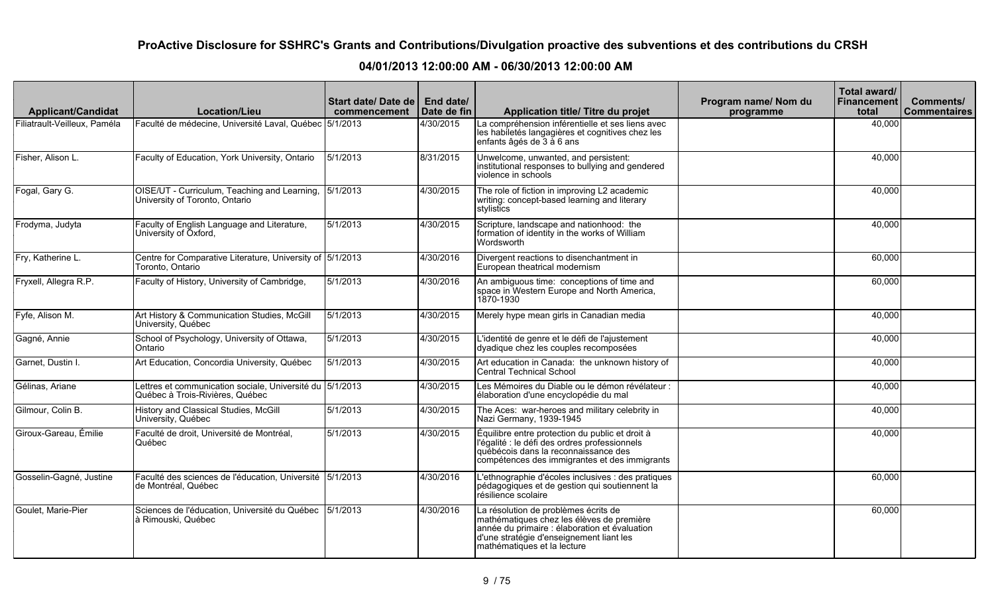| <b>Applicant/Candidat</b>    | <b>Location/Lieu</b>                                                                        | Start date/ Date de   End date/<br>commencement | Date de fin | Application title/ Titre du projet                                                                                                                                                                            | Program name/ Nom du<br>programme | Total award/<br><b>Financement</b><br>total | <b>Comments/</b><br><b>Commentaires</b> |
|------------------------------|---------------------------------------------------------------------------------------------|-------------------------------------------------|-------------|---------------------------------------------------------------------------------------------------------------------------------------------------------------------------------------------------------------|-----------------------------------|---------------------------------------------|-----------------------------------------|
| Filiatrault-Veilleux, Paméla | Faculté de médecine, Université Laval, Québec 5/1/2013                                      |                                                 | 4/30/2015   | La compréhension inférentielle et ses liens avec<br>les habiletés langagières et cognitives chez les<br>enfants âgés de 3 à 6 ans                                                                             |                                   | 40,000                                      |                                         |
| Fisher, Alison L.            | Faculty of Education, York University, Ontario                                              | 5/1/2013                                        | 8/31/2015   | Unwelcome, unwanted, and persistent:<br>institutional responses to bullying and gendered<br>violence in schools                                                                                               |                                   | 40,000                                      |                                         |
| Fogal, Gary G.               | OISE/UT - Curriculum, Teaching and Learning, 15/1/2013<br>University of Toronto, Ontario    |                                                 | 4/30/2015   | The role of fiction in improving L2 academic<br>writing: concept-based learning and literary<br>stylistics                                                                                                    |                                   | 40,000                                      |                                         |
| Frodyma, Judyta              | Faculty of English Language and Literature,<br>University of Oxford,                        | 5/1/2013                                        | 4/30/2015   | Scripture, landscape and nationhood: the<br>formation of identity in the works of William<br><b>Wordsworth</b>                                                                                                |                                   | 40,000                                      |                                         |
| Fry, Katherine L.            | Centre for Comparative Literature, University of 5/1/2013<br>Toronto. Ontario               |                                                 | 4/30/2016   | Divergent reactions to disenchantment in<br>European theatrical modernism                                                                                                                                     |                                   | 60,000                                      |                                         |
| Fryxell, Allegra R.P.        | Faculty of History, University of Cambridge,                                                | 5/1/2013                                        | 4/30/2016   | An ambiguous time: conceptions of time and<br>space in Western Europe and North America,<br>1870-1930                                                                                                         |                                   | 60,000                                      |                                         |
| Fyfe, Alison M.              | Art History & Communication Studies, McGill<br>University, Québec                           | 5/1/2013                                        | 4/30/2015   | Merely hype mean girls in Canadian media                                                                                                                                                                      |                                   | 40,000                                      |                                         |
| Gagné, Annie                 | School of Psychology, University of Ottawa,<br>Ontario                                      | 5/1/2013                                        | 4/30/2015   | L'identité de genre et le défi de l'ajustement<br>dyadique chez les couples recomposées                                                                                                                       |                                   | 40,000                                      |                                         |
| Garnet, Dustin I.            | Art Education, Concordia University, Québec                                                 | 5/1/2013                                        | 4/30/2015   | Art education in Canada: the unknown history of<br>Central Technical School                                                                                                                                   |                                   | 40,000                                      |                                         |
| Gélinas, Ariane              | Lettres et communication sociale, Université du 5/1/2013<br>Québec à Trois-Rivières, Québec |                                                 | 4/30/2015   | Les Mémoires du Diable ou le démon révélateur :<br>élaboration d'une encyclopédie du mal                                                                                                                      |                                   | 40,000                                      |                                         |
| Gilmour, Colin B.            | History and Classical Studies, McGill<br>University, Québec                                 | 5/1/2013                                        | 4/30/2015   | The Aces: war-heroes and military celebrity in<br>Nazi Germany, 1939-1945                                                                                                                                     |                                   | 40,000                                      |                                         |
| Giroux-Gareau, Émilie        | Faculté de droit, Université de Montréal,<br>Québec                                         | 5/1/2013                                        | 4/30/2015   | Équilibre entre protection du public et droit à<br>l'égalité : le défi des ordres professionnels<br>québécois dans la reconnaissance des<br>compétences des immigrantes et des immigrants                     |                                   | 40,000                                      |                                         |
| Gosselin-Gagné, Justine      | Faculté des sciences de l'éducation, Université 5/1/2013<br>de Montréal, Québec             |                                                 | 4/30/2016   | L'ethnographie d'écoles inclusives : des pratiques<br>pédagogiques et de gestion qui soutiennent la<br>résilience scolaire                                                                                    |                                   | 60,000                                      |                                         |
| Goulet, Marie-Pier           | Sciences de l'éducation, Université du Québec<br>à Rimouski, Québec                         | 5/1/2013                                        | 4/30/2016   | La résolution de problèmes écrits de<br>mathématiques chez les élèves de première<br>année du primaire : élaboration et évaluation<br>d'une stratégie d'enseignement liant les<br>mathématiques et la lecture |                                   | 60,000                                      |                                         |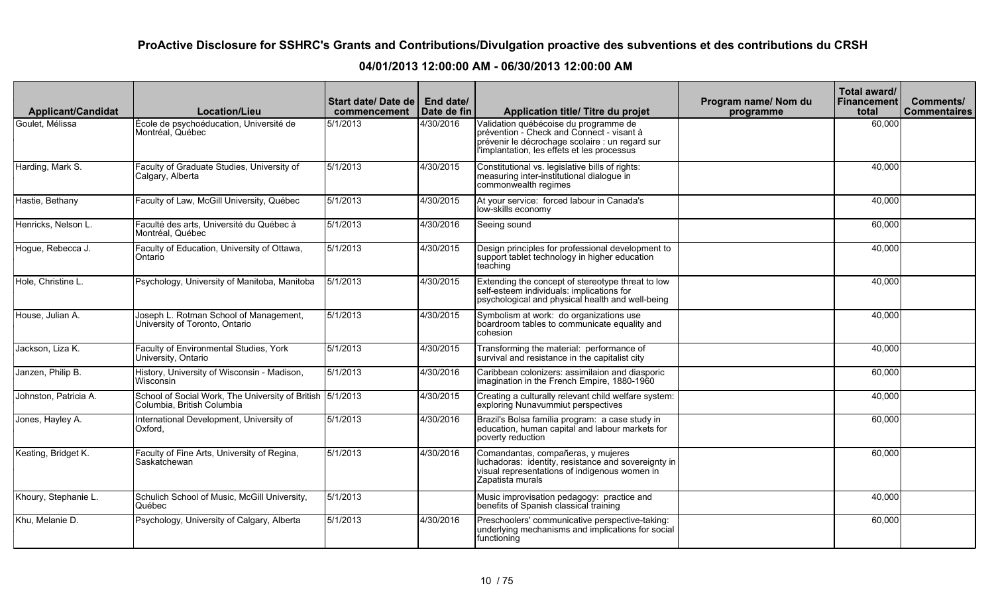| <b>Applicant/Candidat</b> | <b>Location/Lieu</b>                                                                    | Start date/ Date de   End date/<br>commencement | Date de fin | Application title/ Titre du projet                                                                                                                                                   | Program name/ Nom du<br>programme | Total award/<br>Financement<br>total | Comments/<br><b>Commentaires</b> |
|---------------------------|-----------------------------------------------------------------------------------------|-------------------------------------------------|-------------|--------------------------------------------------------------------------------------------------------------------------------------------------------------------------------------|-----------------------------------|--------------------------------------|----------------------------------|
| Goulet, Mélissa           | École de psychoéducation, Université de<br>Montréal, Québec                             | 5/1/2013                                        | 4/30/2016   | Validation québécoise du programme de<br>prévention - Check and Connect - visant à<br>prévenir le décrochage scolaire : un regard sur<br>l'implantation, les effets et les processus |                                   | 60,000                               |                                  |
| Harding, Mark S.          | Faculty of Graduate Studies, University of<br>Calgary, Alberta                          | 5/1/2013                                        | 4/30/2015   | Constitutional vs. legislative bills of rights:<br>measuring inter-institutional dialogue in<br>commonwealth regimes                                                                 |                                   | 40,000                               |                                  |
| Hastie, Bethany           | Faculty of Law, McGill University, Québec                                               | 5/1/2013                                        | 4/30/2015   | At your service: forced labour in Canada's<br>low-skills economy                                                                                                                     |                                   | 40,000                               |                                  |
| Henricks, Nelson L.       | Faculté des arts, Université du Québec à<br>Montréal, Québec                            | 5/1/2013                                        | 4/30/2016   | Seeing sound                                                                                                                                                                         |                                   | 60,000                               |                                  |
| Hogue, Rebecca J.         | Faculty of Education, University of Ottawa,<br>Ontario                                  | 5/1/2013                                        | 4/30/2015   | Design principles for professional development to<br>support tablet technology in higher education<br>teaching                                                                       |                                   | 40,000                               |                                  |
| Hole, Christine L.        | Psychology, University of Manitoba, Manitoba                                            | $\sqrt{5/1/2013}$                               | 4/30/2015   | Extending the concept of stereotype threat to low<br>self-esteem individuals: implications for<br>psychological and physical health and well-being                                   |                                   | 40,000                               |                                  |
| House, Julian A.          | Joseph L. Rotman School of Management,<br>University of Toronto, Ontario                | 5/1/2013                                        | 4/30/2015   | Symbolism at work: do organizations use<br>boardroom tables to communicate equality and<br>cohesion                                                                                  |                                   | 40,000                               |                                  |
| Jackson, Liza K.          | Faculty of Environmental Studies, York<br>University, Ontario                           | 5/1/2013                                        | 4/30/2015   | Transforming the material: performance of<br>survival and resistance in the capitalist city                                                                                          |                                   | 40,000                               |                                  |
| Janzen, Philip B.         | History, University of Wisconsin - Madison,<br>Wisconsin                                | 5/1/2013                                        | 4/30/2016   | Caribbean colonizers: assimilaion and diasporic<br>imagination in the French Empire, 1880-1960                                                                                       |                                   | 60,000                               |                                  |
| Johnston, Patricia A.     | School of Social Work, The University of British 5/1/2013<br>Columbia, British Columbia |                                                 | 4/30/2015   | Creating a culturally relevant child welfare system:<br>exploring Nunavummiut perspectives                                                                                           |                                   | 40,000                               |                                  |
| Jones, Hayley A.          | International Development, University of<br>Oxford,                                     | 5/1/2013                                        | 4/30/2016   | Brazil's Bolsa família program: a case study in<br>education, human capital and labour markets for<br>poverty reduction                                                              |                                   | 60,000                               |                                  |
| Keating, Bridget K.       | Faculty of Fine Arts, University of Regina,<br>Saskatchewan                             | 5/1/2013                                        | 4/30/2016   | Comandantas, compañeras, y mujeres<br>luchadoras: identity, resistance and sovereignty in<br>visual representations of indigenous women in<br>Zapatista murals                       |                                   | 60,000                               |                                  |
| Khoury, Stephanie L.      | Schulich School of Music, McGill University,<br>Québec                                  | 5/1/2013                                        |             | Music improvisation pedagogy: practice and<br>benefits of Spanish classical training                                                                                                 |                                   | 40,000                               |                                  |
| Khu, Melanie D.           | Psychology, University of Calgary, Alberta                                              | 5/1/2013                                        | 4/30/2016   | Preschoolers' communicative perspective-taking:<br>underlying mechanisms and implications for social<br>functioning                                                                  |                                   | 60,000                               |                                  |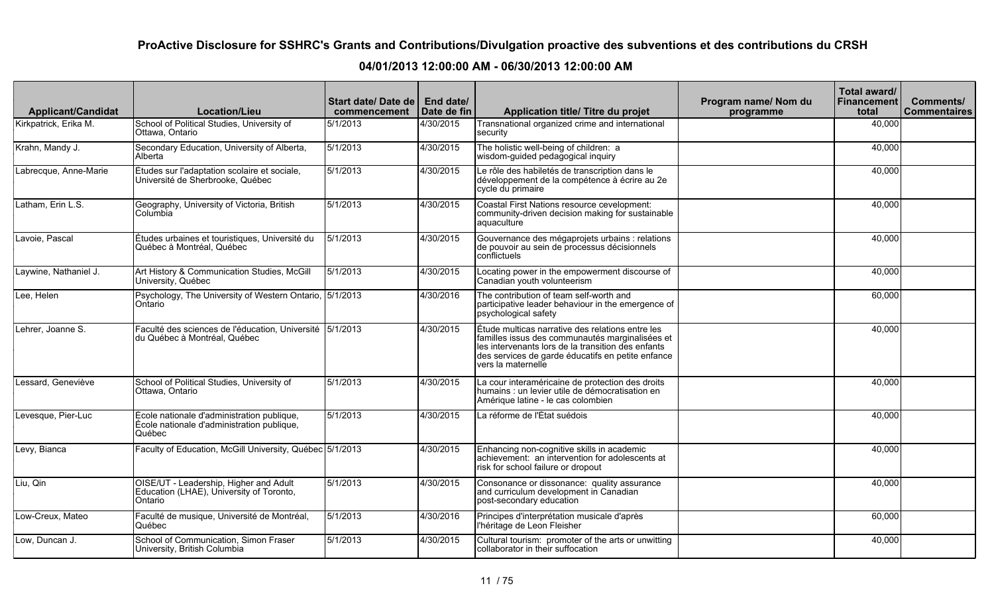| <b>Applicant/Candidat</b> | <b>Location/Lieu</b>                                                                               | Start date/ Date de  <br>commencement | End date/<br>Date de fin | <b>Application title/ Titre du projet</b>                                                                                                                                                                                            | Program name/ Nom du<br>programme | Total award/<br><b>Financement</b><br>total | <b>Comments/</b><br><b>Commentaires</b> |
|---------------------------|----------------------------------------------------------------------------------------------------|---------------------------------------|--------------------------|--------------------------------------------------------------------------------------------------------------------------------------------------------------------------------------------------------------------------------------|-----------------------------------|---------------------------------------------|-----------------------------------------|
| Kirkpatrick, Erika M.     | School of Political Studies, University of<br>Ottawa, Ontario                                      | 5/1/2013                              | 4/30/2015                | Transnational organized crime and international<br>security                                                                                                                                                                          |                                   | 40,000                                      |                                         |
| Krahn, Mandy J.           | Secondary Education, University of Alberta,<br>Alberta                                             | 5/1/2013                              | 4/30/2015                | The holistic well-being of children: a<br>wisdom-guided pedagogical inquiry                                                                                                                                                          |                                   | 40,000                                      |                                         |
| Labrecque, Anne-Marie     | Études sur l'adaptation scolaire et sociale,<br>Université de Sherbrooke, Québec                   | 5/1/2013                              | 4/30/2015                | Le rôle des habiletés de transcription dans le<br>développement de la compétence à écrire au 2e<br>cycle du primaire                                                                                                                 |                                   | 40,000                                      |                                         |
| Latham, Erin L.S.         | Geography, University of Victoria, British<br>Columbia                                             | 5/1/2013                              | 4/30/2015                | Coastal First Nations resource cevelopment:<br>community-driven decision making for sustainable<br>aquaculture                                                                                                                       |                                   | 40,000                                      |                                         |
| Lavoie, Pascal            | Études urbaines et touristiques, Université du<br>Québec à Montréal, Québec                        | 5/1/2013                              | 4/30/2015                | Gouvernance des mégaprojets urbains : relations<br>de pouvoir au sein de processus décisionnels<br>conflictuels                                                                                                                      |                                   | 40,000                                      |                                         |
| Laywine, Nathaniel J.     | Art History & Communication Studies, McGill<br>University, Québec                                  | 5/1/2013                              | 4/30/2015                | Locating power in the empowerment discourse of<br>Canadian youth volunteerism                                                                                                                                                        |                                   | 40,000                                      |                                         |
| Lee, Helen                | Psychology, The University of Western Ontario, 5/1/2013<br>Ontario                                 |                                       | 4/30/2016                | The contribution of team self-worth and<br>participative leader behaviour in the emergence of<br>psychological safety                                                                                                                |                                   | 60,000                                      |                                         |
| Lehrer, Joanne S.         | Faculté des sciences de l'éducation, Université 5/1/2013<br>du Québec à Montréal, Québec           |                                       | 4/30/2015                | Étude multicas narrative des relations entre les<br>familles issus des communautés marginalisées et<br>les intervenants lors de la transition des enfants<br>des services de garde éducatifs en petite enfance<br>vers la maternelle |                                   | 40,000                                      |                                         |
| Lessard, Geneviève        | School of Political Studies, University of<br>Ottawa, Ontario                                      | 5/1/2013                              | 4/30/2015                | La cour interaméricaine de protection des droits<br>humains : un levier utile de démocratisation en<br>Amérique latine - le cas colombien                                                                                            |                                   | 40,000                                      |                                         |
| Levesque, Pier-Luc        | École nationale d'administration publique,<br>École nationale d'administration publique,<br>Québec | 5/1/2013                              | 4/30/2015                | La réforme de l'État suédois                                                                                                                                                                                                         |                                   | 40,000                                      |                                         |
| Levy, Bianca              | Faculty of Education, McGill University, Québec 5/1/2013                                           |                                       | 4/30/2015                | Enhancing non-cognitive skills in academic<br>achievement: an intervention for adolescents at<br>risk for school failure or dropout                                                                                                  |                                   | 40,000                                      |                                         |
| Liu, Qin                  | OISE/UT - Leadership, Higher and Adult<br>Education (LHAE), University of Toronto,<br>Ontario      | 5/1/2013                              | 4/30/2015                | Consonance or dissonance: quality assurance<br>and curriculum development in Canadian<br>post-secondary education                                                                                                                    |                                   | 40,000                                      |                                         |
| Low-Creux, Mateo          | Faculté de musique, Université de Montréal,<br>Québec                                              | 5/1/2013                              | 4/30/2016                | Principes d'interprétation musicale d'après<br>l'héritage de Leon Fleisher                                                                                                                                                           |                                   | 60,000                                      |                                         |
| Low, Duncan J.            | School of Communication, Simon Fraser<br>University, British Columbia                              | 5/1/2013                              | 4/30/2015                | Cultural tourism: promoter of the arts or unwitting<br>collaborator in their suffocation                                                                                                                                             |                                   | 40,000                                      |                                         |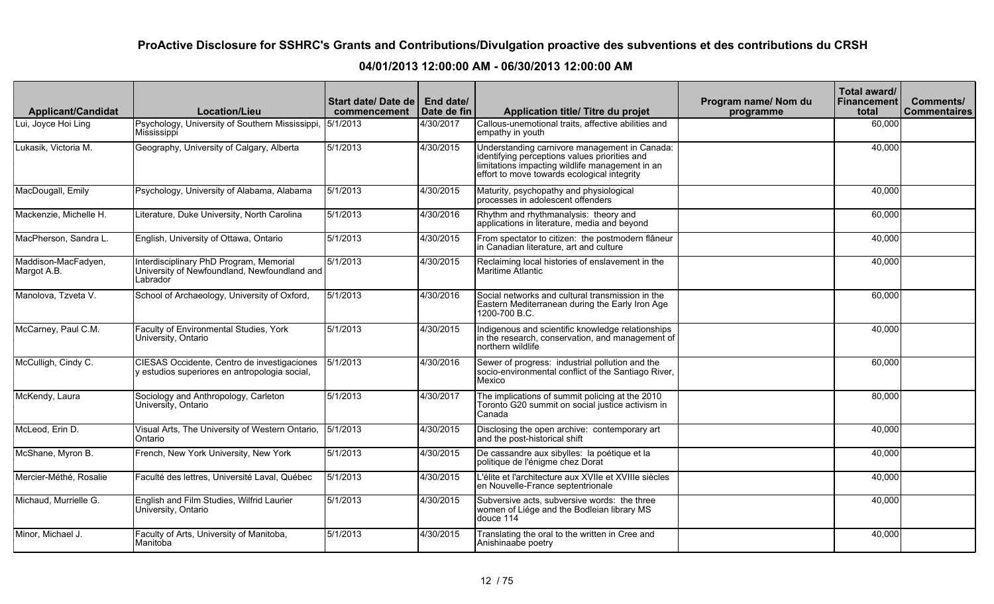| <b>Applicant/Candidat</b>          | <b>Location/Lieu</b>                                                                                | Start date/ Date de  <br>commencement | End date/<br>Date de fin | <b>Application title/ Titre du projet</b>                                                                                                                                                        | Program name/ Nom du<br>programme | Total award/<br>Financement<br>total | <b>Comments/</b><br><b>Commentaires</b> |
|------------------------------------|-----------------------------------------------------------------------------------------------------|---------------------------------------|--------------------------|--------------------------------------------------------------------------------------------------------------------------------------------------------------------------------------------------|-----------------------------------|--------------------------------------|-----------------------------------------|
| Lui, Joyce Hoi Ling                | Psychology, University of Southern Mississippi,<br>Mississippi                                      | 5/1/2013                              | 4/30/2017                | Callous-unemotional traits, affective abilities and<br>empathy in youth                                                                                                                          |                                   | 60,000                               |                                         |
| Lukasik, Victoria M.               | Geography, University of Calgary, Alberta                                                           | 5/1/2013                              | 4/30/2015                | Understanding carnivore management in Canada:<br>identifying perceptions values priorities and<br>limitations impacting wildlife management in an<br>effort to move towards ecological integrity |                                   | 40,000                               |                                         |
| MacDougall, Emily                  | Psychology, University of Alabama, Alabama                                                          | 5/1/2013                              | 4/30/2015                | Maturity, psychopathy and physiological<br>processes in adolescent offenders                                                                                                                     |                                   | 40,000                               |                                         |
| Mackenzie, Michelle H.             | Literature, Duke University, North Carolina                                                         | 5/1/2013                              | 4/30/2016                | Rhythm and rhythmanalysis: theory and<br>applications in literature, media and beyond                                                                                                            |                                   | 60,000                               |                                         |
| MacPherson, Sandra L.              | English, University of Ottawa, Ontario                                                              | $\sqrt{5/1/2013}$                     | 4/30/2015                | From spectator to citizen: the postmodern flâneur<br>in Canadian literature, art and culture                                                                                                     |                                   | 40,000                               |                                         |
| Maddison-MacFadyen,<br>Margot A.B. | Interdisciplinary PhD Program, Memorial<br>University of Newfoundland, Newfoundland and<br>Labrador | $\sqrt{5/1/2013}$                     | 4/30/2015                | Reclaiming local histories of enslavement in the<br>Maritime Atlantic                                                                                                                            |                                   | 40,000                               |                                         |
| Manolova, Tzveta V.                | School of Archaeology, University of Oxford,                                                        | 5/1/2013                              | 4/30/2016                | Social networks and cultural transmission in the<br>Eastern Mediterranean during the Early Iron Age<br>1200-700 B.C.                                                                             |                                   | 60,000                               |                                         |
| McCarney, Paul C.M.                | Faculty of Environmental Studies, York<br>University, Ontario                                       | 5/1/2013                              | 4/30/2015                | Indigenous and scientific knowledge relationships<br>in the research, conservation, and management of<br>northern wildlife                                                                       |                                   | 40,000                               |                                         |
| McCulligh, Cindy C.                | CIESAS Occidente, Centro de investigaciones<br>y estudios superiores en antropologia social,        | 5/1/2013                              | 4/30/2016                | Sewer of progress: industrial pollution and the<br>socio-environmental conflict of the Santiago River,<br>Mexico                                                                                 |                                   | 60,000                               |                                         |
| McKendy, Laura                     | Sociology and Anthropology, Carleton<br>University, Ontario                                         | 5/1/2013                              | 4/30/2017                | The implications of summit policing at the 2010<br>Toronto G20 summit on social justice activism in<br>Canada                                                                                    |                                   | 80,000                               |                                         |
| McLeod, Erin D.                    | Visual Arts, The University of Western Ontario,<br>Ontario                                          | 5/1/2013                              | 4/30/2015                | Disclosing the open archive: contemporary art<br>and the post-historical shift                                                                                                                   |                                   | 40,000                               |                                         |
| McShane, Myron B.                  | French, New York University, New York                                                               | 5/1/2013                              | 4/30/2015                | De cassandre aux sibylles: la poétique et la<br>politique de l'énigme chez Dorat                                                                                                                 |                                   | 40,000                               |                                         |
| Mercier-Méthé, Rosalie             | Faculté des lettres, Université Laval, Québec                                                       | 5/1/2013                              | 4/30/2015                | -'élite et l'architecture aux XVIIe et XVIIIe siècles<br>en Nouvelle-France septentrionale                                                                                                       |                                   | 40,000                               |                                         |
| Michaud, Murrielle G.              | English and Film Studies, Wilfrid Laurier<br>University, Ontario                                    | 5/1/2013                              | 4/30/2015                | Subversive acts, subversive words: the three<br>women of Liége and the Bodleian library MS<br>douce 114                                                                                          |                                   | 40,000                               |                                         |
| Minor, Michael J.                  | Faculty of Arts, University of Manitoba,<br>Manitoba                                                | 5/1/2013                              | 4/30/2015                | Translating the oral to the written in Cree and<br>Anishinaabe poetry                                                                                                                            |                                   | 40,000                               |                                         |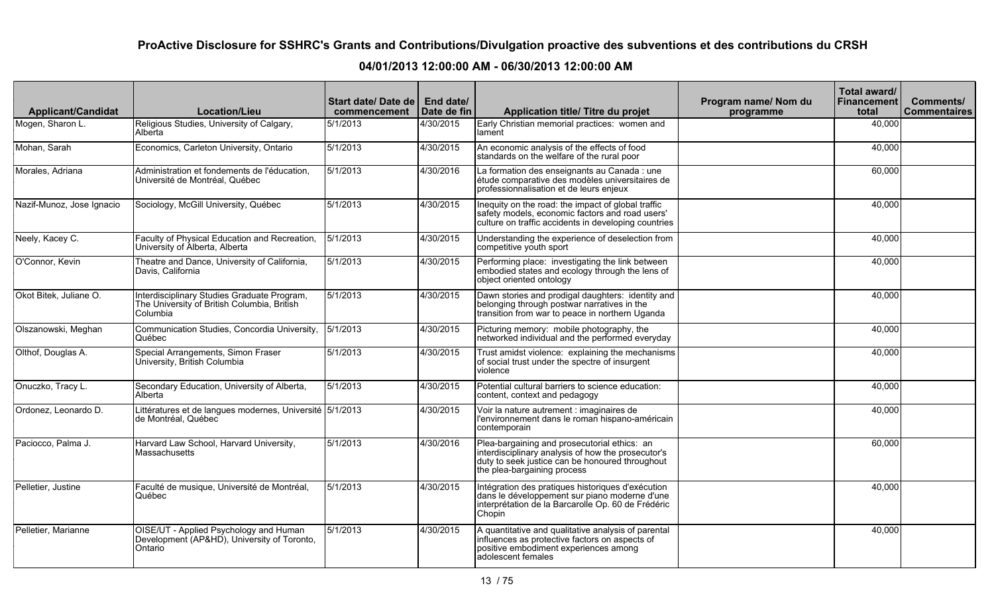| <b>Applicant/Candidat</b> | <b>Location/Lieu</b>                                                                                   | Start date/ Date de   End date/<br>commencement | Date de fin | Application title/ Titre du projet                                                                                                                                                   | Program name/Nom du<br>programme | Total award/<br>Financement<br>total | <b>Comments/</b><br><b>Commentaires</b> |
|---------------------------|--------------------------------------------------------------------------------------------------------|-------------------------------------------------|-------------|--------------------------------------------------------------------------------------------------------------------------------------------------------------------------------------|----------------------------------|--------------------------------------|-----------------------------------------|
| Mogen, Sharon L.          | Religious Studies, University of Calgary,<br>Alberta                                                   | 5/1/2013                                        | 4/30/2015   | Early Christian memorial practices: women and<br>lament                                                                                                                              |                                  | 40,000                               |                                         |
| Mohan, Sarah              | Economics, Carleton University, Ontario                                                                | $\sqrt{5/1/2013}$                               | 4/30/2015   | An economic analysis of the effects of food<br>standards on the welfare of the rural poor                                                                                            |                                  | 40,000                               |                                         |
| Morales, Adriana          | Administration et fondements de l'éducation,<br>Université de Montréal, Québec                         | $\sqrt{5/1/2013}$                               | 4/30/2016   | La formation des enseignants au Canada : une<br>étude comparative des modèles universitaires de<br>professionnalisation et de leurs enjeux                                           |                                  | 60,000                               |                                         |
| Nazif-Munoz, Jose Ignacio | Sociology, McGill University, Québec                                                                   | 5/1/2013                                        | 4/30/2015   | Inequity on the road: the impact of global traffic<br>safety models, economic factors and road users'<br>culture on traffic accidents in developing countries                        |                                  | 40,000                               |                                         |
| Neely, Kacey C.           | Faculty of Physical Education and Recreation,<br>University of Alberta, Alberta                        | 5/1/2013                                        | 4/30/2015   | Understanding the experience of deselection from<br>competitive youth sport                                                                                                          |                                  | 40,000                               |                                         |
| O'Connor, Kevin           | Theatre and Dance, University of California,<br>Davis, California                                      | 5/1/2013                                        | 4/30/2015   | Performing place: investigating the link between<br>embodied states and ecology through the lens of<br>object oriented ontology                                                      |                                  | 40.000                               |                                         |
| Okot Bitek, Juliane O.    | Interdisciplinary Studies Graduate Program,<br>The University of British Columbia, British<br>Columbia | 5/1/2013                                        | 4/30/2015   | Dawn stories and prodigal daughters: identity and<br>belonging through postwar narratives in the<br>transition from war to peace in northern Uganda                                  |                                  | 40,000                               |                                         |
| Olszanowski, Meghan       | Communication Studies, Concordia University,<br>Québec                                                 | 5/1/2013                                        | 4/30/2015   | Picturing memory: mobile photography, the<br>networked individual and the performed everyday                                                                                         |                                  | 40,000                               |                                         |
| Olthof, Douglas A.        | Special Arrangements, Simon Fraser<br>University, British Columbia                                     | 5/1/2013                                        | 4/30/2015   | Trust amidst violence: explaining the mechanisms<br>of social trust under the spectre of insurgent<br>violence                                                                       |                                  | 40.000                               |                                         |
| Onuczko, Tracy L.         | Secondary Education, University of Alberta,<br>Alberta                                                 | 5/1/2013                                        | 4/30/2015   | Potential cultural barriers to science education:<br>content, context and pedagogy                                                                                                   |                                  | 40,000                               |                                         |
| Ordonez, Leonardo D.      | Littératures et de langues modernes, Université 5/1/2013<br>de Montréal. Québec                        |                                                 | 4/30/2015   | Voir la nature autrement : imaginaires de<br>l'environnement dans le roman hispano-américain<br>contemporain                                                                         |                                  | 40,000                               |                                         |
| Paciocco, Palma J.        | Harvard Law School, Harvard University,<br><b>Massachusetts</b>                                        | 5/1/2013                                        | 4/30/2016   | Plea-bargaining and prosecutorial ethics: an<br>interdisciplinary analysis of how the prosecutor's<br>duty to seek justice can be honoured throughout<br>the plea-bargaining process |                                  | 60,000                               |                                         |
| Pelletier, Justine        | Faculté de musique, Université de Montréal,<br>Québec                                                  | 5/1/2013                                        | 4/30/2015   | Intégration des pratiques historiques d'exécution<br>dans le développement sur piano moderne d'une<br>interprétation de la Barcarolle Op. 60 de Frédéric<br>Chopin                   |                                  | 40.000                               |                                         |
| Pelletier, Marianne       | OISE/UT - Applied Psychology and Human<br>Development (AP&HD), University of Toronto,<br>Ontario       | 5/1/2013                                        | 4/30/2015   | A quantitative and qualitative analysis of parental<br>influences as protective factors on aspects of<br>positive embodiment experiences among<br>adolescent females                 |                                  | 40,000                               |                                         |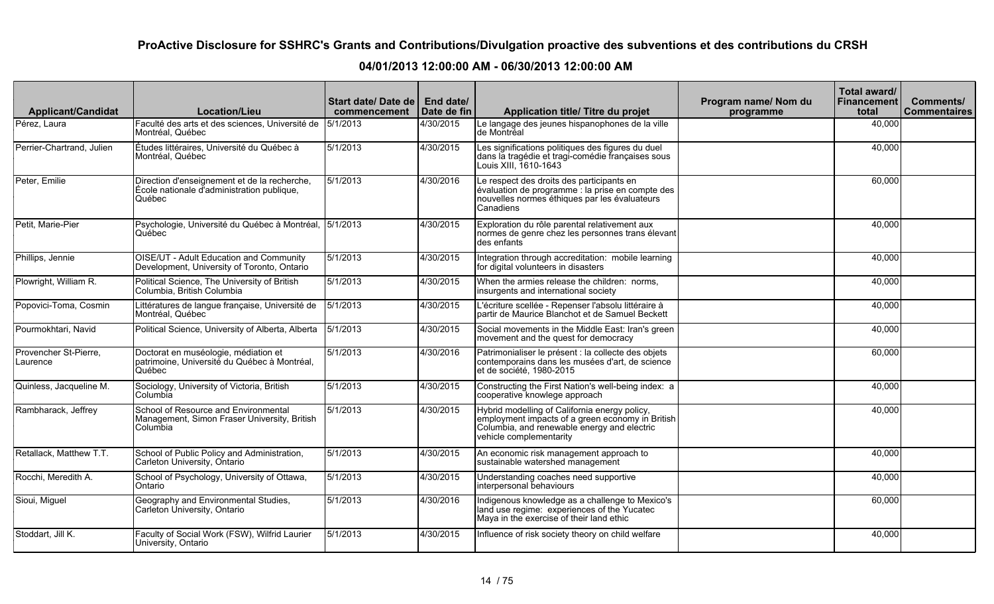| <b>Applicant/Candidat</b>         | <b>Location/Lieu</b>                                                                                 | Start date/ Date de   End date/<br>commencement | Date de fin | Application title/ Titre du projet                                                                                                                                          | Program name/ Nom du<br>programme | Total award/<br><b>Financement</b><br>total | Comments/<br><b>Commentaires</b> |
|-----------------------------------|------------------------------------------------------------------------------------------------------|-------------------------------------------------|-------------|-----------------------------------------------------------------------------------------------------------------------------------------------------------------------------|-----------------------------------|---------------------------------------------|----------------------------------|
| Pérez, Laura                      | Faculté des arts et des sciences, Université de 15/1/2013<br>Montréal, Québec                        |                                                 | 4/30/2015   | Le langage des jeunes hispanophones de la ville<br>de Montréal                                                                                                              |                                   | 40,000                                      |                                  |
| Perrier-Chartrand, Julien         | Études littéraires, Université du Québec à<br>Montréal, Québec                                       | 5/1/2013                                        | 4/30/2015   | Les significations politiques des figures du duel<br>dans la tragédie et tragi-comédie françaises sous<br>Louis XIII, 1610-1643                                             |                                   | 40,000                                      |                                  |
| Peter, Emilie                     | Direction d'enseignement et de la recherche,<br>École nationale d'administration publique,<br>Québec | 5/1/2013                                        | 4/30/2016   | Le respect des droits des participants en<br>evaluation de programme : la prise en compte des<br>nouvelles normes éthiques par les évaluateurs<br>Canadiens                 |                                   | 60,000                                      |                                  |
| Petit, Marie-Pier                 | Psychologie, Université du Québec à Montréal, 5/1/2013<br>Québec                                     |                                                 | 4/30/2015   | Exploration du rôle parental relativement aux<br>normes de genre chez les personnes trans élevant<br>des enfants                                                            |                                   | 40,000                                      |                                  |
| Phillips, Jennie                  | OISE/UT - Adult Education and Community<br>Development, University of Toronto, Ontario               | 5/1/2013                                        | 4/30/2015   | Integration through accreditation: mobile learning<br>for digital volunteers in disasters                                                                                   |                                   | 40,000                                      |                                  |
| Plowright, William R.             | Political Science, The University of British<br>Columbia, British Columbia                           | $\sqrt{5/1/2013}$                               | 4/30/2015   | When the armies release the children: norms,<br>insurgents and international society                                                                                        |                                   | 40,000                                      |                                  |
| Popovici-Toma, Cosmin             | Littératures de langue française, Université de<br>Montréal, Québec                                  | 5/1/2013                                        | 4/30/2015   | L'écriture scellée - Repenser l'absolu littéraire à<br>partir de Maurice Blanchot et de Samuel Beckett                                                                      |                                   | 40,000                                      |                                  |
| Pourmokhtari, Navid               | Political Science, University of Alberta, Alberta                                                    | $\sqrt{5/1/2013}$                               | 4/30/2015   | Social movements in the Middle East: Iran's green<br>movement and the quest for democracy                                                                                   |                                   | 40,000                                      |                                  |
| Provencher St-Pierre,<br>Laurence | Doctorat en muséologie, médiation et<br>patrimoine, Université du Québec à Montréal,<br>Québec       | 5/1/2013                                        | 4/30/2016   | Patrimonialiser le présent : la collecte des objets<br>contemporains dans les musées d'art, de science<br>et de société, 1980-2015                                          |                                   | 60,000                                      |                                  |
| Quinless, Jacqueline M.           | Sociology, University of Victoria, British<br>Columbia                                               | 5/1/2013                                        | 4/30/2015   | Constructing the First Nation's well-being index: a<br>cooperative knowlege approach                                                                                        |                                   | 40,000                                      |                                  |
| Rambharack, Jeffrey               | School of Resource and Environmental<br>Management, Simon Fraser University, British<br>Columbia     | 5/1/2013                                        | 4/30/2015   | Hybrid modelling of California energy policy,<br>employment impacts of a green economy in British<br>Columbia, and renewable energy and electric<br>vehicle complementarity |                                   | 40,000                                      |                                  |
| Retallack, Matthew T.T.           | School of Public Policy and Administration,<br>Carleton University, Ontario                          | 5/1/2013                                        | 4/30/2015   | An economic risk management approach to<br>sustainable watershed management                                                                                                 |                                   | 40,000                                      |                                  |
| Rocchi, Meredith A.               | School of Psychology, University of Ottawa,<br>Ontario                                               | $\sqrt{5/1/2013}$                               | 4/30/2015   | Understanding coaches need supportive<br>interpersonal behaviours                                                                                                           |                                   | 40,000                                      |                                  |
| Sioui, Miguel                     | Geography and Environmental Studies,<br>Carleton University, Ontario                                 | 5/1/2013                                        | 4/30/2016   | Indigenous knowledge as a challenge to Mexico's<br>land use regime: experiences of the Yucatec<br>Maya in the exercise of their land ethic                                  |                                   | 60,000                                      |                                  |
| Stoddart, Jill K.                 | Faculty of Social Work (FSW), Wilfrid Laurier<br>University, Ontario                                 | 5/1/2013                                        | 4/30/2015   | Influence of risk society theory on child welfare                                                                                                                           |                                   | 40,000                                      |                                  |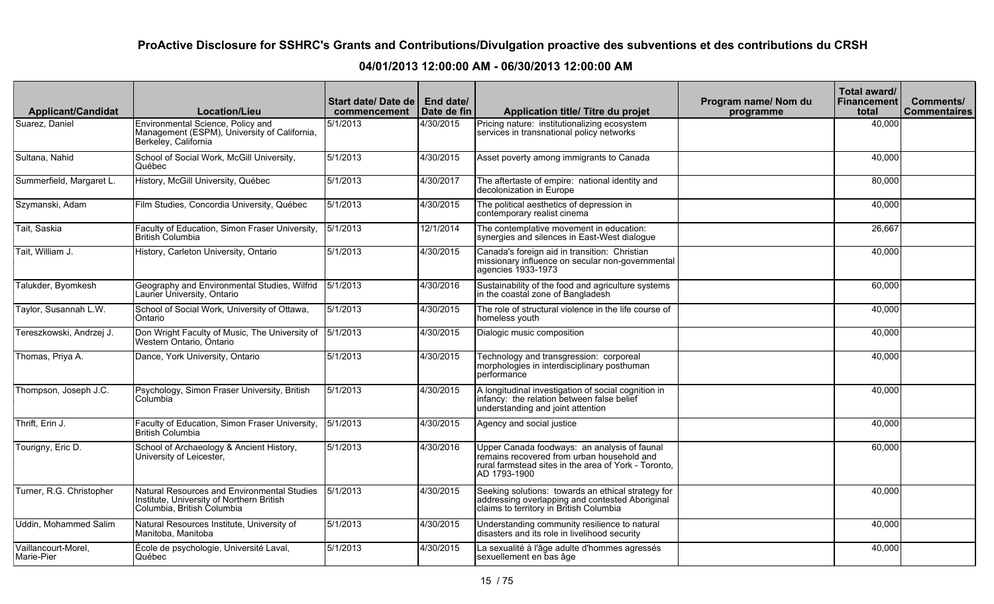| <b>Applicant/Candidat</b>         | <b>Location/Lieu</b>                                                                                                   | Start date/Date de   End date/<br>commencement | Date de fin | Application title/ Titre du projet                                                                                                                                 | Program name/ Nom du<br>programme | Total award/<br><b>Financement</b><br>total | Comments/<br>  Commentaires |
|-----------------------------------|------------------------------------------------------------------------------------------------------------------------|------------------------------------------------|-------------|--------------------------------------------------------------------------------------------------------------------------------------------------------------------|-----------------------------------|---------------------------------------------|-----------------------------|
| Suarez, Daniel                    | Environmental Science, Policy and<br>Management (ESPM), University of California,<br>Berkeley, California              | 5/1/2013                                       | 4/30/2015   | Pricing nature: institutionalizing ecosystem<br>services in transnational policy networks                                                                          |                                   | 40,000                                      |                             |
| Sultana, Nahid                    | School of Social Work, McGill University,<br>Québec                                                                    | 5/1/2013                                       | 4/30/2015   | Asset poverty among immigrants to Canada                                                                                                                           |                                   | 40,000                                      |                             |
| Summerfield, Margaret L.          | History, McGill University, Québec                                                                                     | 5/1/2013                                       | 4/30/2017   | The aftertaste of empire: national identity and<br>decolonization in Europe                                                                                        |                                   | 80,000                                      |                             |
| Szymanski, Adam                   | Film Studies, Concordia University, Québec                                                                             | 5/1/2013                                       | 4/30/2015   | The political aesthetics of depression in<br>contemporary realist cinema                                                                                           |                                   | 40,000                                      |                             |
| Tait, Saskia                      | Faculty of Education, Simon Fraser University,<br>British Columbia                                                     | 5/1/2013                                       | 12/1/2014   | The contemplative movement in education:<br>synergies and silences in East-West dialogue                                                                           |                                   | 26,667                                      |                             |
| Tait, William J.                  | History, Carleton University, Ontario                                                                                  | $\sqrt{5/1/2013}$                              | 4/30/2015   | Canada's foreign aid in transition: Christian<br>missionary influence on secular non-governmental<br>agencies 1933-1973                                            |                                   | 40,000                                      |                             |
| Talukder, Byomkesh                | Geography and Environmental Studies, Wilfrid<br>Laurier University, Ontario                                            | 5/1/2013                                       | 4/30/2016   | Sustainability of the food and agriculture systems<br>in the coastal zone of Bangladesh                                                                            |                                   | 60,000                                      |                             |
| Taylor, Susannah L.W.             | School of Social Work, University of Ottawa,<br>Ontario                                                                | 5/1/2013                                       | 4/30/2015   | The role of structural violence in the life course of<br>homeless youth                                                                                            |                                   | 40,000                                      |                             |
| Tereszkowski, Andrzej J.          | Don Wright Faculty of Music, The University of<br>Western Ontario, Ontario                                             | 5/1/2013                                       | 4/30/2015   | Dialogic music composition                                                                                                                                         |                                   | 40,000                                      |                             |
| Thomas, Priya A.                  | Dance, York University, Ontario                                                                                        | 5/1/2013                                       | 4/30/2015   | Technology and transgression: corporeal<br>morphologies in interdisciplinary posthuman<br>performance                                                              |                                   | 40,000                                      |                             |
| Thompson, Joseph J.C.             | Psychology, Simon Fraser University, British<br>Columbia                                                               | 5/1/2013                                       | 4/30/2015   | A longitudinal investigation of social cognition in<br>infancy: the relation between false belief<br>understanding and joint attention                             |                                   | 40,000                                      |                             |
| Thrift, Erin J.                   | Faculty of Education, Simon Fraser University,<br>British Columbia                                                     | 5/1/2013                                       | 4/30/2015   | Agency and social justice                                                                                                                                          |                                   | 40,000                                      |                             |
| Tourigny, Eric D.                 | School of Archaeology & Ancient History,<br>University of Leicester,                                                   | 5/1/2013                                       | 4/30/2016   | Upper Canada foodways: an analysis of faunal<br>remains recovered from urban household and<br>rural farmstead sites in the area of York - Toronto,<br>AD 1793-1900 |                                   | 60,000                                      |                             |
| Turner, R.G. Christopher          | Natural Resources and Environmental Studies<br>Institute, University of Northern British<br>Columbia, British Columbia | 5/1/2013                                       | 4/30/2015   | Seeking solutions: towards an ethical strategy for<br>addressing overlapping and contested Aboriginal<br>claims to territory in British Columbia                   |                                   | 40,000                                      |                             |
| Uddin, Mohammed Salim             | Natural Resources Institute, University of<br>Manitoba, Manitoba                                                       | 5/1/2013                                       | 4/30/2015   | Understanding community resilience to natural<br>disasters and its role in livelihood security                                                                     |                                   | 40,000                                      |                             |
| Vaillancourt-Morel,<br>Marie-Pier | École de psychologie, Université Laval,<br>Québec                                                                      | 5/1/2013                                       | 4/30/2015   | La sexualité à l'âge adulte d'hommes agressés<br>sexuellement en bas âge                                                                                           |                                   | 40,000                                      |                             |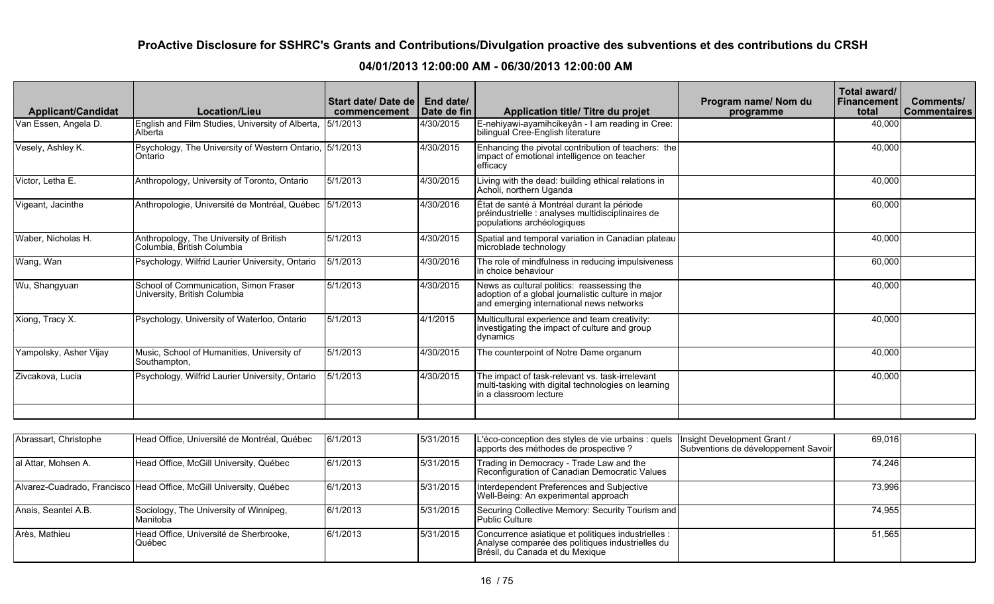| <b>Applicant/Candidat</b> | <b>Location/Lieu</b>                                                  | Start date/Date de<br>commencement | End date/<br>Date de fin | Application title/ Titre du projet                                                                                                           | Program name/ Nom du<br>programme | Total award/<br>∣ Financement l<br>total | <b>Comments/</b><br><b>Commentaires</b> |
|---------------------------|-----------------------------------------------------------------------|------------------------------------|--------------------------|----------------------------------------------------------------------------------------------------------------------------------------------|-----------------------------------|------------------------------------------|-----------------------------------------|
| Van Essen, Angela D.      | English and Film Studies, University of Alberta,<br>Alberta           | 5/1/2013                           | 4/30/2015                | E-nehiyawi-ayamihcikeyân - I am reading in Cree:<br>bilingual Cree-English literature                                                        |                                   | 40,000                                   |                                         |
| Vesely, Ashley K.         | Psychology, The University of Western Ontario, 5/1/2013<br>Ontario    |                                    | 4/30/2015                | Enhancing the pivotal contribution of teachers: the<br>impact of emotional intelligence on teacher<br>efficacy                               |                                   | 40,000                                   |                                         |
| Victor, Letha E.          | Anthropology, University of Toronto, Ontario                          | 5/1/2013                           | 4/30/2015                | Living with the dead: building ethical relations in<br>Acholi, northern Uganda                                                               |                                   | 40,000                                   |                                         |
| Vigeant, Jacinthe         | Anthropologie, Université de Montréal, Québec                         | 5/1/2013                           | 4/30/2016                | État de santé à Montréal durant la période<br>préindustrielle : analyses multidisciplinaires de<br>populations archéologiques                |                                   | 60,000                                   |                                         |
| Waber, Nicholas H.        | Anthropology, The University of British<br>Columbia, British Columbia | 5/1/2013                           | 4/30/2015                | Spatial and temporal variation in Canadian plateau<br>microblade technology                                                                  |                                   | 40,000                                   |                                         |
| Wang, Wan                 | Psychology, Wilfrid Laurier University, Ontario                       | 5/1/2013                           | 4/30/2016                | The role of mindfulness in reducing impulsiveness<br>in choice behaviour                                                                     |                                   | 60,000                                   |                                         |
| Wu, Shangyuan             | School of Communication, Simon Fraser<br>University, British Columbia | 5/1/2013                           | 4/30/2015                | News as cultural politics: reassessing the<br>adoption of a global journalistic culture in major<br>and emerging international news networks |                                   | 40,000                                   |                                         |
| Xiong, Tracy X.           | Psychology, University of Waterloo, Ontario                           | 5/1/2013                           | 4/1/2015                 | Multicultural experience and team creativity:<br>investigating the impact of culture and group<br>dynamics                                   |                                   | 40,000                                   |                                         |
| Yampolsky, Asher Vijay    | Music, School of Humanities, University of<br>Southampton,            | 5/1/2013                           | 4/30/2015                | The counterpoint of Notre Dame organum                                                                                                       |                                   | 40,000                                   |                                         |
| IZivcakova, Lucia         | Psychology, Wilfrid Laurier University, Ontario                       | 5/1/2013                           | 4/30/2015                | The impact of task-relevant vs. task-irrelevant<br>multi-tasking with digital technologies on learning<br>in a classroom lecture             |                                   | 40,000                                   |                                         |
|                           |                                                                       |                                    |                          |                                                                                                                                              |                                   |                                          |                                         |

| Abrassart, Christophe | Head Office, Université de Montréal, Québec                        | 6/1/2013 | 5/31/2015 | L'éco-conception des styles de vie urbains : quels<br>apports des méthodes de prospective ?                                                | Insight Development Grant /<br>Subventions de développement Savoir | 69.016 |  |
|-----------------------|--------------------------------------------------------------------|----------|-----------|--------------------------------------------------------------------------------------------------------------------------------------------|--------------------------------------------------------------------|--------|--|
| al Attar, Mohsen A.   | Head Office, McGill University, Québec                             | 6/1/2013 | 5/31/2015 | Trading in Democracy - Trade Law and the<br>Reconfiguration of Canadian Democratic Values                                                  |                                                                    | 74.246 |  |
|                       | Alvarez-Cuadrado, Francisco Head Office, McGill University, Québec | 6/1/2013 | 5/31/2015 | Interdependent Preferences and Subjective<br>Well-Being: An experimental approach                                                          |                                                                    | 73,996 |  |
| Anais. Seantel A.B.   | Sociology, The University of Winnipeg,<br>Manitoba                 | 6/1/2013 | 5/31/2015 | Securing Collective Memory: Security Tourism and<br>l Public Culture.                                                                      |                                                                    | 74.955 |  |
| Arès, Mathieu         | Head Office, Université de Sherbrooke,<br>lQuébec                  | 6/1/2013 | 5/31/2015 | Concurrence asiatique et politiques industrielles :<br>Analyse comparée des politiques industrielles du<br>Brésil, du Canada et du Mexique |                                                                    | 51,565 |  |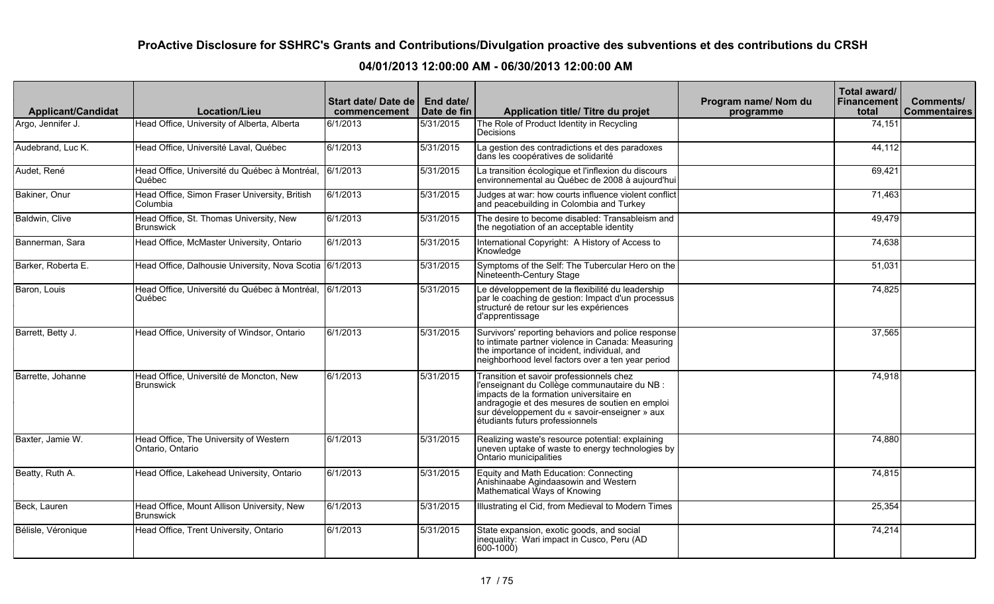| <b>Applicant/Candidat</b> | <b>Location/Lieu</b>                                           | Start date/ Date de   End date/<br>commencement | Date de fin | <b>Application title/ Titre du projet</b>                                                                                                                                                                                                                                   | Program name/ Nom du<br>programme | Total award/<br><b>Financement</b><br>total | <b>Comments/</b><br><b>Commentaires</b> |
|---------------------------|----------------------------------------------------------------|-------------------------------------------------|-------------|-----------------------------------------------------------------------------------------------------------------------------------------------------------------------------------------------------------------------------------------------------------------------------|-----------------------------------|---------------------------------------------|-----------------------------------------|
| Argo, Jennifer J.         | Head Office, University of Alberta, Alberta                    | 6/1/2013                                        | 5/31/2015   | The Role of Product Identity in Recycling<br>l Decisions                                                                                                                                                                                                                    |                                   | 74,151                                      |                                         |
| Audebrand, Luc K.         | Head Office, Université Laval, Québec                          | 6/1/2013                                        | 5/31/2015   | La gestion des contradictions et des paradoxes<br>dans les coopératives de solidarité                                                                                                                                                                                       |                                   | 44,112                                      |                                         |
| Audet, René               | Head Office, Université du Québec à Montréal,<br>Québec        | 6/1/2013                                        | 5/31/2015   | La transition écologique et l'inflexion du discours<br>environnemental au Québec de 2008 à aujourd'hui                                                                                                                                                                      |                                   | 69,421                                      |                                         |
| Bakiner, Onur             | Head Office, Simon Fraser University, British<br>Columbia      | 6/1/2013                                        | 5/31/2015   | Judges at war: how courts influence violent conflict<br>and peacebuilding in Colombia and Turkey                                                                                                                                                                            |                                   | 71,463                                      |                                         |
| Baldwin, Clive            | Head Office, St. Thomas University, New<br><b>Brunswick</b>    | 6/1/2013                                        | 5/31/2015   | The desire to become disabled: Transableism and<br>the negotiation of an acceptable identity                                                                                                                                                                                |                                   | 49,479                                      |                                         |
| Bannerman, Sara           | Head Office, McMaster University, Ontario                      | 6/1/2013                                        | 5/31/2015   | International Copyright: A History of Access to<br>Knowledge                                                                                                                                                                                                                |                                   | 74,638                                      |                                         |
| Barker, Roberta E.        | Head Office, Dalhousie University, Nova Scotia 6/1/2013        |                                                 | 5/31/2015   | Symptoms of the Self: The Tubercular Hero on the<br>Nineteenth-Century Stage                                                                                                                                                                                                |                                   | 51,031                                      |                                         |
| Baron, Louis              | Head Office, Université du Québec à Montréal,<br>Québec        | $\sqrt{6/1/2013}$                               | 5/31/2015   | Le développement de la flexibilité du leadership<br>par le coaching de gestion: Impact d'un processus<br>structuré de retour sur les expériences<br>d'apprentissage                                                                                                         |                                   | 74,825                                      |                                         |
| Barrett, Betty J.         | Head Office, University of Windsor, Ontario                    | 6/1/2013                                        | 5/31/2015   | Survivors' reporting behaviors and police response<br>to intimate partner violence in Canada: Measuring<br>the importance of incident, individual, and<br>neighborhood level factors over a ten year period                                                                 |                                   | 37,565                                      |                                         |
| Barrette, Johanne         | Head Office, Université de Moncton, New<br><b>Brunswick</b>    | 6/1/2013                                        | 5/31/2015   | Transition et savoir professionnels chez<br>l'enseignant du Collège communautaire du NB :<br>impacts de la formation universitaire en<br>andragogie et des mesures de soutien en emploi<br>sur développement du « savoir-enseigner » aux<br>etudiants futurs professionnels |                                   | 74,918                                      |                                         |
| Baxter, Jamie W.          | Head Office, The University of Western<br>Ontario, Ontario     | 6/1/2013                                        | 5/31/2015   | Realizing waste's resource potential: explaining<br>uneven uptake of waste to energy technologies by<br>Ontario municipalities                                                                                                                                              |                                   | 74,880                                      |                                         |
| Beatty, Ruth A.           | Head Office, Lakehead University, Ontario                      | 6/1/2013                                        | 5/31/2015   | Equity and Math Education: Connecting<br>Anishinaabe Agindaasowin and Western<br>Mathematical Ways of Knowing                                                                                                                                                               |                                   | 74,815                                      |                                         |
| Beck, Lauren              | Head Office, Mount Allison University, New<br><b>Brunswick</b> | 6/1/2013                                        | 5/31/2015   | Illustrating el Cid, from Medieval to Modern Times                                                                                                                                                                                                                          |                                   | 25,354                                      |                                         |
| Bélisle, Véronique        | Head Office, Trent University, Ontario                         | 6/1/2013                                        | 5/31/2015   | State expansion, exotic goods, and social<br>inequality: Wari impact in Cusco, Peru (AD<br>600-1000)                                                                                                                                                                        |                                   | 74,214                                      |                                         |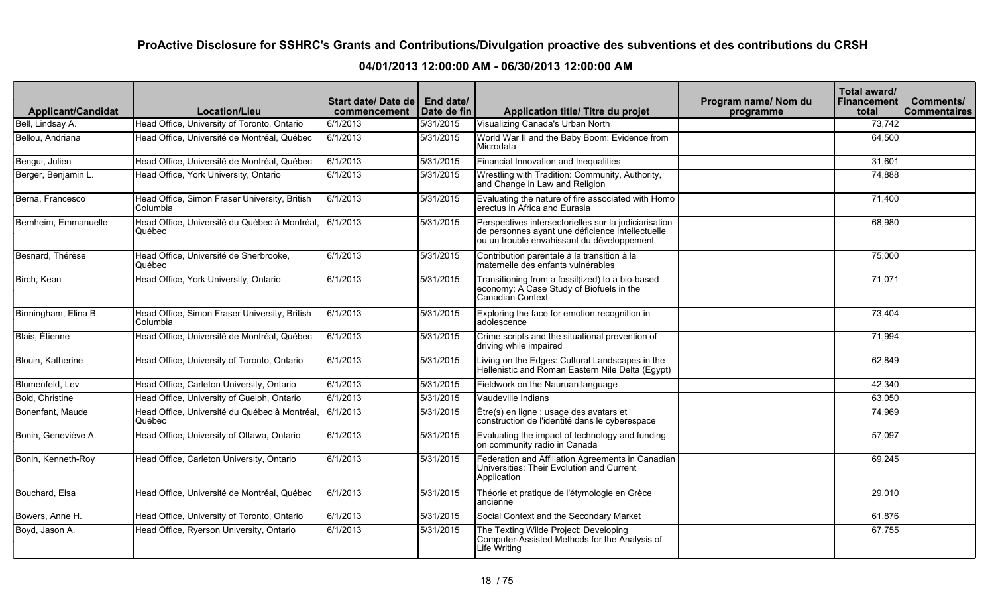| <b>Applicant/Candidat</b> | <b>Location/Lieu</b>                                      | Start date/Date de<br>commencement | End date/<br>Date de fin | Application title/ Titre du projet                                                                                                                      | Program name/ Nom du<br>programme | Total award/<br><b>Financement</b> I<br>total | <b>Comments/</b><br><b>Commentaires</b> |
|---------------------------|-----------------------------------------------------------|------------------------------------|--------------------------|---------------------------------------------------------------------------------------------------------------------------------------------------------|-----------------------------------|-----------------------------------------------|-----------------------------------------|
| Bell, Lindsay A.          | Head Office, University of Toronto, Ontario               | 6/1/2013                           | 5/31/2015                | Visualizing Canada's Urban North                                                                                                                        |                                   | 73,742                                        |                                         |
| Bellou, Andriana          | Head Office, Université de Montréal, Québec               | 6/1/2013                           | 5/31/2015                | World War II and the Baby Boom: Evidence from<br>Microdata                                                                                              |                                   | 64,500                                        |                                         |
| Bengui, Julien            | Head Office, Université de Montréal, Québec               | 6/1/2013                           | 5/31/2015                | Financial Innovation and Inequalities                                                                                                                   |                                   | 31,601                                        |                                         |
| Berger, Benjamin L.       | Head Office, York University, Ontario                     | $\sqrt{6/1/2013}$                  | 5/31/2015                | Wrestling with Tradition: Community, Authority,<br>and Change in Law and Religion                                                                       |                                   | 74,888                                        |                                         |
| Berna, Francesco          | Head Office, Simon Fraser University, British<br>Columbia | 6/1/2013                           | 5/31/2015                | Evaluating the nature of fire associated with Homo<br>erectus in Africa and Eurasia                                                                     |                                   | 71,400                                        |                                         |
| Bernheim, Emmanuelle      | Head Office, Université du Québec à Montréal,<br>Québec   | 6/1/2013                           | 5/31/2015                | Perspectives intersectorielles sur la judiciarisation<br>de personnes ayant une déficience intellectuelle<br>ou un trouble envahissant du développement |                                   | 68,980                                        |                                         |
| Besnard, Thérèse          | Head Office, Université de Sherbrooke,<br>Québec          | 6/1/2013                           | 5/31/2015                | Contribution parentale à la transition à la<br>maternelle des enfants vulnérables                                                                       |                                   | 75,000                                        |                                         |
| Birch, Kean               | Head Office, York University, Ontario                     | 6/1/2013                           | 5/31/2015                | Transitioning from a fossil(ized) to a bio-based<br>economy: A Case Study of Biofuels in the<br>Canadian Context                                        |                                   | 71,071                                        |                                         |
| Birmingham, Elina B.      | Head Office, Simon Fraser University, British<br>Columbia | 6/1/2013                           | 5/31/2015                | Exploring the face for emotion recognition in<br>adolescence                                                                                            |                                   | 73,404                                        |                                         |
| Blais, Étienne            | Head Office, Université de Montréal, Québec               | 6/1/2013                           | 5/31/2015                | Crime scripts and the situational prevention of<br>driving while impaired                                                                               |                                   | 71,994                                        |                                         |
| Blouin, Katherine         | Head Office, University of Toronto, Ontario               | 6/1/2013                           | 5/31/2015                | Living on the Edges: Cultural Landscapes in the<br>Hellenistic and Roman Eastern Nile Delta (Egypt)                                                     |                                   | 62,849                                        |                                         |
| Blumenfeld, Lev           | Head Office, Carleton University, Ontario                 | 6/1/2013                           | 5/31/2015                | Fieldwork on the Nauruan language                                                                                                                       |                                   | 42,340                                        |                                         |
| Bold, Christine           | Head Office, University of Guelph, Ontario                | 6/1/2013                           | 5/31/2015                | Vaudeville Indians                                                                                                                                      |                                   | 63,050                                        |                                         |
| Bonenfant, Maude          | Head Office, Université du Québec à Montréal,<br>Québec   | 6/1/2013                           | 5/31/2015                | Être(s) en ligne : usage des avatars et<br>construction de l'identité dans le cyberespace                                                               |                                   | 74,969                                        |                                         |
| Bonin, Geneviève A.       | Head Office, University of Ottawa, Ontario                | 6/1/2013                           | 5/31/2015                | Evaluating the impact of technology and funding<br>on community radio in Canada                                                                         |                                   | 57,097                                        |                                         |
| Bonin, Kenneth-Roy        | Head Office, Carleton University, Ontario                 | 6/1/2013                           | 5/31/2015                | Federation and Affiliation Agreements in Canadian<br>Universities: Their Evolution and Current<br>Application                                           |                                   | 69,245                                        |                                         |
| Bouchard, Elsa            | Head Office, Université de Montréal, Québec               | 6/1/2013                           | 5/31/2015                | Théorie et pratique de l'étymologie en Grèce<br>lancienne                                                                                               |                                   | 29,010                                        |                                         |
| Bowers, Anne H.           | Head Office, University of Toronto, Ontario               | 6/1/2013                           | 5/31/2015                | Social Context and the Secondary Market                                                                                                                 |                                   | 61,876                                        |                                         |
| Boyd, Jason A.            | Head Office, Ryerson University, Ontario                  | $\sqrt{6/1/2013}$                  | 5/31/2015                | The Texting Wilde Project: Developing<br>Computer-Assisted Methods for the Analysis of<br>Life Writing                                                  |                                   | 67,755                                        |                                         |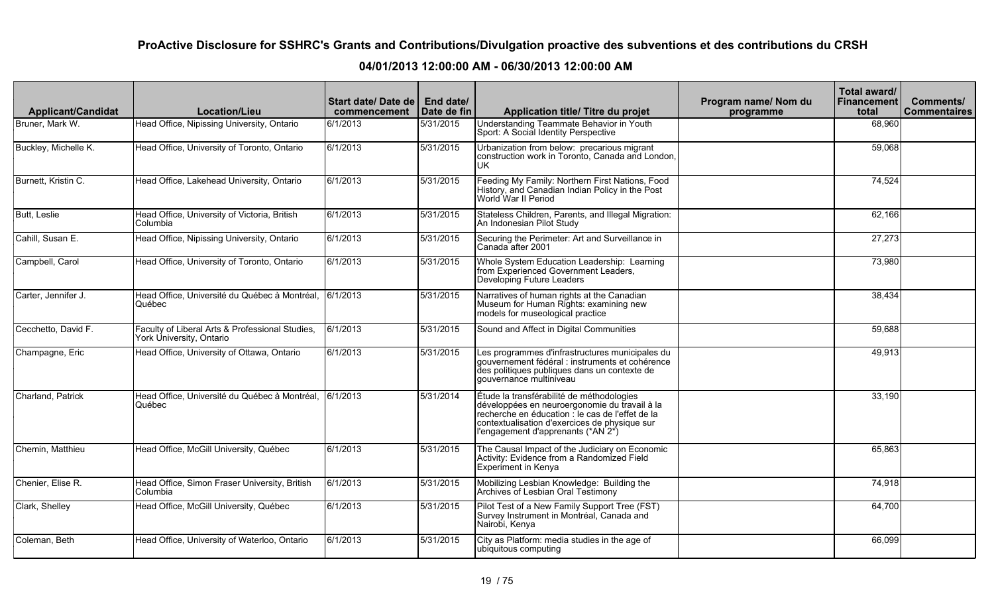| <b>Applicant/Candidat</b> | <b>Location/Lieu</b>                                                        | Start date/Date de   End date/<br>commencement | Date de fin | Application title/ Titre du projet                                                                                                                                                                                                       | Program name/ Nom du<br>programme | Total award/<br><b>Financement</b><br>total | Comments/<br><b>Commentaires</b> |
|---------------------------|-----------------------------------------------------------------------------|------------------------------------------------|-------------|------------------------------------------------------------------------------------------------------------------------------------------------------------------------------------------------------------------------------------------|-----------------------------------|---------------------------------------------|----------------------------------|
| Bruner, Mark W.           | Head Office, Nipissing University, Ontario                                  | 6/1/2013                                       | 5/31/2015   | Understanding Teammate Behavior in Youth<br>Sport: A Social Identity Perspective                                                                                                                                                         |                                   | 68,960                                      |                                  |
| Buckley, Michelle K.      | Head Office, University of Toronto, Ontario                                 | 6/1/2013                                       | 5/31/2015   | Urbanization from below: precarious migrant<br>construction work in Toronto, Canada and London,<br>luk.                                                                                                                                  |                                   | 59,068                                      |                                  |
| Burnett, Kristin C.       | Head Office, Lakehead University, Ontario                                   | 6/1/2013                                       | 5/31/2015   | Feeding My Family: Northern First Nations, Food<br>History, and Canadian Indian Policy in the Post<br>World War II Period                                                                                                                |                                   | 74,524                                      |                                  |
| Butt, Leslie              | Head Office, University of Victoria, British<br>Columbia                    | 6/1/2013                                       | 5/31/2015   | Stateless Children, Parents, and Illegal Migration:<br>An Indonesian Pilot Study                                                                                                                                                         |                                   | 62,166                                      |                                  |
| Cahill, Susan E.          | Head Office, Nipissing University, Ontario                                  | 6/1/2013                                       | 5/31/2015   | Securing the Perimeter: Art and Surveillance in<br><b>I</b> Canada after 2001                                                                                                                                                            |                                   | 27,273                                      |                                  |
| Campbell, Carol           | Head Office, University of Toronto, Ontario                                 | 6/1/2013                                       | 5/31/2015   | Whole System Education Leadership: Learning<br>from Experienced Government Leaders,<br>Developing Future Leaders                                                                                                                         |                                   | 73,980                                      |                                  |
| Carter, Jennifer J.       | Head Office, Université du Québec à Montréal,<br>Québec                     | 6/1/2013                                       | 5/31/2015   | Narratives of human rights at the Canadian<br>Museum for Human Rights: examining new<br>models for museological practice                                                                                                                 |                                   | 38,434                                      |                                  |
| Cecchetto, David F.       | Faculty of Liberal Arts & Professional Studies,<br>York University, Ontario | 6/1/2013                                       | 5/31/2015   | Sound and Affect in Digital Communities                                                                                                                                                                                                  |                                   | 59,688                                      |                                  |
| Champagne, Eric           | Head Office, University of Ottawa, Ontario                                  | 6/1/2013                                       | 5/31/2015   | Les programmes d'infrastructures municipales du<br>gouvernement fédéral : instruments et conérence<br>des politiques publiques dans un contexte de<br>gouvernance multiniveau                                                            |                                   | 49,913                                      |                                  |
| Charland, Patrick         | Head Office, Université du Québec à Montréal,<br>Québec                     | 6/1/2013                                       | 5/31/2014   | Étude la transférabilité de méthodologies<br>développées en neuroergonomie du travail à la<br>recherche en éducation : le cas de l'effet de la<br>contextualisation d'exercices de physique sur<br>l'engagement d'apprenants (*AN $2*$ ) |                                   | 33,190                                      |                                  |
| Chemin, Matthieu          | Head Office, McGill University, Québec                                      | 6/1/2013                                       | 5/31/2015   | The Causal Impact of the Judiciary on Economic<br>Activity: Evidence from a Randomized Field<br>Experiment in Kenya                                                                                                                      |                                   | 65,863                                      |                                  |
| Chenier, Elise R.         | Head Office, Simon Fraser University, British<br>Columbia                   | 6/1/2013                                       | 5/31/2015   | Mobilizing Lesbian Knowledge: Building the<br>Archives of Lesbian Oral Testimony                                                                                                                                                         |                                   | 74,918                                      |                                  |
| Clark, Shelley            | Head Office, McGill University, Québec                                      | 6/1/2013                                       | 5/31/2015   | Pilot Test of a New Family Support Tree (FST)<br>Survey Instrument in Montréal, Canada and<br>Nairobi, Kenya                                                                                                                             |                                   | 64,700                                      |                                  |
| Coleman, Beth             | Head Office, University of Waterloo, Ontario                                | 6/1/2013                                       | 5/31/2015   | City as Platform: media studies in the age of<br>ubiquitous computing                                                                                                                                                                    |                                   | 66,099                                      |                                  |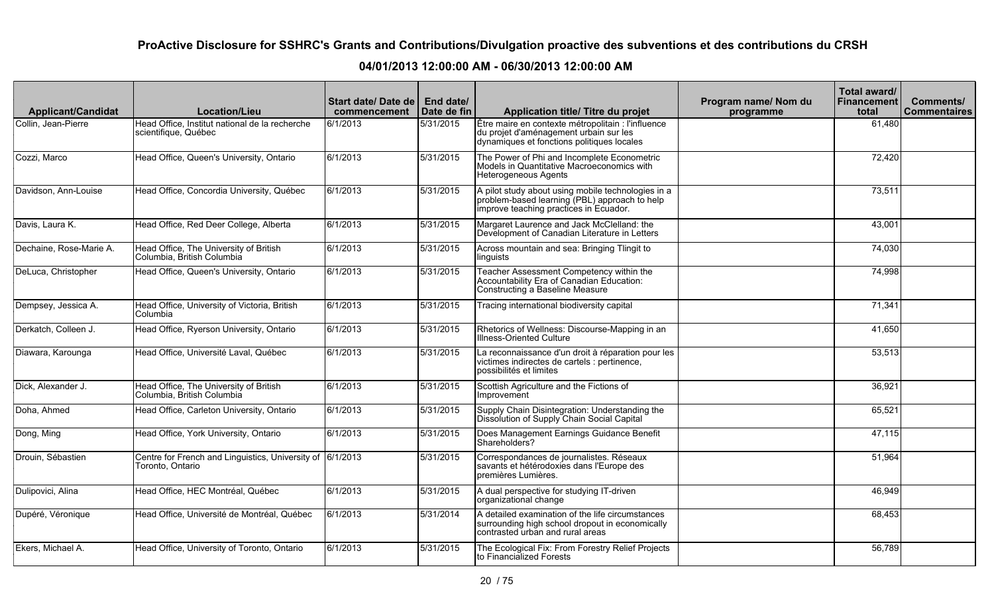| <b>Applicant/Candidat</b> | <b>Location/Lieu</b>                                                          | Start date/Date de   End date/<br>commencement | Date de fin | Application title/ Titre du projet                                                                                                            | Program name/ Nom du<br>programme | Total award/<br><b>Financement</b><br>total | Comments/<br><b>Commentaires</b> |
|---------------------------|-------------------------------------------------------------------------------|------------------------------------------------|-------------|-----------------------------------------------------------------------------------------------------------------------------------------------|-----------------------------------|---------------------------------------------|----------------------------------|
| Collin, Jean-Pierre       | Head Office, Institut national de la recherche<br>scientifique, Québec        | 6/1/2013                                       | 5/31/2015   | Étre maire en contexte métropolitain : l'influence<br>du projet d'aménagement urbain sur les<br>dynamiques et fonctions politiques locales    |                                   | 61,480                                      |                                  |
| Cozzi, Marco              | Head Office, Queen's University, Ontario                                      | 6/1/2013                                       | 5/31/2015   | The Power of Phi and Incomplete Econometric<br>Models in Quantitative Macroeconomics with<br>Heterogeneous Agents                             |                                   | 72,420                                      |                                  |
| Davidson, Ann-Louise      | Head Office, Concordia University, Québec                                     | 6/1/2013                                       | 5/31/2015   | A pilot study about using mobile technologies in a<br>problem-based learning (PBL) approach to help<br>improve teaching practices in Ecuador. |                                   | 73,511                                      |                                  |
| Davis, Laura K.           | Head Office, Red Deer College, Alberta                                        | 6/1/2013                                       | 5/31/2015   | Margaret Laurence and Jack McClelland: the<br>Development of Canadian Literature in Letters                                                   |                                   | 43,001                                      |                                  |
| Dechaine, Rose-Marie A.   | Head Office, The University of British<br>Columbia, British Columbia          | 6/1/2013                                       | 5/31/2015   | Across mountain and sea: Bringing Tlingit to<br>linguists                                                                                     |                                   | 74,030                                      |                                  |
| DeLuca, Christopher       | Head Office, Queen's University, Ontario                                      | 6/1/2013                                       | 5/31/2015   | Teacher Assessment Competency within the<br>Accountability Era of Canadian Education:<br>Constructing a Baseline Measure                      |                                   | 74,998                                      |                                  |
| Dempsey, Jessica A.       | Head Office, University of Victoria, British<br>Columbia                      | 6/1/2013                                       | 5/31/2015   | Tracing international biodiversity capital                                                                                                    |                                   | 71,341                                      |                                  |
| Derkatch, Colleen J.      | Head Office, Ryerson University, Ontario                                      | 6/1/2013                                       | 5/31/2015   | Rhetorics of Wellness: Discourse-Mapping in an<br><b>Illness-Oriented Culture</b>                                                             |                                   | 41,650                                      |                                  |
| Diawara, Karounga         | Head Office, Université Laval, Québec                                         | 6/1/2013                                       | 5/31/2015   | La reconnaissance d'un droit à réparation pour les<br>victimes indirectes de cartels : pertinence,<br>possibilités et limites                 |                                   | 53,513                                      |                                  |
| Dick, Alexander J.        | Head Office, The University of British<br>Columbia, British Columbia          | 6/1/2013                                       | 5/31/2015   | Scottish Agriculture and the Fictions of<br>Improvement                                                                                       |                                   | 36,921                                      |                                  |
| Doha, Ahmed               | Head Office, Carleton University, Ontario                                     | 6/1/2013                                       | 5/31/2015   | Supply Chain Disintegration: Understanding the<br>Dissolution of Supply Chain Social Capital                                                  |                                   | 65,521                                      |                                  |
| Dong, Ming                | Head Office, York University, Ontario                                         | 6/1/2013                                       | 5/31/2015   | Does Management Earnings Guidance Benefit<br>Shareholders?                                                                                    |                                   | 47,115                                      |                                  |
| Drouin, Sébastien         | Centre for French and Linguistics, University of 6/1/2013<br>Toronto. Ontario |                                                | 5/31/2015   | Correspondances de journalistes. Réseaux<br>savants et hétérodoxies dans l'Europe des<br>premières Lumières.                                  |                                   | 51,964                                      |                                  |
| Dulipovici, Alina         | Head Office, HEC Montréal, Québec                                             | 6/1/2013                                       | 5/31/2015   | A dual perspective for studying IT-driven<br>organizational change                                                                            |                                   | 46,949                                      |                                  |
| Dupéré, Véronique         | Head Office, Université de Montréal, Québec                                   | 6/1/2013                                       | 5/31/2014   | A detailed examination of the life circumstances<br>surrounding high school dropout in economically<br>contrasted urban and rural areas       |                                   | 68,453                                      |                                  |
| Ekers, Michael A.         | Head Office, University of Toronto, Ontario                                   | 6/1/2013                                       | 5/31/2015   | The Ecological Fix: From Forestry Relief Projects<br>Ito Financialized Forests                                                                |                                   | 56,789                                      |                                  |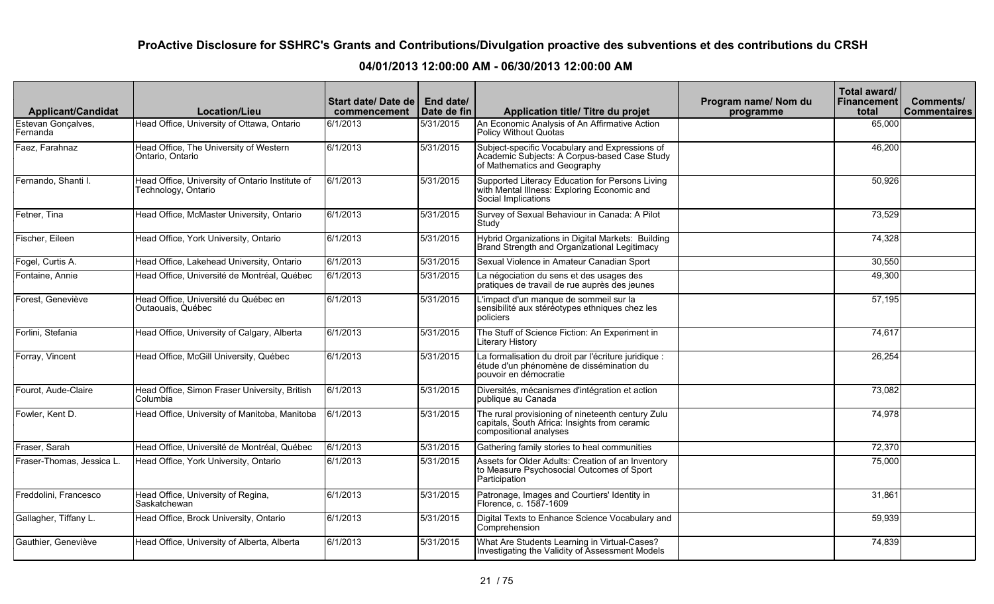| <b>Applicant/Candidat</b>      | <b>Location/Lieu</b>                                                   | Start date/ Date de  <br>commencement | End date/<br>Date de fin | Application title/ Titre du projet                                                                                             | Program name/Nom du<br>programme | Total award/<br><b>Financement</b><br>total | <b>Comments/</b><br><b>Commentaires</b> |
|--------------------------------|------------------------------------------------------------------------|---------------------------------------|--------------------------|--------------------------------------------------------------------------------------------------------------------------------|----------------------------------|---------------------------------------------|-----------------------------------------|
| Estevan Gonçalves,<br>Fernanda | Head Office, University of Ottawa, Ontario                             | 6/1/2013                              | 5/31/2015                | An Economic Analysis of An Affirmative Action<br>Policy Without Quotas                                                         |                                  | 65,000                                      |                                         |
| Faez, Farahnaz                 | Head Office, The University of Western<br>Ontario, Ontario             | 6/1/2013                              | 5/31/2015                | Subject-specific Vocabulary and Expressions of<br>Academic Subjects: A Corpus-based Case Study<br>of Mathematics and Geography |                                  | 46,200                                      |                                         |
| Fernando, Shanti I.            | Head Office, University of Ontario Institute of<br>Technology, Ontario | 6/1/2013                              | 5/31/2015                | Supported Literacy Education for Persons Living<br>with Mental Illness: Exploring Economic and<br>Social Implications          |                                  | 50,926                                      |                                         |
| Fetner, Tina                   | Head Office, McMaster University, Ontario                              | 6/1/2013                              | 5/31/2015                | Survey of Sexual Behaviour in Canada: A Pilot<br>Study                                                                         |                                  | 73,529                                      |                                         |
| Fischer, Eileen                | Head Office, York University, Ontario                                  | 6/1/2013                              | 5/31/2015                | Hybrid Organizations in Digital Markets: Building<br>Brand Strength and Organizational Legitimacy                              |                                  | 74,328                                      |                                         |
| Fogel, Curtis A.               | Head Office, Lakehead University, Ontario                              | 6/1/2013                              | 5/31/2015                | Sexual Violence in Amateur Canadian Sport                                                                                      |                                  | 30,550                                      |                                         |
| Fontaine, Annie                | Head Office, Université de Montréal, Québec                            | 6/1/2013                              | 5/31/2015                | La négociation du sens et des usages des<br>pratiques de travail de rue auprès des jeunes                                      |                                  | 49,300                                      |                                         |
| Forest, Geneviève              | Head Office, Université du Québec en<br>Outaouais, Québec              | 6/1/2013                              | 5/31/2015                | L'impact d'un manque de sommeil sur la<br>sensibilité aux stéréotypes ethniques chez les<br>policiers                          |                                  | 57,195                                      |                                         |
| Forlini, Stefania              | Head Office, University of Calgary, Alberta                            | 6/1/2013                              | 5/31/2015                | The Stuff of Science Fiction: An Experiment in<br>Literary History                                                             |                                  | 74,617                                      |                                         |
| Forray, Vincent                | Head Office, McGill University, Québec                                 | 6/1/2013                              | 5/31/2015                | La formalisation du droit par l'écriture juridique :<br>etude d'un phénomène de dissémination du<br>pouvoir en démocratie      |                                  | 26,254                                      |                                         |
| Fourot, Aude-Claire            | Head Office, Simon Fraser University, British<br>Columbia              | 6/1/2013                              | 5/31/2015                | Diversités, mécanismes d'intégration et action<br>publique au Canada                                                           |                                  | 73,082                                      |                                         |
| Fowler, Kent D.                | Head Office, University of Manitoba, Manitoba                          | 6/1/2013                              | 5/31/2015                | The rural provisioning of nineteenth century Zulu<br>capitals, South Africa: Insights from ceramic<br>compositional analyses   |                                  | 74,978                                      |                                         |
| Fraser, Sarah                  | Head Office, Université de Montréal, Québec                            | 6/1/2013                              | 5/31/2015                | Gathering family stories to heal communities                                                                                   |                                  | 72,370                                      |                                         |
| Fraser-Thomas, Jessica L.      | Head Office, York University, Ontario                                  | 6/1/2013                              | 5/31/2015                | Assets for Older Adults: Creation of an Inventory<br>to Measure Psychosocial Outcomes of Sport<br>Participation                |                                  | 75,000                                      |                                         |
| Freddolini, Francesco          | Head Office, University of Regina,<br>Saskatchewan                     | 6/1/2013                              | 5/31/2015                | Patronage, Images and Courtiers' Identity in<br>Florence, c. 1587-1609                                                         |                                  | 31,861                                      |                                         |
| Gallagher, Tiffany L.          | Head Office, Brock University, Ontario                                 | 6/1/2013                              | 5/31/2015                | Digital Texts to Enhance Science Vocabulary and<br>Comprehension                                                               |                                  | 59,939                                      |                                         |
| Gauthier, Geneviève            | Head Office, University of Alberta, Alberta                            | 6/1/2013                              | 5/31/2015                | What Are Students Learning in Virtual-Cases?<br>Investigating the Validity of Assessment Models                                |                                  | 74,839                                      |                                         |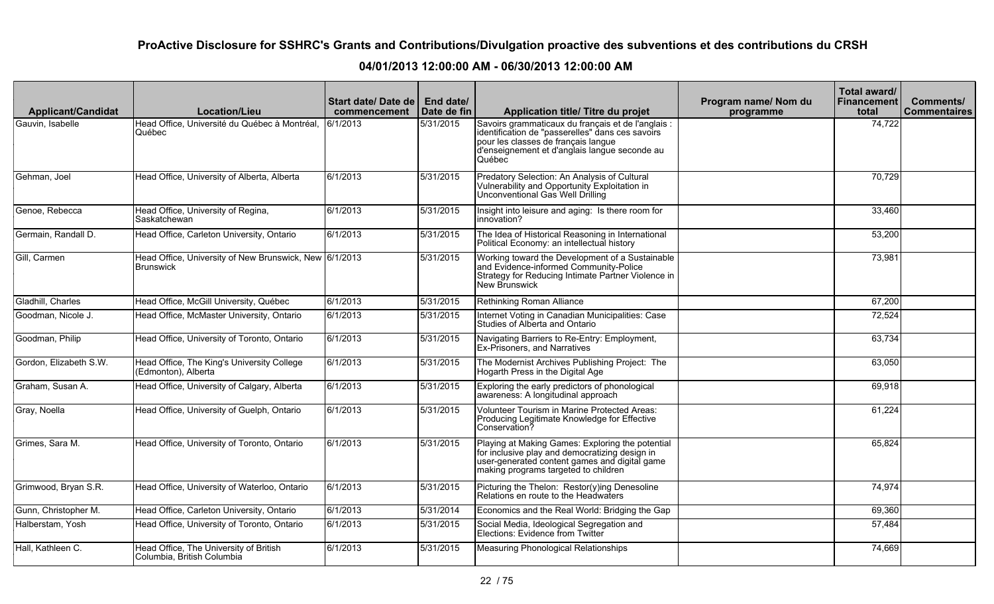| <b>Applicant/Candidat</b> | <b>Location/Lieu</b>                                                       | Start date/Date de<br>commencement | End date/<br>Date de fin | Application title/ Titre du projet                                                                                                                                                                       | Program name/ Nom du<br>programme | Total award/<br><b>Financement</b><br>total | Comments/<br><b>Commentaires</b> |
|---------------------------|----------------------------------------------------------------------------|------------------------------------|--------------------------|----------------------------------------------------------------------------------------------------------------------------------------------------------------------------------------------------------|-----------------------------------|---------------------------------------------|----------------------------------|
| Gauvin, Isabelle          | Head Office, Université du Québec à Montréal.<br>Québec                    | 6/1/2013                           | 5/31/2015                | Savoirs grammaticaux du français et de l'anglais :<br>identification de "passerelles" dans ces savoirs<br>pour les classes de français langue<br>d'enseignement et d'anglais langue seconde au<br>Québec |                                   | 74,722                                      |                                  |
| Gehman, Joel              | Head Office, University of Alberta, Alberta                                | 6/1/2013                           | 5/31/2015                | Predatory Selection: An Analysis of Cultural<br>Vulnerability and Opportunity Exploitation in<br>Unconventional Gas Well Drilling                                                                        |                                   | 70,729                                      |                                  |
| Genoe, Rebecca            | Head Office, University of Regina,<br>Saskatchewan                         | 6/1/2013                           | 5/31/2015                | Insight into leisure and aging: Is there room for<br>innovation?                                                                                                                                         |                                   | 33,460                                      |                                  |
| Germain, Randall D.       | Head Office, Carleton University, Ontario                                  | 6/1/2013                           | 5/31/2015                | The Idea of Historical Reasoning in International<br>Political Economy: an intellectual history                                                                                                          |                                   | 53,200                                      |                                  |
| Gill, Carmen              | Head Office, University of New Brunswick, New 6/1/2013<br><b>Brunswick</b> |                                    | 5/31/2015                | Working toward the Development of a Sustainable<br>and Evidence-informed Community-Police<br>Strategy for Reducing Intimate Partner Violence in<br>New Brunswick                                         |                                   | 73,981                                      |                                  |
| Gladhill, Charles         | Head Office, McGill University, Québec                                     | 6/1/2013                           | 5/31/2015                | <b>Rethinking Roman Alliance</b>                                                                                                                                                                         |                                   | 67,200                                      |                                  |
| Goodman, Nicole J.        | Head Office, McMaster University, Ontario                                  | 6/1/2013                           | 5/31/2015                | Internet Voting in Canadian Municipalities: Case<br>Studies of Alberta and Ontario                                                                                                                       |                                   | 72,524                                      |                                  |
| Goodman, Philip           | Head Office, University of Toronto, Ontario                                | 6/1/2013                           | 5/31/2015                | Navigating Barriers to Re-Entry: Employment,<br><b>Ex-Prisoners, and Narratives</b>                                                                                                                      |                                   | 63,734                                      |                                  |
| Gordon, Elizabeth S.W.    | Head Office, The King's University College<br>(Edmonton), Alberta          | 6/1/2013                           | 5/31/2015                | The Modernist Archives Publishing Project: The<br>Hogarth Press in the Digital Age                                                                                                                       |                                   | 63,050                                      |                                  |
| Graham, Susan A.          | Head Office, University of Calgary, Alberta                                | 6/1/2013                           | 5/31/2015                | Exploring the early predictors of phonological<br>awareness: A longitudinal approach                                                                                                                     |                                   | 69,918                                      |                                  |
| Gray, Noella              | Head Office, University of Guelph, Ontario                                 | 6/1/2013                           | 5/31/2015                | Volunteer Tourism in Marine Protected Areas:<br>Producing Legitimate Knowledge for Effective<br>Conservation?                                                                                            |                                   | 61,224                                      |                                  |
| Grimes, Sara M.           | Head Office, University of Toronto, Ontario                                | 6/1/2013                           | 5/31/2015                | Playing at Making Games: Exploring the potential<br>for inclusive play and democratizing design in<br>user-generated content games and digital game<br>making programs targeted to children              |                                   | 65,824                                      |                                  |
| Grimwood, Bryan S.R.      | Head Office, University of Waterloo, Ontario                               | 6/1/2013                           | 5/31/2015                | Picturing the Thelon: Restor(y)ing Denesoline<br>Relations en route to the Headwaters                                                                                                                    |                                   | 74,974                                      |                                  |
| Gunn, Christopher M.      | Head Office, Carleton University, Ontario                                  | 6/1/2013                           | 5/31/2014                | Economics and the Real World: Bridging the Gap                                                                                                                                                           |                                   | 69,360                                      |                                  |
| Halberstam, Yosh          | Head Office, University of Toronto, Ontario                                | 6/1/2013                           | 5/31/2015                | Social Media, Ideological Segregation and<br>Elections: Evidence from Twitter                                                                                                                            |                                   | 57,484                                      |                                  |
| Hall, Kathleen C.         | Head Office, The University of British<br>Columbia, British Columbia       | 6/1/2013                           | 5/31/2015                | <b>Measuring Phonological Relationships</b>                                                                                                                                                              |                                   | 74,669                                      |                                  |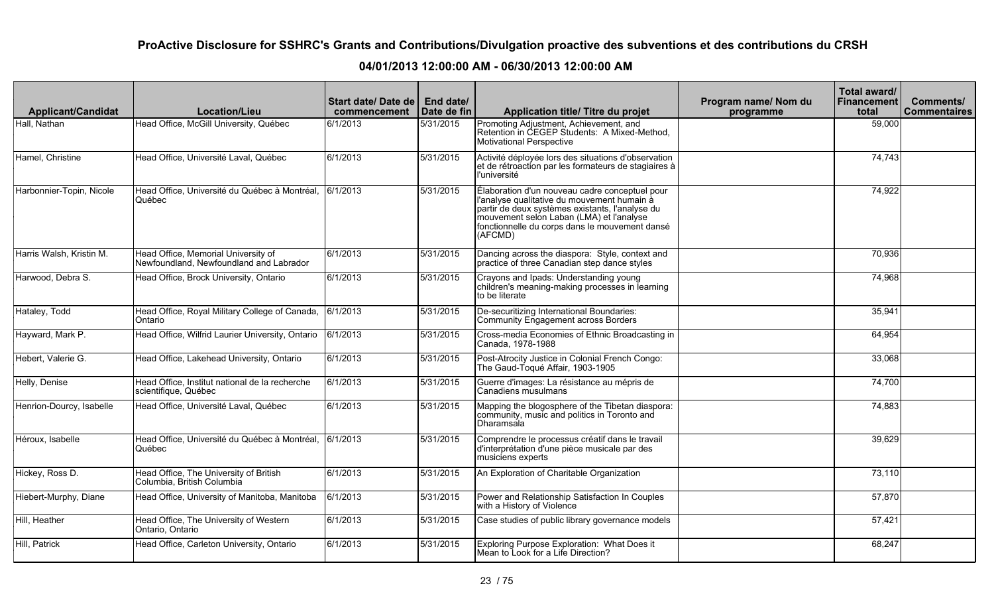| <b>Applicant/Candidat</b> | <b>Location/Lieu</b>                                                           | Start date/ Date de   End date/<br>commencement | Date de fin | Application title/ Titre du projet                                                                                                                                                                                                                        | Program name/ Nom du<br>programme | Total award/<br><b>Financement</b><br>total | <b>Comments/</b><br><b>Commentaires</b> |
|---------------------------|--------------------------------------------------------------------------------|-------------------------------------------------|-------------|-----------------------------------------------------------------------------------------------------------------------------------------------------------------------------------------------------------------------------------------------------------|-----------------------------------|---------------------------------------------|-----------------------------------------|
| Hall, Nathan              | Head Office, McGill University, Québec                                         | 6/1/2013                                        | 5/31/2015   | Promoting Adjustment, Achievement, and<br>Retention in CEGEP Students: A Mixed-Method,<br>Motivational Perspective                                                                                                                                        |                                   | 59,000                                      |                                         |
| Hamel, Christine          | Head Office, Université Laval, Québec                                          | 6/1/2013                                        | 5/31/2015   | Activité déployée lors des situations d'observation<br>let de rétroaction par les formateurs de stagiaires à<br>l'université                                                                                                                              |                                   | 74,743                                      |                                         |
| Harbonnier-Topin, Nicole  | Head Office, Université du Québec à Montréal,<br>Québec                        | 6/1/2013                                        | 5/31/2015   | Élaboration d'un nouveau cadre conceptuel pour<br>l'analyse qualitative du mouvement humain à<br>partir de deux systèmes existants, l'analyse du<br>mouvement selon Laban (LMA) et l'analyse<br>fonctionnelle du corps dans le mouvement dansé<br>(AFCMD) |                                   | 74,922                                      |                                         |
| Harris Walsh, Kristin M.  | Head Office, Memorial University of<br>Newfoundland, Newfoundland and Labrador | 6/1/2013                                        | 5/31/2015   | Dancing across the diaspora: Style, context and<br>practice of three Canadian step dance styles                                                                                                                                                           |                                   | 70,936                                      |                                         |
| Harwood, Debra S.         | Head Office, Brock University, Ontario                                         | 6/1/2013                                        | 5/31/2015   | Crayons and Ipads: Understanding young<br>children's meaning-making processes in learning<br>Ito be literate                                                                                                                                              |                                   | 74,968                                      |                                         |
| Hataley, Todd             | Head Office, Royal Military College of Canada,<br>Ontario                      | 6/1/2013                                        | 5/31/2015   | De-securitizing International Boundaries:<br>Community Engagement across Borders                                                                                                                                                                          |                                   | 35,941                                      |                                         |
| Hayward, Mark P.          | Head Office, Wilfrid Laurier University, Ontario                               | 6/1/2013                                        | 5/31/2015   | Cross-media Economies of Ethnic Broadcasting in<br>Canada, 1978-1988                                                                                                                                                                                      |                                   | 64,954                                      |                                         |
| Hebert, Valerie G.        | Head Office, Lakehead University, Ontario                                      | 6/1/2013                                        | 5/31/2015   | Post-Atrocity Justice in Colonial French Congo:<br>The Gaud-Toqué Affair, 1903-1905                                                                                                                                                                       |                                   | 33,068                                      |                                         |
| Helly, Denise             | Head Office, Institut national de la recherche<br>scientifique, Québec         | 6/1/2013                                        | 5/31/2015   | Guerre d'images: La résistance au mépris de<br>Canadiens musulmans                                                                                                                                                                                        |                                   | 74,700                                      |                                         |
| Henrion-Dourcy, Isabelle  | Head Office, Université Laval, Québec                                          | 6/1/2013                                        | 5/31/2015   | Mapping the blogosphere of the Tibetan diaspora:<br>community, music and politics in Toronto and<br>Dharamsala                                                                                                                                            |                                   | 74,883                                      |                                         |
| Héroux, Isabelle          | Head Office, Université du Québec à Montréal,<br>Québec                        | 6/1/2013                                        | 5/31/2015   | Comprendre le processus créatif dans le travail<br>d'interprétation d'une pièce musicale par des<br>Imusiciens experts                                                                                                                                    |                                   | 39,629                                      |                                         |
| Hickey, Ross D.           | Head Office, The University of British<br>Columbia, British Columbia           | 6/1/2013                                        | 5/31/2015   | An Exploration of Charitable Organization                                                                                                                                                                                                                 |                                   | 73,110                                      |                                         |
| Hiebert-Murphy, Diane     | Head Office, University of Manitoba, Manitoba                                  | 6/1/2013                                        | 5/31/2015   | Power and Relationship Satisfaction In Couples<br>with a History of Violence                                                                                                                                                                              |                                   | 57,870                                      |                                         |
| Hill, Heather             | Head Office, The University of Western<br>Ontario, Ontario                     | 6/1/2013                                        | 5/31/2015   | Case studies of public library governance models                                                                                                                                                                                                          |                                   | 57,421                                      |                                         |
| Hill, Patrick             | Head Office, Carleton University, Ontario                                      | 6/1/2013                                        | 5/31/2015   | Exploring Purpose Exploration: What Does it<br>Mean to Look for a Life Direction?                                                                                                                                                                         |                                   | 68,247                                      |                                         |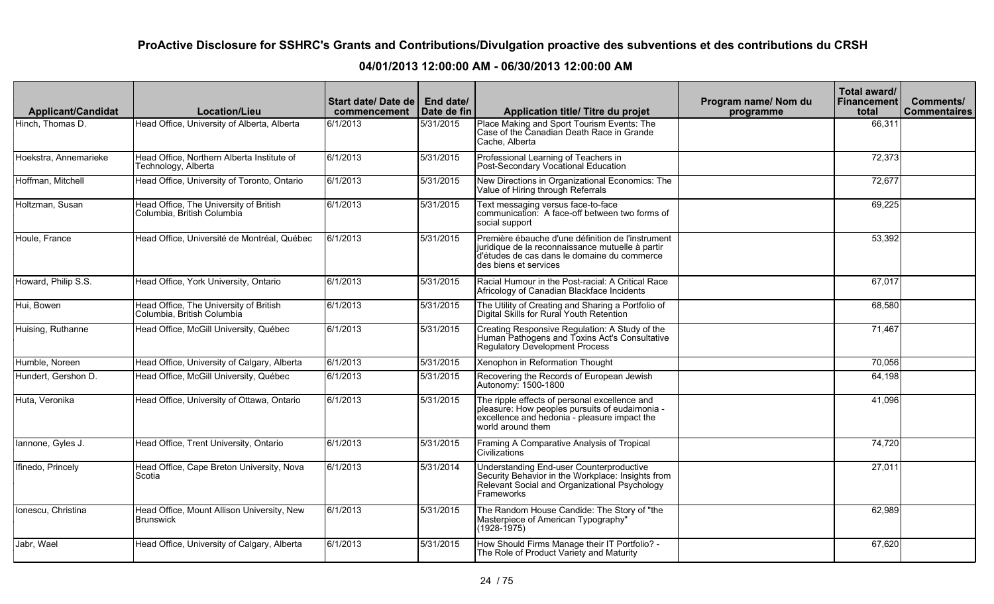| <b>Applicant/Candidat</b> | <b>Location/Lieu</b>                                                   | Start date/ Date de   End date/<br>commencement | Date de fin | <b>Application title/ Titre du projet</b>                                                                                                                                     | Program name/ Nom du<br>programme | Total award/<br><b>Financement</b><br>total | <b>Comments/</b><br><b>Commentaires</b> |
|---------------------------|------------------------------------------------------------------------|-------------------------------------------------|-------------|-------------------------------------------------------------------------------------------------------------------------------------------------------------------------------|-----------------------------------|---------------------------------------------|-----------------------------------------|
| Hinch, Thomas D.          | Head Office, University of Alberta, Alberta                            | 6/1/2013                                        | 5/31/2015   | Place Making and Sport Tourism Events: The<br>Case of the Canadian Death Race in Grande<br>Cache, Alberta                                                                     |                                   | 66,311                                      |                                         |
| Hoekstra, Annemarieke     | Head Office, Northern Alberta Institute of<br>Technology, Alberta      | 6/1/2013                                        | 5/31/2015   | Professional Learning of Teachers in<br>Post-Secondary Vocational Education                                                                                                   |                                   | 72,373                                      |                                         |
| Hoffman, Mitchell         | Head Office, University of Toronto, Ontario                            | 6/1/2013                                        | 5/31/2015   | New Directions in Organizational Economics: The<br>Value of Hiring through Referrals                                                                                          |                                   | 72,677                                      |                                         |
| Holtzman, Susan           | Head Office, The University of British<br>I Columbia. British Columbia | 6/1/2013                                        | 5/31/2015   | Text messaging versus face-to-face<br>communication: A face-off between two forms of<br>social support                                                                        |                                   | 69,225                                      |                                         |
| Houle, France             | Head Office, Université de Montréal, Québec                            | 6/1/2013                                        | 5/31/2015   | Première ébauche d'une définition de l'instrument<br>juridique de la reconnaissance mutuelle à partir<br>d'études de cas dans le domaine du commerce<br>des biens et services |                                   | 53,392                                      |                                         |
| Howard, Philip S.S.       | Head Office, York University, Ontario                                  | 6/1/2013                                        | 5/31/2015   | Racial Humour in the Post-racial: A Critical Race<br>Africology of Canadian Blackface Incidents                                                                               |                                   | 67,017                                      |                                         |
| Hui, Bowen                | Head Office, The University of British<br>Columbia, British Columbia   | 6/1/2013                                        | 5/31/2015   | The Utility of Creating and Sharing a Portfolio of<br>Digital Skills for Rural Youth Retention                                                                                |                                   | 68,580                                      |                                         |
| Huising, Ruthanne         | Head Office, McGill University, Québec                                 | 6/1/2013                                        | 5/31/2015   | Creating Responsive Regulation: A Study of the<br>Human Pathogens and Toxins Act's Consultative<br><b>Regulatory Development Process</b>                                      |                                   | 71,467                                      |                                         |
| Humble, Noreen            | Head Office, University of Calgary, Alberta                            | 6/1/2013                                        | 5/31/2015   | Xenophon in Reformation Thought                                                                                                                                               |                                   | 70,056                                      |                                         |
| Hundert, Gershon D.       | Head Office, McGill University, Québec                                 | 6/1/2013                                        | 5/31/2015   | Recovering the Records of European Jewish<br>Autonomy: 1500-1800                                                                                                              |                                   | 64,198                                      |                                         |
| Huta, Veronika            | Head Office, University of Ottawa, Ontario                             | 6/1/2013                                        | 5/31/2015   | The ripple effects of personal excellence and<br>pleasure: How peoples pursuits of eudaimonia -<br>excellence and hedonia - pleasure impact the<br>world around them          |                                   | 41,096                                      |                                         |
| Iannone, Gyles J.         | Head Office, Trent University, Ontario                                 | 6/1/2013                                        | 5/31/2015   | Framing A Comparative Analysis of Tropical<br>Civilizations                                                                                                                   |                                   | 74,720                                      |                                         |
| Ifinedo, Princely         | Head Office, Cape Breton University, Nova<br>Scotia                    | 6/1/2013                                        | 5/31/2014   | <b>Understanding End-user Counterproductive</b><br>Security Behavior in the Workplace: Insights from<br>Relevant Social and Organizational Psychology<br>Frameworks           |                                   | 27,011                                      |                                         |
| Ionescu, Christina        | Head Office, Mount Allison University, New<br><b>Brunswick</b>         | 6/1/2013                                        | 5/31/2015   | The Random House Candide: The Story of "the<br>Masterpiece of American Typography"<br>(1928-1975)                                                                             |                                   | 62,989                                      |                                         |
| Jabr, Wael                | Head Office, University of Calgary, Alberta                            | 6/1/2013                                        | 5/31/2015   | How Should Firms Manage their IT Portfolio? -<br>The Role of Product Variety and Maturity                                                                                     |                                   | 67,620                                      |                                         |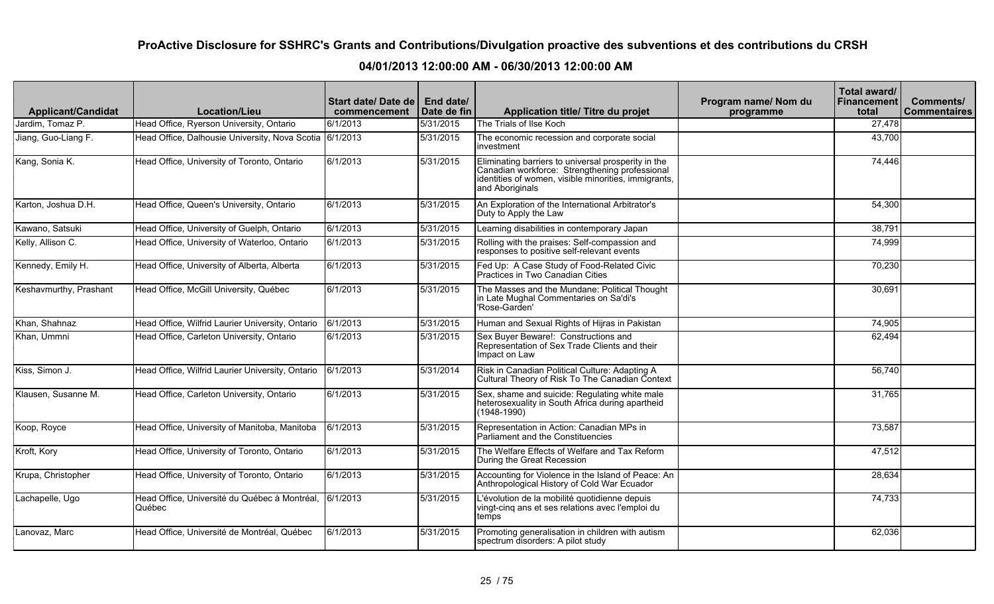| <b>Applicant/Candidat</b> | <b>Location/Lieu</b>                                    | Start date/ Date de  <br>commencement | End date/<br>Date de fin | Application title/ Titre du projet                                                                                                                                               | Program name/ Nom du<br>programme | Total award/<br><b>Financement</b><br>total | <b>Comments/</b><br><b>Commentaires</b> |
|---------------------------|---------------------------------------------------------|---------------------------------------|--------------------------|----------------------------------------------------------------------------------------------------------------------------------------------------------------------------------|-----------------------------------|---------------------------------------------|-----------------------------------------|
| Jardim, Tomaz P.          | Head Office, Ryerson University, Ontario                | 6/1/2013                              | 5/31/2015                | The Trials of Ilse Koch                                                                                                                                                          |                                   | 27,478                                      |                                         |
| Jiang, Guo-Liang F.       | Head Office, Dalhousie University, Nova Scotia          | 6/1/2013                              | 5/31/2015                | The economic recession and corporate social<br>linvestment                                                                                                                       |                                   | 43,700                                      |                                         |
| Kang, Sonia K.            | Head Office, University of Toronto, Ontario             | 6/1/2013                              | 5/31/2015                | Eliminating barriers to universal prosperity in the<br>Canadian workforce: Strengthening professional<br>identities of women, visible minorities, immigrants,<br>and Aboriginals |                                   | 74,446                                      |                                         |
| Karton, Joshua D.H.       | Head Office, Queen's University, Ontario                | 6/1/2013                              | 5/31/2015                | An Exploration of the International Arbitrator's<br>Duty to Apply the Law                                                                                                        |                                   | 54,300                                      |                                         |
| Kawano, Satsuki           | Head Office, University of Guelph, Ontario              | 6/1/2013                              | 5/31/2015                | Learning disabilities in contemporary Japan                                                                                                                                      |                                   | 38,791                                      |                                         |
| Kelly, Allison C.         | Head Office, University of Waterloo, Ontario            | 6/1/2013                              | 5/31/2015                | Rolling with the praises: Self-compassion and<br>responses to positive self-relevant events                                                                                      |                                   | 74,999                                      |                                         |
| Kennedy, Emily H.         | Head Office, University of Alberta, Alberta             | 6/1/2013                              | 5/31/2015                | Fed Up: A Case Study of Food-Related Civic<br>Practices in Two Canadian Cities                                                                                                   |                                   | 70,230                                      |                                         |
| Keshavmurthy, Prashant    | Head Office, McGill University, Québec                  | 6/1/2013                              | 5/31/2015                | The Masses and the Mundane: Political Thought<br>in Late Mughal Commentaries on Sa'di's<br>l'Rose-Garden'                                                                        |                                   | 30,691                                      |                                         |
| Khan, Shahnaz             | Head Office, Wilfrid Laurier University, Ontario        | 6/1/2013                              | 5/31/2015                | Human and Sexual Rights of Hijras in Pakistan                                                                                                                                    |                                   | 74,905                                      |                                         |
| Khan, Ummni               | Head Office, Carleton University, Ontario               | 6/1/2013                              | 5/31/2015                | Sex Buyer Beware!: Constructions and<br>Representation of Sex Trade Clients and their<br>Impact on Law                                                                           |                                   | 62,494                                      |                                         |
| Kiss, Simon J.            | Head Office, Wilfrid Laurier University, Ontario        | 6/1/2013                              | 5/31/2014                | Risk in Canadian Political Culture: Adapting A<br>Cultural Theory of Risk To The Canadian Context                                                                                |                                   | 56,740                                      |                                         |
| Klausen, Susanne M.       | Head Office, Carleton University, Ontario               | 6/1/2013                              | 5/31/2015                | Sex, shame and suicide: Regulating white male<br>heterosexuality in South Africa during apartheid<br>$(1948 - 1990)$                                                             |                                   | 31,765                                      |                                         |
| Koop, Royce               | Head Office, University of Manitoba, Manitoba           | 6/1/2013                              | 5/31/2015                | Representation in Action: Canadian MPs in<br>Parliament and the Constituencies                                                                                                   |                                   | 73,587                                      |                                         |
| Kroft, Kory               | Head Office, University of Toronto, Ontario             | 6/1/2013                              | 5/31/2015                | The Welfare Effects of Welfare and Tax Reform<br>During the Great Recession                                                                                                      |                                   | 47,512                                      |                                         |
| Krupa, Christopher        | Head Office, University of Toronto, Ontario             | 6/1/2013                              | 5/31/2015                | Accounting for Violence in the Island of Peace: An<br>Anthropological History of Cold War Ecuador                                                                                |                                   | 28,634                                      |                                         |
| Lachapelle, Ugo           | Head Office, Université du Québec à Montréal,<br>Québec | 6/1/2013                              | 5/31/2015                | L'évolution de la mobilité quotidienne depuis<br>vingt-cinq ans et ses relations avec l'emploi du<br>temps                                                                       |                                   | 74,733                                      |                                         |
| Lanovaz, Marc             | Head Office, Université de Montréal, Québec             | 6/1/2013                              | 5/31/2015                | Promoting generalisation in children with autism<br>spectrum disorders: A pilot study                                                                                            |                                   | 62,036                                      |                                         |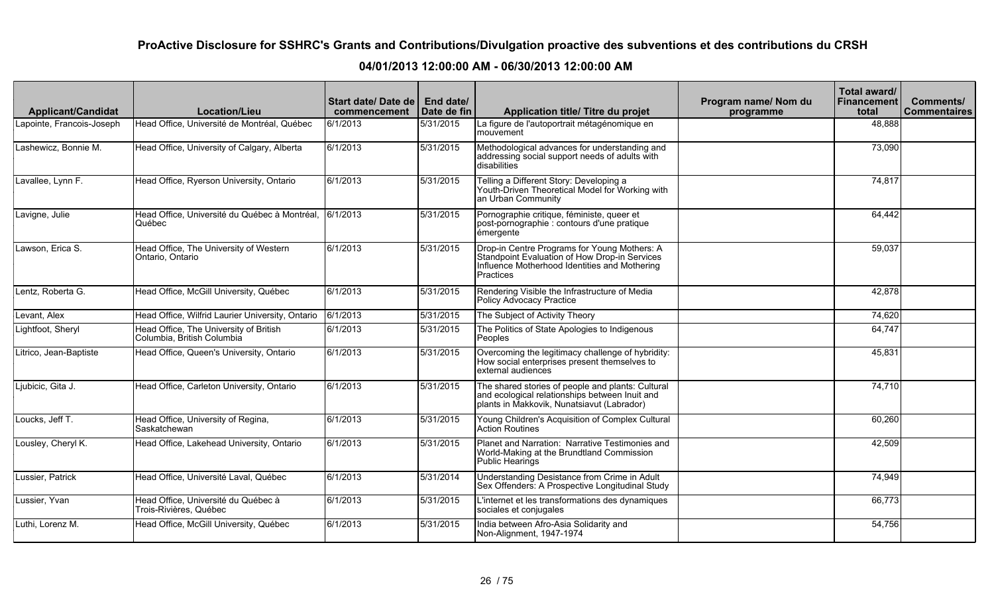| <b>Applicant/Candidat</b> | <b>Location/Lieu</b>                                                 | Start date/Date de   End date/<br>commencement | Date de fin | Application title/ Titre du projet                                                                                                                          | Program name/ Nom du<br>programme | Total award/<br><b>Financement</b><br>total | Comments/<br>  Commentaires |
|---------------------------|----------------------------------------------------------------------|------------------------------------------------|-------------|-------------------------------------------------------------------------------------------------------------------------------------------------------------|-----------------------------------|---------------------------------------------|-----------------------------|
| Lapointe, Francois-Joseph | Head Office, Université de Montréal, Québec                          | 6/1/2013                                       | 5/31/2015   | La figure de l'autoportrait métagénomique en<br>mouvement                                                                                                   |                                   | 48,888                                      |                             |
| Lashewicz, Bonnie M.      | Head Office, University of Calgary, Alberta                          | 6/1/2013                                       | 5/31/2015   | Methodological advances for understanding and<br>addressing social support needs of adults with<br>disabilities                                             |                                   | 73,090                                      |                             |
| Lavallee, Lynn F.         | Head Office, Ryerson University, Ontario                             | 6/1/2013                                       | 5/31/2015   | Telling a Different Story: Developing a<br>Youth-Driven Theoretical Model for Working with<br>an Urban Community                                            |                                   | 74,817                                      |                             |
| Lavigne, Julie            | Head Office, Université du Québec à Montréal,<br>Québec              | 6/1/2013                                       | 5/31/2015   | Pornographie critique, féministe, queer et<br>post-pornographie : contours d'une pratique<br>lémergente                                                     |                                   | 64,442                                      |                             |
| Lawson, Erica S.          | Head Office, The University of Western<br>Ontario, Ontario           | 6/1/2013                                       | 5/31/2015   | Drop-in Centre Programs for Young Mothers: A<br>Standpoint Evaluation of How Drop-in Services<br>Influence Motherhood Identities and Mothering<br>Practices |                                   | 59,037                                      |                             |
| Lentz, Roberta G.         | Head Office, McGill University, Québec                               | 6/1/2013                                       | 5/31/2015   | Rendering Visible the Infrastructure of Media<br>Policy Advocacy Practice                                                                                   |                                   | 42,878                                      |                             |
| Levant, Alex              | Head Office, Wilfrid Laurier University, Ontario                     | 6/1/2013                                       | 5/31/2015   | The Subject of Activity Theory                                                                                                                              |                                   | 74,620                                      |                             |
| Lightfoot, Sheryl         | Head Office, The University of British<br>Columbia, British Columbia | 6/1/2013                                       | 5/31/2015   | The Politics of State Apologies to Indigenous<br>Peoples                                                                                                    |                                   | 64,747                                      |                             |
| Litrico, Jean-Baptiste    | Head Office, Queen's University, Ontario                             | 6/1/2013                                       | 5/31/2015   | Overcoming the legitimacy challenge of hybridity:<br>How social enterprises present themselves to<br>external audiences                                     |                                   | 45,831                                      |                             |
| Ljubicic, Gita J.         | Head Office, Carleton University, Ontario                            | 6/1/2013                                       | 5/31/2015   | The shared stories of people and plants: Cultural<br>and ecological relationships between Inuit and<br>plants in Makkovik, Nunatsiavut (Labrador)           |                                   | 74,710                                      |                             |
| Loucks, Jeff T.           | Head Office, University of Regina,<br>Saskatchewan                   | 6/1/2013                                       | 5/31/2015   | Young Children's Acquisition of Complex Cultural<br>Action Routines                                                                                         |                                   | 60,260                                      |                             |
| Lousley, Cheryl K.        | Head Office, Lakehead University, Ontario                            | 6/1/2013                                       | 5/31/2015   | Planet and Narration: Narrative Testimonies and<br>World-Making at the Brundtland Commission<br>Public Hearings                                             |                                   | 42,509                                      |                             |
| Lussier, Patrick          | Head Office, Université Laval, Québec                                | 6/1/2013                                       | 5/31/2014   | Understanding Desistance from Crime in Adult<br>Sex Offenders: A Prospective Longitudinal Study                                                             |                                   | 74.949                                      |                             |
| Lussier, Yvan             | Head Office, Université du Québec à<br>Trois-Rivières, Québec        | 6/1/2013                                       | 5/31/2015   | L'internet et les transformations des dynamiques<br>sociales et conjugales                                                                                  |                                   | 66,773                                      |                             |
| Luthi, Lorenz M.          | Head Office, McGill University, Québec                               | 6/1/2013                                       | 5/31/2015   | India between Afro-Asia Solidarity and<br>Non-Alignment, 1947-1974                                                                                          |                                   | 54,756                                      |                             |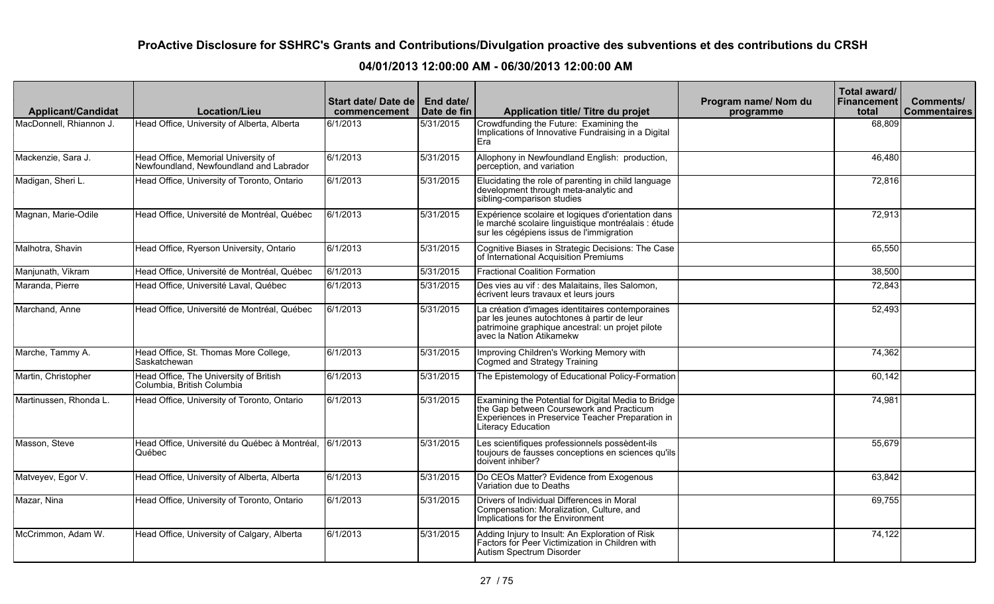| <b>Applicant/Candidat</b> | <b>Location/Lieu</b>                                                           | Start date/Date de   End date/<br>commencement | Date de fin | Application title/ Titre du projet                                                                                                                                              | Program name/ Nom du<br>programme | Total award/<br><b>Financement</b><br>total | <b>Comments/</b><br><b>Commentaires</b> |
|---------------------------|--------------------------------------------------------------------------------|------------------------------------------------|-------------|---------------------------------------------------------------------------------------------------------------------------------------------------------------------------------|-----------------------------------|---------------------------------------------|-----------------------------------------|
| MacDonnell, Rhiannon J.   | Head Office, University of Alberta, Alberta                                    | 6/1/2013                                       | 5/31/2015   | Crowdfunding the Future: Examining the<br>Implications of Innovative Fundraising in a Digital<br><b>Fra</b>                                                                     |                                   | 68,809                                      |                                         |
| Mackenzie, Sara J.        | Head Office, Memorial University of<br>Newfoundland, Newfoundland and Labrador | 6/1/2013                                       | 5/31/2015   | Allophony in Newfoundland English: production,<br>perception, and variation                                                                                                     |                                   | 46,480                                      |                                         |
| Madigan, Sheri L.         | Head Office, University of Toronto, Ontario                                    | 6/1/2013                                       | 5/31/2015   | Elucidating the role of parenting in child language<br>development through meta-analytic and<br>sibling-comparison studies                                                      |                                   | 72,816                                      |                                         |
| Magnan, Marie-Odile       | Head Office, Université de Montréal, Québec                                    | 6/1/2013                                       | 5/31/2015   | Expérience scolaire et logiques d'orientation dans<br>le marché scolaire linguistique montréalais : étude<br>sur les cégépiens issus de l'immigration                           |                                   | 72,913                                      |                                         |
| Malhotra, Shavin          | Head Office, Ryerson University, Ontario                                       | 6/1/2013                                       | 5/31/2015   | Cognitive Biases in Strategic Decisions: The Case<br>of International Acquisition Premiums                                                                                      |                                   | 65,550                                      |                                         |
| Manjunath, Vikram         | Head Office, Université de Montréal, Québec                                    | 6/1/2013                                       | 5/31/2015   | <b>Fractional Coalition Formation</b>                                                                                                                                           |                                   | 38,500                                      |                                         |
| Maranda, Pierre           | Head Office, Université Laval, Québec                                          | $\sqrt{6}/1/2013$                              | 5/31/2015   | Des vies au vif : des Malaitains, îles Salomon,<br>ecrivent leurs travaux et leurs jours                                                                                        |                                   | 72,843                                      |                                         |
| Marchand, Anne            | Head Office, Université de Montréal, Québec                                    | 6/1/2013                                       | 5/31/2015   | La création d'images identitaires contemporaines<br>par les jeunes autochtones à partir de leur<br>patrimoine graphique ancestral: un projet pilote<br>avec la Nation Atikamekw |                                   | 52,493                                      |                                         |
| Marche, Tammy A.          | Head Office, St. Thomas More College,<br>Saskatchewan                          | 6/1/2013                                       | 5/31/2015   | Improving Children's Working Memory with<br>Cogmed and Strategy Training                                                                                                        |                                   | 74,362                                      |                                         |
| Martin, Christopher       | Head Office, The University of British<br>Columbia, British Columbia           | 6/1/2013                                       | 5/31/2015   | The Epistemology of Educational Policy-Formation                                                                                                                                |                                   | 60,142                                      |                                         |
| Martinussen, Rhonda L.    | Head Office, University of Toronto, Ontario                                    | 6/1/2013                                       | 5/31/2015   | Examining the Potential for Digital Media to Bridge<br>the Gap between Coursework and Practicum<br>Experiences in Preservice Teacher Preparation in<br>Literacy Education       |                                   | 74,981                                      |                                         |
| Masson, Steve             | Head Office, Université du Québec à Montréal,<br>Québec                        | 6/1/2013                                       | 5/31/2015   | Les scientifiques professionnels possèdent-ils<br>toujours de fausses conceptions en sciences qu'ils<br>doivent inhiber?                                                        |                                   | 55,679                                      |                                         |
| Matveyev, Egor V.         | Head Office, University of Alberta, Alberta                                    | 6/1/2013                                       | 5/31/2015   | Do CEOs Matter? Evidence from Exogenous<br>lVariation due to Deaths                                                                                                             |                                   | 63,842                                      |                                         |
| Mazar, Nina               | Head Office, University of Toronto, Ontario                                    | 6/1/2013                                       | 5/31/2015   | Drivers of Individual Differences in Moral<br>Compensation: Moralization, Culture, and<br>Implications for the Environment                                                      |                                   | 69,755                                      |                                         |
| McCrimmon, Adam W.        | Head Office, University of Calgary, Alberta                                    | $\sqrt{6}/1/2013$                              | 5/31/2015   | Adding Injury to Insult: An Exploration of Risk<br>Factors for Peer Victimization in Children with<br>Autism Spectrum Disorder                                                  |                                   | 74,122                                      |                                         |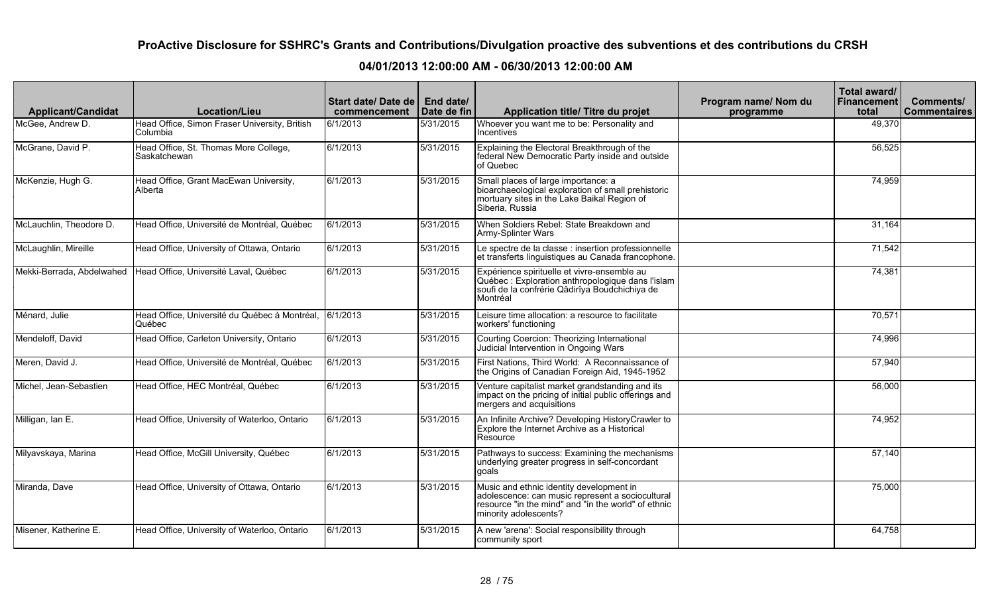| <b>Applicant/Candidat</b> | <b>Location/Lieu</b>                                      | Start date/ Date de   End date/<br>commencement | Date de fin | Application title/ Titre du projet                                                                                                                                           | Program name/ Nom du<br>programme | Total award/<br><b>Financement</b><br>total | Comments/<br><b>Commentaires</b> |
|---------------------------|-----------------------------------------------------------|-------------------------------------------------|-------------|------------------------------------------------------------------------------------------------------------------------------------------------------------------------------|-----------------------------------|---------------------------------------------|----------------------------------|
| McGee, Andrew D.          | Head Office, Simon Fraser University, British<br>Columbia | 6/1/2013                                        | 5/31/2015   | Whoever you want me to be: Personality and<br>Incentives                                                                                                                     |                                   | 49,370                                      |                                  |
| McGrane, David P.         | Head Office, St. Thomas More College,<br>Saskatchewan     | 6/1/2013                                        | 5/31/2015   | Explaining the Electoral Breakthrough of the<br>federal New Democratic Party inside and outside<br>lof Quebec                                                                |                                   | 56,525                                      |                                  |
| McKenzie, Hugh G.         | Head Office, Grant MacEwan University,<br>Alberta         | 6/1/2013                                        | 5/31/2015   | Small places of large importance: a<br>bioarchaeological exploration of small prehistoric<br>mortuary sites in the Lake Baikal Region of<br>Siberia, Russia                  |                                   | 74,959                                      |                                  |
| McLauchlin, Theodore D.   | Head Office, Université de Montréal, Québec               | 6/1/2013                                        | 5/31/2015   | When Soldiers Rebel: State Breakdown and<br>Army-Splinter Wars                                                                                                               |                                   | 31,164                                      |                                  |
| McLaughlin, Mireille      | Head Office, University of Ottawa, Ontario                | 6/1/2013                                        | 5/31/2015   | Le spectre de la classe : insertion professionnelle<br>let transferts linguistiques au Canada francophone.                                                                   |                                   | 71,542                                      |                                  |
| Mekki-Berrada, Abdelwahed | Head Office, Université Laval, Québec                     | 6/1/2013                                        | 5/31/2015   | Expérience spirituelle et vivre-ensemble au<br>Québec : Exploration anthropologique dans l'islam<br>soufi de la confrérie Qâdirîya Boudchichiya de<br>Montréal               |                                   | 74,381                                      |                                  |
| Ménard, Julie             | Head Office, Université du Québec à Montréal,<br>Québec   | 6/1/2013                                        | 5/31/2015   | Leisure time allocation: a resource to facilitate<br>workers' functioning                                                                                                    |                                   | 70,571                                      |                                  |
| Mendeloff, David          | Head Office, Carleton University, Ontario                 | 6/1/2013                                        | 5/31/2015   | Courting Coercion: Theorizing International<br>Judicial Intervention in Ongoing Wars                                                                                         |                                   | 74,996                                      |                                  |
| Meren, David J.           | Head Office, Université de Montréal, Québec               | 6/1/2013                                        | 5/31/2015   | First Nations, Third World: A Reconnaissance of<br>the Origins of Canadian Foreign Aid, 1945-1952                                                                            |                                   | 57,940                                      |                                  |
| Michel, Jean-Sebastien    | Head Office, HEC Montréal, Québec                         | 6/1/2013                                        | 5/31/2015   | Venture capitalist market grandstanding and its<br>impact on the pricing of initial public offerings and<br>mergers and acquisitions                                         |                                   | 56,000                                      |                                  |
| Milligan, Ian E.          | Head Office, University of Waterloo, Ontario              | 6/1/2013                                        | 5/31/2015   | An Infinite Archive? Developing HistoryCrawler to<br>Explore the Internet Archive as a Historical<br>Resource                                                                |                                   | 74,952                                      |                                  |
| Milyavskaya, Marina       | Head Office, McGill University, Québec                    | 6/1/2013                                        | 5/31/2015   | Pathways to success: Examining the mechanisms<br>underlying greater progress in self-concordant<br>lgoals                                                                    |                                   | 57,140                                      |                                  |
| Miranda, Dave             | Head Office, University of Ottawa, Ontario                | 6/1/2013                                        | 5/31/2015   | Music and ethnic identity development in<br>adolescence: can music represent a sociocultural<br>resource "in the mind" and "in the world" of ethnic<br>minority adolescents? |                                   | 75,000                                      |                                  |
| Misener, Katherine E.     | Head Office, University of Waterloo, Ontario              | 6/1/2013                                        | 5/31/2015   | A new 'arena': Social responsibility through<br>community sport                                                                                                              |                                   | 64,758                                      |                                  |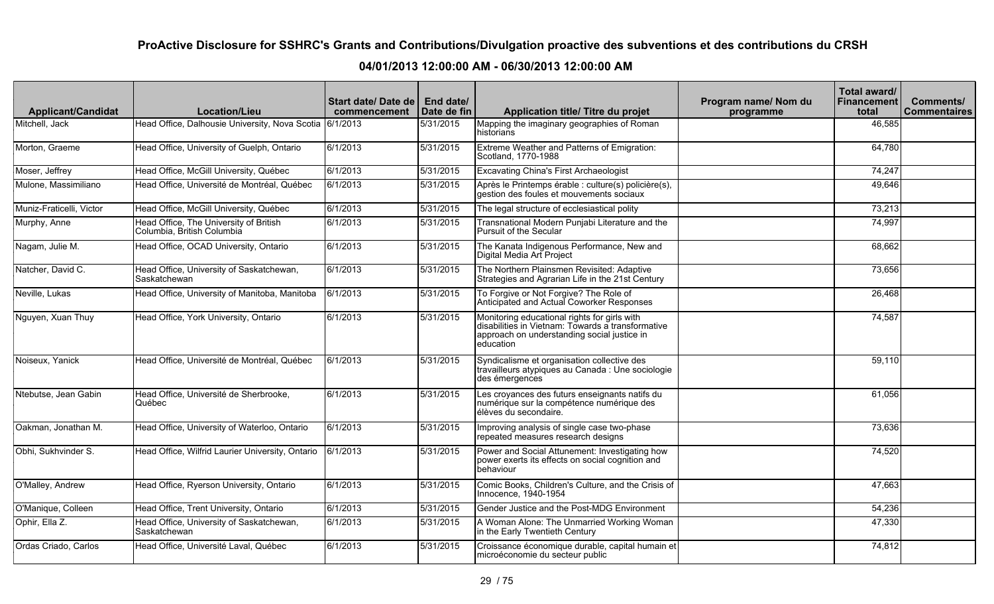| <b>Applicant/Candidat</b> | <b>Location/Lieu</b>                                                 | Start date/Date de<br>commencement | End date/<br>Date de fin | Application title/ Titre du projet                                                                                                                            | Program name/ Nom du<br>programme | Total award/<br><b>Financement</b><br>total | Comments/<br><b>Commentaires</b> |
|---------------------------|----------------------------------------------------------------------|------------------------------------|--------------------------|---------------------------------------------------------------------------------------------------------------------------------------------------------------|-----------------------------------|---------------------------------------------|----------------------------------|
| Mitchell, Jack            | Head Office, Dalhousie University, Nova Scotia                       | 6/1/2013                           | 5/31/2015                | Mapping the imaginary geographies of Roman<br>historians                                                                                                      |                                   | 46,585                                      |                                  |
| Morton, Graeme            | Head Office, University of Guelph, Ontario                           | 6/1/2013                           | 5/31/2015                | Extreme Weather and Patterns of Emigration:<br>Scotland, 1770-1988                                                                                            |                                   | 64,780                                      |                                  |
| Moser, Jeffrey            | Head Office, McGill University, Québec                               | 6/1/2013                           | 5/31/2015                | <b>Excavating China's First Archaeologist</b>                                                                                                                 |                                   | 74,247                                      |                                  |
| Mulone, Massimiliano      | Head Office, Université de Montréal, Québec                          | 6/1/2013                           | 5/31/2015                | Après le Printemps érable : culture(s) policière(s),<br>gestion des foules et mouvements sociaux                                                              |                                   | 49,646                                      |                                  |
| Muniz-Fraticelli, Victor  | Head Office, McGill University, Québec                               | 6/1/2013                           | 5/31/2015                | The legal structure of ecclesiastical polity                                                                                                                  |                                   | 73,213                                      |                                  |
| Murphy, Anne              | Head Office, The University of British<br>Columbia, British Columbia | 6/1/2013                           | 5/31/2015                | Transnational Modern Punjabi Literature and the<br>Pursuit of the Secular                                                                                     |                                   | 74,997                                      |                                  |
| Nagam, Julie M.           | Head Office, OCAD University, Ontario                                | 6/1/2013                           | 5/31/2015                | The Kanata Indigenous Performance, New and<br>Digital Media Art Project                                                                                       |                                   | 68,662                                      |                                  |
| Natcher, David C.         | Head Office, University of Saskatchewan,<br>Saskatchewan             | 6/1/2013                           | 5/31/2015                | The Northern Plainsmen Revisited: Adaptive<br>Strategies and Agrarian Life in the 21st Century                                                                |                                   | 73,656                                      |                                  |
| Neville, Lukas            | Head Office, University of Manitoba, Manitoba                        | 6/1/2013                           | 5/31/2015                | To Forgive or Not Forgive? The Role of<br>Anticipated and Actual Coworker Responses                                                                           |                                   | 26,468                                      |                                  |
| Nguyen, Xuan Thuy         | Head Office, York University, Ontario                                | 6/1/2013                           | 5/31/2015                | Monitoring educational rights for girls with<br>disabilities in Vietnam: Towards a transformative<br>approach on understanding social justice in<br>education |                                   | 74,587                                      |                                  |
| Noiseux, Yanick           | Head Office, Université de Montréal, Québec                          | 6/1/2013                           | 5/31/2015                | Syndicalisme et organisation collective des<br>travailleurs atypiques au Canada : Une sociologie<br>des émergences                                            |                                   | 59,110                                      |                                  |
| Ntebutse, Jean Gabin      | Head Office, Université de Sherbrooke,<br>Québec                     | 6/1/2013                           | 5/31/2015                | Les croyances des futurs enseignants natifs du<br>numérique sur la compétence numérique des<br>Iélèves du secondaire.                                         |                                   | 61,056                                      |                                  |
| Oakman, Jonathan M.       | Head Office, University of Waterloo, Ontario                         | 6/1/2013                           | 5/31/2015                | Improving analysis of single case two-phase<br>repeated measures research designs                                                                             |                                   | 73,636                                      |                                  |
| Obhi, Sukhvinder S.       | Head Office, Wilfrid Laurier University, Ontario                     | 6/1/2013                           | 5/31/2015                | Power and Social Attunement: Investigating how<br>power exerts its effects on social cognition and<br>behaviour                                               |                                   | 74,520                                      |                                  |
| O'Malley, Andrew          | Head Office, Ryerson University, Ontario                             | 6/1/2013                           | 5/31/2015                | Comic Books, Children's Culture, and the Crisis of<br>Innocence, 1940-1954                                                                                    |                                   | 47,663                                      |                                  |
| O'Manique, Colleen        | Head Office, Trent University, Ontario                               | 6/1/2013                           | 5/31/2015                | Gender Justice and the Post-MDG Environment                                                                                                                   |                                   | 54,236                                      |                                  |
| Ophir, Ella Z.            | Head Office, University of Saskatchewan,<br>Saskatchewan             | 6/1/2013                           | 5/31/2015                | A Woman Alone: The Unmarried Working Woman<br>in the Early Twentieth Century                                                                                  |                                   | 47,330                                      |                                  |
| Ordas Criado, Carlos      | Head Office, Université Laval, Québec                                | 6/1/2013                           | 5/31/2015                | Croissance économique durable, capital humain et<br>microéconomie du secteur public                                                                           |                                   | 74,812                                      |                                  |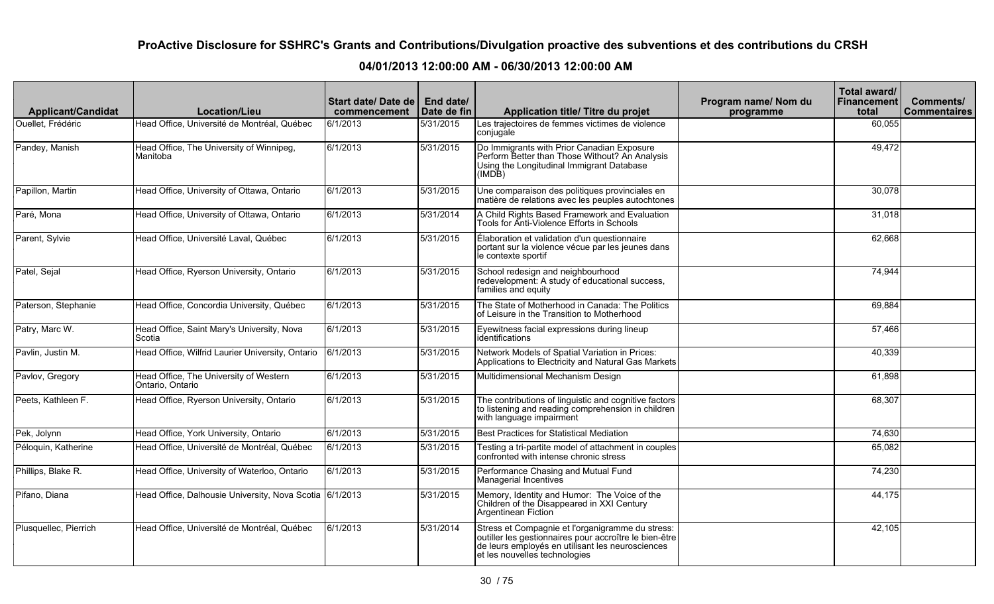| <b>Applicant/Candidat</b> | <b>Location/Lieu</b>                                       | <b>Start date/Date de</b><br>commencement | End date/<br>Date de fin | Application title/ Titre du projet                                                                                                                                                              | Program name/ Nom du<br>programme | Total award/<br><b>Financement</b><br>total | Comments/<br><b>Commentaires</b> |
|---------------------------|------------------------------------------------------------|-------------------------------------------|--------------------------|-------------------------------------------------------------------------------------------------------------------------------------------------------------------------------------------------|-----------------------------------|---------------------------------------------|----------------------------------|
| Ouellet, Frédéric         | Head Office, Université de Montréal, Québec                | 6/1/2013                                  | 5/31/2015                | Les trajectoires de femmes victimes de violence<br>conjugale                                                                                                                                    |                                   | 60,055                                      |                                  |
| Pandey, Manish            | Head Office, The University of Winnipeg,<br>Manitoba       | 6/1/2013                                  | 5/31/2015                | Do Immigrants with Prior Canadian Exposure<br>Perform Better than Those Without? An Analysis<br>Using the Longitudinal Immigrant Database<br>$(IMD\check{B})$                                   |                                   | 49,472                                      |                                  |
| Papillon, Martin          | Head Office, University of Ottawa, Ontario                 | 6/1/2013                                  | 5/31/2015                | Une comparaison des politiques provinciales en<br>matière de relations avec les peuples autochtones                                                                                             |                                   | 30,078                                      |                                  |
| Paré, Mona                | Head Office, University of Ottawa, Ontario                 | 6/1/2013                                  | 5/31/2014                | A Child Rights Based Framework and Evaluation<br>Tools for Anti-Violence Efforts in Schools                                                                                                     |                                   | 31,018                                      |                                  |
| Parent, Sylvie            | Head Office, Université Laval, Québec                      | $\sqrt{6/1/2013}$                         | 5/31/2015                | Élaboration et validation d'un questionnaire<br>portant sur la violence vécue par les jeunes dans<br>le contexte sportif                                                                        |                                   | 62,668                                      |                                  |
| Patel, Sejal              | Head Office, Ryerson University, Ontario                   | 6/1/2013                                  | 5/31/2015                | School redesign and neighbourhood<br>redevelopment: A study of educational success,<br>families and equity                                                                                      |                                   | 74,944                                      |                                  |
| Paterson, Stephanie       | Head Office, Concordia University, Québec                  | 6/1/2013                                  | 5/31/2015                | The State of Motherhood in Canada: The Politics<br>of Leisure in the Transition to Motherhood                                                                                                   |                                   | 69,884                                      |                                  |
| Patry, Marc W.            | Head Office, Saint Mary's University, Nova<br>Scotia       | 6/1/2013                                  | 5/31/2015                | Eyewitness facial expressions during lineup<br><i>identifications</i>                                                                                                                           |                                   | 57,466                                      |                                  |
| Pavlin, Justin M.         | Head Office, Wilfrid Laurier University, Ontario           | 6/1/2013                                  | 5/31/2015                | Network Models of Spatial Variation in Prices:<br>Applications to Electricity and Natural Gas Markets                                                                                           |                                   | 40,339                                      |                                  |
| Pavlov, Gregory           | Head Office, The University of Western<br>Ontario, Ontario | 6/1/2013                                  | 5/31/2015                | Multidimensional Mechanism Design                                                                                                                                                               |                                   | 61,898                                      |                                  |
| Peets, Kathleen F.        | Head Office, Ryerson University, Ontario                   | 6/1/2013                                  | 5/31/2015                | The contributions of linguistic and cognitive factors<br>to listening and reading comprehension in children<br>with language impairment                                                         |                                   | 68,307                                      |                                  |
| Pek, Jolynn               | Head Office, York University, Ontario                      | 6/1/2013                                  | 5/31/2015                | <b>Best Practices for Statistical Mediation</b>                                                                                                                                                 |                                   | 74,630                                      |                                  |
| Péloquin, Katherine       | Head Office, Université de Montréal, Québec                | 6/1/2013                                  | 5/31/2015                | Testing a tri-partite model of attachment in couples<br>confronted with intense chronic stress                                                                                                  |                                   | 65,082                                      |                                  |
| Phillips, Blake R.        | Head Office, University of Waterloo, Ontario               | 6/1/2013                                  | 5/31/2015                | Performance Chasing and Mutual Fund<br>Managerial Incentives                                                                                                                                    |                                   | 74,230                                      |                                  |
| Pifano, Diana             | Head Office, Dalhousie University, Nova Scotia 6/1/2013    |                                           | 5/31/2015                | Memory, Identity and Humor: The Voice of the<br>Children of the Disappeared in XXI Century<br>Argentinean Fiction                                                                               |                                   | 44,175                                      |                                  |
| Plusquellec, Pierrich     | Head Office, Université de Montréal, Québec                | 6/1/2013                                  | 5/31/2014                | Stress et Compagnie et l'organigramme du stress:<br>outiller les gestionnaires pour accroître le bien-être<br>de leurs employés en utilisant les neurosciences<br>et les nouvelles technologies |                                   | 42,105                                      |                                  |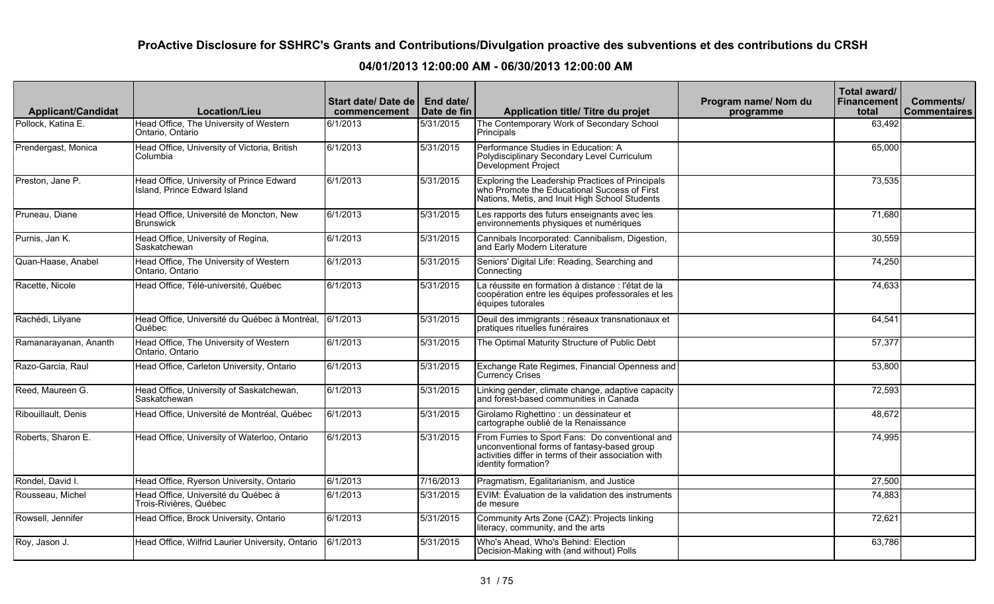| <b>Applicant/Candidat</b> | <b>Location/Lieu</b>                                                     | Start date/ Date de  <br>commencement | End date/<br>Date de fin | Application title/ Titre du projet                                                                                                                                            | Program name/ Nom du<br>programme | Total award/<br><b>Financement</b><br>total | <b>Comments/</b><br><b>Commentaires</b> |
|---------------------------|--------------------------------------------------------------------------|---------------------------------------|--------------------------|-------------------------------------------------------------------------------------------------------------------------------------------------------------------------------|-----------------------------------|---------------------------------------------|-----------------------------------------|
| Pollock, Katina E.        | Head Office, The University of Western<br>Ontario, Ontario               | 6/1/2013                              | 5/31/2015                | The Contemporary Work of Secondary School<br>Principals                                                                                                                       |                                   | 63,492                                      |                                         |
| Prendergast, Monica       | Head Office, University of Victoria, British<br>Columbia                 | 6/1/2013                              | 5/31/2015                | Performance Studies in Education: A<br>Polydisciplinary Secondary Level Curriculum<br>Development Project                                                                     |                                   | 65,000                                      |                                         |
| Preston, Jane P.          | Head Office, University of Prince Edward<br>Island, Prince Edward Island | 6/1/2013                              | 5/31/2015                | Exploring the Leadership Practices of Principals<br>who Promote the Educational Success of First<br>Nations, Metis, and Inuit High School Students                            |                                   | 73,535                                      |                                         |
| Pruneau, Diane            | Head Office, Université de Moncton, New<br><b>Brunswick</b>              | 6/1/2013                              | 5/31/2015                | Les rapports des futurs enseignants avec les<br>environnements physiques et numériques                                                                                        |                                   | 71,680                                      |                                         |
| Purnis, Jan K.            | Head Office, University of Regina,<br>Saskatchewan                       | 6/1/2013                              | 5/31/2015                | Cannibals Incorporated: Cannibalism, Digestion,<br>and Early Modern Literature                                                                                                |                                   | 30,559                                      |                                         |
| Quan-Haase, Anabel        | Head Office, The University of Western<br>Ontario, Ontario               | 6/1/2013                              | 5/31/2015                | Seniors' Digital Life: Reading, Searching and<br>Connecting                                                                                                                   |                                   | 74,250                                      |                                         |
| Racette, Nicole           | Head Office, Télé-université, Québec                                     | 6/1/2013                              | 5/31/2015                | La réussite en formation à distance : l'état de la<br>coopération entre les équipes professorales et les<br>equipes tutorales                                                 |                                   | 74,633                                      |                                         |
| Rachédi, Lilyane          | Head Office, Université du Québec à Montréal,<br>Québec                  | 6/1/2013                              | 5/31/2015                | Deuil des immigrants : réseaux transnationaux et<br>pratiques rituelles funéraires                                                                                            |                                   | 64,541                                      |                                         |
| Ramanarayanan, Ananth     | Head Office, The University of Western<br>Ontario, Ontario               | 6/1/2013                              | 5/31/2015                | The Optimal Maturity Structure of Public Debt                                                                                                                                 |                                   | 57,377                                      |                                         |
| Razo-Garcia, Raul         | Head Office, Carleton University, Ontario                                | 6/1/2013                              | 5/31/2015                | Exchange Rate Regimes, Financial Openness and<br>Currency Crises                                                                                                              |                                   | $\overline{53,800}$                         |                                         |
| Reed, Maureen G.          | Head Office, University of Saskatchewan,<br>Saskatchewan                 | 6/1/2013                              | 5/31/2015                | Linking gender, climate change, adaptive capacity<br>and forest-based communities in Canada                                                                                   |                                   | 72,593                                      |                                         |
| Ribouillault, Denis       | Head Office, Université de Montréal, Québec                              | 6/1/2013                              | 5/31/2015                | Girolamo Righettino : un dessinateur et<br>cartographe oublié de la Renaissance                                                                                               |                                   | 48,672                                      |                                         |
| Roberts, Sharon E.        | Head Office, University of Waterloo, Ontario                             | 6/1/2013                              | 5/31/2015                | From Furries to Sport Fans: Do conventional and<br>unconventional forms of fantasy-based group<br>activities differ in terms of their association with<br>identity formation? |                                   | 74,995                                      |                                         |
| Rondel, David I.          | Head Office, Ryerson University, Ontario                                 | 6/1/2013                              | 7/16/2013                | Pragmatism, Egalitarianism, and Justice                                                                                                                                       |                                   | 27,500                                      |                                         |
| Rousseau, Michel          | Head Office, Université du Québec à<br>Trois-Rivières, Québec            | 6/1/2013                              | 5/31/2015                | EVIM: Évaluation de la validation des instruments<br>de mesure                                                                                                                |                                   | 74,883                                      |                                         |
| Rowsell, Jennifer         | Head Office, Brock University, Ontario                                   | 6/1/2013                              | 5/31/2015                | Community Arts Zone (CAZ): Projects linking<br>literacy, community, and the arts                                                                                              |                                   | 72,621                                      |                                         |
| Roy, Jason J.             | Head Office, Wilfrid Laurier University, Ontario                         | 6/1/2013                              | 5/31/2015                | Who's Ahead, Who's Behind: Election<br>Decision-Making with (and without) Polls                                                                                               |                                   | 63,786                                      |                                         |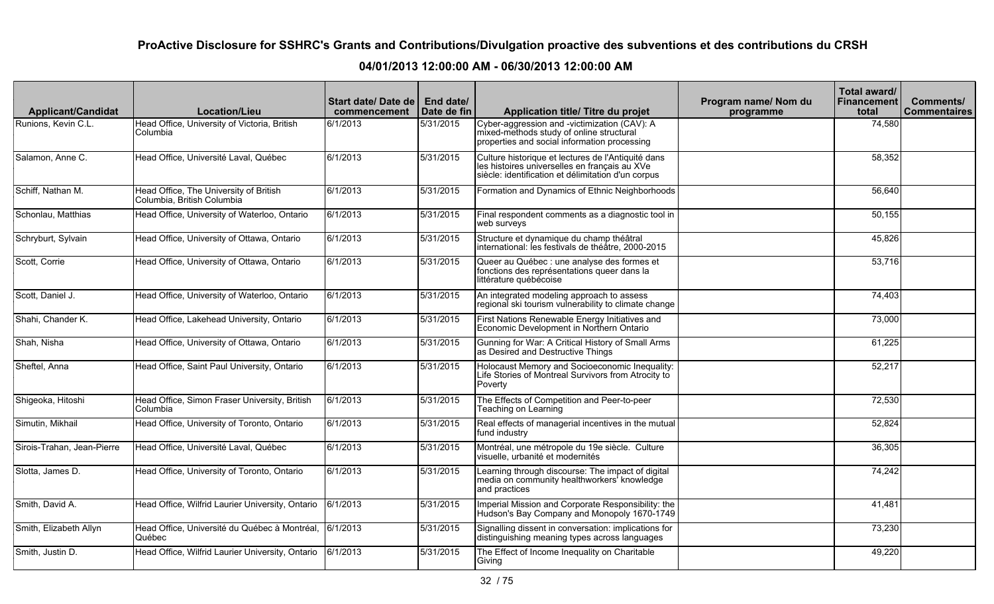| <b>Applicant/Candidat</b>  | <b>Location/Lieu</b>                                                 | Start date/ Date de  <br>commencement | End date/<br>Date de fin | <b>Application title/ Titre du projet</b>                                                                                                                 | Program name/Nom du<br>programme | Total award/<br><b>Financement</b><br>total | Comments/<br><b>Commentaires</b> |
|----------------------------|----------------------------------------------------------------------|---------------------------------------|--------------------------|-----------------------------------------------------------------------------------------------------------------------------------------------------------|----------------------------------|---------------------------------------------|----------------------------------|
| Runions, Kevin C.L.        | Head Office, University of Victoria, British<br>Columbia             | 6/1/2013                              | 5/31/2015                | Cyber-aggression and -victimization (CAV): A<br>mixed-methods study of online structural<br>properties and social information processing                  |                                  | 74,580                                      |                                  |
| Salamon, Anne C.           | Head Office, Université Laval, Québec                                | 6/1/2013                              | 5/31/2015                | Culture historique et lectures de l'Antiquité dans<br>les histoires universelles en français au XVe<br>siècle: identification et délimitation d'un corpus |                                  | 58,352                                      |                                  |
| Schiff, Nathan M.          | Head Office, The University of British<br>Columbia, British Columbia | 6/1/2013                              | 5/31/2015                | Formation and Dynamics of Ethnic Neighborhoods                                                                                                            |                                  | 56,640                                      |                                  |
| Schonlau, Matthias         | Head Office, University of Waterloo, Ontario                         | 6/1/2013                              | 5/31/2015                | Final respondent comments as a diagnostic tool in<br>web surveys                                                                                          |                                  | 50,155                                      |                                  |
| Schryburt, Sylvain         | Head Office, University of Ottawa, Ontario                           | 6/1/2013                              | 5/31/2015                | Structure et dynamique du champ théâtral<br>international: les festivals de théâtre, 2000-2015                                                            |                                  | 45,826                                      |                                  |
| Scott, Corrie              | Head Office, University of Ottawa, Ontario                           | 6/1/2013                              | 5/31/2015                | Queer au Québec : une analyse des formes et<br>fonctions des représentations queer dans la<br>littérature québécoise                                      |                                  | 53,716                                      |                                  |
| Scott, Daniel J.           | Head Office, University of Waterloo, Ontario                         | 6/1/2013                              | 5/31/2015                | An integrated modeling approach to assess<br>regional ski tourism vulnerability to climate change                                                         |                                  | 74,403                                      |                                  |
| Shahi, Chander K.          | Head Office, Lakehead University, Ontario                            | 6/1/2013                              | 5/31/2015                | First Nations Renewable Energy Initiatives and<br>Economic Development in Northern Ontario                                                                |                                  | 73,000                                      |                                  |
| Shah, Nisha                | Head Office, University of Ottawa, Ontario                           | 6/1/2013                              | 5/31/2015                | Gunning for War: A Critical History of Small Arms<br>as Desired and Destructive Things                                                                    |                                  | 61,225                                      |                                  |
| Sheftel, Anna              | Head Office, Saint Paul University, Ontario                          | 6/1/2013                              | 5/31/2015                | Holocaust Memory and Socioeconomic Inequality:<br>Life Stories of Montreal Survivors from Atrocity to<br>Poverty                                          |                                  | 52,217                                      |                                  |
| Shigeoka, Hitoshi          | Head Office, Simon Fraser University, British<br>Columbia            | 6/1/2013                              | 5/31/2015                | The Effects of Competition and Peer-to-peer<br>Teaching on Learning                                                                                       |                                  | 72,530                                      |                                  |
| Simutin, Mikhail           | Head Office, University of Toronto, Ontario                          | 6/1/2013                              | 5/31/2015                | Real effects of managerial incentives in the mutual<br>fund industry                                                                                      |                                  | 52,824                                      |                                  |
| Sirois-Trahan, Jean-Pierre | Head Office, Université Laval, Québec                                | 6/1/2013                              | 5/31/2015                | Montréal, une métropole du 19e siècle. Culture<br>visuelle, urbanité et modernités                                                                        |                                  | 36,305                                      |                                  |
| Slotta, James D.           | Head Office, University of Toronto, Ontario                          | 6/1/2013                              | 5/31/2015                | Learning through discourse: The impact of digital<br>media on community healthworkers' knowledge<br>and practices                                         |                                  | 74,242                                      |                                  |
| Smith, David A.            | Head Office, Wilfrid Laurier University, Ontario                     | 6/1/2013                              | 5/31/2015                | Imperial Mission and Corporate Responsibility: the<br>Hudson's Bay Company and Monopoly 1670-1749                                                         |                                  | 41,481                                      |                                  |
| Smith, Elizabeth Allyn     | Head Office, Université du Québec à Montréal,<br>Québec              | 6/1/2013                              | 5/31/2015                | Signalling dissent in conversation: implications for<br>distinguishing meaning types across languages                                                     |                                  | 73,230                                      |                                  |
| Smith, Justin D.           | Head Office, Wilfrid Laurier University, Ontario                     | 6/1/2013                              | 5/31/2015                | The Effect of Income Inequality on Charitable<br>Giving                                                                                                   |                                  | 49,220                                      |                                  |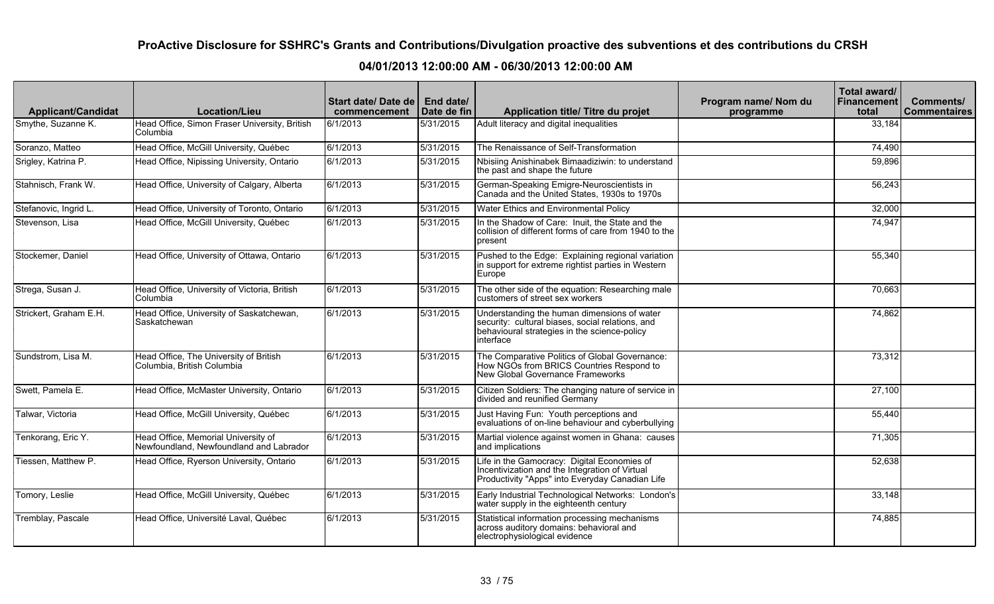| <b>Applicant/Candidat</b> | <b>Location/Lieu</b>                                                           | Start date/ Date de   End date/<br>commencement | Date de fin | Application title/ Titre du projet                                                                                                                           | Program name/ Nom du<br>programme | Total award/<br><b>Financement</b><br>total | Comments/<br>  Commentaires |
|---------------------------|--------------------------------------------------------------------------------|-------------------------------------------------|-------------|--------------------------------------------------------------------------------------------------------------------------------------------------------------|-----------------------------------|---------------------------------------------|-----------------------------|
| Smythe, Suzanne K.        | Head Office, Simon Fraser University, British<br>Columbia                      | 6/1/2013                                        | 5/31/2015   | Adult literacy and digital inequalities                                                                                                                      |                                   | 33,184                                      |                             |
| Soranzo, Matteo           | Head Office, McGill University, Québec                                         | 6/1/2013                                        | 5/31/2015   | The Renaissance of Self-Transformation                                                                                                                       |                                   | 74,490                                      |                             |
| Srigley, Katrina P.       | Head Office, Nipissing University, Ontario                                     | 6/1/2013                                        | 5/31/2015   | Nbisiing Anishinabek Bimaadiziwin: to understand<br>the past and shape the future                                                                            |                                   | 59,896                                      |                             |
| Stahnisch, Frank W.       | Head Office, University of Calgary, Alberta                                    | 6/1/2013                                        | 5/31/2015   | German-Speaking Emigre-Neuroscientists in<br>Canada and the United States, 1930s to 1970s                                                                    |                                   | 56,243                                      |                             |
| Stefanovic, Ingrid L.     | Head Office, University of Toronto, Ontario                                    | 6/1/2013                                        | 5/31/2015   | Water Ethics and Environmental Policy                                                                                                                        |                                   | 32,000                                      |                             |
| Stevenson, Lisa           | Head Office, McGill University, Québec                                         | 6/1/2013                                        | 5/31/2015   | In the Shadow of Care: Inuit, the State and the<br>collision of different forms of care from 1940 to the<br>present                                          |                                   | 74,947                                      |                             |
| Stockemer, Daniel         | Head Office, University of Ottawa, Ontario                                     | 6/1/2013                                        | 5/31/2015   | Pushed to the Edge: Explaining regional variation<br>in support for extreme rightist parties in Western<br>Europe                                            |                                   | 55,340                                      |                             |
| Strega, Susan J.          | Head Office, University of Victoria, British<br>Columbia                       | 6/1/2013                                        | 5/31/2015   | The other side of the equation: Researching male<br>customers of street sex workers                                                                          |                                   | 70,663                                      |                             |
| Strickert, Graham E.H.    | Head Office, University of Saskatchewan,<br>Saskatchewan                       | 6/1/2013                                        | 5/31/2015   | Understanding the human dimensions of water<br>security: cultural biases, social relations, and<br>behavioural strategies in the science-policy<br>interface |                                   | 74,862                                      |                             |
| Sundstrom, Lisa M.        | Head Office, The University of British<br>Columbia, British Columbia           | 6/1/2013                                        | 5/31/2015   | The Comparative Politics of Global Governance:<br>How NGOs from BRICS Countries Respond to<br>New Global Governance Frameworks                               |                                   | 73,312                                      |                             |
| Swett, Pamela E.          | Head Office, McMaster University, Ontario                                      | 6/1/2013                                        | 5/31/2015   | Citizen Soldiers: The changing nature of service in<br>divided and reunified Germany                                                                         |                                   | 27,100                                      |                             |
| Talwar, Victoria          | Head Office, McGill University, Québec                                         | 6/1/2013                                        | 5/31/2015   | Just Having Fun: Youth perceptions and<br>evaluations of on-line behaviour and cyberbullying                                                                 |                                   | 55,440                                      |                             |
| Tenkorang, Eric Y.        | Head Office, Memorial University of<br>Newfoundland, Newfoundland and Labrador | 6/1/2013                                        | 5/31/2015   | Martial violence against women in Ghana: causes<br>and implications                                                                                          |                                   | 71,305                                      |                             |
| Tiessen, Matthew P.       | Head Office, Ryerson University, Ontario                                       | 6/1/2013                                        | 5/31/2015   | Life in the Gamocracy: Digital Economies of<br>Incentivization and the Integration of Virtual<br>Productivity "Apps" into Everyday Canadian Life             |                                   | 52,638                                      |                             |
| Tomory, Leslie            | Head Office, McGill University, Québec                                         | 6/1/2013                                        | 5/31/2015   | Early Industrial Technological Networks: London's<br>water supply in the eighteenth century                                                                  |                                   | 33,148                                      |                             |
| Tremblay, Pascale         | Head Office, Université Laval, Québec                                          | 6/1/2013                                        | 5/31/2015   | Statistical information processing mechanisms<br>across auditory domains: behavioral and<br>electrophysiological evidence                                    |                                   | 74,885                                      |                             |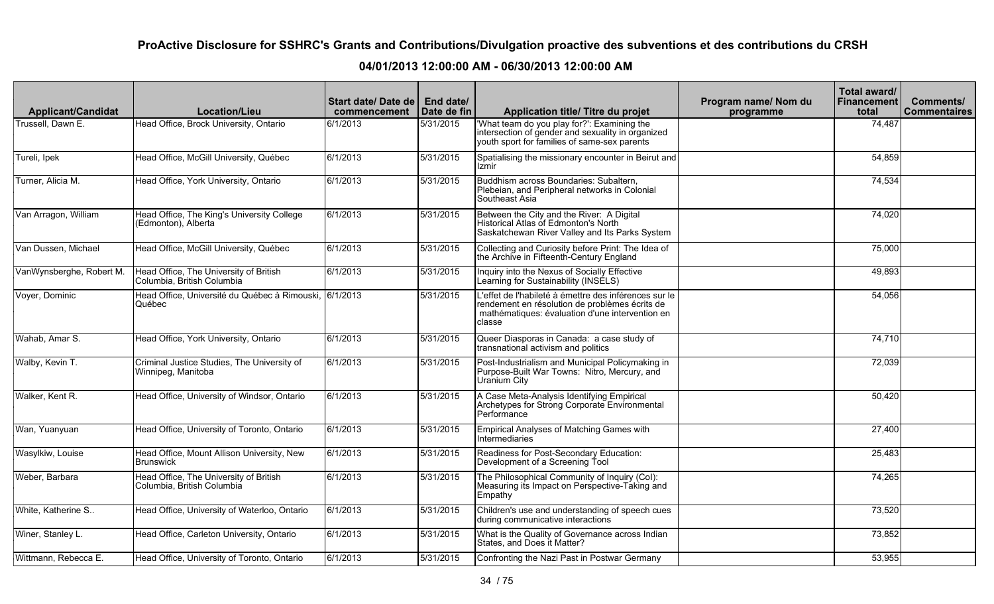| <b>Applicant/Candidat</b> | Location/Lieu                                                        | Start date/ Date de  <br>commencement | End date/<br>Date de fin | <b>Application title/ Titre du projet</b>                                                                                                                           | Program name/ Nom du<br>programme | Total award/<br><b>Financement</b><br>total | Comments/<br><b>Commentaires</b> |
|---------------------------|----------------------------------------------------------------------|---------------------------------------|--------------------------|---------------------------------------------------------------------------------------------------------------------------------------------------------------------|-----------------------------------|---------------------------------------------|----------------------------------|
| Trussell, Dawn E.         | Head Office, Brock University, Ontario                               | 6/1/2013                              | 5/31/2015                | 'What team do you play for?': Examining the<br>intersection of gender and sexuality in organized<br>youth sport for families of same-sex parents                    |                                   | 74,487                                      |                                  |
| Tureli, Ipek              | Head Office, McGill University, Québec                               | 6/1/2013                              | 5/31/2015                | Spatialising the missionary encounter in Beirut and<br>Izmir                                                                                                        |                                   | 54,859                                      |                                  |
| Turner, Alicia M.         | Head Office, York University, Ontario                                | 6/1/2013                              | 5/31/2015                | Buddhism across Boundaries: Subaltern,<br>Plebeian, and Peripheral networks in Colonial<br>Southeast Asia                                                           |                                   | 74,534                                      |                                  |
| Van Arragon, William      | Head Office, The King's University College<br>(Edmonton), Alberta    | 6/1/2013                              | 5/31/2015                | Between the City and the River: A Digital<br>Historical Atlas of Edmonton's North<br>Saskatchewan River Valley and Its Parks System                                 |                                   | 74,020                                      |                                  |
| Van Dussen, Michael       | Head Office, McGill University, Québec                               | 6/1/2013                              | 5/31/2015                | Collecting and Curiosity before Print: The Idea of<br>the Archive in Fifteenth-Century England                                                                      |                                   | 75,000                                      |                                  |
| VanWynsberghe, Robert M.  | Head Office, The University of British<br>Columbia, British Columbia | 6/1/2013                              | 5/31/2015                | Inquiry into the Nexus of Socially Effective<br>Learning for Sustainability (INSÉLS)                                                                                |                                   | 49,893                                      |                                  |
| Voyer, Dominic            | Head Office, Université du Québec à Rimouski, 6/1/2013<br>Québec     |                                       | 5/31/2015                | leffet de l'habileté à émettre des inférences sur le<br>rendement en résolution de problèmes écrits de<br>mathématiques: évaluation d'une intervention en<br>classe |                                   | 54,056                                      |                                  |
| Wahab, Amar S.            | Head Office, York University, Ontario                                | 6/1/2013                              | 5/31/2015                | Queer Diasporas in Canada: a case study of<br>transnational activism and politics                                                                                   |                                   | 74,710                                      |                                  |
| Walby, Kevin T.           | Criminal Justice Studies, The University of<br>Winnipeg, Manitoba    | 6/1/2013                              | 5/31/2015                | Post-Industrialism and Municipal Policymaking in<br>Purpose-Built War Towns: Nitro, Mercury, and<br>Uranium City                                                    |                                   | 72,039                                      |                                  |
| Walker, Kent R.           | Head Office, University of Windsor, Ontario                          | 6/1/2013                              | 5/31/2015                | A Case Meta-Analysis Identifying Empirical<br>Archetypes for Strong Corporate Environmental<br>Performance                                                          |                                   | 50,420                                      |                                  |
| Wan, Yuanyuan             | Head Office, University of Toronto, Ontario                          | 6/1/2013                              | 5/31/2015                | <b>Empirical Analyses of Matching Games with</b><br>Intermediaries                                                                                                  |                                   | 27,400                                      |                                  |
| Wasylkiw, Louise          | Head Office, Mount Allison University, New<br><b>Brunswick</b>       | 6/1/2013                              | 5/31/2015                | Readiness for Post-Secondary Education:<br>Development of a Screening Tool                                                                                          |                                   | 25,483                                      |                                  |
| Weber, Barbara            | Head Office, The University of British<br>Columbia, British Columbia | 6/1/2013                              | 5/31/2015                | The Philosophical Community of Inquiry (Col):<br>Measuring its Impact on Perspective-Taking and<br>Empathy                                                          |                                   | 74,265                                      |                                  |
| White, Katherine S        | Head Office, University of Waterloo, Ontario                         | 6/1/2013                              | 5/31/2015                | Children's use and understanding of speech cues<br>during communicative interactions                                                                                |                                   | 73,520                                      |                                  |
| Winer, Stanley L.         | Head Office, Carleton University, Ontario                            | 6/1/2013                              | 5/31/2015                | What is the Quality of Governance across Indian<br>States, and Does it Matter?                                                                                      |                                   | 73,852                                      |                                  |
| Wittmann, Rebecca E.      | Head Office, University of Toronto, Ontario                          | 6/1/2013                              | 5/31/2015                | Confronting the Nazi Past in Postwar Germany                                                                                                                        |                                   | 53,955                                      |                                  |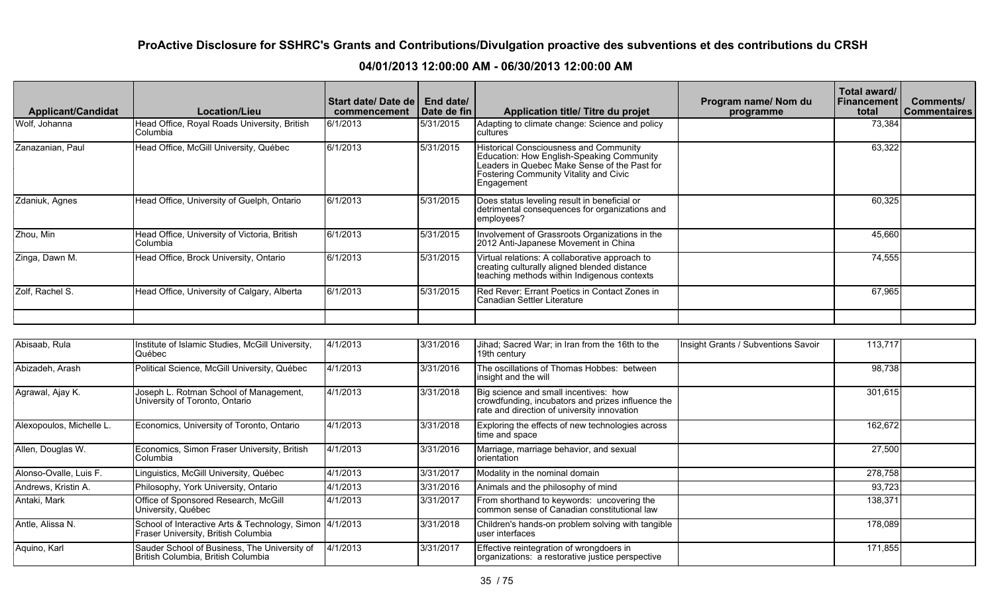| <b>Applicant/Candidat</b> | <b>Location/Lieu</b>                                     | <b>Start date/Date de  </b><br>commencement | End date/<br>Date de fin! | Application title/ Titre du projet                                                                                                                                                          | Program name/ Nom du<br>programme | Total award/<br><b>Financement</b><br>total | Comments/<br><b>Commentaires</b> |
|---------------------------|----------------------------------------------------------|---------------------------------------------|---------------------------|---------------------------------------------------------------------------------------------------------------------------------------------------------------------------------------------|-----------------------------------|---------------------------------------------|----------------------------------|
| Wolf, Johanna             | Head Office, Royal Roads University, British<br>Columbia | 6/1/2013                                    | 5/31/2015                 | Adapting to climate change: Science and policy<br>Icultures                                                                                                                                 |                                   | 73,384                                      |                                  |
| Zanazanian, Paul          | Head Office, McGill University, Québec                   | 6/1/2013                                    | 15/31/2015                | Historical Consciousness and Community<br>Education: How English-Speaking Community<br>Leaders in Quebec Make Sense of the Past for<br>Fostering Community Vitality and Civic<br>Engagement |                                   | 63,322                                      |                                  |
| Zdaniuk, Agnes            | Head Office, University of Guelph, Ontario               | 6/1/2013                                    | 5/31/2015                 | Does status leveling result in beneficial or<br>detrimental consequences for organizations and<br>employees?                                                                                |                                   | 60,325                                      |                                  |
| Zhou, Min                 | Head Office, University of Victoria, British<br>Columbia | 6/1/2013                                    | 5/31/2015                 | Involvement of Grassroots Organizations in the<br>2012 Anti-Japanese Movement in China                                                                                                      |                                   | 45,660                                      |                                  |
| Zinga, Dawn M.            | Head Office, Brock University, Ontario                   | 6/1/2013                                    | 5/31/2015                 | Virtual relations: A collaborative approach to<br>creating culturally aligned blended distance<br>teaching methods within Indigenous contexts                                               |                                   | 74,555                                      |                                  |
| Zolf, Rachel S.           | Head Office, University of Calgary, Alberta              | 6/1/2013                                    | 5/31/2015                 | Red Rever: Errant Poetics in Contact Zones in<br>Canadian Settler Literature                                                                                                                |                                   | 67,965                                      |                                  |

| Abisaab, Rula            | Institute of Islamic Studies, McGill University,<br>Québec                                     | 4/1/2013 | 3/31/2016 | Jihad; Sacred War; in Iran from the 16th to the<br>19th century                                                                           | Insight Grants / Subventions Savoir | 113,717 |  |
|--------------------------|------------------------------------------------------------------------------------------------|----------|-----------|-------------------------------------------------------------------------------------------------------------------------------------------|-------------------------------------|---------|--|
| Abizadeh, Arash          | Political Science, McGill University, Québec                                                   | 4/1/2013 | 3/31/2016 | The oscillations of Thomas Hobbes: between<br>insight and the will                                                                        |                                     | 98,738  |  |
| Agrawal, Ajay K.         | Joseph L. Rotman School of Management,<br>University of Toronto, Ontario                       | 4/1/2013 | 3/31/2018 | Big science and small incentives: how<br>crowdfunding, incubators and prizes influence the<br>rate and direction of university innovation |                                     | 301,615 |  |
| Alexopoulos, Michelle L. | Economics, University of Toronto, Ontario                                                      | 4/1/2013 | 3/31/2018 | Exploring the effects of new technologies across<br>Itime and space                                                                       |                                     | 162,672 |  |
| Allen, Douglas W.        | Economics, Simon Fraser University, British<br><b>Columbia</b>                                 | 4/1/2013 | 3/31/2016 | Marriage, marriage behavior, and sexual<br>Iorientation                                                                                   |                                     | 27,500  |  |
| Alonso-Ovalle, Luis F.   | Linguistics, McGill University, Québec                                                         | 4/1/2013 | 3/31/2017 | Modality in the nominal domain                                                                                                            |                                     | 278,758 |  |
| Andrews, Kristin A.      | Philosophy, York University, Ontario                                                           | 4/1/2013 | 3/31/2016 | Animals and the philosophy of mind                                                                                                        |                                     | 93,723  |  |
| Antaki, Mark             | Office of Sponsored Research, McGill<br>University, Québec                                     | 4/1/2013 | 3/31/2017 | From shorthand to keywords: uncovering the<br>common sense of Canadian constitutional law                                                 |                                     | 138,371 |  |
| Antle, Alissa N.         | School of Interactive Arts & Technology, Simon 4/1/2013<br>Fraser University, British Columbia |          | 3/31/2018 | Children's hands-on problem solving with tangible<br>luser interfaces                                                                     |                                     | 178,089 |  |
| Aquino, Karl             | Sauder School of Business, The University of<br>British Columbia, British Columbia             | 4/1/2013 | 3/31/2017 | Effective reintegration of wrongdoers in<br>organizations: a restorative justice perspective                                              |                                     | 171,855 |  |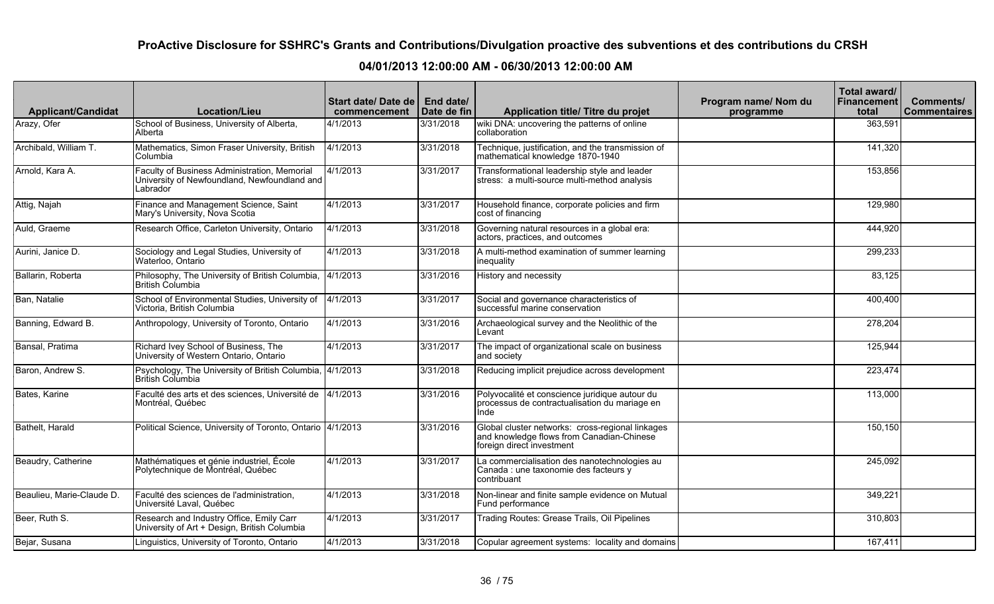| <b>Applicant/Candidat</b> | <b>Location/Lieu</b>                                                                                     | Start date/Date de<br>commencement | End date/<br>Date de fin | Application title/ Titre du projet                                                                                         | Program name/ Nom du<br>programme | Total award/<br><b>Financement</b><br>total | Comments/<br><b>Commentaires</b> |
|---------------------------|----------------------------------------------------------------------------------------------------------|------------------------------------|--------------------------|----------------------------------------------------------------------------------------------------------------------------|-----------------------------------|---------------------------------------------|----------------------------------|
| Arazy, Ofer               | School of Business, University of Alberta,<br>Alberta                                                    | 4/1/2013                           | 3/31/2018                | wiki DNA: uncovering the patterns of online<br>collaboration                                                               |                                   | 363,591                                     |                                  |
| Archibald, William T.     | Mathematics, Simon Fraser University, British<br>Columbia                                                | 4/1/2013                           | 3/31/2018                | Technique, justification, and the transmission of<br>mathematical knowledge 1870-1940                                      |                                   | 141,320                                     |                                  |
| Arnold, Kara A.           | Faculty of Business Administration, Memorial<br>University of Newfoundland, Newfoundland and<br>Labrador | 4/1/2013                           | 3/31/2017                | Transformational leadership style and leader<br>stress: a multi-source multi-method analysis                               |                                   | 153,856                                     |                                  |
| Attig, Najah              | Finance and Management Science, Saint<br>Mary's University, Nova Scotia                                  | 4/1/2013                           | 3/31/2017                | Household finance, corporate policies and firm<br>cost of financing                                                        |                                   | 129,980                                     |                                  |
| Auld, Graeme              | Research Office, Carleton University, Ontario                                                            | 4/1/2013                           | 3/31/2018                | Governing natural resources in a global era:<br>actors, practices, and outcomes                                            |                                   | 444,920                                     |                                  |
| Aurini, Janice D.         | Sociology and Legal Studies, University of<br>Waterloo, Ontario                                          | 4/1/2013                           | 3/31/2018                | A multi-method examination of summer learning<br>inequality                                                                |                                   | 299,233                                     |                                  |
| Ballarin, Roberta         | Philosophy, The University of British Columbia,<br>British Columbia                                      | 4/1/2013                           | 3/31/2016                | History and necessity                                                                                                      |                                   | 83,125                                      |                                  |
| Ban, Natalie              | School of Environmental Studies, University of<br>Victoria, British Columbia                             | 4/1/2013                           | 3/31/2017                | Social and governance characteristics of<br>successful marine conservation                                                 |                                   | 400,400                                     |                                  |
| Banning, Edward B.        | Anthropology, University of Toronto, Ontario                                                             | 4/1/2013                           | 3/31/2016                | Archaeological survey and the Neolithic of the<br>Levant                                                                   |                                   | 278,204                                     |                                  |
| Bansal, Pratima           | Richard Ivey School of Business, The<br>University of Western Ontario, Ontario                           | 4/1/2013                           | 3/31/2017                | The impact of organizational scale on business<br>and society                                                              |                                   | 125,944                                     |                                  |
| Baron, Andrew S.          | Psychology, The University of British Columbia, 4/1/2013<br>British Columbia                             |                                    | 3/31/2018                | Reducing implicit prejudice across development                                                                             |                                   | 223,474                                     |                                  |
| Bates, Karine             | Faculté des arts et des sciences, Université de  4/1/2013<br>Montréal. Québec                            |                                    | 3/31/2016                | Polyvocalité et conscience juridique autour du<br>processus de contractualisation du mariage en<br>Inde                    |                                   | 113,000                                     |                                  |
| Bathelt, Harald           | Political Science, University of Toronto, Ontario 4/1/2013                                               |                                    | 3/31/2016                | Global cluster networks: cross-regional linkages<br>and knowledge flows from Canadian-Chinese<br>foreign direct investment |                                   | 150,150                                     |                                  |
| Beaudry, Catherine        | Mathématiques et génie industriel, École<br>Polytechnique de Montréal, Québec                            | 4/1/2013                           | 3/31/2017                | La commercialisation des nanotechnologies au<br>Canada : une taxonomie des facteurs y<br>contribuant                       |                                   | 245,092                                     |                                  |
| Beaulieu, Marie-Claude D. | Faculté des sciences de l'administration,<br>Université Laval, Québec                                    | 4/1/2013                           | 3/31/2018                | Non-linear and finite sample evidence on Mutual<br>Fund performance                                                        |                                   | 349,221                                     |                                  |
| Beer, Ruth S.             | Research and Industry Office, Emily Carr<br>University of Art + Design, British Columbia                 | 4/1/2013                           | 3/31/2017                | Trading Routes: Grease Trails, Oil Pipelines                                                                               |                                   | 310,803                                     |                                  |
| Bejar, Susana             | Linguistics, University of Toronto, Ontario                                                              | 4/1/2013                           | 3/31/2018                | Copular agreement systems: locality and domains                                                                            |                                   | 167,411                                     |                                  |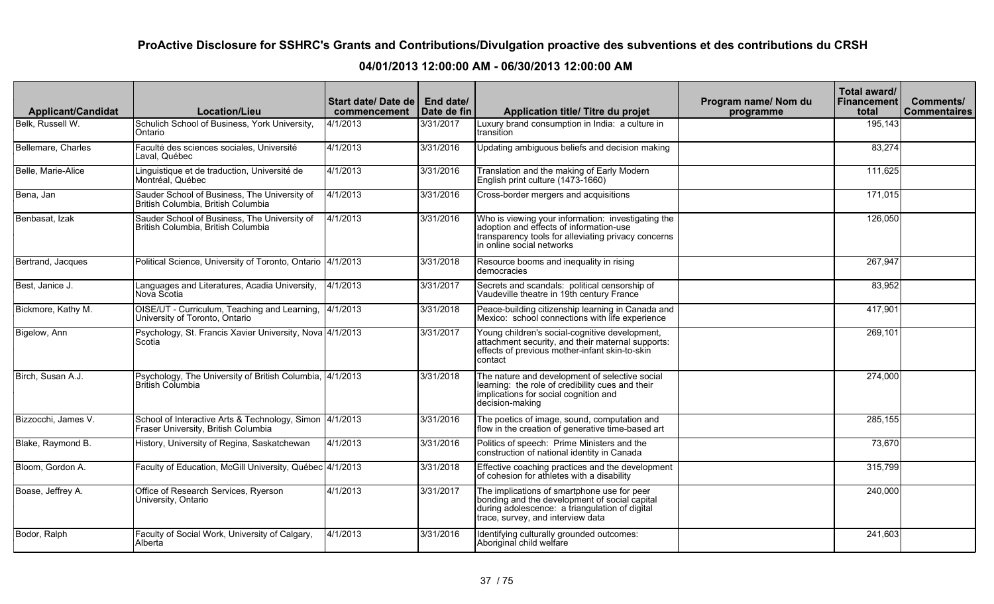| <b>Applicant/Candidat</b> | <b>Location/Lieu</b>                                                                           | Start date/Date de<br>commencement | End date/<br>Date de fin | <b>Application title/ Titre du projet</b>                                                                                                                                           | Program name/ Nom du<br>programme | Total award/<br><b>Financement</b><br>total | Comments/<br><b>Commentaires</b> |
|---------------------------|------------------------------------------------------------------------------------------------|------------------------------------|--------------------------|-------------------------------------------------------------------------------------------------------------------------------------------------------------------------------------|-----------------------------------|---------------------------------------------|----------------------------------|
| Belk, Russell W.          | Schulich School of Business, York University,<br>Ontario                                       | 4/1/2013                           | 3/31/2017                | Luxury brand consumption in India: a culture in<br>transition                                                                                                                       |                                   | 195,143                                     |                                  |
| Bellemare, Charles        | Faculté des sciences sociales, Université<br>Laval, Québec                                     | 4/1/2013                           | 3/31/2016                | Updating ambiguous beliefs and decision making                                                                                                                                      |                                   | 83,274                                      |                                  |
| Belle, Marie-Alice        | Linguistique et de traduction, Université de<br>Montréal, Québec                               | 4/1/2013                           | 3/31/2016                | Translation and the making of Early Modern<br>English print culture (1473-1660)                                                                                                     |                                   | 111,625                                     |                                  |
| Bena, Jan                 | Sauder School of Business, The University of<br>British Columbia, British Columbia             | 4/1/2013                           | 3/31/2016                | Cross-border mergers and acquisitions                                                                                                                                               |                                   | 171,015                                     |                                  |
| Benbasat, Izak            | Sauder School of Business, The University of<br>British Columbia, British Columbia             | 4/1/2013                           | 3/31/2016                | Who is viewing your information: investigating the<br>adoption and effects of information-use<br>transparency tools for alleviating privacy concerns<br>in online social networks   |                                   | 126,050                                     |                                  |
| Bertrand, Jacques         | Political Science, University of Toronto, Ontario 4/1/2013                                     |                                    | 3/31/2018                | Resource booms and inequality in rising<br>democracies                                                                                                                              |                                   | 267,947                                     |                                  |
| Best, Janice J.           | Languages and Literatures, Acadia University,<br>Nova Scotia                                   | 4/1/2013                           | 3/31/2017                | Secrets and scandals: political censorship of<br>Vaudeville theatre in 19th century France                                                                                          |                                   | 83,952                                      |                                  |
| Bickmore, Kathy M.        | OISE/UT - Curriculum, Teaching and Learning,<br>University of Toronto, Ontario                 | 4/1/2013                           | 3/31/2018                | Peace-building citizenship learning in Canada and<br>Mexico: school connections with life experience                                                                                |                                   | 417,901                                     |                                  |
| Bigelow, Ann              | Psychology, St. Francis Xavier University, Nova 4/1/2013<br>Scotia                             |                                    | 3/31/2017                | Young children's social-cognitive development,<br>attachment security, and their maternal supports:<br>effects of previous mother-infant skin-to-skin<br>contact                    |                                   | 269,101                                     |                                  |
| Birch, Susan A.J.         | Psychology, The University of British Columbia, 4/1/2013<br>British Columbia                   |                                    | 3/31/2018                | The nature and development of selective social<br>learning: the role of credibility cues and their<br>implications for social cognition and<br>decision-making                      |                                   | 274,000                                     |                                  |
| Bizzocchi, James V.       | School of Interactive Arts & Technology, Simon 4/1/2013<br>Fraser University, British Columbia |                                    | 3/31/2016                | The poetics of image, sound, computation and<br>flow in the creation of generative time-based art                                                                                   |                                   | 285,155                                     |                                  |
| Blake, Raymond B.         | History, University of Regina, Saskatchewan                                                    | 4/1/2013                           | 3/31/2016                | Politics of speech: Prime Ministers and the<br>construction of national identity in Canada                                                                                          |                                   | 73,670                                      |                                  |
| Bloom, Gordon A.          | Faculty of Education, McGill University, Québec 4/1/2013                                       |                                    | 3/31/2018                | Effective coaching practices and the development<br>of cohesion for athletes with a disability                                                                                      |                                   | 315,799                                     |                                  |
| Boase, Jeffrey A.         | Office of Research Services, Ryerson<br>University, Ontario                                    | 4/1/2013                           | 3/31/2017                | The implications of smartphone use for peer<br>bonding and the development of social capital<br>during adolescence: a triangulation of digital<br>trace, survey, and interview data |                                   | 240,000                                     |                                  |
| Bodor, Ralph              | Faculty of Social Work, University of Calgary,<br>Alberta                                      | 4/1/2013                           | 3/31/2016                | Identifying culturally grounded outcomes:<br>Aboriginal child welfare                                                                                                               |                                   | 241,603                                     |                                  |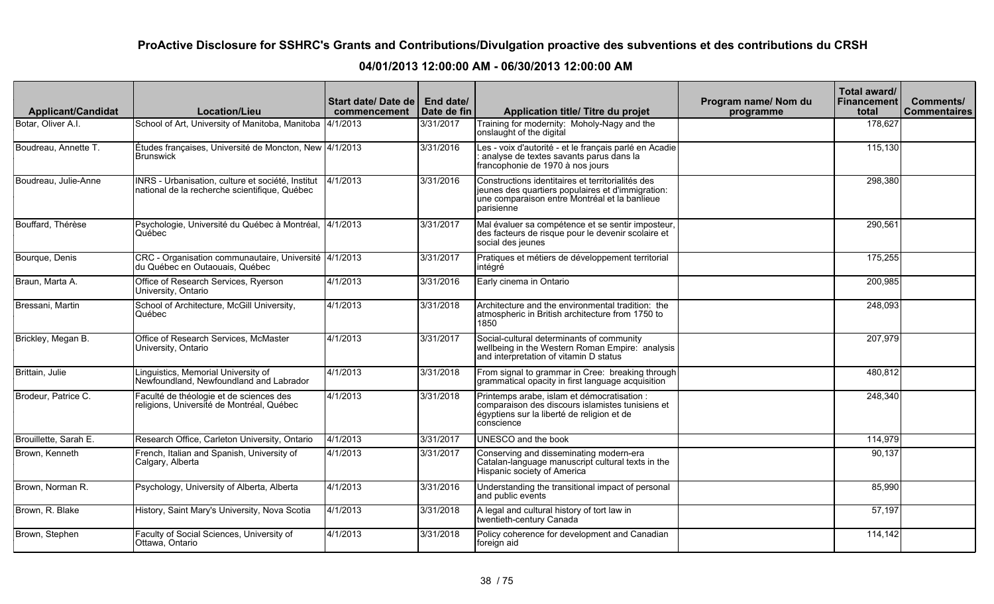| <b>Applicant/Candidat</b> | <b>Location/Lieu</b>                                                                               | Start date/Date de<br>commencement | End date/<br>Date de fin | Application title/ Titre du projet                                                                                                                                    | Program name/ Nom du<br>programme | Total award/<br><b>Financement</b><br>total | Comments/<br><b>Commentaires</b> |
|---------------------------|----------------------------------------------------------------------------------------------------|------------------------------------|--------------------------|-----------------------------------------------------------------------------------------------------------------------------------------------------------------------|-----------------------------------|---------------------------------------------|----------------------------------|
| Botar, Oliver A.I.        | School of Art, University of Manitoba, Manitoba 4/1/2013                                           |                                    | 3/31/2017                | Training for modernity: Moholy-Nagy and the<br>onslaught of the digital                                                                                               |                                   | 178,627                                     |                                  |
| Boudreau, Annette T.      | Études françaises, Université de Moncton, New 4/1/2013<br><b>Brunswick</b>                         |                                    | 3/31/2016                | Les - voix d'autorité - et le français parlé en Acadie<br>analyse de textes savants parus dans la<br>francophonie de 1970 à nos jours                                 |                                   | 115,130                                     |                                  |
| Boudreau, Julie-Anne      | INRS - Urbanisation, culture et société, Institut<br>national de la recherche scientifique, Québec | 4/1/2013                           | 3/31/2016                | Constructions identitaires et territorialités des<br>jeunes des quartiers populaires et d'immigration:<br>une comparaison entre Montréal et la banlieue<br>parisienne |                                   | 298.380                                     |                                  |
| Bouffard, Thérèse         | Psychologie, Université du Québec à Montréal, 4/1/2013<br>Québec                                   |                                    | 3/31/2017                | Mal évaluer sa compétence et se sentir imposteur,<br>des facteurs de risque pour le devenir scolaire et<br>social des jeunes                                          |                                   | 290,561                                     |                                  |
| Bourque, Denis            | CRC - Organisation communautaire, Université 4/1/2013<br>du Québec en Outaouais, Québec            |                                    | 3/31/2017                | Pratiques et métiers de développement territorial<br>intégré                                                                                                          |                                   | 175,255                                     |                                  |
| Braun, Marta A.           | Office of Research Services, Ryerson<br>University, Ontario                                        | 4/1/2013                           | 3/31/2016                | Early cinema in Ontario                                                                                                                                               |                                   | 200,985                                     |                                  |
| Bressani, Martin          | School of Architecture, McGill University,<br>Québec                                               | 4/1/2013                           | 3/31/2018                | Architecture and the environmental tradition: the<br>atmospheric in British architecture from 1750 to<br>1850                                                         |                                   | 248,093                                     |                                  |
| Brickley, Megan B.        | Office of Research Services, McMaster<br>University, Ontario                                       | $\sqrt{4/1/2013}$                  | 3/31/2017                | Social-cultural determinants of community<br>wellbeing in the Western Roman Empire: analysis<br>and interpretation of vitamin D status                                |                                   | 207,979                                     |                                  |
| Brittain, Julie           | Linguistics, Memorial University of<br>Newfoundland, Newfoundland and Labrador                     | 4/1/2013                           | 3/31/2018                | From signal to grammar in Cree: breaking through<br>grammatical opacity in first language acquisition                                                                 |                                   | 480,812                                     |                                  |
| Brodeur, Patrice C.       | Faculté de théologie et de sciences des<br>religions, Université de Montréal, Québec               | 4/1/2013                           | 3/31/2018                | Printemps arabe, islam et démocratisation :<br>comparaison des discours islamistes tunisiens et<br>égyptiens sur la liberté de religion et de<br>conscience           |                                   | 248,340                                     |                                  |
| Brouillette, Sarah E.     | Research Office, Carleton University, Ontario                                                      | $\sqrt{4/1/2013}$                  | 3/31/2017                | UNESCO and the book                                                                                                                                                   |                                   | 114,979                                     |                                  |
| Brown, Kenneth            | French, Italian and Spanish, University of<br>Calgary, Alberta                                     | 4/1/2013                           | 3/31/2017                | Conserving and disseminating modern-era<br>Catalan-language manuscript cultural texts in the<br>Hispanic society of America                                           |                                   | 90,137                                      |                                  |
| Brown, Norman R.          | Psychology, University of Alberta, Alberta                                                         | 4/1/2013                           | 3/31/2016                | Understanding the transitional impact of personal<br>and public events                                                                                                |                                   | 85,990                                      |                                  |
| Brown, R. Blake           | History, Saint Mary's University, Nova Scotia                                                      | 4/1/2013                           | 3/31/2018                | A legal and cultural history of tort law in<br>twentieth-century Canada                                                                                               |                                   | 57,197                                      |                                  |
| Brown, Stephen            | Faculty of Social Sciences, University of<br>Ottawa, Ontario                                       | 4/1/2013                           | 3/31/2018                | Policy coherence for development and Canadian<br>foreign aid                                                                                                          |                                   | 114,142                                     |                                  |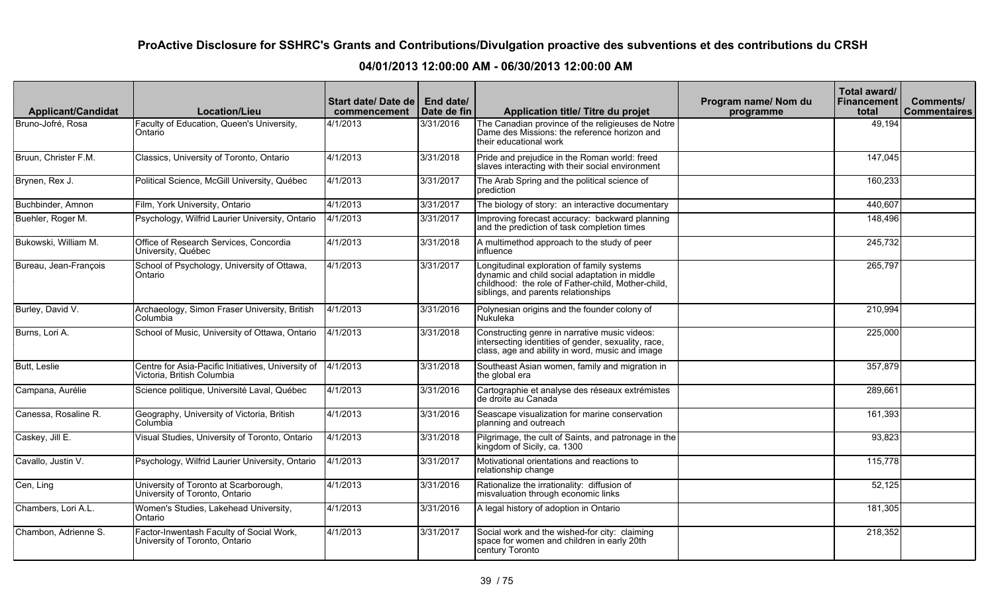| <b>Applicant/Candidat</b> | <b>Location/Lieu</b>                                                             | Start date/ Date de   End date/<br>commencement | Date de fin | Application title/ Titre du projet                                                                                                                                                       | Program name/Nom du<br>programme | Total award/<br>Financement<br>total | Comments/<br>l Commentaires |
|---------------------------|----------------------------------------------------------------------------------|-------------------------------------------------|-------------|------------------------------------------------------------------------------------------------------------------------------------------------------------------------------------------|----------------------------------|--------------------------------------|-----------------------------|
| Bruno-Jofré, Rosa         | Faculty of Education, Queen's University,<br>Ontario                             | 4/1/2013                                        | 3/31/2016   | The Canadian province of the religieuses de Notre<br>Dame des Missions: the reference horizon and<br>their educational work                                                              |                                  | 49,194                               |                             |
| Bruun, Christer F.M.      | Classics, University of Toronto, Ontario                                         | 4/1/2013                                        | 3/31/2018   | Pride and prejudice in the Roman world: freed<br>slaves interacting with their social environment                                                                                        |                                  | 147,045                              |                             |
| Brynen, Rex J.            | Political Science, McGill University, Québec                                     | 4/1/2013                                        | 3/31/2017   | The Arab Spring and the political science of<br>prediction                                                                                                                               |                                  | 160,233                              |                             |
| Buchbinder, Amnon         | Film, York University, Ontario                                                   | 4/1/2013                                        | 3/31/2017   | The biology of story: an interactive documentary                                                                                                                                         |                                  | 440,607                              |                             |
| Buehler, Roger M.         | Psychology, Wilfrid Laurier University, Ontario                                  | 4/1/2013                                        | 3/31/2017   | Improving forecast accuracy: backward planning<br>and the prediction of task completion times                                                                                            |                                  | 148,496                              |                             |
| Bukowski, William M.      | Office of Research Services, Concordia<br>University, Québec                     | 4/1/2013                                        | 3/31/2018   | A multimethod approach to the study of peer<br>influence                                                                                                                                 |                                  | 245,732                              |                             |
| Bureau, Jean-François     | School of Psychology, University of Ottawa,<br>Ontario                           | 4/1/2013                                        | 3/31/2017   | Longitudinal exploration of family systems<br>dynamic and child social adaptation in middle<br>childhood: the role of Father-child, Mother-child,<br>siblings, and parents relationships |                                  | 265,797                              |                             |
| Burley, David V.          | Archaeology, Simon Fraser University, British<br>Columbia                        | 4/1/2013                                        | 3/31/2016   | Polynesian origins and the founder colony of<br>Nukuleka                                                                                                                                 |                                  | 210,994                              |                             |
| Burns, Lori A.            | School of Music, University of Ottawa, Ontario                                   | 4/1/2013                                        | 3/31/2018   | Constructing genre in narrative music videos:<br>intersecting identities of gender, sexuality, race,<br>class, age and ability in word, music and image                                  |                                  | 225,000                              |                             |
| Butt, Leslie              | Centre for Asia-Pacific Initiatives, University of<br>Victoria, British Columbia | 4/1/2013                                        | 3/31/2018   | Southeast Asian women, family and migration in<br>the global era                                                                                                                         |                                  | 357,879                              |                             |
| Campana, Aurélie          | Science politique, Université Laval, Québec                                      | 4/1/2013                                        | 3/31/2016   | Cartographie et analyse des réseaux extrémistes<br>de droite au Canada                                                                                                                   |                                  | 289,661                              |                             |
| Canessa, Rosaline R.      | Geography, University of Victoria, British<br>Columbia                           | 4/1/2013                                        | 3/31/2016   | Seascape visualization for marine conservation<br>planning and outreach                                                                                                                  |                                  | 161,393                              |                             |
| Caskey, Jill E.           | Visual Studies, University of Toronto, Ontario                                   | 4/1/2013                                        | 3/31/2018   | Pilgrimage, the cult of Saints, and patronage in the<br>kingdom of Sicily, ca. 1300                                                                                                      |                                  | 93,823                               |                             |
| Cavallo, Justin V.        | Psychology, Wilfrid Laurier University, Ontario                                  | 4/1/2013                                        | 3/31/2017   | Motivational orientations and reactions to<br>relationship change                                                                                                                        |                                  | 115,778                              |                             |
| Cen, Ling                 | University of Toronto at Scarborough,<br>University of Toronto, Ontario          | 4/1/2013                                        | 3/31/2016   | Rationalize the irrationality: diffusion of<br>misvaluation through economic links                                                                                                       |                                  | 52,125                               |                             |
| Chambers, Lori A.L.       | Women's Studies, Lakehead University,<br>Ontario                                 | 4/1/2013                                        | 3/31/2016   | A legal history of adoption in Ontario                                                                                                                                                   |                                  | 181,305                              |                             |
| Chambon, Adrienne S.      | Factor-Inwentash Faculty of Social Work,<br>University of Toronto, Ontario       | 4/1/2013                                        | 3/31/2017   | Social work and the wished-for city: claiming<br>space for women and children in early 20th<br>century Toronto                                                                           |                                  | 218,352                              |                             |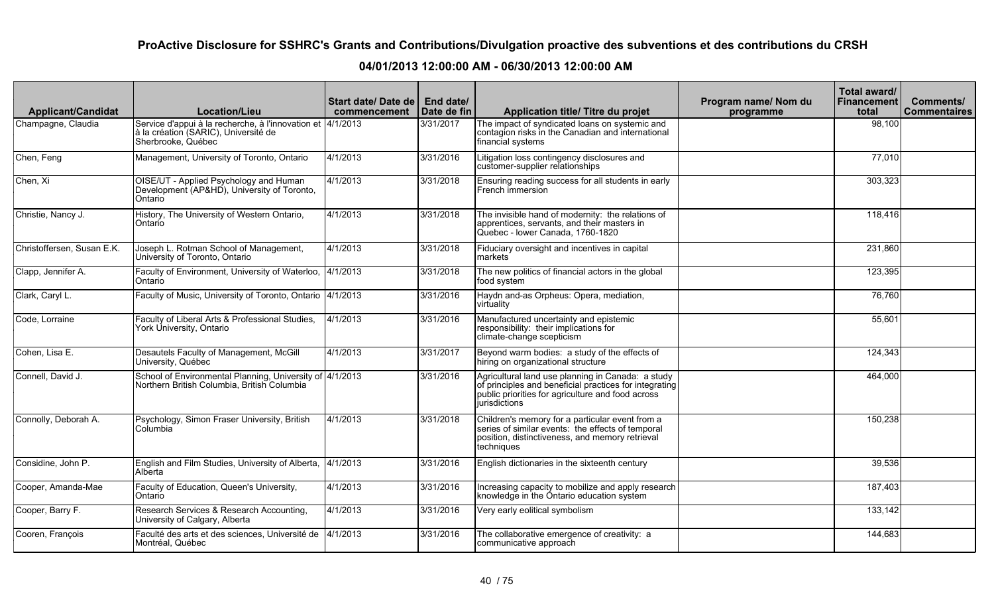| <b>Applicant/Candidat</b>  | <b>Location/Lieu</b>                                                                                                     | Start date/Date de<br>commencement | End date/<br>Date de fin | Application title/ Titre du projet                                                                                                                                                | Program name/Nom du<br>programme | Total award/<br>Financement<br>total | <b>Comments/</b><br><b>Commentaires</b> |
|----------------------------|--------------------------------------------------------------------------------------------------------------------------|------------------------------------|--------------------------|-----------------------------------------------------------------------------------------------------------------------------------------------------------------------------------|----------------------------------|--------------------------------------|-----------------------------------------|
| Champagne, Claudia         | Service d'appui à la recherche, à l'innovation et 4/1/2013<br>à la création (SARIC), Université de<br>Sherbrooke, Québec |                                    | 3/31/2017                | The impact of syndicated loans on systemic and<br>contagion risks in the Canadian and international<br>financial systems                                                          |                                  | 98,100                               |                                         |
| Chen, Feng                 | Management, University of Toronto, Ontario                                                                               | 4/1/2013                           | 3/31/2016                | Litigation loss contingency disclosures and<br>customer-supplier relationships                                                                                                    |                                  | 77,010                               |                                         |
| Chen, Xi                   | OISE/UT - Applied Psychology and Human<br>Development (AP&HD), University of Toronto,<br>Ontario                         | 4/1/2013                           | 3/31/2018                | Ensuring reading success for all students in early<br>French immersion                                                                                                            |                                  | 303,323                              |                                         |
| Christie, Nancy J.         | History, The University of Western Ontario,<br>Ontario                                                                   | 4/1/2013                           | 3/31/2018                | The invisible hand of modernity: the relations of<br>apprentices, servants, and their masters in<br>Quebec - Iower Canada, 1760-1820                                              |                                  | 118,416                              |                                         |
| Christoffersen, Susan E.K. | Joseph L. Rotman School of Management,<br>University of Toronto, Ontario                                                 | 4/1/2013                           | 3/31/2018                | Fiduciary oversight and incentives in capital<br>markets                                                                                                                          |                                  | 231,860                              |                                         |
| Clapp, Jennifer A.         | Faculty of Environment, University of Waterloo,<br>Ontario                                                               | 4/1/2013                           | 3/31/2018                | The new politics of financial actors in the global<br>food system                                                                                                                 |                                  | 123,395                              |                                         |
| Clark, Caryl L.            | Faculty of Music, University of Toronto, Ontario   4/1/2013                                                              |                                    | 3/31/2016                | Haydn and-as Orpheus: Opera, mediation,<br>virtuality                                                                                                                             |                                  | 76,760                               |                                         |
| Code, Lorraine             | Faculty of Liberal Arts & Professional Studies,<br>York University, Ontario                                              | 4/1/2013                           | 3/31/2016                | Manufactured uncertainty and epistemic<br>responsibility: their implications for<br>climate-change scepticism                                                                     |                                  | 55,601                               |                                         |
| Cohen, Lisa E.             | Desautels Faculty of Management, McGill<br>University, Québec                                                            | 4/1/2013                           | 3/31/2017                | Beyond warm bodies: a study of the effects of<br>hiring on organizational structure                                                                                               |                                  | 124,343                              |                                         |
| Connell, David J.          | School of Environmental Planning, University of 4/1/2013<br>Northern British Columbia, British Columbia                  |                                    | 3/31/2016                | Agricultural land use planning in Canada: a study<br>of principles and beneficial practices for integrating<br>public priorities for agriculture and food across<br>jurisdictions |                                  | 464,000                              |                                         |
| Connolly, Deborah A.       | Psychology, Simon Fraser University, British<br>Columbia                                                                 | 4/1/2013                           | 3/31/2018                | Children's memory for a particular event from a<br>series of similar events: the effects of temporal<br>position, distinctiveness, and memory retrieval<br>techniques             |                                  | 150,238                              |                                         |
| Considine, John P.         | English and Film Studies, University of Alberta,<br>Alberta                                                              | 4/1/2013                           | 3/31/2016                | English dictionaries in the sixteenth century                                                                                                                                     |                                  | 39,536                               |                                         |
| Cooper, Amanda-Mae         | Faculty of Education, Queen's University,<br>Ontario                                                                     | 4/1/2013                           | 3/31/2016                | Increasing capacity to mobilize and apply research<br>knowledge in the Ontario education system                                                                                   |                                  | 187,403                              |                                         |
| Cooper, Barry F.           | Research Services & Research Accounting,<br>University of Calgary, Alberta                                               | 4/1/2013                           | 3/31/2016                | Very early eolitical symbolism                                                                                                                                                    |                                  | 133,142                              |                                         |
| Cooren, François           | Faculté des arts et des sciences, Université de<br>Montréal, Québec                                                      | 4/1/2013                           | 3/31/2016                | The collaborative emergence of creativity: a<br>communicative approach                                                                                                            |                                  | 144,683                              |                                         |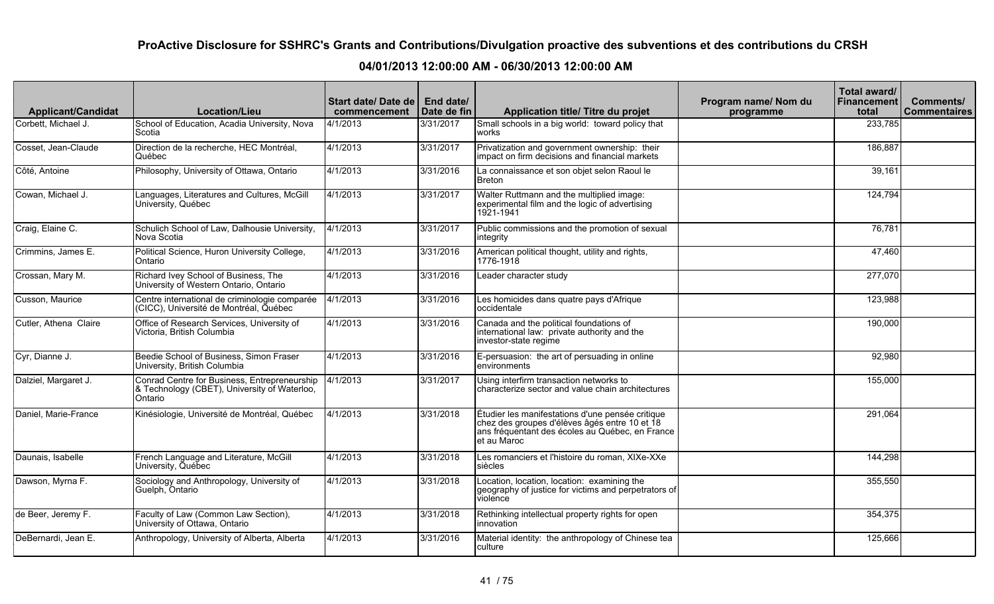| <b>Applicant/Candidat</b> | <b>Location/Lieu</b>                                                                                    | Start date/ Date de l<br>commencement | End date/<br>Date de fin | Application title/ Titre du projet                                                                                                                                  | Program name/ Nom du<br>programme | Total award/<br><b>Financement</b><br>total | Comments/<br><b>Commentaires</b> |
|---------------------------|---------------------------------------------------------------------------------------------------------|---------------------------------------|--------------------------|---------------------------------------------------------------------------------------------------------------------------------------------------------------------|-----------------------------------|---------------------------------------------|----------------------------------|
| Corbett, Michael J.       | School of Education, Acadia University, Nova<br>Scotia                                                  | 4/1/2013                              | 3/31/2017                | Small schools in a big world: toward policy that<br>works                                                                                                           |                                   | 233,785                                     |                                  |
| Cosset, Jean-Claude       | Direction de la recherche, HEC Montréal,<br>Québec                                                      | 4/1/2013                              | 3/31/2017                | Privatization and government ownership: their<br>impact on firm decisions and financial markets                                                                     |                                   | 186,887                                     |                                  |
| Côté, Antoine             | Philosophy, University of Ottawa, Ontario                                                               | 4/1/2013                              | 3/31/2016                | La connaissance et son objet selon Raoul le<br><b>Breton</b>                                                                                                        |                                   | 39,161                                      |                                  |
| Cowan, Michael J.         | Languages, Literatures and Cultures, McGill<br>University, Québec                                       | 4/1/2013                              | 3/31/2017                | Walter Ruttmann and the multiplied image:<br>experimental film and the logic of advertising<br>1921-1941                                                            |                                   | 124,794                                     |                                  |
| Craig, Elaine C.          | Schulich School of Law, Dalhousie University,<br>Nova Scotia                                            | 4/1/2013                              | 3/31/2017                | Public commissions and the promotion of sexual<br>integrity                                                                                                         |                                   | 76,781                                      |                                  |
| Crimmins, James E.        | Political Science, Huron University College,<br>Ontario                                                 | 4/1/2013                              | 3/31/2016                | American political thought, utility and rights,<br>1776-1918                                                                                                        |                                   | 47,460                                      |                                  |
| Crossan, Mary M.          | Richard Ivey School of Business, The<br>University of Western Ontario, Ontario                          | 4/1/2013                              | 3/31/2016                | Leader character study                                                                                                                                              |                                   | 277,070                                     |                                  |
| Cusson, Maurice           | Centre international de criminologie comparée<br>(CICC), Université de Montréal, Québec                 | 4/1/2013                              | 3/31/2016                | Les homicides dans quatre pays d'Afrique<br>occidentale                                                                                                             |                                   | 123,988                                     |                                  |
| Cutler, Athena Claire     | Office of Research Services, University of<br>Victoria, British Columbia                                | 4/1/2013                              | 3/31/2016                | Canada and the political foundations of<br>international law: private authority and the<br>investor-state regime                                                    |                                   | 190,000                                     |                                  |
| Cyr, Dianne J.            | Beedie School of Business, Simon Fraser<br>University, British Columbia                                 | 4/1/2013                              | 3/31/2016                | E-persuasion: the art of persuading in online<br>environments                                                                                                       |                                   | 92,980                                      |                                  |
| Dalziel, Margaret J.      | Conrad Centre for Business, Entrepreneurship<br>& Technology (CBET), University of Waterloo,<br>Ontario | 4/1/2013                              | 3/31/2017                | Using interfirm transaction networks to<br>characterize sector and value chain architectures                                                                        |                                   | 155,000                                     |                                  |
| Daniel, Marie-France      | Kinésiologie, Université de Montréal, Québec                                                            | 4/1/2013                              | 3/31/2018                | Étudier les manifestations d'une pensée critique<br>chez des groupes d'élèves âgés entre 10 et 18<br>ans fréquentant des écoles au Québec, en France<br>et au Maroc |                                   | 291,064                                     |                                  |
| Daunais, Isabelle         | French Language and Literature, McGill<br>University, Québec                                            | 4/1/2013                              | 3/31/2018                | Les romanciers et l'histoire du roman, XIXe-XXe<br>siècles                                                                                                          |                                   | 144,298                                     |                                  |
| Dawson, Myrna F.          | Sociology and Anthropology, University of<br>Guelph, Ontario                                            | 4/1/2013                              | 3/31/2018                | Location, location, location: examining the<br>geography of justice for victims and perpetrators of<br>violence                                                     |                                   | 355,550                                     |                                  |
| de Beer, Jeremy F.        | Faculty of Law (Common Law Section),<br>University of Ottawa, Ontario                                   | 4/1/2013                              | 3/31/2018                | Rethinking intellectual property rights for open<br>innovation                                                                                                      |                                   | 354,375                                     |                                  |
| DeBernardi, Jean E.       | Anthropology, University of Alberta, Alberta                                                            | 4/1/2013                              | 3/31/2016                | Material identity: the anthropology of Chinese tea<br>Iculture                                                                                                      |                                   | 125,666                                     |                                  |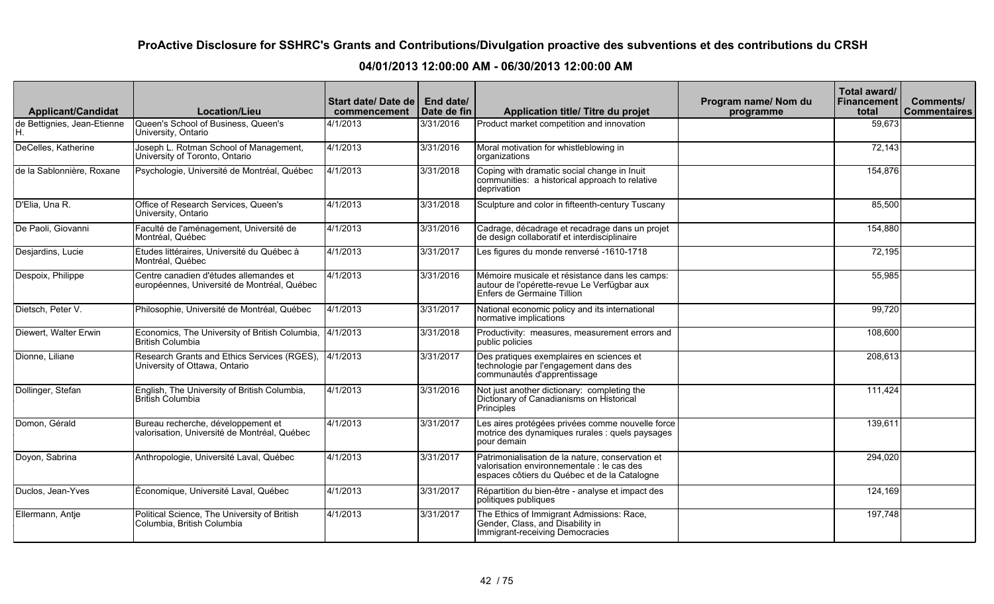| <b>Applicant/Candidat</b>         | <b>Location/Lieu</b>                                                                  | Start date/ Date de   End date/<br>commencement | Date de fin | Application title/ Titre du projet                                                                                                             | Program name/ Nom du<br>programme | Total award/<br>Financement<br>total | Comments/<br><b>Commentaires</b> |
|-----------------------------------|---------------------------------------------------------------------------------------|-------------------------------------------------|-------------|------------------------------------------------------------------------------------------------------------------------------------------------|-----------------------------------|--------------------------------------|----------------------------------|
| de Bettignies, Jean-Etienne<br>Η. | Queen's School of Business, Queen's<br>University, Ontario                            | 4/1/2013                                        | 3/31/2016   | Product market competition and innovation                                                                                                      |                                   | 59,673                               |                                  |
| DeCelles, Katherine               | Joseph L. Rotman School of Management,<br>University of Toronto, Ontario              | 4/1/2013                                        | 3/31/2016   | Moral motivation for whistleblowing in<br>organizations                                                                                        |                                   | 72,143                               |                                  |
| de la Sablonnière, Roxane         | Psychologie, Université de Montréal, Québec                                           | 4/1/2013                                        | 3/31/2018   | Coping with dramatic social change in Inuit<br>communities: a historical approach to relative<br>deprivation                                   |                                   | 154,876                              |                                  |
| D'Elia, Una R.                    | Office of Research Services, Queen's<br>University, Ontario                           | 4/1/2013                                        | 3/31/2018   | Sculpture and color in fifteenth-century Tuscany                                                                                               |                                   | 85,500                               |                                  |
| De Paoli, Giovanni                | Faculté de l'aménagement, Université de<br>Montréal, Québec                           | 4/1/2013                                        | 3/31/2016   | Cadrage, décadrage et recadrage dans un projet<br>de design collaboratif et interdisciplinaire                                                 |                                   | 154,880                              |                                  |
| Desjardins, Lucie                 | Études littéraires, Université du Québec à<br>Montréal, Québec                        | 4/1/2013                                        | 3/31/2017   | Les figures du monde renversé -1610-1718                                                                                                       |                                   | 72,195                               |                                  |
| Despoix, Philippe                 | Centre canadien d'études allemandes et<br>européennes, Université de Montréal, Québec | 4/1/2013                                        | 3/31/2016   | Mémoire musicale et résistance dans les camps:<br>autour de l'opérette-revue Le Verfügbar aux<br>Enfers de Germaine Tillion                    |                                   | 55,985                               |                                  |
| Dietsch, Peter V.                 | Philosophie, Université de Montréal, Québec                                           | 4/1/2013                                        | 3/31/2017   | National economic policy and its international<br>normative implications                                                                       |                                   | 99,720                               |                                  |
| Diewert, Walter Erwin             | Economics, The University of British Columbia,<br>British Columbia                    | 4/1/2013                                        | 3/31/2018   | Productivity: measures, measurement errors and<br>public policies                                                                              |                                   | 108,600                              |                                  |
| Dionne, Liliane                   | Research Grants and Ethics Services (RGES),<br>University of Ottawa, Ontario          | 4/1/2013                                        | 3/31/2017   | Des pratiques exemplaires en sciences et<br>technologie par l'engagement dans des<br>communautés d'apprentissage                               |                                   | 208,613                              |                                  |
| Dollinger, Stefan                 | English, The University of British Columbia,<br>British Columbia                      | 4/1/2013                                        | 3/31/2016   | Not just another dictionary: completing the<br>Dictionary of Canadianisms on Historical<br>Principles                                          |                                   | 111,424                              |                                  |
| Domon, Gérald                     | Bureau recherche, développement et<br>valorisation, Université de Montréal, Québec    | 4/1/2013                                        | 3/31/2017   | Les aires protégées privées comme nouvelle force<br>motrice des dynamiques rurales : quels paysages<br>pour demain                             |                                   | 139,611                              |                                  |
| Doyon, Sabrina                    | Anthropologie, Université Laval, Québec                                               | 4/1/2013                                        | 3/31/2017   | Patrimonialisation de la nature, conservation et<br>valorisation environnementale : le cas des<br>espaces côtiers du Québec et de la Catalogne |                                   | 294,020                              |                                  |
| Duclos, Jean-Yves                 | Économique, Université Laval, Québec                                                  | $\sqrt{4/1/2013}$                               | 3/31/2017   | Répartition du bien-être - analyse et impact des<br>politiques publiques                                                                       |                                   | 124,169                              |                                  |
| Ellermann, Antje                  | Political Science, The University of British<br>Columbia, British Columbia            | 4/1/2013                                        | 3/31/2017   | The Ethics of Immigrant Admissions: Race,<br>Gender, Class, and Disability in<br>Immigrant-receiving Democracies                               |                                   | 197,748                              |                                  |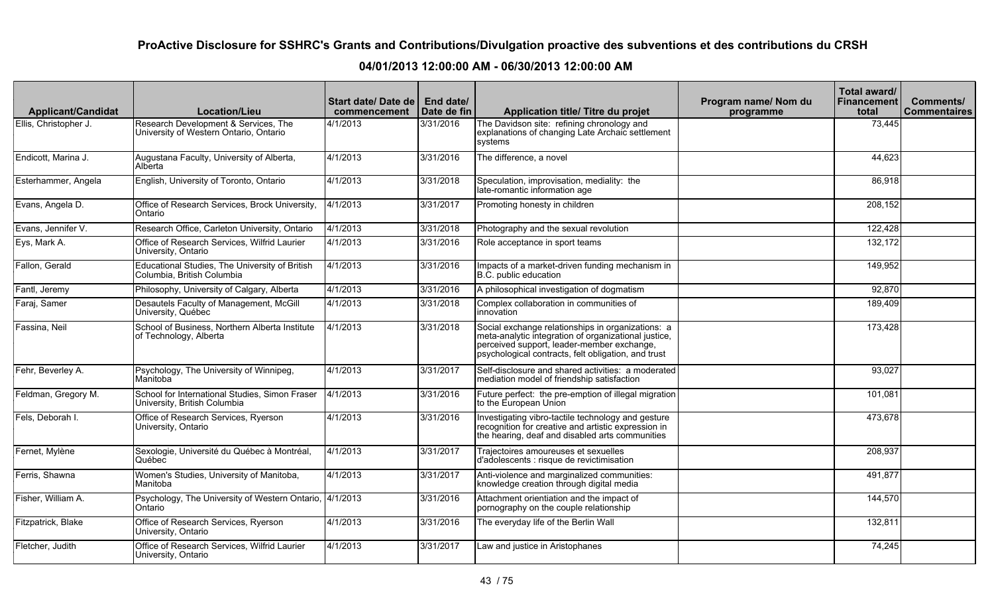| <b>Applicant/Candidat</b> | <b>Location/Lieu</b>                                                           | Start date/ Date de   End date/<br>commencement | Date de fin | <b>Application title/ Titre du projet</b>                                                                                                                                                                      | Program name/ Nom du<br>programme | Total award/<br><b>Financement</b><br>total | Comments/<br>  Commentaires |
|---------------------------|--------------------------------------------------------------------------------|-------------------------------------------------|-------------|----------------------------------------------------------------------------------------------------------------------------------------------------------------------------------------------------------------|-----------------------------------|---------------------------------------------|-----------------------------|
| Ellis, Christopher J.     | Research Development & Services, The<br>University of Western Ontario, Ontario | 4/1/2013                                        | 3/31/2016   | The Davidson site: refining chronology and<br>explanations of changing Late Archaic settlement<br>Isvstems                                                                                                     |                                   | 73,445                                      |                             |
| Endicott, Marina J.       | Augustana Faculty, University of Alberta,<br>Alberta                           | 4/1/2013                                        | 3/31/2016   | The difference, a novel                                                                                                                                                                                        |                                   | 44,623                                      |                             |
| Esterhammer, Angela       | English, University of Toronto, Ontario                                        | $\sqrt{4/1/2013}$                               | 3/31/2018   | Speculation, improvisation, mediality: the<br>late-romantic information age                                                                                                                                    |                                   | 86,918                                      |                             |
| Evans, Angela D.          | Office of Research Services, Brock University,<br>Ontario                      | 4/1/2013                                        | 3/31/2017   | Promoting honesty in children                                                                                                                                                                                  |                                   | 208,152                                     |                             |
| Evans, Jennifer V.        | Research Office, Carleton University, Ontario                                  | 4/1/2013                                        | 3/31/2018   | Photography and the sexual revolution                                                                                                                                                                          |                                   | 122,428                                     |                             |
| Eys, Mark A.              | Office of Research Services, Wilfrid Laurier<br>University, Ontario            | 4/1/2013                                        | 3/31/2016   | Role acceptance in sport teams                                                                                                                                                                                 |                                   | 132,172                                     |                             |
| Fallon, Gerald            | Educational Studies, The University of British<br>Columbia, British Columbia   | 4/1/2013                                        | 3/31/2016   | Impacts of a market-driven funding mechanism in<br>B.C. public education                                                                                                                                       |                                   | 149,952                                     |                             |
| Fantl, Jeremy             | Philosophy, University of Calgary, Alberta                                     | 4/1/2013                                        | 3/31/2016   | A philosophical investigation of dogmatism                                                                                                                                                                     |                                   | 92,870                                      |                             |
| Faraj, Samer              | Desautels Faculty of Management, McGill<br>University, Québec                  | $\sqrt{4}/1/2013$                               | 3/31/2018   | Complex collaboration in communities of<br>innovation                                                                                                                                                          |                                   | 189,409                                     |                             |
| Fassina, Neil             | School of Business, Northern Alberta Institute<br>of Technology, Alberta       | 4/1/2013                                        | 3/31/2018   | Social exchange relationships in organizations: a<br>meta-analytic integration of organizational justice,<br>perceived support, leader-member exchange,<br>psychological contracts, felt obligation, and trust |                                   | 173,428                                     |                             |
| Fehr, Beverley A.         | Psychology, The University of Winnipeg,<br>Manitoba                            | 4/1/2013                                        | 3/31/2017   | Self-disclosure and shared activities: a moderated<br>mediation model of friendship satisfaction                                                                                                               |                                   | 93,027                                      |                             |
| Feldman, Gregory M.       | School for International Studies, Simon Fraser<br>University, British Columbia | 4/1/2013                                        | 3/31/2016   | Future perfect: the pre-emption of illegal migration<br>to the European Union                                                                                                                                  |                                   | 101,081                                     |                             |
| Fels, Deborah I.          | Office of Research Services, Ryerson<br>University, Ontario                    | 4/1/2013                                        | 3/31/2016   | Investigating vibro-tactile technology and gesture<br>recognition for creative and artistic expression in<br>the hearing, deaf and disabled arts communities                                                   |                                   | 473,678                                     |                             |
| Fernet, Mylène            | Sexologie, Université du Québec à Montréal,<br>Québec                          | 4/1/2013                                        | 3/31/2017   | Trajectoires amoureuses et sexuelles<br>d'adolescents : risque de revictimisation                                                                                                                              |                                   | 208,937                                     |                             |
| Ferris, Shawna            | Women's Studies, University of Manitoba,<br>Manitoba                           | 4/1/2013                                        | 3/31/2017   | Anti-violence and marginalized communities:<br>knowledge creation through digital media                                                                                                                        |                                   | 491,877                                     |                             |
| Fisher, William A.        | Psychology, The University of Western Ontario, 4/1/2013<br>Ontario             |                                                 | 3/31/2016   | Attachment orientiation and the impact of<br>pornography on the couple relationship                                                                                                                            |                                   | 144,570                                     |                             |
| Fitzpatrick, Blake        | Office of Research Services, Ryerson<br>University, Ontario                    | 4/1/2013                                        | 3/31/2016   | The everyday life of the Berlin Wall                                                                                                                                                                           |                                   | 132,811                                     |                             |
| Fletcher, Judith          | Office of Research Services, Wilfrid Laurier<br>University, Ontario            | 4/1/2013                                        | 3/31/2017   | Law and justice in Aristophanes                                                                                                                                                                                |                                   | 74,245                                      |                             |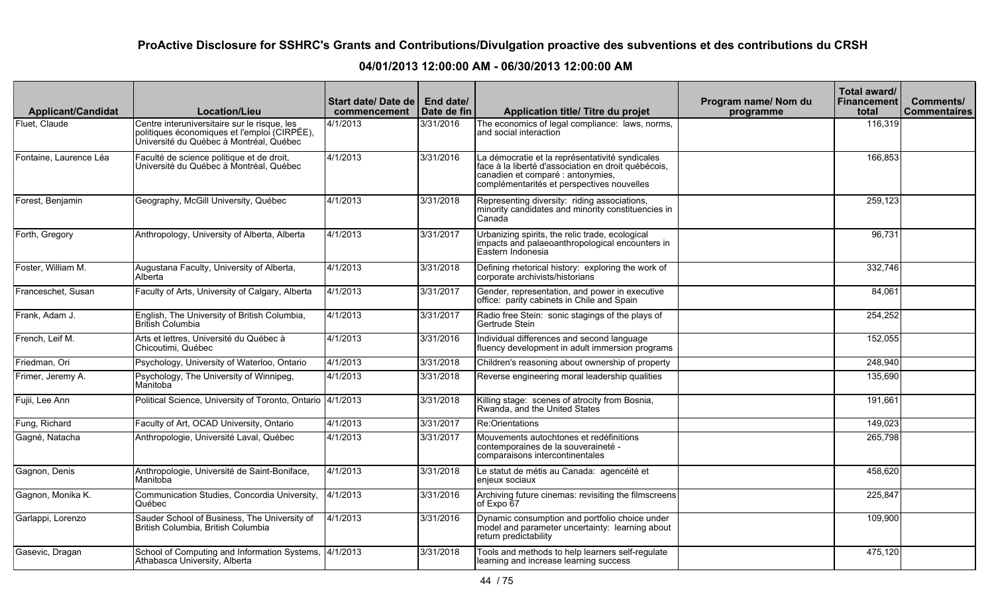| <b>Applicant/Candidat</b> | Location/Lieu                                                                                                                           | Start date/ Date de   End date/<br>commencement | l Date de fin | Application title/ Titre du projet                                                                                                                                                        | Program name/ Nom du<br>programme | Total award/<br><b>Financement</b><br>total | Comments/<br><b>Commentaires</b> |
|---------------------------|-----------------------------------------------------------------------------------------------------------------------------------------|-------------------------------------------------|---------------|-------------------------------------------------------------------------------------------------------------------------------------------------------------------------------------------|-----------------------------------|---------------------------------------------|----------------------------------|
| Fluet, Claude             | Centre interuniversitaire sur le risque, les<br>politiques économiques et l'emploi (CIRPÉE),<br>Université du Québec à Montréal, Québec | 4/1/2013                                        | 3/31/2016     | The economics of legal compliance: laws, norms,<br>and social interaction                                                                                                                 |                                   | 116,319                                     |                                  |
| Fontaine, Laurence Léa    | Faculté de science politique et de droit,<br>Université du Québec à Montréal, Québec                                                    | 4/1/2013                                        | 3/31/2016     | La démocratie et la représentativité syndicales<br>face à la liberté d'association en droit québécois,<br>canadien et comparé : antonymies,<br>complémentarités et perspectives nouvelles |                                   | 166,853                                     |                                  |
| Forest, Benjamin          | Geography, McGill University, Québec                                                                                                    | 4/1/2013                                        | 3/31/2018     | Representing diversity: riding associations,<br>minority candidates and minority constituencies in<br>Canada                                                                              |                                   | 259,123                                     |                                  |
| Forth, Gregory            | Anthropology, University of Alberta, Alberta                                                                                            | 4/1/2013                                        | 3/31/2017     | Urbanizing spirits, the relic trade, ecological<br>impacts and palaeoanthropological encounters in<br>Eastern Indonesia                                                                   |                                   | 96,731                                      |                                  |
| Foster, William M.        | Augustana Faculty, University of Alberta,<br>Alberta                                                                                    | 4/1/2013                                        | 3/31/2018     | Defining rhetorical history: exploring the work of<br>corporate archivists/historians                                                                                                     |                                   | 332,746                                     |                                  |
| Franceschet, Susan        | Faculty of Arts, University of Calgary, Alberta                                                                                         | 4/1/2013                                        | 3/31/2017     | Gender, representation, and power in executive<br>office: parity cabinets in Chile and Spain                                                                                              |                                   | 84,061                                      |                                  |
| Frank, Adam J.            | English, The University of British Columbia,<br>British Columbia                                                                        | $\sqrt{4/1/2013}$                               | 3/31/2017     | Radio free Stein: sonic stagings of the plays of<br>Gertrude Stein                                                                                                                        |                                   | 254,252                                     |                                  |
| French, Leif M.           | Arts et lettres, Université du Québec à<br>Chicoutimi, Québec                                                                           | 4/1/2013                                        | 3/31/2016     | Individual differences and second language<br>fluency development in adult immersion programs                                                                                             |                                   | 152,055                                     |                                  |
| Friedman, Ori             | Psychology, University of Waterloo, Ontario                                                                                             | 4/1/2013                                        | 3/31/2018     | Children's reasoning about ownership of property                                                                                                                                          |                                   | 248,940                                     |                                  |
| Frimer, Jeremy A.         | Psychology, The University of Winnipeg,<br>Manitoba                                                                                     | 4/1/2013                                        | 3/31/2018     | Reverse engineering moral leadership qualities                                                                                                                                            |                                   | 135,690                                     |                                  |
| Fujii, Lee Ann            | Political Science, University of Toronto, Ontario 4/1/2013                                                                              |                                                 | 3/31/2018     | Killing stage: scenes of atrocity from Bosnia,<br>Rwanda, and the United States                                                                                                           |                                   | 191,661                                     |                                  |
| Fung, Richard             | Faculty of Art, OCAD University, Ontario                                                                                                | 4/1/2013                                        | 3/31/2017     | Re:Orientations                                                                                                                                                                           |                                   | 149,023                                     |                                  |
| Gagné, Natacha            | Anthropologie, Université Laval, Québec                                                                                                 | 4/1/2013                                        | 3/31/2017     | Mouvements autochtones et redéfinitions<br>contemporaines de la souveraineté -<br>comparaisons intercontinentales                                                                         |                                   | 265,798                                     |                                  |
| Gagnon, Denis             | Anthropologie, Université de Saint-Boniface,<br>Manitoba                                                                                | 4/1/2013                                        | 3/31/2018     | Le statut de métis au Canada: agencéité et<br>enjeux sociaux                                                                                                                              |                                   | 458,620                                     |                                  |
| Gagnon, Monika K.         | Communication Studies, Concordia University,<br>Québec                                                                                  | $\sqrt{4/1/2013}$                               | 3/31/2016     | Archiving future cinemas: revisiting the filmscreens<br>of Expo 67                                                                                                                        |                                   | 225,847                                     |                                  |
| Garlappi, Lorenzo         | Sauder School of Business, The University of<br>British Columbia, British Columbia                                                      | 4/1/2013                                        | 3/31/2016     | Dynamic consumption and portfolio choice under<br>model and parameter uncertainty: learning about<br>return predictability                                                                |                                   | 109,900                                     |                                  |
| Gasevic, Dragan           | School of Computing and Information Systems,<br>Athabasca University, Alberta                                                           | 4/1/2013                                        | 3/31/2018     | Tools and methods to help learners self-regulate<br>learning and increase learning success                                                                                                |                                   | 475,120                                     |                                  |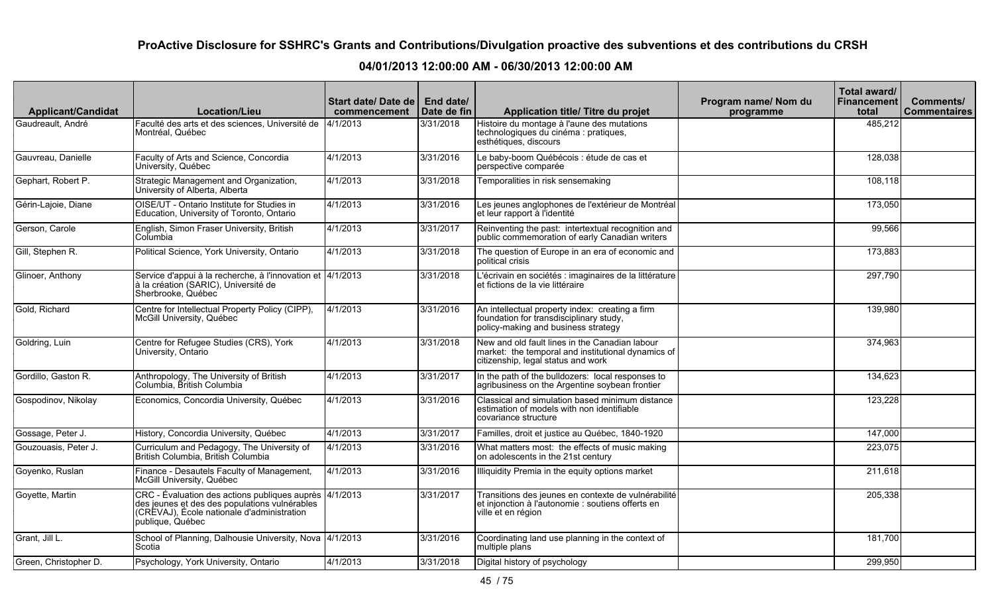| <b>Applicant/Candidat</b> | <b>Location/Lieu</b>                                                                                                                                             | Start date/Date del<br>commencement | End date/<br>Date de fin | <b>Application title/ Titre du projet</b>                                                                                                  | Program name/ Nom du<br>programme | Total award/<br><b>Financement</b><br>total | Comments/<br><b>Commentaires</b> |
|---------------------------|------------------------------------------------------------------------------------------------------------------------------------------------------------------|-------------------------------------|--------------------------|--------------------------------------------------------------------------------------------------------------------------------------------|-----------------------------------|---------------------------------------------|----------------------------------|
| Gaudreault, André         | Faculté des arts et des sciences, Université de<br>Montréal. Québec                                                                                              | 4/1/2013                            | 3/31/2018                | Histoire du montage à l'aune des mutations<br>technologiques du cinéma : pratiques,<br>esthétiques, discours                               |                                   | 485,212                                     |                                  |
| Gauvreau, Danielle        | Faculty of Arts and Science, Concordia<br>University, Québec                                                                                                     | 4/1/2013                            | 3/31/2016                | Le baby-boom Québécois : étude de cas et<br>perspective comparée                                                                           |                                   | 128,038                                     |                                  |
| Gephart, Robert P.        | Strategic Management and Organization,<br>University of Alberta, Alberta                                                                                         | 4/1/2013                            | 3/31/2018                | Temporalities in risk sensemaking                                                                                                          |                                   | 108,118                                     |                                  |
| Gérin-Lajoie, Diane       | OISE/UT - Ontario Institute for Studies in<br>Education, University of Toronto, Ontario                                                                          | 4/1/2013                            | 3/31/2016                | Les jeunes anglophones de l'extérieur de Montréal<br>et leur rapport à l'identité                                                          |                                   | 173,050                                     |                                  |
| Gerson, Carole            | English, Simon Fraser University, British<br>Columbia                                                                                                            | 4/1/2013                            | 3/31/2017                | Reinventing the past: intertextual recognition and<br>public commemoration of early Canadian writers                                       |                                   | 99,566                                      |                                  |
| Gill, Stephen R.          | Political Science, York University, Ontario                                                                                                                      | 4/1/2013                            | 3/31/2018                | The question of Europe in an era of economic and<br>political crisis                                                                       |                                   | 173,883                                     |                                  |
| Glinoer, Anthony          | Service d'appui à la recherche, à l'innovation et 4/1/2013<br>à la création (SARIC), Université de<br>Sherbrooke, Québec                                         |                                     | 3/31/2018                | L'écrivain en sociétés : imaginaires de la littérature<br>let fictions de la vie littéraire                                                |                                   | 297,790                                     |                                  |
| Gold, Richard             | Centre for Intellectual Property Policy (CIPP),<br>McGill University, Québec                                                                                     | 4/1/2013                            | 3/31/2016                | An intellectual property index: creating a firm<br>foundation for transdisciplinary study,<br>policy-making and business strategy          |                                   | 139,980                                     |                                  |
| Goldring, Luin            | Centre for Refugee Studies (CRS), York<br>University, Ontario                                                                                                    | 4/1/2013                            | 3/31/2018                | New and old fault lines in the Canadian labour<br>market: the temporal and institutional dynamics of<br>citizenship, legal status and work |                                   | 374,963                                     |                                  |
| Gordillo, Gaston R.       | Anthropology, The University of British<br>Columbia, British Columbia                                                                                            | 4/1/2013                            | 3/31/2017                | In the path of the bulldozers: local responses to<br>agribusiness on the Argentine soybean frontier                                        |                                   | 134,623                                     |                                  |
| Gospodinov, Nikolay       | Economics, Concordia University, Québec                                                                                                                          | 4/1/2013                            | 3/31/2016                | Classical and simulation based minimum distance<br>estimation of models with non identifiable<br>covariance structure                      |                                   | 123,228                                     |                                  |
| Gossage, Peter J.         | History, Concordia University, Québec                                                                                                                            | 4/1/2013                            | 3/31/2017                | Familles, droit et justice au Québec, 1840-1920                                                                                            |                                   | 147,000                                     |                                  |
| Gouzouasis, Peter J.      | Curriculum and Pedagogy, The University of<br>British Columbia, British Columbia                                                                                 | 4/1/2013                            | 3/31/2016                | What matters most: the effects of music making<br>on adolescents in the 21st century                                                       |                                   | 223,075                                     |                                  |
| Goyenko, Ruslan           | Finance - Desautels Faculty of Management,<br>McGill University, Québec                                                                                          | 4/1/2013                            | 3/31/2016                | Illiquidity Premia in the equity options market                                                                                            |                                   | 211,618                                     |                                  |
| Goyette, Martin           | CRC - Évaluation des actions publiques auprès<br>des jeunes et des des populations vulnérables<br>(CRÉVAJ), École nationale d'administration<br>publique, Québec | 4/1/2013                            | 3/31/2017                | Transitions des jeunes en contexte de vulnérabilité<br>et injonction à l'autonomie : soutiens offerts en<br>ville et en région             |                                   | 205,338                                     |                                  |
| Grant, Jill L.            | School of Planning, Dalhousie University, Nova 4/1/2013<br>Scotia                                                                                                |                                     | 3/31/2016                | Coordinating land use planning in the context of<br>multiple plans                                                                         |                                   | 181,700                                     |                                  |
| Green, Christopher D.     | Psychology, York University, Ontario                                                                                                                             | 4/1/2013                            | 3/31/2018                | Digital history of psychology                                                                                                              |                                   | 299,950                                     |                                  |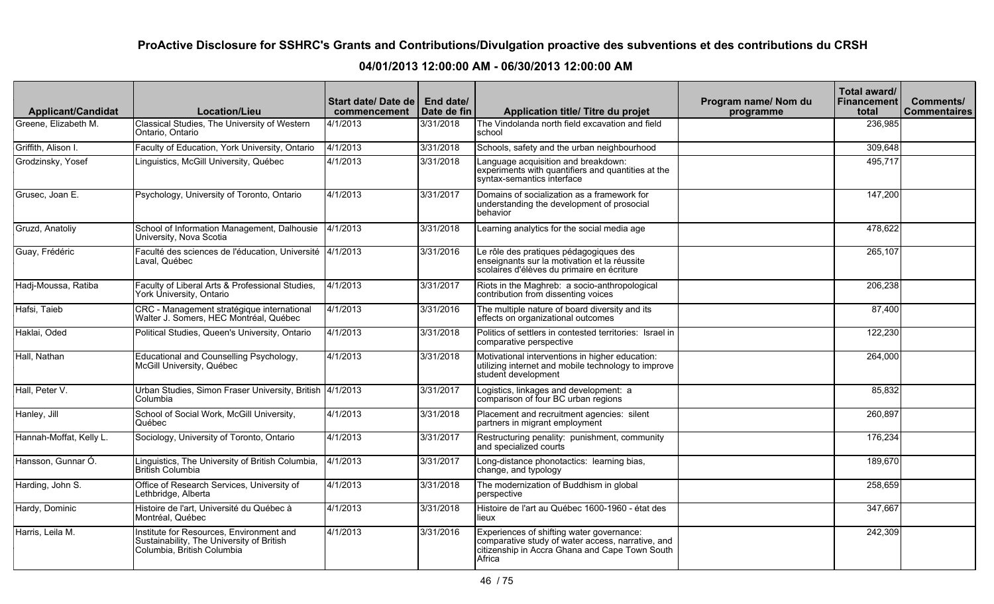| <b>Applicant/Candidat</b> | <b>Location/Lieu</b>                                                                                                                   | Start date/ Date de l<br>commencement | End date/<br>l Date de fin | Application title/ Titre du projet                                                                                                                         | Program name/Nom du<br>programme | Total award/<br><b>Financement</b><br>total | Comments/<br><b>Commentaires</b> |
|---------------------------|----------------------------------------------------------------------------------------------------------------------------------------|---------------------------------------|----------------------------|------------------------------------------------------------------------------------------------------------------------------------------------------------|----------------------------------|---------------------------------------------|----------------------------------|
| Greene, Elizabeth M.      | Classical Studies, The University of Western<br>Ontario, Ontario                                                                       | 4/1/2013                              | 3/31/2018                  | The Vindolanda north field excavation and field<br>school                                                                                                  |                                  | 236,985                                     |                                  |
| Griffith, Alison I.       | Faculty of Education, York University, Ontario                                                                                         | 4/1/2013                              | 3/31/2018                  | Schools, safety and the urban neighbourhood                                                                                                                |                                  | 309.648                                     |                                  |
| Grodzinsky, Yosef         | Linguistics, McGill University, Québec                                                                                                 | 4/1/2013                              | 3/31/2018                  | Language acquisition and breakdown:<br>experiments with quantifiers and quantities at the<br>syntax-semantics interface                                    |                                  | 495,717                                     |                                  |
| Grusec, Joan E.           | Psychology, University of Toronto, Ontario                                                                                             | 4/1/2013                              | 3/31/2017                  | Domains of socialization as a framework for<br>understanding the development of prosocial<br>behavior                                                      |                                  | 147,200                                     |                                  |
| Gruzd, Anatoliy           | School of Information Management, Dalhousie<br>University, Nova Scotia                                                                 | 4/1/2013                              | 3/31/2018                  | Learning analytics for the social media age                                                                                                                |                                  | 478,622                                     |                                  |
| Guay, Frédéric            | Faculté des sciences de l'éducation, Université 4/1/2013<br>Laval, Québec                                                              |                                       | 3/31/2016                  | Le rôle des pratiques pédagogiques des<br>enseignants sur la motivation et la réussite<br>scolaires d'élèves du primaire en écriture                       |                                  | 265,107                                     |                                  |
| Hadj-Moussa, Ratiba       | Faculty of Liberal Arts & Professional Studies,<br>York Úniversity, Ontario                                                            | 4/1/2013                              | 3/31/2017                  | Riots in the Maghreb: a socio-anthropological<br>contribution from dissenting voices                                                                       |                                  | 206,238                                     |                                  |
| Hafsi, Taieb              | CRC - Management stratégique international<br>University Changemont Chategraph International<br>Walter J. Somers, HEC Montréal, Québec | 4/1/2013                              | 3/31/2016                  | The multiple nature of board diversity and its<br>effects on organizational outcomes                                                                       |                                  | 87,400                                      |                                  |
| Haklai, Oded              | Political Studies, Queen's University, Ontario                                                                                         | 4/1/2013                              | 3/31/2018                  | Politics of settlers in contested territories: Israel in<br>comparative perspective                                                                        |                                  | 122,230                                     |                                  |
| Hall, Nathan              | Educational and Counselling Psychology,<br>McGill University, Québec                                                                   | 4/1/2013                              | 3/31/2018                  | Motivational interventions in higher education:<br>utilizing internet and mobile technology to improve<br>student development                              |                                  | 264,000                                     |                                  |
| Hall, Peter V.            | Urban Studies, Simon Fraser University, British<br>Columbia                                                                            | 4/1/2013                              | 3/31/2017                  | Logistics, linkages and development: a<br>comparison of four BC urban regions                                                                              |                                  | 85,832                                      |                                  |
| Hanley, Jill              | School of Social Work, McGill University,<br>Québec                                                                                    | 4/1/2013                              | 3/31/2018                  | Placement and recruitment agencies: silent<br>partners in migrant employment                                                                               |                                  | 260,897                                     |                                  |
| Hannah-Moffat, Kelly L.   | Sociology, University of Toronto, Ontario                                                                                              | 4/1/2013                              | 3/31/2017                  | Restructuring penality: punishment, community<br>and specialized courts                                                                                    |                                  | 176,234                                     |                                  |
| Hansson, Gunnar Ó.        | Linguistics, The University of British Columbia,<br>British Columbia                                                                   | 4/1/2013                              | 3/31/2017                  | Long-distance phonotactics: learning bias,<br>change, and typology                                                                                         |                                  | 189,670                                     |                                  |
| Harding, John S.          | Office of Research Services, University of<br>Lethbridge, Alberta                                                                      | 4/1/2013                              | 3/31/2018                  | The modernization of Buddhism in global<br>perspective                                                                                                     |                                  | 258,659                                     |                                  |
| Hardy, Dominic            | Histoire de l'art, Université du Québec à<br>Montréal, Québec                                                                          | 4/1/2013                              | 3/31/2018                  | Histoire de l'art au Québec 1600-1960 - état des<br>lieux                                                                                                  |                                  | 347,667                                     |                                  |
| Harris, Leila M.          | Institute for Resources, Environment and<br>Sustainability, The University of British<br>Columbia, British Columbia                    | 4/1/2013                              | 3/31/2016                  | Experiences of shifting water governance:<br>comparative study of water access, narrative, and<br>citizenship in Accra Ghana and Cape Town South<br>Africa |                                  | 242,309                                     |                                  |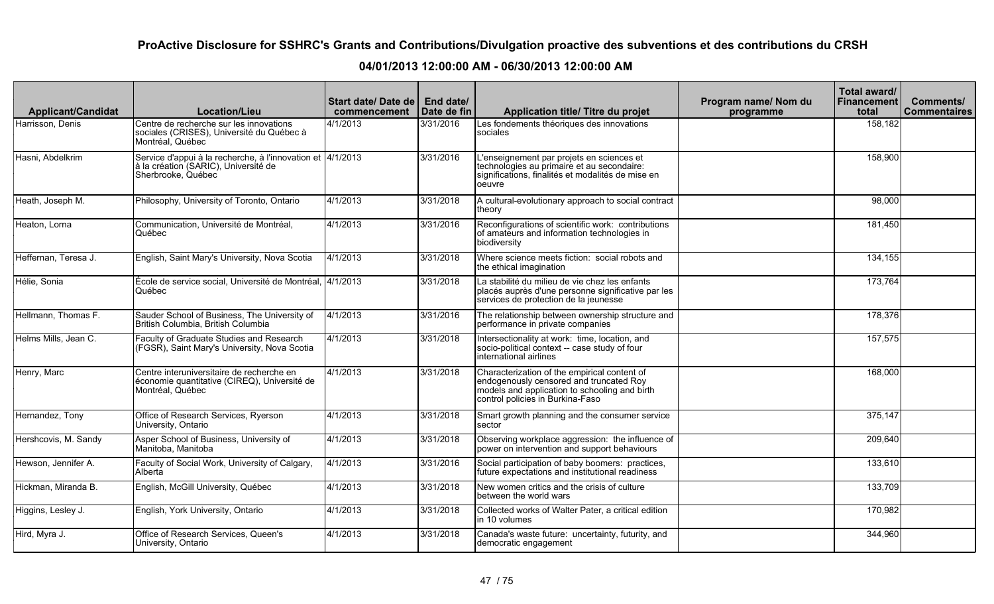| <b>Applicant/Candidat</b> | <b>Location/Lieu</b>                                                                                                     | Start date/Date de<br>commencement | End date/<br>Date de fin | <b>Application title/ Titre du projet</b>                                                                                                                                    | Program name/ Nom du<br>programme | Total award/<br>Financement<br>total | Comments/<br><b>Commentaires</b> |
|---------------------------|--------------------------------------------------------------------------------------------------------------------------|------------------------------------|--------------------------|------------------------------------------------------------------------------------------------------------------------------------------------------------------------------|-----------------------------------|--------------------------------------|----------------------------------|
| Harrisson, Denis          | Centre de recherche sur les innovations<br>sociales (CRISES), Université du Québec à<br>Montréal, Québec                 | 4/1/2013                           | 3/31/2016                | Les fondements théoriques des innovations<br>sociales                                                                                                                        |                                   | 158,182                              |                                  |
| Hasni, Abdelkrim          | Service d'appui à la recherche, à l'innovation et 4/1/2013<br>à la création (SARIC), Université de<br>Sherbrooke, Québec |                                    | 3/31/2016                | L'enseignement par projets en sciences et<br>Itechnologies au primaire et au secondaire:<br>significations, finalités et modalités de mise en<br>loeuvre                     |                                   | 158,900                              |                                  |
| Heath, Joseph M.          | Philosophy, University of Toronto, Ontario                                                                               | 4/1/2013                           | 3/31/2018                | A cultural-evolutionary approach to social contract<br>theory                                                                                                                |                                   | 98,000                               |                                  |
| Heaton, Lorna             | Communication, Université de Montréal,<br>Québec                                                                         | 4/1/2013                           | 3/31/2016                | Reconfigurations of scientific work: contributions<br>of amateurs and information technologies in<br>biodiversity                                                            |                                   | 181,450                              |                                  |
| Heffernan, Teresa J.      | English, Saint Mary's University, Nova Scotia                                                                            | 4/1/2013                           | 3/31/2018                | Where science meets fiction: social robots and<br>the ethical imagination                                                                                                    |                                   | 134,155                              |                                  |
| Hélie, Sonia              | École de service social, Université de Montréal, 4/1/2013<br>Québec                                                      |                                    | 3/31/2018                | La stabilité du milieu de vie chez les enfants<br>placés auprès d'une personne significative par les<br>services de protection de la jeunesse                                |                                   | 173,764                              |                                  |
| Hellmann, Thomas F.       | Sauder School of Business, The University of<br>British Columbia, British Columbia                                       | 4/1/2013                           | 3/31/2016                | The relationship between ownership structure and<br>performance in private companies                                                                                         |                                   | 178,376                              |                                  |
| Helms Mills, Jean C.      | Faculty of Graduate Studies and Research<br>(FGSR), Saint Mary's University, Nova Scotia                                 | 4/1/2013                           | 3/31/2018                | Intersectionality at work: time, location, and<br>socio-political context -- case study of four<br>International airlines                                                    |                                   | 157,575                              |                                  |
| Henry, Marc               | Centre interuniversitaire de recherche en<br>économie quantitative (CIREQ), Université de<br>Montréal, Québec            | 4/1/2013                           | 3/31/2018                | Characterization of the empirical content of<br>endogenously censored and truncated Roy<br>models and application to schooling and birth<br>control policies in Burkina-Faso |                                   | 168,000                              |                                  |
| Hernandez, Tony           | Office of Research Services, Ryerson<br>University, Ontario                                                              | 4/1/2013                           | 3/31/2018                | Smart growth planning and the consumer service<br>Isector                                                                                                                    |                                   | 375,147                              |                                  |
| Hershcovis, M. Sandy      | Asper School of Business, University of<br>Manitoba, Manitoba                                                            | $\sqrt{4/1/2013}$                  | 3/31/2018                | Observing workplace aggression: the influence of<br>power on intervention and support behaviours                                                                             |                                   | 209,640                              |                                  |
| Hewson, Jennifer A.       | Faculty of Social Work, University of Calgary,<br>Alberta                                                                | 4/1/2013                           | 3/31/2016                | Social participation of baby boomers: practices,<br>future expectations and institutional readiness                                                                          |                                   | 133,610                              |                                  |
| Hickman, Miranda B.       | English, McGill University, Québec                                                                                       | 4/1/2013                           | 3/31/2018                | New women critics and the crisis of culture<br>between the world wars                                                                                                        |                                   | 133,709                              |                                  |
| Higgins, Lesley J.        | English, York University, Ontario                                                                                        | 4/1/2013                           | 3/31/2018                | Collected works of Walter Pater, a critical edition<br>in 10 volumes                                                                                                         |                                   | 170,982                              |                                  |
| Hird, Myra J.             | Office of Research Services, Queen's<br>University, Ontario                                                              | 4/1/2013                           | 3/31/2018                | Canada's waste future: uncertainty, futurity, and<br>democratic engagement                                                                                                   |                                   | 344,960                              |                                  |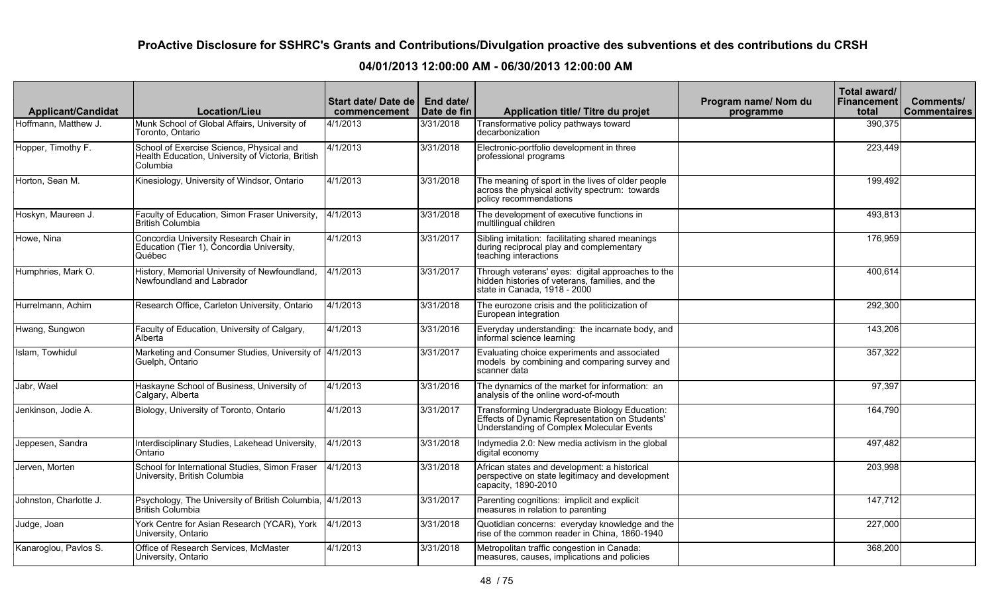| <b>Applicant/Candidat</b> | <b>Location/Lieu</b>                                                                                      | Start date/Date de   End date/<br>commencement | Date de fin | <b>Application title/ Titre du projet</b>                                                                                                    | Program name/ Nom du<br>programme | Total award/<br><b>Financement</b><br>total | Comments/<br><b>Commentaires</b> |
|---------------------------|-----------------------------------------------------------------------------------------------------------|------------------------------------------------|-------------|----------------------------------------------------------------------------------------------------------------------------------------------|-----------------------------------|---------------------------------------------|----------------------------------|
| Hoffmann, Matthew J.      | Munk School of Global Affairs, University of<br>Toronto, Ontario                                          | 4/1/2013                                       | 3/31/2018   | Transformative policy pathways toward<br>decarbonization                                                                                     |                                   | 390,375                                     |                                  |
| Hopper, Timothy F.        | School of Exercise Science, Physical and<br>Health Education, University of Victoria, British<br>Columbia | 4/1/2013                                       | 3/31/2018   | Electronic-portfolio development in three<br>professional programs                                                                           |                                   | 223,449                                     |                                  |
| Horton, Sean M.           | Kinesiology, University of Windsor, Ontario                                                               | 4/1/2013                                       | 3/31/2018   | The meaning of sport in the lives of older people<br>across the physical activity spectrum: towards<br>policy recommendations                |                                   | 199,492                                     |                                  |
| Hoskyn, Maureen J.        | Faculty of Education, Simon Fraser University,<br>British Columbia                                        | 4/1/2013                                       | 3/31/2018   | The development of executive functions in<br>multilingual children                                                                           |                                   | 493,813                                     |                                  |
| Howe, Nina                | Concordia University Research Chair in<br>Education (Tier 1), Concordia University,<br>Québec             | 4/1/2013                                       | 3/31/2017   | Sibling imitation: facilitating shared meanings<br>during reciprocal play and complementary<br>teaching interactions                         |                                   | 176,959                                     |                                  |
| Humphries, Mark O.        | History, Memorial University of Newfoundland,<br>Newfoundland and Labrador                                | 4/1/2013                                       | 3/31/2017   | Through veterans' eyes: digital approaches to the<br>hidden histories of veterans, families, and the<br>state in Canada, 1918 - 2000         |                                   | 400,614                                     |                                  |
| Hurrelmann, Achim         | Research Office, Carleton University, Ontario                                                             | 4/1/2013                                       | 3/31/2018   | The eurozone crisis and the politicization of<br>European integration                                                                        |                                   | 292,300                                     |                                  |
| Hwang, Sungwon            | Faculty of Education, University of Calgary,<br>Alberta                                                   | 4/1/2013                                       | 3/31/2016   | Everyday understanding: the incarnate body, and<br>informal science learning                                                                 |                                   | 143,206                                     |                                  |
| Islam, Towhidul           | Marketing and Consumer Studies, University of 4/1/2013<br>Guelph, Ontario                                 |                                                | 3/31/2017   | Evaluating choice experiments and associated<br>models by combining and comparing survey and<br>scanner data                                 |                                   | 357,322                                     |                                  |
| Jabr, Wael                | Haskayne School of Business, University of<br>Calgary, Alberta                                            | 4/1/2013                                       | 3/31/2016   | The dynamics of the market for information: an<br>analysis of the online word-of-mouth                                                       |                                   | 97,397                                      |                                  |
| Jenkinson, Jodie A.       | Biology, University of Toronto, Ontario                                                                   | 4/1/2013                                       | 3/31/2017   | Transforming Undergraduate Biology Education:<br>Effects of Dynamic Representation on Students'<br>Understanding of Complex Molecular Events |                                   | 164,790                                     |                                  |
| Jeppesen, Sandra          | Interdisciplinary Studies, Lakehead University,<br>Ontario                                                | 4/1/2013                                       | 3/31/2018   | Indymedia 2.0: New media activism in the global<br>digital economy                                                                           |                                   | 497,482                                     |                                  |
| Jerven, Morten            | School for International Studies, Simon Fraser<br>University, British Columbia                            | 4/1/2013                                       | 3/31/2018   | African states and development: a historical<br>perspective on state legitimacy and development<br>capacity, 1890-2010                       |                                   | 203,998                                     |                                  |
| Johnston, Charlotte J.    | Psychology, The University of British Columbia, 4/1/2013<br>British Columbia                              |                                                | 3/31/2017   | Parenting cognitions: implicit and explicit<br>measures in relation to parenting                                                             |                                   | 147,712                                     |                                  |
| Judge, Joan               | York Centre for Asian Research (YCAR), York<br>University, Ontario                                        | 4/1/2013                                       | 3/31/2018   | Quotidian concerns: everyday knowledge and the<br>rise of the common reader in China, 1860-1940                                              |                                   | 227,000                                     |                                  |
| Kanaroglou, Pavlos S.     | Office of Research Services, McMaster<br>University, Ontario                                              | 4/1/2013                                       | 3/31/2018   | Metropolitan traffic congestion in Canada:<br>measures, causes, implications and policies                                                    |                                   | 368,200                                     |                                  |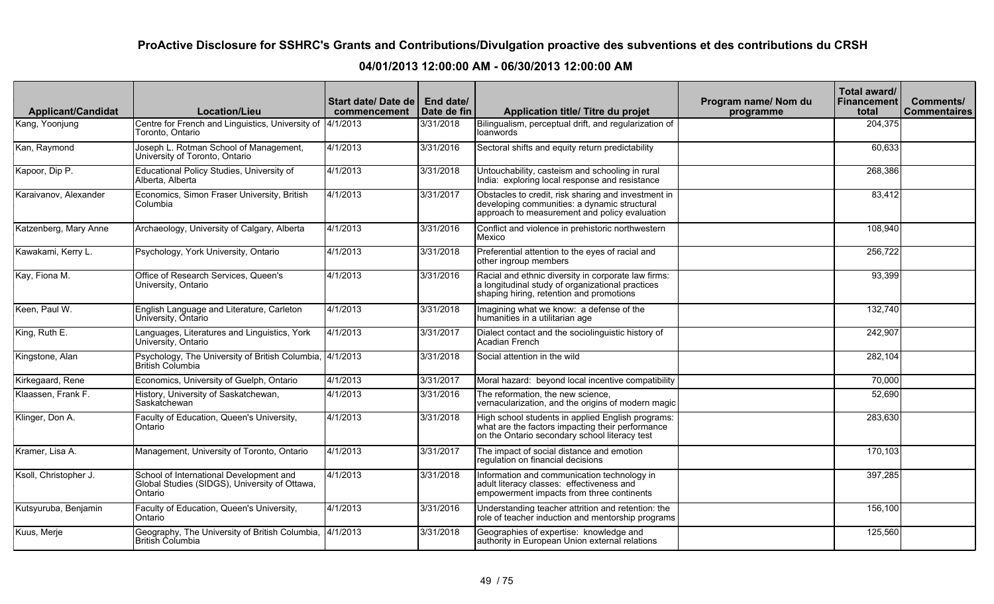| <b>Applicant/Candidat</b> | <b>Location/Lieu</b>                                                                                | Start date/ Date de   End date/<br>commencement | Date de fin | Application title/ Titre du projet                                                                                                                     | Program name/ Nom du<br>programme | Total award/<br>Financement<br>total | <b>Comments/</b><br><b>Commentaires</b> |
|---------------------------|-----------------------------------------------------------------------------------------------------|-------------------------------------------------|-------------|--------------------------------------------------------------------------------------------------------------------------------------------------------|-----------------------------------|--------------------------------------|-----------------------------------------|
| Kang, Yoonjung            | Centre for French and Linguistics, University of  4/1/2013<br>Toronto, Ontario                      |                                                 | 3/31/2018   | Bilingualism, perceptual drift, and regularization of<br>loanwords                                                                                     |                                   | 204,375                              |                                         |
| Kan, Raymond              | Joseph L. Rotman School of Management,<br>University of Toronto, Ontario                            | 4/1/2013                                        | 3/31/2016   | Sectoral shifts and equity return predictability                                                                                                       |                                   | 60,633                               |                                         |
| Kapoor, Dip P.            | Educational Policy Studies, University of<br>Alberta, Alberta                                       | 4/1/2013                                        | 3/31/2018   | Untouchability, casteism and schooling in rural<br>India: exploring local response and resistance                                                      |                                   | 268,386                              |                                         |
| Karaivanov, Alexander     | Economics, Simon Fraser University, British<br>Columbia                                             | 4/1/2013                                        | 3/31/2017   | Obstacles to credit, risk sharing and investment in<br>developing communities: a dynamic structural<br>approach to measurement and policy evaluation   |                                   | 83,412                               |                                         |
| Katzenberg, Mary Anne     | Archaeology, University of Calgary, Alberta                                                         | 4/1/2013                                        | 3/31/2016   | Conflict and violence in prehistoric northwestern<br>Mexico                                                                                            |                                   | 108,940                              |                                         |
| Kawakami, Kerry L.        | Psychology, York University, Ontario                                                                | 4/1/2013                                        | 3/31/2018   | Preferential attention to the eyes of racial and<br>other ingroup members                                                                              |                                   | 256,722                              |                                         |
| Kay, Fiona M.             | Office of Research Services, Queen's<br>University, Ontario                                         | 4/1/2013                                        | 3/31/2016   | Racial and ethnic diversity in corporate law firms:<br>a longitudinal study of organizational practices<br>shaping hiring, retention and promotions    |                                   | 93,399                               |                                         |
| Keen, Paul W.             | English Language and Literature, Carleton<br>University, Ontario                                    | 4/1/2013                                        | 3/31/2018   | Imagining what we know: a defense of the<br>humanities in a utilitarian age                                                                            |                                   | 132,740                              |                                         |
| King, Ruth E.             | Languages, Literatures and Linguistics, York<br>University, Ontario                                 | 4/1/2013                                        | 3/31/2017   | Dialect contact and the sociolinguistic history of<br>Acadian French                                                                                   |                                   | 242,907                              |                                         |
| Kingstone, Alan           | Psychology, The University of British Columbia, 4/1/2013<br>British Columbia                        |                                                 | 3/31/2018   | Social attention in the wild                                                                                                                           |                                   | 282,104                              |                                         |
| Kirkegaard, Rene          | Economics, University of Guelph, Ontario                                                            | 4/1/2013                                        | 3/31/2017   | Moral hazard: beyond local incentive compatibility                                                                                                     |                                   | 70,000                               |                                         |
| Klaassen, Frank F.        | History, University of Saskatchewan,<br>Saskatchewan                                                | 4/1/2013                                        | 3/31/2016   | The reformation, the new science,<br>vernacularization, and the origins of modern magic                                                                |                                   | 52,690                               |                                         |
| Klinger, Don A.           | Faculty of Education, Queen's University,<br>Ontario                                                | 4/1/2013                                        | 3/31/2018   | High school students in applied English programs:<br>what are the factors impacting their performance<br>on the Ontario secondary school literacy test |                                   | 283,630                              |                                         |
| Kramer, Lisa A.           | Management, University of Toronto, Ontario                                                          | 4/1/2013                                        | 3/31/2017   | The impact of social distance and emotion<br>regulation on financial decisions                                                                         |                                   | 170,103                              |                                         |
| Ksoll, Christopher J.     | School of International Development and<br>Global Studies (SIDGS), University of Ottawa,<br>Ontario | 4/1/2013                                        | 3/31/2018   | Information and communication technology in<br>adult literacy classes: effectiveness and<br>empowerment impacts from three continents                  |                                   | 397,285                              |                                         |
| Kutsyuruba, Benjamin      | Faculty of Education, Queen's University,<br>Ontario                                                | 4/1/2013                                        | 3/31/2016   | Understanding teacher attrition and retention: the<br>role of teacher induction and mentorship programs                                                |                                   | 156,100                              |                                         |
| Kuus, Merje               | Geography, The University of British Columbia,<br>British Columbia                                  | 4/1/2013                                        | 3/31/2018   | Geographies of expertise: knowledge and<br>authority in European Union external relations                                                              |                                   | 125,560                              |                                         |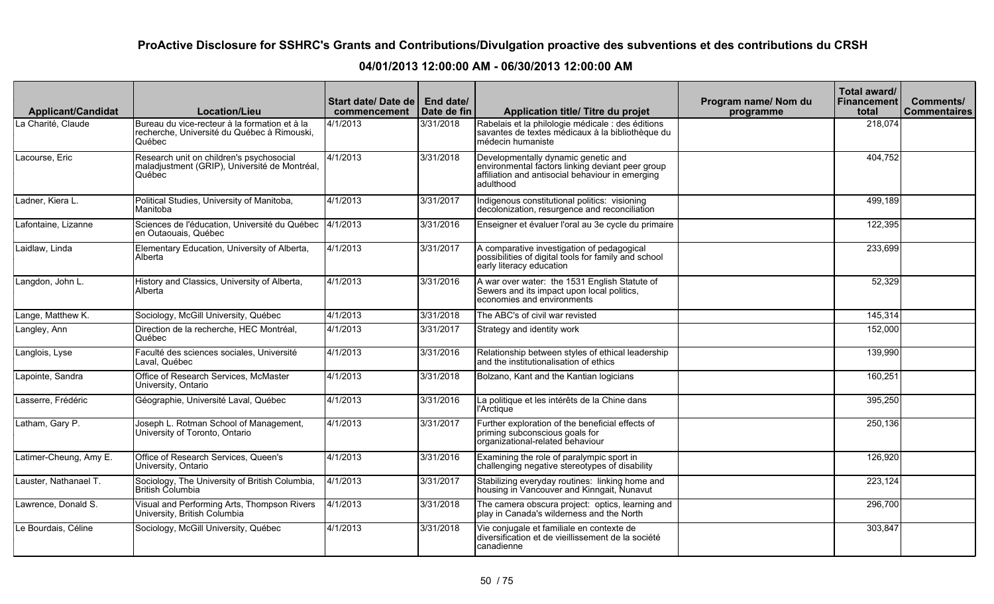| <b>Applicant/Candidat</b> | <b>Location/Lieu</b>                                                                                   | <b>Start date/Date dell</b><br>commencement | End date/<br>Date de fin | Application title/ Titre du projet                                                                                                                       | Program name/ Nom du<br>programme | Total award/<br><b>Financement</b><br>total | Comments/<br><b>Commentaires</b> |
|---------------------------|--------------------------------------------------------------------------------------------------------|---------------------------------------------|--------------------------|----------------------------------------------------------------------------------------------------------------------------------------------------------|-----------------------------------|---------------------------------------------|----------------------------------|
| La Charité, Claude        | Bureau du vice-recteur à la formation et à la<br>recherche. Université du Québec à Rimouski.<br>Québec | 4/1/2013                                    | 3/31/2018                | Rabelais et la philologie médicale : des éditions<br>savantes de textes médicaux à la bibliothèque du<br>médecin humaniste                               |                                   | 218,074                                     |                                  |
| Lacourse, Eric            | Research unit on children's psychosocial<br>maladjustment (GRIP), Université de Montréal,<br>Québec    | 4/1/2013                                    | 3/31/2018                | Developmentally dynamic genetic and<br>environmental factors linking deviant peer group<br>affiliation and antisocial behaviour in emerging<br>adulthood |                                   | 404,752                                     |                                  |
| Ladner, Kiera L.          | Political Studies, University of Manitoba,<br>Manitoba                                                 | 4/1/2013                                    | 3/31/2017                | Indigenous constitutional politics: visioning<br>decolonization, resurgence and reconciliation                                                           |                                   | 499,189                                     |                                  |
| Lafontaine, Lizanne       | Sciences de l'éducation, Université du Québec<br>en Outaouais, Québec                                  | 4/1/2013                                    | 3/31/2016                | Enseigner et évaluer l'oral au 3e cycle du primaire                                                                                                      |                                   | 122,395                                     |                                  |
| Laidlaw, Linda            | Elementary Education, University of Alberta,<br>Alberta                                                | 4/1/2013                                    | 3/31/2017                | A comparative investigation of pedagogical<br>possibilities of digital tools for family and school<br>early literacy education                           |                                   | 233,699                                     |                                  |
| Langdon, John L.          | History and Classics, University of Alberta,<br>Alberta                                                | 4/1/2013                                    | 3/31/2016                | A war over water: the 1531 English Statute of<br>Sewers and its impact upon local politics,<br>economies and environments                                |                                   | 52,329                                      |                                  |
| Lange, Matthew K.         | Sociology, McGill University, Québec                                                                   | 4/1/2013                                    | 3/31/2018                | The ABC's of civil war revisted                                                                                                                          |                                   | 145,314                                     |                                  |
| Langley, Ann              | Direction de la recherche, HEC Montréal,<br>Québec                                                     | 4/1/2013                                    | 3/31/2017                | Strategy and identity work                                                                                                                               |                                   | 152,000                                     |                                  |
| Langlois, Lyse            | Faculté des sciences sociales, Université<br>Laval. Québec                                             | $\sqrt{4/1/2013}$                           | 3/31/2016                | Relationship between styles of ethical leadership<br>and the institutionalisation of ethics                                                              |                                   | 139,990                                     |                                  |
| Lapointe, Sandra          | Office of Research Services, McMaster<br>University, Ontario                                           | 4/1/2013                                    | 3/31/2018                | Bolzano, Kant and the Kantian logicians                                                                                                                  |                                   | 160,251                                     |                                  |
| Lasserre, Frédéric        | Géographie, Université Laval, Québec                                                                   | 4/1/2013                                    | 3/31/2016                | La politique et les intérêts de la Chine dans<br>l'Arctique                                                                                              |                                   | 395,250                                     |                                  |
| Latham, Gary P.           | Joseph L. Rotman School of Management,<br>University of Toronto, Ontario                               | 4/1/2013                                    | 3/31/2017                | Further exploration of the beneficial effects of<br>priming subconscious goals for<br>organizational-related behaviour                                   |                                   | 250,136                                     |                                  |
| Latimer-Cheung, Amy E.    | Office of Research Services, Queen's<br>University, Ontario                                            | 4/1/2013                                    | 3/31/2016                | Examining the role of paralympic sport in<br>challenging negative stereotypes of disability                                                              |                                   | 126,920                                     |                                  |
| Lauster, Nathanael T.     | Sociology, The University of British Columbia,<br>British Columbia                                     | 4/1/2013                                    | 3/31/2017                | Stabilizing everyday routines: linking home and<br>housing in Vancouver and Kinngait, Nunavut                                                            |                                   | 223,124                                     |                                  |
| Lawrence, Donald S.       | Visual and Performing Arts, Thompson Rivers<br>University, British Columbia                            | 4/1/2013                                    | 3/31/2018                | The camera obscura project: optics, learning and<br>play in Canada's wilderness and the North                                                            |                                   | 296,700                                     |                                  |
| Le Bourdais, Céline       | Sociology, McGill University, Québec                                                                   | 4/1/2013                                    | 3/31/2018                | Vie conjugale et familiale en contexte de<br>diversification et de vieillissement de la société<br>canadienne                                            |                                   | 303,847                                     |                                  |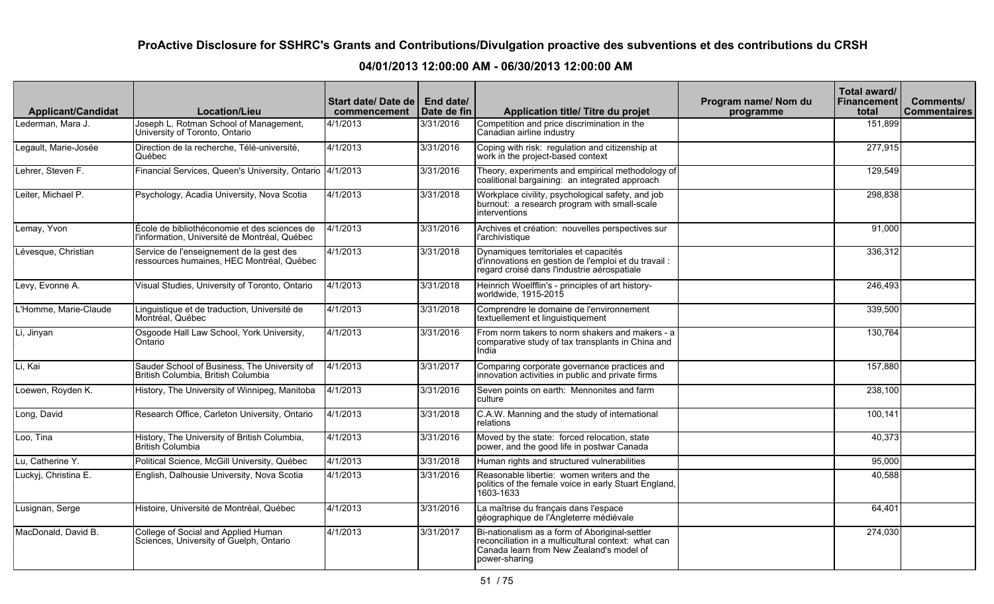| <b>Applicant/Candidat</b> | <b>Location/Lieu</b>                                                                          | Start date/Date de l<br>commencement | End date/<br>l Date de fin | Application title/ Titre du projet                                                                                                                                 | Program name/ Nom du<br>programme | Total award/<br><b>Financement</b><br>total | Comments/<br>l Commentaires |
|---------------------------|-----------------------------------------------------------------------------------------------|--------------------------------------|----------------------------|--------------------------------------------------------------------------------------------------------------------------------------------------------------------|-----------------------------------|---------------------------------------------|-----------------------------|
| Lederman. Mara J.         | Joseph L. Rotman School of Management,<br>University of Toronto, Ontario                      | 4/1/2013                             | 3/31/2016                  | Competition and price discrimination in the<br>Canadian airline industry                                                                                           |                                   | 151,899                                     |                             |
| Legault, Marie-Josée      | Direction de la recherche, Télé-université,<br>Québec                                         | 4/1/2013                             | 3/31/2016                  | Coping with risk: regulation and citizenship at<br>work in the project-based context                                                                               |                                   | 277,915                                     |                             |
| Lehrer, Steven F.         | Financial Services, Queen's University, Ontario 4/1/2013                                      |                                      | 3/31/2016                  | Theory, experiments and empirical methodology of<br>coalitional bargaining: an integrated approach                                                                 |                                   | 129,549                                     |                             |
| Leiter, Michael P.        | Psychology, Acadia University, Nova Scotia                                                    | 4/1/2013                             | 3/31/2018                  | Workplace civility, psychological safety, and job<br>burnout: a research program with small-scale<br>interventions                                                 |                                   | 298,838                                     |                             |
| Lemay, Yvon               | École de bibliothéconomie et des sciences de<br>l'information, Université de Montréal, Québec | 4/1/2013                             | 3/31/2016                  | Archives et création: nouvelles perspectives sur<br>l'archivistique                                                                                                |                                   | 91,000                                      |                             |
| Lévesque, Christian       | Service de l'enseignement de la gest des<br>ressources humaines, HEC Montréal, Québec         | 4/1/2013                             | 3/31/2018                  | Dynamiques territoriales et capacités<br>d'innovations en gestion de l'emploi et du travail :<br>regard croisé dans l'industrie aérospatiale                       |                                   | 336,312                                     |                             |
| Levy, Evonne A.           | Visual Studies, University of Toronto, Ontario                                                | 4/1/2013                             | 3/31/2018                  | Heinrich Woelfflin's - principles of art history-<br>worldwide, 1915-2015                                                                                          |                                   | 246,493                                     |                             |
| L'Homme, Marie-Claude     | Linguistique et de traduction, Université de<br>Montréal, Québec                              | 4/1/2013                             | 3/31/2018                  | Comprendre le domaine de l'environnement<br>textuellement et linguistiquement                                                                                      |                                   | 339,500                                     |                             |
| Li, Jinyan                | Osgoode Hall Law School, York University,<br>Ontario                                          | 4/1/2013                             | 3/31/2016                  | From norm takers to norm shakers and makers - a<br>comparative study of tax transplants in China and<br>India                                                      |                                   | 130,764                                     |                             |
| Li, Kai                   | Sauder School of Business, The University of<br>British Columbia, British Columbia            | 4/1/2013                             | 3/31/2017                  | Comparing corporate governance practices and<br>innovation activities in public and private firms                                                                  |                                   | 157,880                                     |                             |
| Loewen, Royden K.         | History, The University of Winnipeg, Manitoba                                                 | 4/1/2013                             | 3/31/2016                  | Seven points on earth: Mennonites and farm<br>culture                                                                                                              |                                   | 238,100                                     |                             |
| Long, David               | Research Office, Carleton University, Ontario                                                 | 4/1/2013                             | 3/31/2018                  | C.A.W. Manning and the study of international<br>relations                                                                                                         |                                   | 100,141                                     |                             |
| Loo, Tina                 | History, The University of British Columbia,<br>British Columbia                              | 4/1/2013                             | 3/31/2016                  | Moved by the state: forced relocation, state<br>power, and the good life in postwar Canada                                                                         |                                   | 40,373                                      |                             |
| Lu, Catherine Y.          | Political Science, McGill University, Québec                                                  | 4/1/2013                             | 3/31/2018                  | Human rights and structured vulnerabilities                                                                                                                        |                                   | 95,000                                      |                             |
| Luckyj, Christina E.      | English, Dalhousie University, Nova Scotia                                                    | 4/1/2013                             | 3/31/2016                  | Reasonable libertie: women writers and the<br>politics of the female voice in early Stuart England,<br>1603-1633                                                   |                                   | 40,588                                      |                             |
| Lusignan, Serge           | Histoire, Université de Montréal, Québec                                                      | 4/1/2013                             | 3/31/2016                  | La maîtrise du français dans l'espace<br>géographique de l'Angleterre médiévale                                                                                    |                                   | 64,401                                      |                             |
| MacDonald, David B.       | College of Social and Applied Human<br>Sciences, University of Guelph, Ontario                | 4/1/2013                             | 3/31/2017                  | Bi-nationalism as a form of Aboriginal-settler<br>reconciliation in a multicultural context: what can<br>Canada learn from New Zealand's model of<br>power-sharing |                                   | 274,030                                     |                             |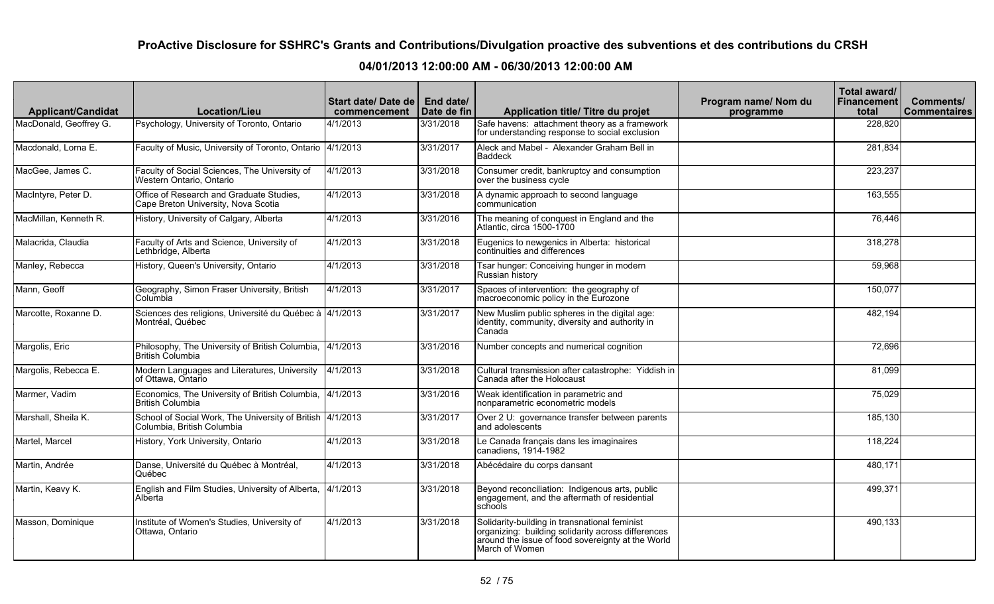| <b>Applicant/Candidat</b> | <b>Location/Lieu</b>                                                                    | Start date/ Date de   End date/<br>commencement | Date de fin | Application title/ Titre du projet                                                                                                                                         | Program name/ Nom du<br>programme | Total award/<br><b>Financement</b><br>total | Comments/<br><b>Commentaires</b> |
|---------------------------|-----------------------------------------------------------------------------------------|-------------------------------------------------|-------------|----------------------------------------------------------------------------------------------------------------------------------------------------------------------------|-----------------------------------|---------------------------------------------|----------------------------------|
| MacDonald, Geoffrey G.    | Psychology, University of Toronto, Ontario                                              | 4/1/2013                                        | 3/31/2018   | Safe havens: attachment theory as a framework<br>for understanding response to social exclusion                                                                            |                                   | 228,820                                     |                                  |
| Macdonald, Lorna E.       | Faculty of Music, University of Toronto, Ontario 4/1/2013                               |                                                 | 3/31/2017   | Aleck and Mabel - Alexander Graham Bell in<br><b>Baddeck</b>                                                                                                               |                                   | 281,834                                     |                                  |
| MacGee, James C.          | Faculty of Social Sciences, The University of<br>Western Ontario, Ontario               | 4/1/2013                                        | 3/31/2018   | Consumer credit, bankruptcy and consumption<br>over the business cycle                                                                                                     |                                   | 223,237                                     |                                  |
| MacIntyre, Peter D.       | Office of Research and Graduate Studies,<br>Cape Breton University, Nova Scotia         | 4/1/2013                                        | 3/31/2018   | A dynamic approach to second language<br>communication                                                                                                                     |                                   | 163,555                                     |                                  |
| MacMillan, Kenneth R.     | History, University of Calgary, Alberta                                                 | 4/1/2013                                        | 3/31/2016   | The meaning of conquest in England and the<br>Atlantic, circa 1500-1700                                                                                                    |                                   | 76,446                                      |                                  |
| Malacrida, Claudia        | Faculty of Arts and Science, University of<br>Lethbridge, Alberta                       | 4/1/2013                                        | 3/31/2018   | Eugenics to newgenics in Alberta: historical<br>continuities and differences                                                                                               |                                   | 318,278                                     |                                  |
| Manley, Rebecca           | History, Queen's University, Ontario                                                    | 4/1/2013                                        | 3/31/2018   | Tsar hunger: Conceiving hunger in modern<br>Russian history                                                                                                                |                                   | 59,968                                      |                                  |
| Mann, Geoff               | Geography, Simon Fraser University, British<br>Columbia                                 | 4/1/2013                                        | 3/31/2017   | Spaces of intervention: the geography of<br>macroeconomic policy in the Eurozone                                                                                           |                                   | 150,077                                     |                                  |
| Marcotte, Roxanne D.      | Sciences des religions, Université du Québec à 4/1/2013<br>Montréal, Québec             |                                                 | 3/31/2017   | New Muslim public spheres in the digital age:<br>lidentity, community, diversity and authority in<br>lCanaḋa                                                               |                                   | 482,194                                     |                                  |
| Margolis, Eric            | Philosophy, The University of British Columbia,<br>British Columbia                     | 4/1/2013                                        | 3/31/2016   | Number concepts and numerical cognition                                                                                                                                    |                                   | 72,696                                      |                                  |
| Margolis, Rebecca E.      | Modern Languages and Literatures, University<br>of Ottawa, Ontario                      | 4/1/2013                                        | 3/31/2018   | Cultural transmission after catastrophe: Yiddish in<br>Canada after the Holocaust                                                                                          |                                   | 81,099                                      |                                  |
| Marmer, Vadim             | Economics, The University of British Columbia, 4/1/2013<br>British Columbia             |                                                 | 3/31/2016   | Weak identification in parametric and<br>nonparametric econometric models                                                                                                  |                                   | 75,029                                      |                                  |
| Marshall, Sheila K.       | School of Social Work, The University of British 4/1/2013<br>Columbia, British Columbia |                                                 | 3/31/2017   | Over 2 U: governance transfer between parents<br>and adolescents                                                                                                           |                                   | 185,130                                     |                                  |
| Martel, Marcel            | History, York University, Ontario                                                       | 4/1/2013                                        | 3/31/2018   | Le Canada français dans les imaginaires<br>canadiens, 1914-1982                                                                                                            |                                   | 118,224                                     |                                  |
| Martin, Andrée            | Danse, Université du Québec à Montréal,<br>Québec                                       | 4/1/2013                                        | 3/31/2018   | Abécédaire du corps dansant                                                                                                                                                |                                   | 480,171                                     |                                  |
| Martin, Keavy K.          | English and Film Studies, University of Alberta,<br>Alberta                             | 4/1/2013                                        | 3/31/2018   | Beyond reconciliation: Indigenous arts, public<br>engagement, and the aftermath of residential<br>schools                                                                  |                                   | 499,371                                     |                                  |
| Masson, Dominique         | Institute of Women's Studies, University of<br>Ottawa, Ontario                          | 4/1/2013                                        | 3/31/2018   | Solidarity-building in transnational feminist<br>organizing: building solidarity across differences<br>around the issue of food sovereignty at the World<br>March of Women |                                   | 490,133                                     |                                  |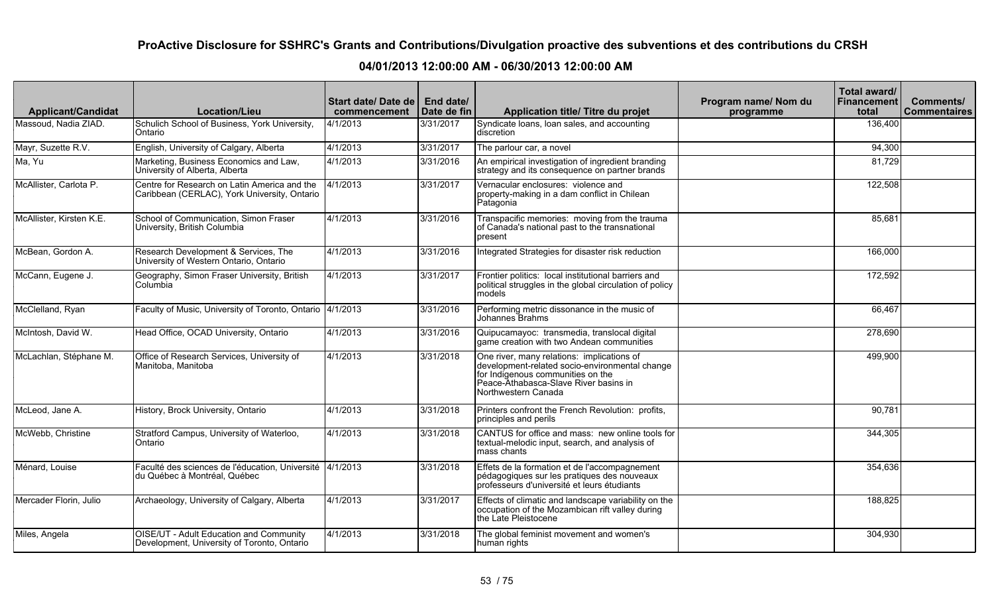| <b>Applicant/Candidat</b> | <b>Location/Lieu</b>                                                                         | Start date/ Date de   End date/<br>commencement | Date de fin | Application title/ Titre du projet                                                                                                                                                                | Program name/ Nom du<br>programme | Total award/<br><b>Financement</b><br>total | Comments/<br><b>Commentaires</b> |
|---------------------------|----------------------------------------------------------------------------------------------|-------------------------------------------------|-------------|---------------------------------------------------------------------------------------------------------------------------------------------------------------------------------------------------|-----------------------------------|---------------------------------------------|----------------------------------|
| Massoud, Nadia ZIAD.      | Schulich School of Business, York University,<br><b>Ontario</b>                              | 4/1/2013                                        | 3/31/2017   | Syndicate loans, loan sales, and accounting<br>discretion                                                                                                                                         |                                   | 136,400                                     |                                  |
| Mayr, Suzette R.V.        | English, University of Calgary, Alberta                                                      | 4/1/2013                                        | 3/31/2017   | The parlour car, a novel                                                                                                                                                                          |                                   | 94,300                                      |                                  |
| Ma, Yu                    | Marketing, Business Economics and Law,<br>University of Alberta, Alberta                     | 4/1/2013                                        | 3/31/2016   | An empirical investigation of ingredient branding<br>strategy and its consequence on partner brands                                                                                               |                                   | 81,729                                      |                                  |
| McAllister, Carlota P.    | Centre for Research on Latin America and the<br>Caribbean (CERLAC), York University, Ontario | 4/1/2013                                        | 3/31/2017   | Vernacular enclosures: violence and<br>property-making in a dam conflict in Chilean<br>Patagonia                                                                                                  |                                   | 122,508                                     |                                  |
| McAllister, Kirsten K.E.  | School of Communication, Simon Fraser<br>University, British Columbia                        | 4/1/2013                                        | 3/31/2016   | Transpacific memories: moving from the trauma<br>of Canada's national past to the transnational<br>present                                                                                        |                                   | 85,681                                      |                                  |
| McBean, Gordon A.         | Research Development & Services, The<br>University of Western Ontario, Ontario               | 4/1/2013                                        | 3/31/2016   | Integrated Strategies for disaster risk reduction                                                                                                                                                 |                                   | 166,000                                     |                                  |
| McCann, Eugene J.         | Geography, Simon Fraser University, British<br>Columbia                                      | 4/1/2013                                        | 3/31/2017   | Frontier politics: local institutional barriers and<br>political struggles in the global circulation of policy<br>models                                                                          |                                   | 172,592                                     |                                  |
| McClelland, Ryan          | Faculty of Music, University of Toronto, Ontario 4/1/2013                                    |                                                 | 3/31/2016   | Performing metric dissonance in the music of<br>Johannes Brahms                                                                                                                                   |                                   | 66,467                                      |                                  |
| McIntosh, David W.        | Head Office, OCAD University, Ontario                                                        | 4/1/2013                                        | 3/31/2016   | Quipucamayoc: transmedia, translocal digital<br>game creation with two Andean communities                                                                                                         |                                   | 278,690                                     |                                  |
| McLachlan, Stéphane M.    | Office of Research Services, University of<br>Manitoba, Manitoba                             | 4/1/2013                                        | 3/31/2018   | One river, many relations: implications of<br>development-related socio-environmental change<br>for Indigenous communities on the<br>Peace-Athabasca-Slave River basins in<br>Northwestern Canada |                                   | 499,900                                     |                                  |
| McLeod, Jane A.           | History, Brock University, Ontario                                                           | 4/1/2013                                        | 3/31/2018   | Printers confront the French Revolution: profits,<br>principles and perils                                                                                                                        |                                   | 90,781                                      |                                  |
| McWebb, Christine         | Stratford Campus, University of Waterloo,<br>Ontario                                         | 4/1/2013                                        | 3/31/2018   | CANTUS for office and mass: new online tools for<br>textual-melodic input, search, and analysis of<br>mass chants                                                                                 |                                   | 344,305                                     |                                  |
| Ménard, Louise            | Faculté des sciences de l'éducation, Université 4/1/2013<br>du Québec à Montréal, Québec     |                                                 | 3/31/2018   | Effets de la formation et de l'accompagnement<br>pédagogiques sur les pratiques des nouveaux<br>professeurs d'université et leurs étudiants                                                       |                                   | 354,636                                     |                                  |
| Mercader Florin, Julio    | Archaeology, University of Calgary, Alberta                                                  | $\sqrt{4/1/2013}$                               | 3/31/2017   | Effects of climatic and landscape variability on the<br>occupation of the Mozambican rift valley during<br>the Late Pleistocene                                                                   |                                   | 188,825                                     |                                  |
| Miles, Angela             | OISE/UT - Adult Education and Community<br>Development, University of Toronto, Ontario       | 4/1/2013                                        | 3/31/2018   | The global feminist movement and women's<br>Ihuman rights                                                                                                                                         |                                   | 304,930                                     |                                  |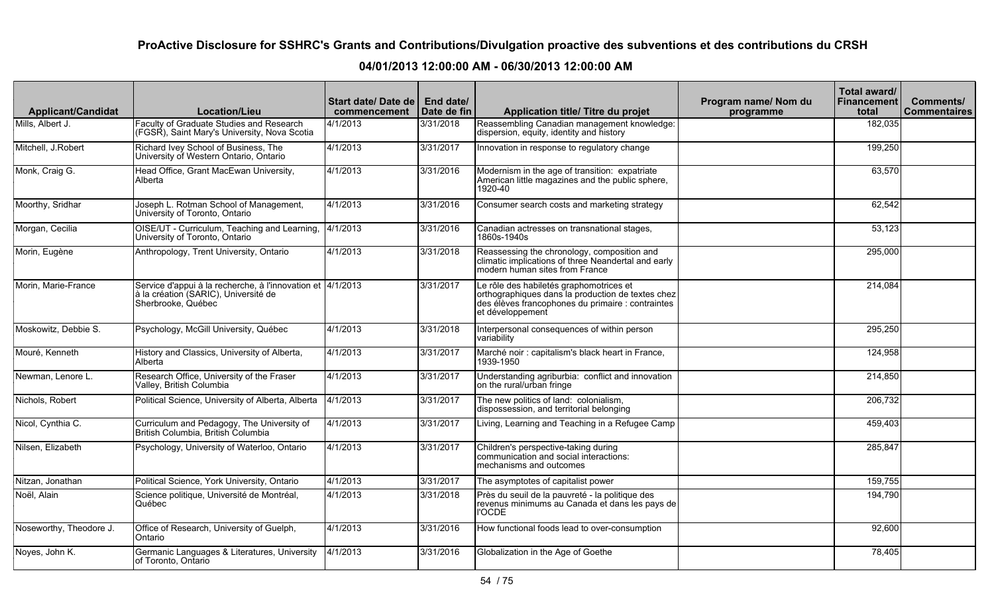| <b>Applicant/Candidat</b> | <b>Location/Lieu</b>                                                                                                     | Start date/ Date de   End date/<br>commencement | Date de fin | <b>Application title/ Titre du projet</b>                                                                                                                             | Program name/ Nom du<br>programme | Total award/<br><b>Financement</b><br>total | Comments/<br><b>Commentaires</b> |
|---------------------------|--------------------------------------------------------------------------------------------------------------------------|-------------------------------------------------|-------------|-----------------------------------------------------------------------------------------------------------------------------------------------------------------------|-----------------------------------|---------------------------------------------|----------------------------------|
| Mills, Albert J.          | Faculty of Graduate Studies and Research<br>(FGSR), Saint Mary's University, Nova Scotia                                 | 4/1/2013                                        | 3/31/2018   | Reassembling Canadian management knowledge:<br>dispersion, equity, identity and history                                                                               |                                   | 182,035                                     |                                  |
| Mitchell, J.Robert        | Richard Ivey School of Business, The<br>University of Western Ontario, Ontario                                           | 4/1/2013                                        | 3/31/2017   | Innovation in response to regulatory change                                                                                                                           |                                   | 199,250                                     |                                  |
| Monk, Craig G.            | Head Office, Grant MacEwan University,<br>Alberta                                                                        | 4/1/2013                                        | 3/31/2016   | Modernism in the age of transition: expatriate<br>American little magazines and the public sphere,<br>1920-40                                                         |                                   | 63,570                                      |                                  |
| Moorthy, Sridhar          | Joseph L. Rotman School of Management,<br>University of Toronto, Ontario                                                 | $\sqrt{4/1/2013}$                               | 3/31/2016   | Consumer search costs and marketing strategy                                                                                                                          |                                   | 62,542                                      |                                  |
| Morgan, Cecilia           | OISE/UT - Curriculum, Teaching and Learning,<br>University of Toronto, Ontario                                           | 4/1/2013                                        | 3/31/2016   | Canadian actresses on transnational stages,<br>1860s-1940s                                                                                                            |                                   | 53,123                                      |                                  |
| Morin, Eugène             | Anthropology, Trent University, Ontario                                                                                  | 4/1/2013                                        | 3/31/2018   | Reassessing the chronology, composition and<br>climatic implications of three Neandertal and early<br>modern human sites from France                                  |                                   | 295,000                                     |                                  |
| Morin, Marie-France       | Service d'appui à la recherche, à l'innovation et 4/1/2013<br>à la création (SARIC), Université de<br>Sherbrooke, Québec |                                                 | 3/31/2017   | Le rôle des habiletés graphomotrices et<br>orthographiques dans la production de textes chez<br>des élèves francophones du primaire : contraintes<br>et développement |                                   | 214,084                                     |                                  |
| Moskowitz, Debbie S.      | Psychology, McGill University, Québec                                                                                    | 4/1/2013                                        | 3/31/2018   | Interpersonal consequences of within person<br>variability                                                                                                            |                                   | 295,250                                     |                                  |
| Mouré, Kenneth            | History and Classics, University of Alberta,<br>Alberta                                                                  | 4/1/2013                                        | 3/31/2017   | Marché noir : capitalism's black heart in France,<br>1939-1950                                                                                                        |                                   | 124,958                                     |                                  |
| Newman, Lenore L.         | Research Office, University of the Fraser<br>Valley, British Columbia                                                    | 4/1/2013                                        | 3/31/2017   | Understanding agriburbia: conflict and innovation<br>on the rural/urban fringe                                                                                        |                                   | 214,850                                     |                                  |
| Nichols, Robert           | Political Science, University of Alberta, Alberta                                                                        | 4/1/2013                                        | 3/31/2017   | The new politics of land: colonialism,<br>dispossession, and territorial belonging                                                                                    |                                   | 206,732                                     |                                  |
| Nicol, Cynthia C.         | Curriculum and Pedagogy, The University of<br>British Columbia, British Columbia                                         | 4/1/2013                                        | 3/31/2017   | Living, Learning and Teaching in a Refugee Camp                                                                                                                       |                                   | 459,403                                     |                                  |
| Nilsen, Elizabeth         | Psychology, University of Waterloo, Ontario                                                                              | 4/1/2013                                        | 3/31/2017   | Children's perspective-taking during<br>communication and social interactions:<br>mechanisms and outcomes                                                             |                                   | 285,847                                     |                                  |
| Nitzan, Jonathan          | Political Science, York University, Ontario                                                                              | 4/1/2013                                        | 3/31/2017   | The asymptotes of capitalist power                                                                                                                                    |                                   | 159,755                                     |                                  |
| Noël, Alain               | Science politique, Université de Montréal,<br>Québec                                                                     | 4/1/2013                                        | 3/31/2018   | Près du seuil de la pauvreté - la politique des<br>revenus minimums au Canada et dans les pays de<br><b>I'OCDE</b>                                                    |                                   | 194,790                                     |                                  |
| Noseworthy, Theodore J.   | Office of Research, University of Guelph,<br>Ontario                                                                     | 4/1/2013                                        | 3/31/2016   | How functional foods lead to over-consumption                                                                                                                         |                                   | 92,600                                      |                                  |
| Noyes, John K.            | Germanic Languages & Literatures, University<br>of Toronto, Ontario                                                      | 4/1/2013                                        | 3/31/2016   | Globalization in the Age of Goethe                                                                                                                                    |                                   | 78,405                                      |                                  |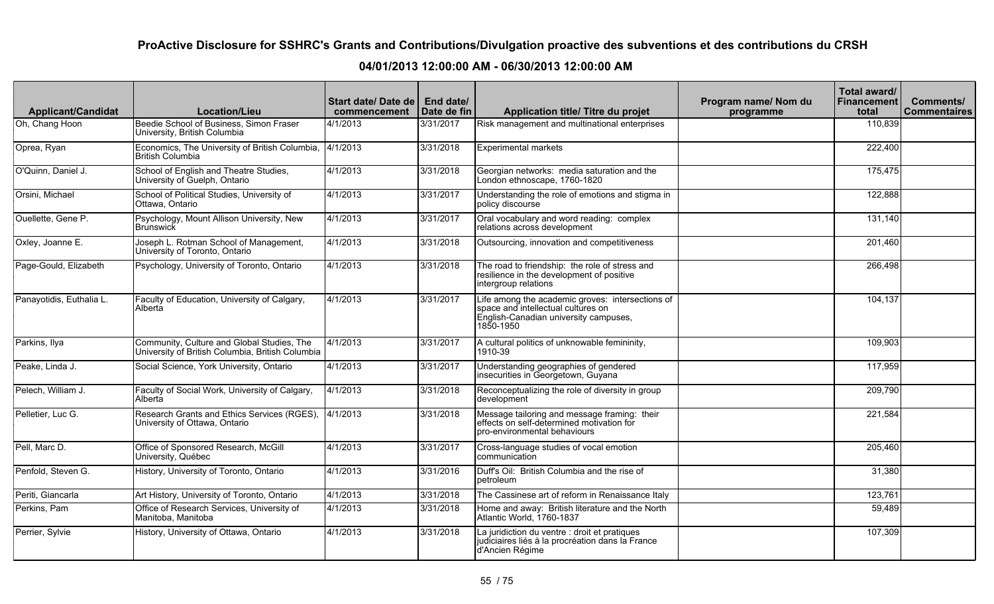| <b>Applicant/Candidat</b> | <b>Location/Lieu</b>                                                                           | Start date/ Date de   End date/<br>commencement | Date de fin | Application title/ Titre du projet                                                                                                           | Program name/ Nom du<br>programme | Total award/<br><b>Financement</b> I<br>total | <b>Comments/</b><br><b>Commentaires</b> |
|---------------------------|------------------------------------------------------------------------------------------------|-------------------------------------------------|-------------|----------------------------------------------------------------------------------------------------------------------------------------------|-----------------------------------|-----------------------------------------------|-----------------------------------------|
| Oh, Chang Hoon            | Beedie School of Business, Simon Fraser<br>University, British Columbia                        | 4/1/2013                                        | 3/31/2017   | Risk management and multinational enterprises                                                                                                |                                   | 110,839                                       |                                         |
| Oprea, Ryan               | Economics, The University of British Columbia,<br><b>British Columbia</b>                      | 4/1/2013                                        | 3/31/2018   | <b>Experimental markets</b>                                                                                                                  |                                   | 222,400                                       |                                         |
| O'Quinn, Daniel J.        | School of English and Theatre Studies,<br>University of Guelph, Ontario                        | 4/1/2013                                        | 3/31/2018   | Georgian networks: media saturation and the<br>London ethnoscape, 1760-1820                                                                  |                                   | 175,475                                       |                                         |
| Orsini, Michael           | School of Political Studies, University of<br>Ottawa, Ontario                                  | 4/1/2013                                        | 3/31/2017   | Understanding the role of emotions and stigma in<br>policy discourse                                                                         |                                   | 122,888                                       |                                         |
| Ouellette, Gene P.        | Psychology, Mount Allison University, New<br>Brunswick                                         | 4/1/2013                                        | 3/31/2017   | Oral vocabulary and word reading: complex<br>relations across development                                                                    |                                   | 131,140                                       |                                         |
| Oxley, Joanne E.          | Joseph L. Rotman School of Management,<br>University of Toronto, Ontario                       | 4/1/2013                                        | 3/31/2018   | Outsourcing, innovation and competitiveness                                                                                                  |                                   | 201,460                                       |                                         |
| Page-Gould, Elizabeth     | Psychology, University of Toronto, Ontario                                                     | 4/1/2013                                        | 3/31/2018   | The road to friendship: the role of stress and<br>resilience in the development of positive<br>intergroup relations                          |                                   | 266,498                                       |                                         |
| Panayotidis, Euthalia L.  | Faculty of Education, University of Calgary,<br>Alberta                                        | 4/1/2013                                        | 3/31/2017   | Life among the academic groves: intersections of<br>space and intellectual cultures on<br>English-Canadian university campuses,<br>1850-1950 |                                   | 104,137                                       |                                         |
| Parkins, Ilya             | Community, Culture and Global Studies, The<br>University of British Columbia, British Columbia | 4/1/2013                                        | 3/31/2017   | A cultural politics of unknowable femininity,<br>1910-39                                                                                     |                                   | 109,903                                       |                                         |
| Peake, Linda J.           | Social Science, York University, Ontario                                                       | 4/1/2013                                        | 3/31/2017   | Understanding geographies of gendered<br>insecurities in Georgetown, Guyana                                                                  |                                   | 117,959                                       |                                         |
| Pelech, William J.        | Faculty of Social Work, University of Calgary,<br>Alberta                                      | 4/1/2013                                        | 3/31/2018   | Reconceptualizing the role of diversity in group<br>development                                                                              |                                   | 209,790                                       |                                         |
| Pelletier, Luc G.         | Research Grants and Ethics Services (RGES),<br>University of Ottawa, Ontario                   | 4/1/2013                                        | 3/31/2018   | Message tailoring and message framing: their<br>effects on self-determined motivation for<br>pro-environmental behaviours                    |                                   | 221,584                                       |                                         |
| Pell, Marc D.             | Office of Sponsored Research, McGill<br>University, Québec                                     | 4/1/2013                                        | 3/31/2017   | Cross-language studies of vocal emotion<br>communication                                                                                     |                                   | 205,460                                       |                                         |
| Penfold, Steven G.        | History, University of Toronto, Ontario                                                        | 4/1/2013                                        | 3/31/2016   | Duff's Oil: British Columbia and the rise of<br>petroleum                                                                                    |                                   | 31,380                                        |                                         |
| Periti, Giancarla         | Art History, University of Toronto, Ontario                                                    | 4/1/2013                                        | 3/31/2018   | The Cassinese art of reform in Renaissance Italy                                                                                             |                                   | 123,761                                       |                                         |
| Perkins, Pam              | Office of Research Services, University of<br>Manitoba, Manitoba                               | 4/1/2013                                        | 3/31/2018   | Home and away: British literature and the North<br>Atlantic World, 1760-1837                                                                 |                                   | 59,489                                        |                                         |
| Perrier, Sylvie           | History, University of Ottawa, Ontario                                                         | 4/1/2013                                        | 3/31/2018   | La juridiction du ventre : droit et pratiques<br>judiciaires liés à la procréation dans la France<br>d'Ancien Régime                         |                                   | 107,309                                       |                                         |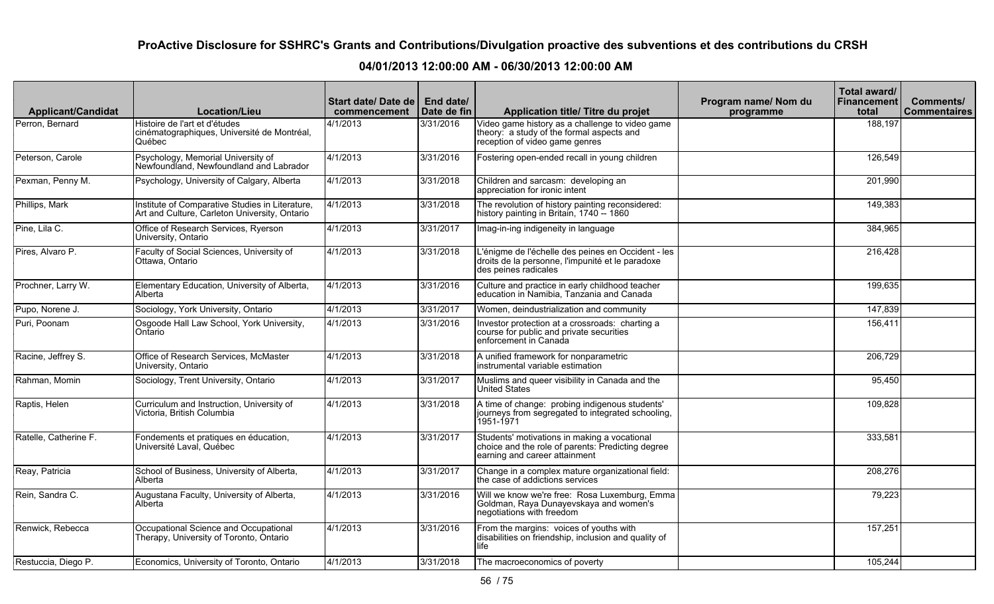| <b>Applicant/Candidat</b> | <b>Location/Lieu</b>                                                                             | Start date/ Date de   End date/<br>commencement | l Date de fin | Application title/ Titre du projet                                                                                                 | Program name/ Nom du<br>programme | Total award/<br><b>Financement</b><br>total | Comments/<br><b>Commentaires</b> |
|---------------------------|--------------------------------------------------------------------------------------------------|-------------------------------------------------|---------------|------------------------------------------------------------------------------------------------------------------------------------|-----------------------------------|---------------------------------------------|----------------------------------|
| Perron, Bernard           | Histoire de l'art et d'études<br>cinématographiques, Université de Montréal,<br>Québec           | 4/1/2013                                        | 3/31/2016     | Video game history as a challenge to video game<br>theory: a study of the formal aspects and<br>reception of video game genres     |                                   | 188,197                                     |                                  |
| Peterson, Carole          | Psychology, Memorial University of<br>Newfoundland, Newfoundland and Labrador                    | 4/1/2013                                        | 3/31/2016     | Fostering open-ended recall in young children                                                                                      |                                   | 126,549                                     |                                  |
| Pexman, Penny M.          | Psychology, University of Calgary, Alberta                                                       | $\sqrt{4/1/2013}$                               | 3/31/2018     | Children and sarcasm: developing an<br>appreciation for ironic intent                                                              |                                   | 201,990                                     |                                  |
| Phillips, Mark            | Institute of Comparative Studies in Literature,<br>Art and Culture, Carleton University, Ontario | $\sqrt{4/1/2013}$                               | 3/31/2018     | The revolution of history painting reconsidered:<br>history painting in Britain, 1740 -- 1860                                      |                                   | 149,383                                     |                                  |
| Pine, Lila C.             | Office of Research Services, Ryerson<br>University, Ontario                                      | 4/1/2013                                        | 3/31/2017     | Imag-in-ing indigeneity in language                                                                                                |                                   | 384,965                                     |                                  |
| Pires, Alvaro P.          | Faculty of Social Sciences, University of<br>Ottawa, Ontario                                     | 4/1/2013                                        | 3/31/2018     | L'énigme de l'échelle des peines en Occident - les<br>droits de la personne, l'impunité et le paradoxe<br>des peines radicales     |                                   | 216,428                                     |                                  |
| Prochner, Larry W.        | Elementary Education, University of Alberta,<br>Alberta                                          | 4/1/2013                                        | 3/31/2016     | Culture and practice in early childhood teacher<br>education in Namibia, Tanzania and Canada                                       |                                   | 199,635                                     |                                  |
| Pupo, Norene J.           | Sociology, York University, Ontario                                                              | 4/1/2013                                        | 3/31/2017     | Women, deindustrialization and community                                                                                           |                                   | 147,839                                     |                                  |
| Puri, Poonam              | Osgoode Hall Law School, York University,<br>Ontario                                             | 4/1/2013                                        | 3/31/2016     | Investor protection at a crossroads: charting a<br>course for public and private securities<br>enforcement in Canada               |                                   | 156,411                                     |                                  |
| Racine, Jeffrey S.        | Office of Research Services, McMaster<br>University, Ontario                                     | 4/1/2013                                        | 3/31/2018     | A unified framework for nonparametric<br>instrumental variable estimation                                                          |                                   | 206,729                                     |                                  |
| Rahman, Momin             | Sociology, Trent University, Ontario                                                             | 4/1/2013                                        | 3/31/2017     | Muslims and queer visibility in Canada and the<br>United States                                                                    |                                   | 95,450                                      |                                  |
| Raptis, Helen             | Curriculum and Instruction, University of<br>Victoria, British Columbia                          | 4/1/2013                                        | 3/31/2018     | A time of change: probing indigenous students'<br>journeys from segregated to integrated schooling,<br>1951-1971                   |                                   | 109,828                                     |                                  |
| Ratelle, Catherine F.     | Fondements et pratiques en éducation,<br>Université Laval, Québec                                | 4/1/2013                                        | 3/31/2017     | Students' motivations in making a vocational<br>choice and the role of parents: Predicting degree<br>earning and career attainment |                                   | 333,581                                     |                                  |
| Reay, Patricia            | School of Business, University of Alberta,<br>Alberta                                            | 4/1/2013                                        | 3/31/2017     | Change in a complex mature organizational field:<br>the case of addictions services                                                |                                   | 208,276                                     |                                  |
| Rein, Sandra C.           | Augustana Faculty, University of Alberta,<br>Alberta                                             | 4/1/2013                                        | 3/31/2016     | Will we know we're free: Rosa Luxemburg, Emma<br>Goldman, Raya Dunayevskaya and women's<br>negotiations with freedom               |                                   | 79,223                                      |                                  |
| Renwick, Rebecca          | Occupational Science and Occupational<br>Therapy, University of Toronto, Ontario                 | 4/1/2013                                        | 3/31/2016     | From the margins: voices of youths with<br>disabilities on friendship, inclusion and quality of<br>life                            |                                   | 157,251                                     |                                  |
| Restuccia, Diego P.       | Economics, University of Toronto, Ontario                                                        | 4/1/2013                                        | 3/31/2018     | The macroeconomics of poverty                                                                                                      |                                   | 105,244                                     |                                  |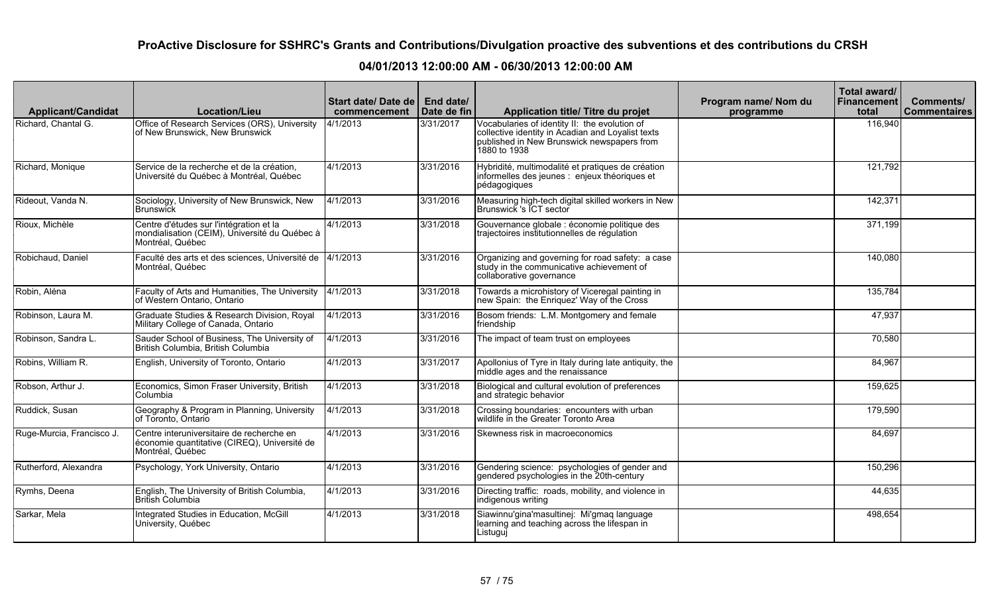| <b>Applicant/Candidat</b> | <b>Location/Lieu</b>                                                                                          | Start date/Date de   End date/<br>commencement | Date de fin | Application title/ Titre du projet                                                                                                                               | Program name/ Nom du<br>programme | Total award/<br>Financement<br>total | Comments/<br><b>Commentaires</b> |
|---------------------------|---------------------------------------------------------------------------------------------------------------|------------------------------------------------|-------------|------------------------------------------------------------------------------------------------------------------------------------------------------------------|-----------------------------------|--------------------------------------|----------------------------------|
| Richard, Chantal G.       | Office of Research Services (ORS), University<br>of New Brunswick, New Brunswick                              | 4/1/2013                                       | 3/31/2017   | Vocabularies of identity II: the evolution of<br>collective identity in Acadian and Loyalist texts<br>published in New Brunswick newspapers from<br>1880 to 1938 |                                   | 116,940                              |                                  |
| Richard, Monique          | Service de la recherche et de la création,<br>Université du Québec à Montréal, Québec                         | 4/1/2013                                       | 3/31/2016   | Hybridité, multimodalité et pratiques de création<br>informelles des jeunes : enjeux théoriques et<br>pédagogiques                                               |                                   | 121,792                              |                                  |
| Rideout, Vanda N.         | Sociology, University of New Brunswick, New<br><b>Brunswick</b>                                               | 4/1/2013                                       | 3/31/2016   | Measuring high-tech digital skilled workers in New<br>Brunswick 's ICT sector                                                                                    |                                   | 142,371                              |                                  |
| Rioux, Michèle            | Centre d'études sur l'intégration et la<br>mondialisation (CEIM), Université du Québec à<br>Montréal, Québec  | 4/1/2013                                       | 3/31/2018   | Gouvernance globale : économie politique des<br>trajectoires institutionnelles de régulation                                                                     |                                   | 371,199                              |                                  |
| Robichaud, Daniel         | Faculté des arts et des sciences, Université de<br>Montréal, Québec                                           | 4/1/2013                                       | 3/31/2016   | Organizing and governing for road safety: a case<br>study in the communicative achievement of<br>collaborative governance                                        |                                   | 140,080                              |                                  |
| Robin, Aléna              | Faculty of Arts and Humanities, The University<br>of Western Ontario, Ontario                                 | 4/1/2013                                       | 3/31/2018   | Towards a microhistory of Viceregal painting in<br>new Spain: the Enriquez' Way of the Cross                                                                     |                                   | 135,784                              |                                  |
| Robinson, Laura M.        | Graduate Studies & Research Division, Royal<br>Military College of Canada, Ontario                            | 4/1/2013                                       | 3/31/2016   | Bosom friends: L.M. Montgomery and female<br>friendship                                                                                                          |                                   | 47,937                               |                                  |
| Robinson, Sandra L.       | Sauder School of Business, The University of<br>British Columbia, British Columbia                            | $\sqrt{4/1/2013}$                              | 3/31/2016   | The impact of team trust on employees                                                                                                                            |                                   | 70,580                               |                                  |
| Robins, William R.        | English, University of Toronto, Ontario                                                                       | 4/1/2013                                       | 3/31/2017   | Apollonius of Tyre in Italy during late antiquity, the<br>middle ages and the renaissance                                                                        |                                   | 84,967                               |                                  |
| Robson, Arthur J.         | Economics, Simon Fraser University, British<br>Columbia                                                       | 4/1/2013                                       | 3/31/2018   | Biological and cultural evolution of preferences<br>and strategic behavior                                                                                       |                                   | 159,625                              |                                  |
| Ruddick, Susan            | Geography & Program in Planning, University<br>of Toronto, Ontario                                            | 4/1/2013                                       | 3/31/2018   | Crossing boundaries: encounters with urban<br>wildlife in the Greater Toronto Area                                                                               |                                   | 179,590                              |                                  |
| Ruge-Murcia, Francisco J. | Centre interuniversitaire de recherche en<br>économie quantitative (CIREQ), Université de<br>Montréal, Québec | $\sqrt{4/1/2013}$                              | 3/31/2016   | Skewness risk in macroeconomics                                                                                                                                  |                                   | 84,697                               |                                  |
| Rutherford, Alexandra     | Psychology, York University, Ontario                                                                          | 4/1/2013                                       | 3/31/2016   | Gendering science: psychologies of gender and<br>gendered psychologies in the 20th-century                                                                       |                                   | 150,296                              |                                  |
| Rymhs, Deena              | English, The University of British Columbia,<br>British Columbia                                              | 4/1/2013                                       | 3/31/2016   | Directing traffic: roads, mobility, and violence in<br>indigenous writing                                                                                        |                                   | 44,635                               |                                  |
| Sarkar, Mela              | Integrated Studies in Education, McGill<br>University, Québec                                                 | 4/1/2013                                       | 3/31/2018   | Siawinnu'gina'masultinej: Mi'gmaq language<br>learning and teaching across the lifespan in<br>Listuguj                                                           |                                   | 498,654                              |                                  |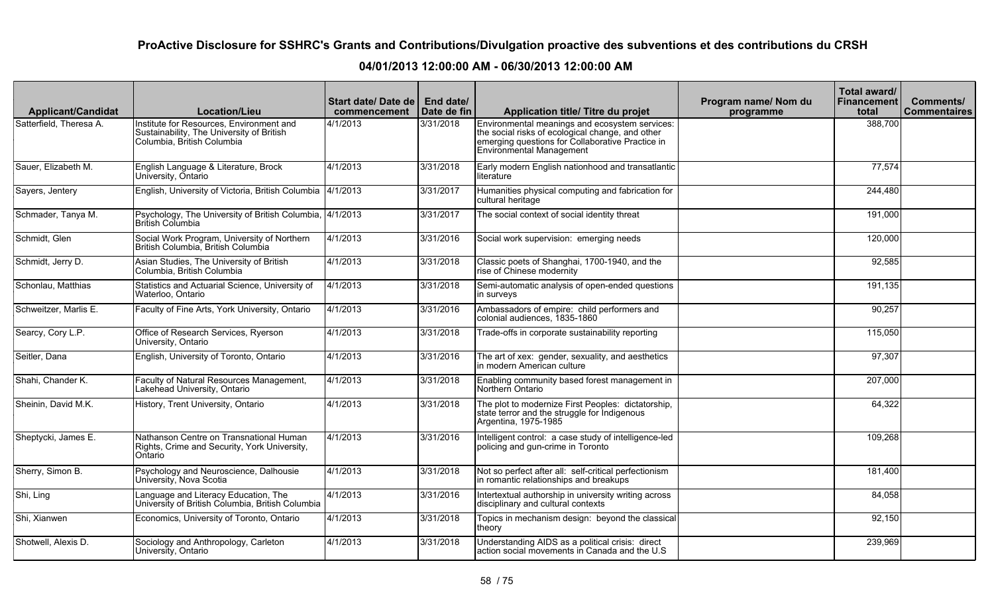| <b>Applicant/Candidat</b> | <b>Location/Lieu</b>                                                                                                | Start date/Date de<br>commencement | End date/<br>Date de fin | Application title/ Titre du projet                                                                                                                                                 | Program name/ Nom du<br>programme | Total award/<br>Financement<br>total | Comments/<br><b>Commentaires</b> |
|---------------------------|---------------------------------------------------------------------------------------------------------------------|------------------------------------|--------------------------|------------------------------------------------------------------------------------------------------------------------------------------------------------------------------------|-----------------------------------|--------------------------------------|----------------------------------|
| Satterfield, Theresa A.   | Institute for Resources, Environment and<br>Sustainability, The University of British<br>Columbia, British Columbia | 4/1/2013                           | 3/31/2018                | Environmental meanings and ecosystem services:<br>the social risks of ecological change, and other<br>emerging questions for Collaborative Practice in<br>Environmental Management |                                   | 388,700                              |                                  |
| Sauer, Elizabeth M.       | English Language & Literature, Brock<br>University, Ontario                                                         | 4/1/2013                           | 3/31/2018                | Early modern English nationhood and transatlantic<br>literature                                                                                                                    |                                   | 77,574                               |                                  |
| Sayers, Jentery           | English, University of Victoria, British Columbia 4/1/2013                                                          |                                    | 3/31/2017                | Humanities physical computing and fabrication for<br>cultural heritage                                                                                                             |                                   | 244,480                              |                                  |
| Schmader, Tanya M.        | Psychology, The University of British Columbia, 4/1/2013<br>British Columbia                                        |                                    | 3/31/2017                | The social context of social identity threat                                                                                                                                       |                                   | 191,000                              |                                  |
| Schmidt, Glen             | Social Work Program, University of Northern<br>British Columbia, British Columbia                                   | 4/1/2013                           | 3/31/2016                | Social work supervision: emerging needs                                                                                                                                            |                                   | 120,000                              |                                  |
| Schmidt, Jerry D.         | Asian Studies, The University of British<br>Columbia. British Columbia                                              | 4/1/2013                           | 3/31/2018                | Classic poets of Shanghai, 1700-1940, and the<br>rise of Chinese modernity                                                                                                         |                                   | 92,585                               |                                  |
| Schonlau, Matthias        | Statistics and Actuarial Science, University of<br>Waterloo, Ontario                                                | 4/1/2013                           | 3/31/2018                | Semi-automatic analysis of open-ended questions<br>in surveys                                                                                                                      |                                   | 191,135                              |                                  |
| Schweitzer, Marlis E.     | Faculty of Fine Arts, York University, Ontario                                                                      | 4/1/2013                           | 3/31/2016                | Ambassadors of empire: child performers and<br>colonial audiences, 1835-1860                                                                                                       |                                   | 90,257                               |                                  |
| Searcy, Cory L.P.         | Office of Research Services, Ryerson<br>University, Ontario                                                         | 4/1/2013                           | 3/31/2018                | Trade-offs in corporate sustainability reporting                                                                                                                                   |                                   | 115,050                              |                                  |
| Seitler, Dana             | English, University of Toronto, Ontario                                                                             | 4/1/2013                           | 3/31/2016                | The art of xex: gender, sexuality, and aesthetics<br>in modern American culture                                                                                                    |                                   | 97,307                               |                                  |
| Shahi, Chander K.         | Faculty of Natural Resources Management,<br>Lakehead University, Ontario                                            | 4/1/2013                           | 3/31/2018                | Enabling community based forest management in<br>Northern Ontario                                                                                                                  |                                   | 207,000                              |                                  |
| Sheinin, David M.K.       | History, Trent University, Ontario                                                                                  | 4/1/2013                           | 3/31/2018                | The plot to modernize First Peoples: dictatorship,<br>state terror and the struggle for Indigenous<br>Argentina, 1975-1985                                                         |                                   | 64,322                               |                                  |
| Sheptycki, James E.       | Nathanson Centre on Transnational Human<br>Rights, Crime and Security, York University,<br>Ontario                  | 4/1/2013                           | 3/31/2016                | Intelligent control: a case study of intelligence-led<br>policing and gun-crime in Toronto                                                                                         |                                   | 109,268                              |                                  |
| Sherry, Simon B.          | Psychology and Neuroscience, Dalhousie<br>University, Nova Scotia                                                   | 4/1/2013                           | 3/31/2018                | Not so perfect after all: self-critical perfectionism<br>in romantic relationships and breakups                                                                                    |                                   | 181,400                              |                                  |
| Shi, Ling                 | Language and Literacy Education, The<br>University of British Columbia, British Columbia                            | 4/1/2013                           | 3/31/2016                | Intertextual authorship in university writing across<br>disciplinary and cultural contexts                                                                                         |                                   | 84,058                               |                                  |
| Shi, Xianwen              | Economics, University of Toronto, Ontario                                                                           | 4/1/2013                           | 3/31/2018                | Topics in mechanism design: beyond the classical<br>theory                                                                                                                         |                                   | 92,150                               |                                  |
| Shotwell, Alexis D.       | Sociology and Anthropology, Carleton<br>University, Ontario                                                         | 4/1/2013                           | 3/31/2018                | Understanding AIDS as a political crisis: direct<br>action social movements in Canada and the U.S                                                                                  |                                   | 239,969                              |                                  |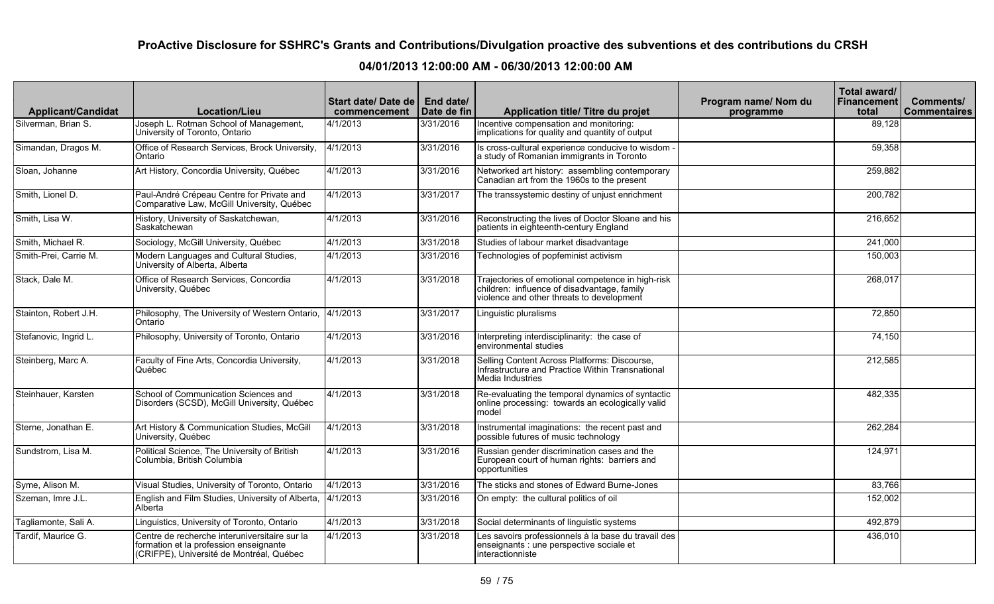| <b>Applicant/Candidat</b> | <b>Location/Lieu</b>                                                                                                                | Start date/Date de   End date/<br>commencement | Date de fin | Application title/ Titre du projet                                                                                                            | Program name/ Nom du<br>programme | Total award/<br><b>Financement</b><br>total | Comments/<br><b>Commentaires</b> |
|---------------------------|-------------------------------------------------------------------------------------------------------------------------------------|------------------------------------------------|-------------|-----------------------------------------------------------------------------------------------------------------------------------------------|-----------------------------------|---------------------------------------------|----------------------------------|
| Silverman, Brian S.       | Joseph L. Rotman School of Management,<br>University of Toronto, Ontario                                                            | 4/1/2013                                       | 3/31/2016   | Incentive compensation and monitoring:<br>implications for quality and quantity of output                                                     |                                   | 89,128                                      |                                  |
| Simandan, Dragos M.       | Office of Research Services, Brock University,<br>Ontario                                                                           | 4/1/2013                                       | 3/31/2016   | Is cross-cultural experience conducive to wisdom -<br>a study of Romanian immigrants in Toronto                                               |                                   | 59,358                                      |                                  |
| Sloan, Johanne            | Art History, Concordia University, Québec                                                                                           | 4/1/2013                                       | 3/31/2016   | Networked art history: assembling contemporary<br>Canadian art from the 1960s to the present                                                  |                                   | 259,882                                     |                                  |
| Smith, Lionel D.          | Paul-André Crépeau Centre for Private and<br>Comparative Law, McGill University, Québec                                             | 4/1/2013                                       | 3/31/2017   | The transsystemic destiny of unjust enrichment                                                                                                |                                   | 200,782                                     |                                  |
| Smith, Lisa W.            | History, University of Saskatchewan,<br>Saskatchewan                                                                                | 4/1/2013                                       | 3/31/2016   | Reconstructing the lives of Doctor Sloane and his<br>patients in eighteenth-century England                                                   |                                   | 216,652                                     |                                  |
| Smith, Michael R.         | Sociology, McGill University, Québec                                                                                                | 4/1/2013                                       | 3/31/2018   | Studies of labour market disadvantage                                                                                                         |                                   | 241,000                                     |                                  |
| Smith-Prei, Carrie M.     | Modern Languages and Cultural Studies,<br>University of Alberta, Alberta                                                            | 4/1/2013                                       | 3/31/2016   | Technologies of popfeminist activism                                                                                                          |                                   | 150,003                                     |                                  |
| Stack, Dale M.            | Office of Research Services, Concordia<br>University, Québec                                                                        | 4/1/2013                                       | 3/31/2018   | Trajectories of emotional competence in high-risk<br>children: influence of disadvantage, family<br>violence and other threats to development |                                   | 268,017                                     |                                  |
| Stainton, Robert J.H.     | Philosophy, The University of Western Ontario,<br>Ontario                                                                           | $\sqrt{4/1/2013}$                              | 3/31/2017   | Linguistic pluralisms                                                                                                                         |                                   | 72,850                                      |                                  |
| Stefanovic, Ingrid L.     | Philosophy, University of Toronto, Ontario                                                                                          | 4/1/2013                                       | 3/31/2016   | Interpreting interdisciplinarity: the case of<br>environmental studies                                                                        |                                   | 74,150                                      |                                  |
| Steinberg, Marc A.        | Faculty of Fine Arts, Concordia University,<br>Québec                                                                               | 4/1/2013                                       | 3/31/2018   | Selling Content Across Platforms: Discourse,<br>Infrastructure and Practice Within Transnational<br>Media Industries                          |                                   | 212,585                                     |                                  |
| Steinhauer, Karsten       | School of Communication Sciences and<br>Disorders (SCSD), McGill University, Québec                                                 | 4/1/2013                                       | 3/31/2018   | Re-evaluating the temporal dynamics of syntactic<br>online processing: towards an ecologically valid<br>model                                 |                                   | 482,335                                     |                                  |
| Sterne, Jonathan E.       | Art History & Communication Studies, McGill<br>University, Québec                                                                   | 4/1/2013                                       | 3/31/2018   | Instrumental imaginations: the recent past and<br>possible futures of music technology                                                        |                                   | 262,284                                     |                                  |
| Sundstrom, Lisa M.        | Political Science, The University of British<br>Columbia, British Columbia                                                          | 4/1/2013                                       | 3/31/2016   | Russian gender discrimination cases and the<br>European court of human rights: barriers and<br>opportunities                                  |                                   | 124,971                                     |                                  |
| Syme, Alison M.           | Visual Studies, University of Toronto, Ontario                                                                                      | 4/1/2013                                       | 3/31/2016   | The sticks and stones of Edward Burne-Jones                                                                                                   |                                   | 83,766                                      |                                  |
| Szeman, Imre J.L.         | English and Film Studies, University of Alberta,<br>Alberta                                                                         | 4/1/2013                                       | 3/31/2016   | On empty: the cultural politics of oil                                                                                                        |                                   | 152,002                                     |                                  |
| Tagliamonte, Sali A.      | Linguistics, University of Toronto, Ontario                                                                                         | 4/1/2013                                       | 3/31/2018   | Social determinants of linguistic systems                                                                                                     |                                   | 492,879                                     |                                  |
| Tardif, Maurice G.        | Centre de recherche interuniversitaire sur la<br>formation et la profession enseignante<br>(CRIFPE), Université de Montréal, Québec | 4/1/2013                                       | 3/31/2018   | Les savoirs professionnels à la base du travail des<br>enseignants : une perspective sociale et<br>interactionniste                           |                                   | 436,010                                     |                                  |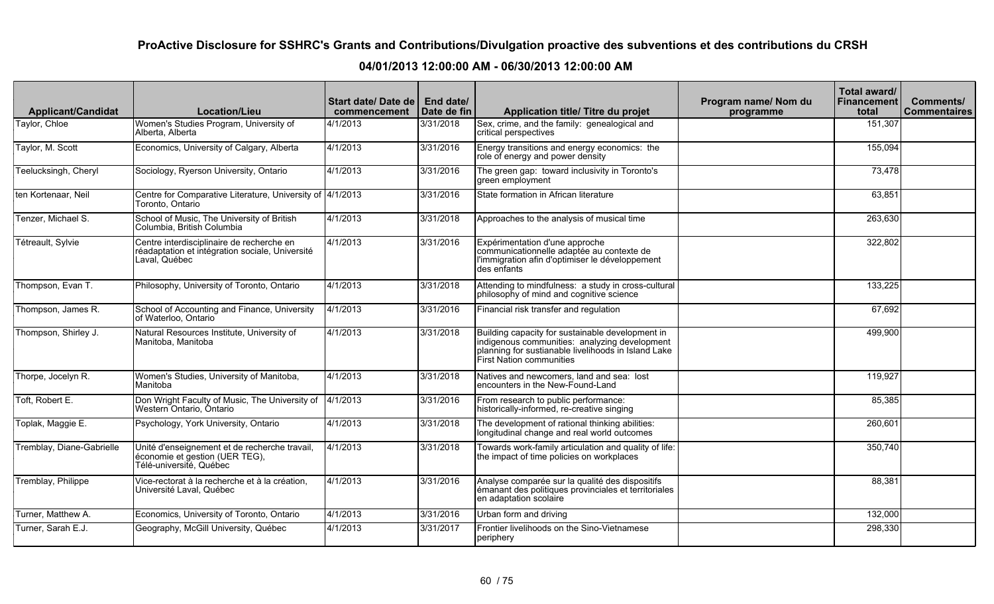| <b>Applicant/Candidat</b> | <b>Location/Lieu</b>                                                                                          | <b>Start date/Date dell</b><br>commencement | End date/<br>Date de fin | Application title/ Titre du projet                                                                                                                                                          | Program name/ Nom du<br>programme | Total award/<br><b>Financement</b><br>total | Comments/<br><b>Commentaires</b> |
|---------------------------|---------------------------------------------------------------------------------------------------------------|---------------------------------------------|--------------------------|---------------------------------------------------------------------------------------------------------------------------------------------------------------------------------------------|-----------------------------------|---------------------------------------------|----------------------------------|
| Taylor, Chloe             | Women's Studies Program, University of<br>Alberta, Alberta                                                    | 4/1/2013                                    | 3/31/2018                | Sex, crime, and the family: genealogical and<br>critical perspectives                                                                                                                       |                                   | 151,307                                     |                                  |
| Taylor, M. Scott          | Economics, University of Calgary, Alberta                                                                     | 4/1/2013                                    | 3/31/2016                | Energy transitions and energy economics: the<br>role of energy and power density                                                                                                            |                                   | 155,094                                     |                                  |
| Teelucksingh, Cheryl      | Sociology, Ryerson University, Ontario                                                                        | 4/1/2013                                    | 3/31/2016                | The green gap: toward inclusivity in Toronto's<br>green employment                                                                                                                          |                                   | 73,478                                      |                                  |
| lten Kortenaar. Neil      | Centre for Comparative Literature, University of 4/1/2013<br>Toronto, Ontario                                 |                                             | 3/31/2016                | State formation in African literature                                                                                                                                                       |                                   | 63,851                                      |                                  |
| Tenzer, Michael S.        | School of Music, The University of British<br>Columbia. British Columbia                                      | 4/1/2013                                    | 3/31/2018                | Approaches to the analysis of musical time                                                                                                                                                  |                                   | 263,630                                     |                                  |
| Tétreault, Sylvie         | Centre interdisciplinaire de recherche en<br>réadaptation et intégration sociale, Université<br>Laval, Québec | 4/1/2013                                    | 3/31/2016                | Expérimentation d'une approche<br>communicationnelle adaptée au contexte de<br>l'immigration afin d'optimiser le développement<br>des enfants                                               |                                   | 322,802                                     |                                  |
| Thompson, Evan T.         | Philosophy, University of Toronto, Ontario                                                                    | 4/1/2013                                    | 3/31/2018                | Attending to mindfulness: a study in cross-cultural<br>philosophy of mind and cognitive science                                                                                             |                                   | 133,225                                     |                                  |
| Thompson, James R.        | School of Accounting and Finance, University<br>of Waterloo, Ontario                                          | 4/1/2013                                    | 3/31/2016                | Financial risk transfer and regulation                                                                                                                                                      |                                   | 67,692                                      |                                  |
| Thompson, Shirley J.      | Natural Resources Institute, University of<br>Manitoba, Manitoba                                              | 4/1/2013                                    | 3/31/2018                | Building capacity for sustainable development in<br>indigenous communities: analyzing development<br>planning for sustianable livelihoods in Island Lake<br><b>First Nation communities</b> |                                   | 499,900                                     |                                  |
| Thorpe, Jocelyn R.        | Women's Studies, University of Manitoba,<br>Manitoba                                                          | 4/1/2013                                    | 3/31/2018                | Natives and newcomers, land and sea: lost<br>encounters in the New-Found-Land                                                                                                               |                                   | 119,927                                     |                                  |
| Toft, Robert E.           | Don Wright Faculty of Music, The University of<br>Western Ontario, Óntario                                    | 4/1/2013                                    | 3/31/2016                | From research to public performance:<br>historically-informed, re-creative singing                                                                                                          |                                   | 85,385                                      |                                  |
| Toplak, Maggie E.         | Psychology, York University, Ontario                                                                          | 4/1/2013                                    | 3/31/2018                | The development of rational thinking abilities:<br>longitudinal change and real world outcomes                                                                                              |                                   | 260,601                                     |                                  |
| Tremblay, Diane-Gabrielle | Unité d'enseignement et de recherche travail,<br>économie et gestion (UER TEG),<br>Télé-université, Québec    | 4/1/2013                                    | 3/31/2018                | Towards work-family articulation and quality of life:<br>the impact of time policies on workplaces                                                                                          |                                   | 350,740                                     |                                  |
| Tremblay, Philippe        | Vice-rectorat à la recherche et à la création,<br>Université Laval, Québec                                    | 4/1/2013                                    | 3/31/2016                | Analyse comparée sur la qualité des dispositifs<br>émanant des politiques provinciales et territoriales<br>en adaptation scolaire                                                           |                                   | 88,381                                      |                                  |
| Turner, Matthew A.        | Economics, University of Toronto, Ontario                                                                     | 4/1/2013                                    | 3/31/2016                | Urban form and driving                                                                                                                                                                      |                                   | 132,000                                     |                                  |
| Turner, Sarah E.J.        | Geography, McGill University, Québec                                                                          | 4/1/2013                                    | 3/31/2017                | Frontier livelihoods on the Sino-Vietnamese<br>  periphery                                                                                                                                  |                                   | 298,330                                     |                                  |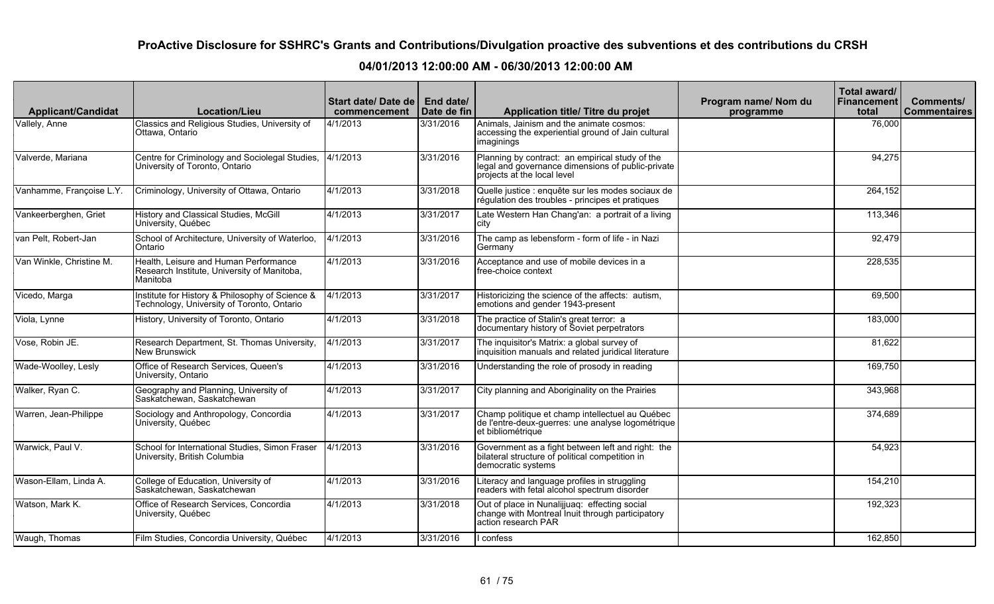| <b>Applicant/Candidat</b> | <b>Location/Lieu</b>                                                                             | Start date/Date de<br>commencement | End date/<br>Date de fin | Application title/ Titre du projet                                                                                                  | Program name/Nom du<br>programme | Total award/<br><b>Financement</b><br>total | Comments/<br><b>Commentaires</b> |
|---------------------------|--------------------------------------------------------------------------------------------------|------------------------------------|--------------------------|-------------------------------------------------------------------------------------------------------------------------------------|----------------------------------|---------------------------------------------|----------------------------------|
| Vallely, Anne             | Classics and Religious Studies, University of<br>Ottawa, Ontario                                 | 4/1/2013                           | 3/31/2016                | Animals, Jainism and the animate cosmos:<br>accessing the experiential ground of Jain cultural<br>imaginings                        |                                  | 76,000                                      |                                  |
| Valverde, Mariana         | Centre for Criminology and Sociolegal Studies,<br>University of Toronto, Ontario                 | 4/1/2013                           | 3/31/2016                | Planning by contract: an empirical study of the<br>legal and governance dimensions of public-private<br>projects at the local level |                                  | 94,275                                      |                                  |
| Vanhamme, Françoise L.Y.  | Criminology, University of Ottawa, Ontario                                                       | 4/1/2013                           | 3/31/2018                | Quelle justice : enquête sur les modes sociaux de<br>régulation des troubles - principes et pratiques                               |                                  | 264,152                                     |                                  |
| Vankeerberghen, Griet     | History and Classical Studies, McGill<br>University, Québec                                      | $\sqrt{4/1/2013}$                  | 3/31/2017                | Late Western Han Chang'an: a portrait of a living<br>city                                                                           |                                  | 113,346                                     |                                  |
| van Pelt, Robert-Jan      | School of Architecture, University of Waterloo,<br>Ontario                                       | 4/1/2013                           | 3/31/2016                | The camp as lebensform - form of life - in Nazi<br>Germany                                                                          |                                  | 92,479                                      |                                  |
| Van Winkle, Christine M.  | Health, Leisure and Human Performance<br>Research Institute, University of Manitoba,<br>Manitoba | 4/1/2013                           | 3/31/2016                | Acceptance and use of mobile devices in a<br>free-choice context                                                                    |                                  | 228,535                                     |                                  |
| Vicedo, Marga             | Institute for History & Philosophy of Science &<br>Technology, University of Toronto, Ontario    | 4/1/2013                           | 3/31/2017                | Historicizing the science of the affects: autism,<br>emotions and gender 1943-present                                               |                                  | 69,500                                      |                                  |
| Viola, Lynne              | History, University of Toronto, Ontario                                                          | 4/1/2013                           | 3/31/2018                | The practice of Stalin's great terror: a<br>documentary history of Soviet perpetrators                                              |                                  | 183,000                                     |                                  |
| Vose, Robin JE.           | Research Department, St. Thomas University,<br><b>New Brunswick</b>                              | $\sqrt{4/1/2013}$                  | 3/31/2017                | The inquisitor's Matrix: a global survey of<br>inquisition manuals and related juridical literature                                 |                                  | 81,622                                      |                                  |
| Wade-Woolley, Lesly       | Office of Research Services, Queen's<br>University, Ontario                                      | 4/1/2013                           | 3/31/2016                | Understanding the role of prosody in reading                                                                                        |                                  | 169,750                                     |                                  |
| Walker, Ryan C.           | Geography and Planning, University of<br>Saskatchewan, Saskatchewan                              | 4/1/2013                           | 3/31/2017                | City planning and Aboriginality on the Prairies                                                                                     |                                  | 343,968                                     |                                  |
| Warren, Jean-Philippe     | Sociology and Anthropology, Concordia<br>University, Québec                                      | 4/1/2013                           | 3/31/2017                | Champ politique et champ intellectuel au Québec<br>de l'entre-deux-guerres: une analyse logométrique<br>let bibliométrique          |                                  | 374,689                                     |                                  |
| Warwick, Paul V.          | School for International Studies, Simon Fraser<br>University, British Columbia                   | 4/1/2013                           | 3/31/2016                | Government as a fight between left and right: the<br>bilateral structure of political competition in<br>democratic systems          |                                  | 54,923                                      |                                  |
| Wason-Ellam, Linda A.     | College of Education, University of<br>Saskatchewan, Saskatchewan                                | 4/1/2013                           | 3/31/2016                | Literacy and language profiles in struggling<br>readers with fetal alcohol spectrum disorder                                        |                                  | 154,210                                     |                                  |
| Watson, Mark K.           | Office of Research Services, Concordia<br>University, Québec                                     | 4/1/2013                           | 3/31/2018                | Out of place in Nunalijjuaq: effecting social<br>change with Montreal Inuit through participatory<br>action research PAR            |                                  | 192,323                                     |                                  |
| Waugh, Thomas             | Film Studies, Concordia University, Québec                                                       | 4/1/2013                           | 3/31/2016                | confess                                                                                                                             |                                  | 162,850                                     |                                  |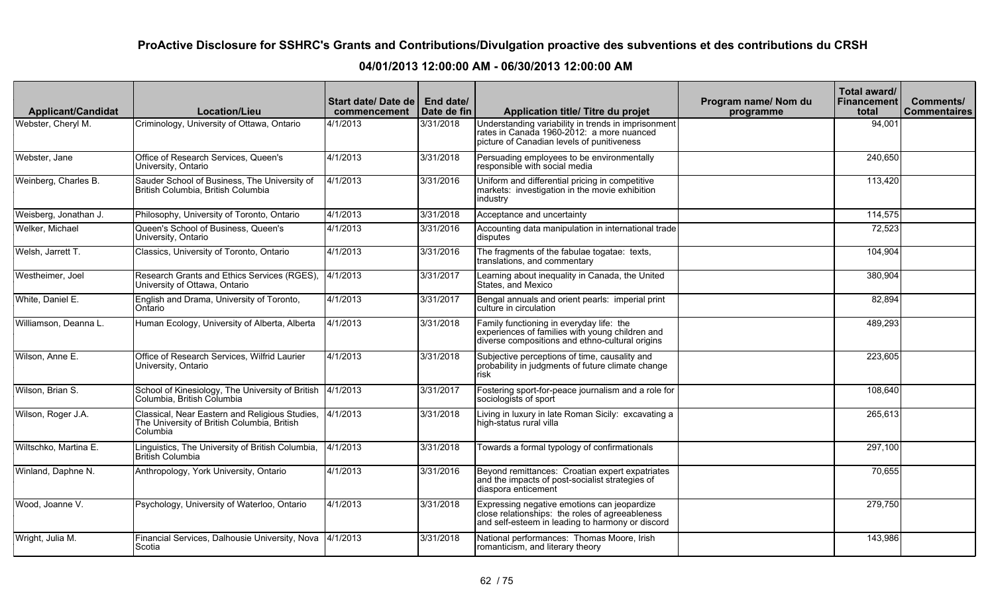| <b>Applicant/Candidat</b> | <b>Location/Lieu</b>                                                                                      | Start date/Date de<br>commencement | End date/<br>Date de fin | Application title/ Titre du projet                                                                                                                 | Program name/ Nom du<br>programme | Total award/<br>Financement<br>total | Comments/<br><b>Commentaires</b> |
|---------------------------|-----------------------------------------------------------------------------------------------------------|------------------------------------|--------------------------|----------------------------------------------------------------------------------------------------------------------------------------------------|-----------------------------------|--------------------------------------|----------------------------------|
| Webster, Cheryl M.        | Criminology, University of Ottawa, Ontario                                                                | 4/1/2013                           | 3/31/2018                | Understanding variability in trends in imprisonment<br>rates in Canada 1960-2012: a more nuanced<br>picture of Canadian levels of punitiveness     |                                   | 94,001                               |                                  |
| Webster, Jane             | Office of Research Services, Queen's<br>University, Ontario                                               | 4/1/2013                           | 3/31/2018                | Persuading employees to be environmentally<br>responsible with social media                                                                        |                                   | 240,650                              |                                  |
| Weinberg, Charles B.      | Sauder School of Business, The University of<br>British Columbia, British Columbia                        | 4/1/2013                           | 3/31/2016                | Uniform and differential pricing in competitive<br>markets: investigation in the movie exhibition<br>industry                                      |                                   | 113,420                              |                                  |
| Weisberg, Jonathan J.     | Philosophy, University of Toronto, Ontario                                                                | 4/1/2013                           | 3/31/2018                | Acceptance and uncertainty                                                                                                                         |                                   | 114,575                              |                                  |
| Welker, Michael           | Queen's School of Business, Queen's<br>University, Ontario                                                | 4/1/2013                           | 3/31/2016                | Accounting data manipulation in international trade<br>disputes                                                                                    |                                   | 72,523                               |                                  |
| Welsh, Jarrett T.         | Classics, University of Toronto, Ontario                                                                  | 4/1/2013                           | 3/31/2016                | The fragments of the fabulae togatae: texts,<br>translations, and commentary                                                                       |                                   | 104,904                              |                                  |
| Westheimer, Joel          | Research Grants and Ethics Services (RGES),<br>University of Ottawa, Ontario                              | 4/1/2013                           | 3/31/2017                | Learning about inequality in Canada, the United<br>States, and Mexico                                                                              |                                   | 380,904                              |                                  |
| White, Daniel E.          | English and Drama, University of Toronto,<br>Ontario                                                      | 4/1/2013                           | 3/31/2017                | Bengal annuals and orient pearls: imperial print<br>culture in circulation                                                                         |                                   | 82,894                               |                                  |
| Williamson, Deanna L.     | Human Ecology, University of Alberta, Alberta                                                             | 4/1/2013                           | 3/31/2018                | Family functioning in everyday life: the<br>experiences of families with young children and<br>diverse compositions and ethno-cultural origins     |                                   | 489,293                              |                                  |
| Wilson, Anne E.           | Office of Research Services, Wilfrid Laurier<br>University, Ontario                                       | 4/1/2013                           | 3/31/2018                | Subjective perceptions of time, causality and<br>probability in judgments of future climate change<br>risk                                         |                                   | 223,605                              |                                  |
| Wilson, Brian S.          | School of Kinesiology, The University of British<br>Columbia, British Columbia                            | 4/1/2013                           | 3/31/2017                | Fostering sport-for-peace journalism and a role for<br>sociologists of sport                                                                       |                                   | 108,640                              |                                  |
| Wilson, Roger J.A.        | Classical, Near Eastern and Religious Studies,<br>The University of British Columbia, British<br>Columbia | 4/1/2013                           | 3/31/2018                | Living in luxury in late Roman Sicily: excavating a<br>high-status rural villa                                                                     |                                   | 265,613                              |                                  |
| Wiltschko, Martina E.     | Linguistics, The University of British Columbia,<br>British Columbia                                      | 4/1/2013                           | 3/31/2018                | Towards a formal typology of confirmationals                                                                                                       |                                   | 297,100                              |                                  |
| Winland, Daphne N.        | Anthropology, York University, Ontario                                                                    | 4/1/2013                           | 3/31/2016                | Beyond remittances: Croatian expert expatriates<br>and the impacts of post-socialist strategies of<br>diaspora enticement                          |                                   | 70,655                               |                                  |
| Wood, Joanne V.           | Psychology, University of Waterloo, Ontario                                                               | 4/1/2013                           | 3/31/2018                | Expressing negative emotions can jeopardize<br>close relationships: the roles of agreeableness<br>and self-esteem in leading to harmony or discord |                                   | 279,750                              |                                  |
| Wright, Julia M.          | Financial Services, Dalhousie University, Nova<br>Scotia                                                  | $\sqrt{4/1/2013}$                  | 3/31/2018                | National performances: Thomas Moore, Irish<br>romanticism, and literary theory                                                                     |                                   | 143,986                              |                                  |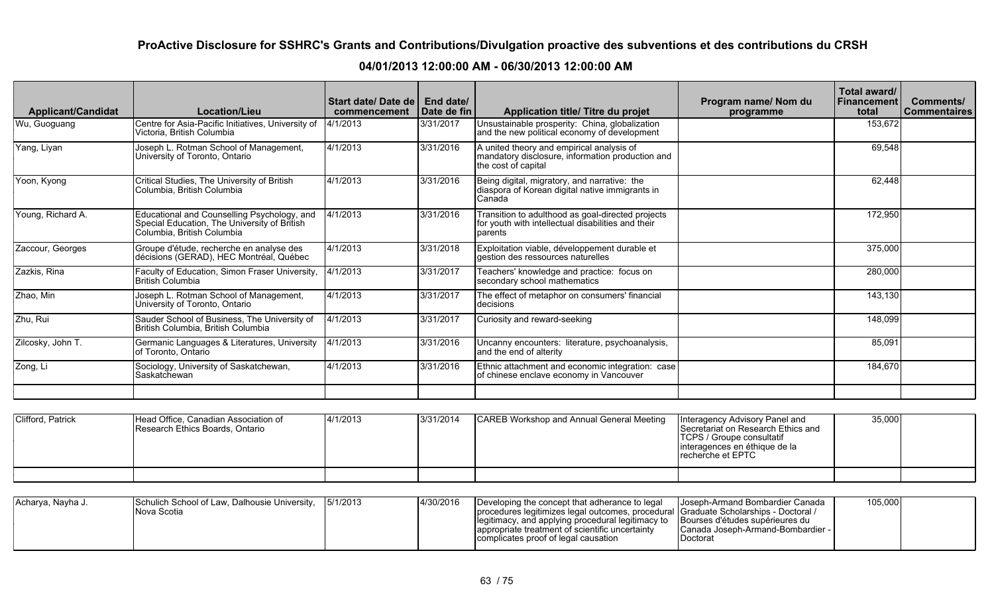| <b>Applicant/Candidat</b> | <b>Location/Lieu</b>                                                                                                      | Start date/ Date de   End date/<br>commencement | Date de fin | Application title/ Titre du projet                                                                                   | Program name/Nom du<br>programme | Total award/<br><b>Financement</b><br>total | Comments/<br><b>Commentaires</b> |
|---------------------------|---------------------------------------------------------------------------------------------------------------------------|-------------------------------------------------|-------------|----------------------------------------------------------------------------------------------------------------------|----------------------------------|---------------------------------------------|----------------------------------|
| Wu, Guoguang              | Centre for Asia-Pacific Initiatives, University of<br>Victoria. British Columbia                                          | 4/1/2013                                        | 3/31/2017   | Unsustainable prosperity: China, globalization<br> and the new political economy of development                      |                                  | 153,672                                     |                                  |
| Yang, Liyan               | Joseph L. Rotman School of Management,<br>University of Toronto, Ontario                                                  | 4/1/2013                                        | 3/31/2016   | A united theory and empirical analysis of<br>mandatory disclosure, information production and<br>the cost of capital |                                  | 69.548                                      |                                  |
| Yoon, Kyong               | Critical Studies, The University of British<br>Columbia, British Columbia                                                 | 4/1/2013                                        | 3/31/2016   | Being digital, migratory, and narrative: the<br>diaspora of Korean digital native immigrants in<br>Canada            |                                  | 62.448                                      |                                  |
| Young, Richard A.         | Educational and Counselling Psychology, and<br>Special Education, The University of British<br>Columbia, British Columbia | 4/1/2013                                        | 3/31/2016   | Transition to adulthood as goal-directed projects<br>for youth with intellectual disabilities and their<br>parents   |                                  | 172,950                                     |                                  |
| Zaccour, Georges          | Groupe d'étude, recherche en analyse des<br>décisions (GERAD), HEC Montréal, Québec                                       | 4/1/2013                                        | 3/31/2018   | Exploitation viable, développement durable et<br>gestion des ressources naturelles                                   |                                  | 375,000                                     |                                  |
| Zazkis, Rina              | Faculty of Education, Simon Fraser University,<br>British Columbia                                                        | 4/1/2013                                        | 3/31/2017   | Teachers' knowledge and practice: focus on<br>secondary school mathematics                                           |                                  | 280,000                                     |                                  |
| Zhao, Min                 | Joseph L. Rotman School of Management,<br>University of Toronto, Ontario                                                  | 4/1/2013                                        | 3/31/2017   | The effect of metaphor on consumers' financial<br><b>I</b> decisions                                                 |                                  | 143,130                                     |                                  |
| Zhu, Rui                  | Sauder School of Business, The University of<br>British Columbia, British Columbia                                        | 4/1/2013                                        | 3/31/2017   | Curiosity and reward-seeking                                                                                         |                                  | 148.099                                     |                                  |
| Zilcosky, John T.         | Germanic Languages & Literatures, University<br>of Toronto, Ontario                                                       | 4/1/2013                                        | 3/31/2016   | Uncanny encounters: literature, psychoanalysis,<br>and the end of alterity                                           |                                  | 85,091                                      |                                  |
| Zong, Li                  | Sociology, University of Saskatchewan,<br>Saskatchewan                                                                    | 4/1/2013                                        | 3/31/2016   | Ethnic attachment and economic integration: case<br>of chinese enclave economy in Vancouver                          |                                  | 184,670                                     |                                  |
|                           |                                                                                                                           |                                                 |             |                                                                                                                      |                                  |                                             |                                  |

| Clifford, Patrick | Head Office, Canadian Association of<br>Research Ethics Boards, Ontario | 4/1/2013 | 3/31/2014 | CAREB Workshop and Annual General Meeting | Interagency Advisory Panel and<br>Secretariat on Research Ethics and<br><b>TCPS / Groupe consultatif</b><br>interagences en éthique de la<br>recherche et EPTC | 35,000 |  |
|-------------------|-------------------------------------------------------------------------|----------|-----------|-------------------------------------------|----------------------------------------------------------------------------------------------------------------------------------------------------------------|--------|--|
|                   |                                                                         |          |           |                                           |                                                                                                                                                                |        |  |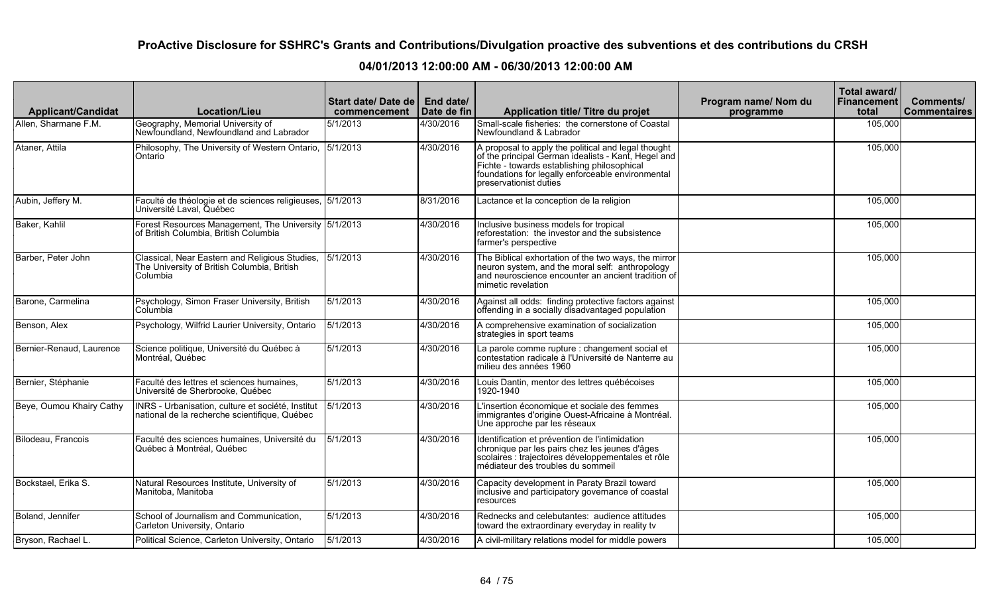| <b>Applicant/Candidat</b> | <b>Location/Lieu</b>                                                                                      | Start date/ Date de  <br>commencement | End date/<br>Date de fin | Application title/ Titre du projet                                                                                                                                                                                                       | Program name/ Nom du<br>programme | Total award/<br>Financement<br>total | <b>Comments/</b><br><b>Commentaires</b> |
|---------------------------|-----------------------------------------------------------------------------------------------------------|---------------------------------------|--------------------------|------------------------------------------------------------------------------------------------------------------------------------------------------------------------------------------------------------------------------------------|-----------------------------------|--------------------------------------|-----------------------------------------|
| Allen, Sharmane F.M.      | Geography, Memorial University of<br>Newfoundland, Newfoundland and Labrador                              | 5/1/2013                              | 4/30/2016                | Small-scale fisheries: the cornerstone of Coastal<br>Newfoundland & Labrador                                                                                                                                                             |                                   | 105,000                              |                                         |
| Ataner, Attila            | Philosophy, The University of Western Ontario,<br>Ontario                                                 | 5/1/2013                              | 4/30/2016                | A proposal to apply the political and legal thought<br>of the principal German idealists - Kant, Hegel and<br>Fichte - towards establishing philosophical<br>foundations for legally enforceable environmental<br>preservationist duties |                                   | 105,000                              |                                         |
| Aubin, Jeffery M.         | Faculté de théologie et de sciences religieuses,<br>Université Laval, Québec                              | 5/1/2013                              | 8/31/2016                | Lactance et la conception de la religion                                                                                                                                                                                                 |                                   | 105,000                              |                                         |
| Baker, Kahlil             | Forest Resources Management, The University 5/1/2013<br>of British Columbia, British Columbia             |                                       | 4/30/2016                | Inclusive business models for tropical<br>reforestation: the investor and the subsistence<br>farmer's perspective                                                                                                                        |                                   | 105,000                              |                                         |
| Barber, Peter John        | Classical, Near Eastern and Religious Studies,<br>The University of British Columbia, British<br>Columbia | 5/1/2013                              | 4/30/2016                | The Biblical exhortation of the two ways, the mirror<br>neuron system, and the moral self: anthropology<br>and neuroscience encounter an ancient tradition of<br>mimetic revelation                                                      |                                   | 105,000                              |                                         |
| Barone, Carmelina         | Psychology, Simon Fraser University, British<br>Columbia                                                  | 5/1/2013                              | 4/30/2016                | Against all odds: finding protective factors against<br>offending in a socially disadvantaged population                                                                                                                                 |                                   | 105,000                              |                                         |
| Benson, Alex              | Psychology, Wilfrid Laurier University, Ontario                                                           | 5/1/2013                              | 4/30/2016                | A comprehensive examination of socialization<br>strategies in sport teams                                                                                                                                                                |                                   | 105,000                              |                                         |
| Bernier-Renaud, Laurence  | Science politique, Université du Québec à<br>Montréal, Québec                                             | 5/1/2013                              | 4/30/2016                | La parole comme rupture : changement social et<br>contestation radicale à l'Université de Nanterre au<br>milieu des années 1960                                                                                                          |                                   | 105,000                              |                                         |
| Bernier, Stéphanie        | Faculté des lettres et sciences humaines,<br>Université de Sherbrooke, Québec                             | 5/1/2013                              | 4/30/2016                | Louis Dantin, mentor des lettres québécoises<br>1920-1940                                                                                                                                                                                |                                   | 105,000                              |                                         |
| Beye, Oumou Khairy Cathy  | INRS - Urbanisation, culture et société, Institut<br>national de la recherche scientifique, Québec        | 5/1/2013                              | 4/30/2016                | L'insertion économique et sociale des femmes<br>immigrantes d'origine Ouest-Africaine à Montréal.<br>Une approche par les réseaux                                                                                                        |                                   | 105,000                              |                                         |
| Bilodeau, Francois        | Faculté des sciences humaines, Université du<br>Québec à Montréal, Québec                                 | 5/1/2013                              | 4/30/2016                | Identification et prévention de l'intimidation<br>chronique par les pairs chez les jeunes d'âges<br>scolaires : trajectoires développementales et rôle<br>médiateur des troubles du sommeil                                              |                                   | 105,000                              |                                         |
| Bockstael, Erika S.       | Natural Resources Institute, University of<br>Manitoba, Manitoba                                          | 5/1/2013                              | 4/30/2016                | Capacity development in Paraty Brazil toward<br>inclusive and participatory governance of coastal<br>resources                                                                                                                           |                                   | 105,000                              |                                         |
| Boland, Jennifer          | School of Journalism and Communication,<br>Carleton University, Ontario                                   | 5/1/2013                              | 4/30/2016                | Rednecks and celebutantes: audience attitudes<br>toward the extraordinary everyday in reality tv                                                                                                                                         |                                   | 105,000                              |                                         |
| Bryson, Rachael L.        | Political Science, Carleton University, Ontario                                                           | 5/1/2013                              | 4/30/2016                | A civil-military relations model for middle powers                                                                                                                                                                                       |                                   | 105,000                              |                                         |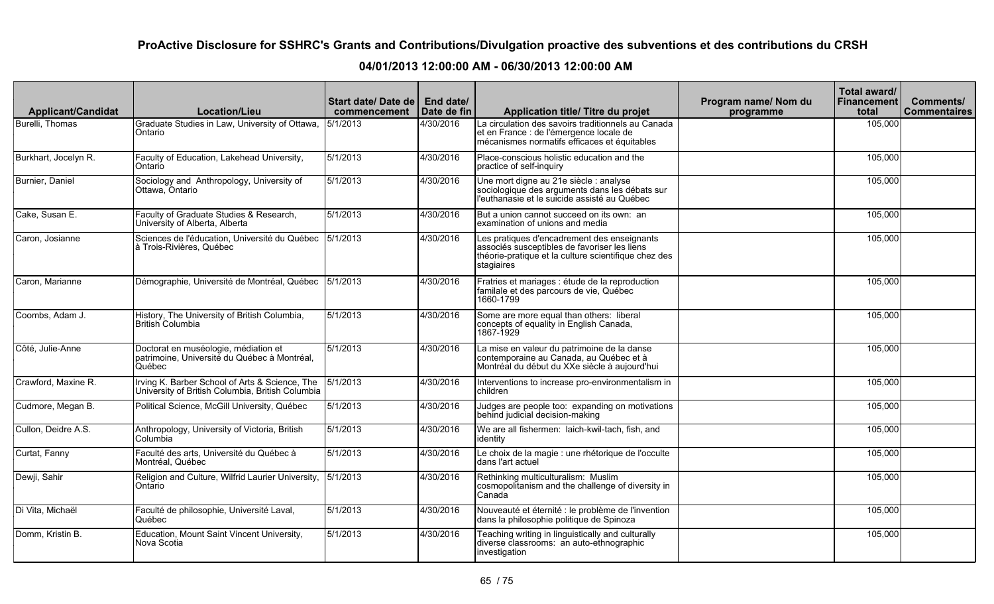| <b>Applicant/Candidat</b> | <b>Location/Lieu</b>                                                                               | Start date/ Date de   End date/<br>commencement | Date de fin | Application title/ Titre du projet                                                                                                                                | Program name/ Nom du<br>programme | Total award/<br><b>Financement</b><br>total | Comments/<br><b>Commentaires</b> |
|---------------------------|----------------------------------------------------------------------------------------------------|-------------------------------------------------|-------------|-------------------------------------------------------------------------------------------------------------------------------------------------------------------|-----------------------------------|---------------------------------------------|----------------------------------|
| Burelli, Thomas           | Graduate Studies in Law, University of Ottawa,<br>Ontario                                          | 5/1/2013                                        | 4/30/2016   | La circulation des savoirs traditionnels au Canada<br>et en France : de l'émergence locale de<br>mécanismes normatifs efficaces et équitables                     |                                   | 105,000                                     |                                  |
| Burkhart, Jocelyn R.      | Faculty of Education, Lakehead University,<br>Ontario                                              | 5/1/2013                                        | 4/30/2016   | Place-conscious holistic education and the<br>practice of self-inquiry                                                                                            |                                   | 105,000                                     |                                  |
| Burnier, Daniel           | Sociology and Anthropology, University of<br>Ottawa, Ontario                                       | 5/1/2013                                        | 4/30/2016   | Une mort digne au 21e siècle : analyse<br>sociologique des arguments dans les débats sur<br>l'euthanasie et le suicide assisté au Québec                          |                                   | 105,000                                     |                                  |
| Cake, Susan E.            | Faculty of Graduate Studies & Research,<br>University of Alberta, Alberta                          | 5/1/2013                                        | 4/30/2016   | But a union cannot succeed on its own: an<br>examination of unions and media                                                                                      |                                   | 105,000                                     |                                  |
| Caron, Josianne           | Sciences de l'éducation, Université du Québec<br>à Trois-Rivières, Québec                          | 5/1/2013                                        | 4/30/2016   | Les pratiques d'encadrement des enseignants<br>associés susceptibles de favoriser les liens<br>théorie-pratique et la culture scientifique chez des<br>stagiaires |                                   | 105,000                                     |                                  |
| Caron, Marianne           | Démographie, Université de Montréal, Québec                                                        | 5/1/2013                                        | 4/30/2016   | Fratries et mariages : étude de la reproduction<br>familale et des parcours de vie, Québec<br>1660-1799                                                           |                                   | 105,000                                     |                                  |
| Coombs, Adam J.           | History, The University of British Columbia,<br>British Columbia                                   | 5/1/2013                                        | 4/30/2016   | Some are more equal than others: liberal<br>concepts of equality in English Canada,<br>1867-1929                                                                  |                                   | 105,000                                     |                                  |
| Côté, Julie-Anne          | Doctorat en muséologie, médiation et<br>patrimoine, Université du Québec à Montréal,<br>Québec     | 5/1/2013                                        | 4/30/2016   | La mise en valeur du patrimoine de la danse<br>contemporaine au Canada, au Québec et à<br>Montréal du début du XXe siècle à aujourd'hui                           |                                   | 105,000                                     |                                  |
| Crawford, Maxine R.       | Irving K. Barber School of Arts & Science, The<br>University of British Columbia, British Columbia | 5/1/2013                                        | 4/30/2016   | Interventions to increase pro-environmentalism in<br>children                                                                                                     |                                   | 105,000                                     |                                  |
| Cudmore, Megan B.         | Political Science, McGill University, Québec                                                       | 5/1/2013                                        | 4/30/2016   | Judges are people too: expanding on motivations<br>behind judicial decision-making                                                                                |                                   | 105,000                                     |                                  |
| Cullon, Deidre A.S.       | Anthropology, University of Victoria, British<br>Columbia                                          | 5/1/2013                                        | 4/30/2016   | We are all fishermen: laich-kwil-tach, fish, and<br>identity                                                                                                      |                                   | 105,000                                     |                                  |
| Curtat, Fanny             | Faculté des arts, Université du Québec à<br>Montréal, Québec                                       | 5/1/2013                                        | 4/30/2016   | Le choix de la magie : une rhétorique de l'occulte<br>dans l'art actuel                                                                                           |                                   | 105,000                                     |                                  |
| Dewji, Sahir              | Religion and Culture, Wilfrid Laurier University,<br>Ontario                                       | 5/1/2013                                        | 4/30/2016   | Rethinking multiculturalism: Muslim<br>cosmopolitanism and the challenge of diversity in<br>Canada                                                                |                                   | 105,000                                     |                                  |
| Di Vita, Michaël          | Faculté de philosophie, Université Laval,<br>Québec                                                | 5/1/2013                                        | 4/30/2016   | Nouveauté et éternité : le problème de l'invention<br>dans la philosophie politique de Spinoza                                                                    |                                   | 105,000                                     |                                  |
| Domm, Kristin B.          | Education, Mount Saint Vincent University,<br>Nova Scotia                                          | 5/1/2013                                        | 4/30/2016   | Teaching writing in linguistically and culturally<br>diverse classrooms: an auto-ethnographic<br>investigation                                                    |                                   | 105,000                                     |                                  |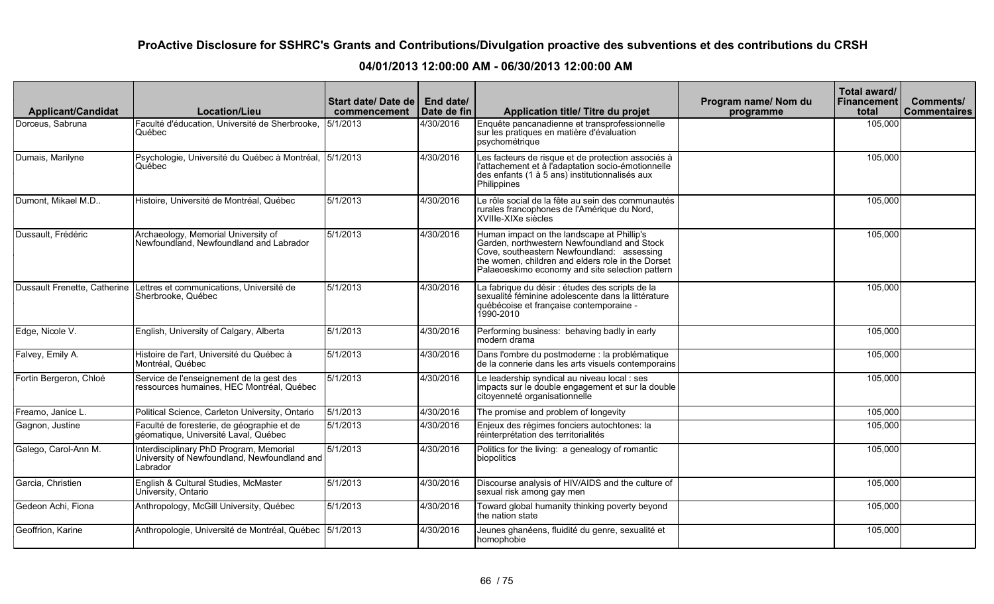| <b>Applicant/Candidat</b> | <b>Location/Lieu</b>                                                                                | Start date/Date de<br>commencement | End date/<br>Date de fin | Application title/ Titre du projet                                                                                                                                                                                                              | Program name/ Nom du<br>programme | Total award/<br><b>Financement</b><br>total | Comments/<br>  Commentaires |
|---------------------------|-----------------------------------------------------------------------------------------------------|------------------------------------|--------------------------|-------------------------------------------------------------------------------------------------------------------------------------------------------------------------------------------------------------------------------------------------|-----------------------------------|---------------------------------------------|-----------------------------|
| Dorceus, Sabruna          | Faculté d'éducation, Université de Sherbrooke,<br>Québec                                            | 5/1/2013                           | 4/30/2016                | Enquête pancanadienne et transprofessionnelle<br>sur les pratiques en matière d'évaluation<br>psychométrique                                                                                                                                    |                                   | 105,000                                     |                             |
| Dumais, Marilyne          | Psychologie, Université du Québec à Montréal,<br>Québec                                             | 5/1/2013                           | 4/30/2016                | Les facteurs de risque et de protection associés à<br>l'attachement et à l'adaptation socio-émotionnelle<br>des enfants (1 à 5 ans) institutionnalisés aux<br>Philippines                                                                       |                                   | 105,000                                     |                             |
| Dumont, Mikael M.D        | Histoire, Université de Montréal, Québec                                                            | 5/1/2013                           | 4/30/2016                | Le rôle social de la fête au sein des communautés<br>rurales francophones de l'Amérique du Nord,<br>XVIIIe-XIXe siècles                                                                                                                         |                                   | 105,000                                     |                             |
| Dussault, Frédéric        | Archaeology, Memorial University of<br>Newfoundland, Newfoundland and Labrador                      | $\sqrt{5/1/2013}$                  | 4/30/2016                | Human impact on the landscape at Phillip's<br>Garden, northwestern Newfoundland and Stock<br>Cove, southeastern Newfoundland: assessing<br>the women, children and elders role in the Dorset<br>Palaeoeskimo economy and site selection pattern |                                   | 105,000                                     |                             |
|                           | Dussault Frenette, Catherine Lettres et communications, Université de<br>Sherbrooke, Québec         | 5/1/2013                           | 4/30/2016                | La fabrique du désir : études des scripts de la<br>sexualité féminine adolescente dans la littérature<br>québécoise et française contemporaine -<br>1990-2010                                                                                   |                                   | 105,000                                     |                             |
| Edge, Nicole V.           | English, University of Calgary, Alberta                                                             | 5/1/2013                           | 4/30/2016                | Performing business: behaving badly in early<br>modern drama                                                                                                                                                                                    |                                   | 105,000                                     |                             |
| Falvey, Emily A.          | Histoire de l'art, Université du Québec à<br>Montréal, Québec                                       | 5/1/2013                           | 4/30/2016                | Dans l'ombre du postmoderne : la problématique<br>de la connerie dans les arts visuels contemporains                                                                                                                                            |                                   | 105,000                                     |                             |
| Fortin Bergeron, Chloé    | Service de l'enseignement de la gest des<br>ressources humaines, HEC Montréal, Québec               | 5/1/2013                           | 4/30/2016                | Le leadership syndical au niveau local : ses<br>impacts sur le double engagement et sur la double<br>citoyenneté organisationnelle                                                                                                              |                                   | 105,000                                     |                             |
| Freamo, Janice L.         | Political Science, Carleton University, Ontario                                                     | 5/1/2013                           | 4/30/2016                | The promise and problem of longevity                                                                                                                                                                                                            |                                   | 105,000                                     |                             |
| Gagnon, Justine           | Faculté de foresterie, de géographie et de<br>géomatique, Université Laval, Québec                  | 5/1/2013                           | 4/30/2016                | Enjeux des régimes fonciers autochtones: la<br>réinterprétation des territorialités                                                                                                                                                             |                                   | 105,000                                     |                             |
| Galego, Carol-Ann M.      | Interdisciplinary PhD Program, Memorial<br>University of Newfoundland, Newfoundland and<br>Labrador | 5/1/2013                           | 4/30/2016                | Politics for the living: a genealogy of romantic<br>biopolitics                                                                                                                                                                                 |                                   | 105,000                                     |                             |
| Garcia, Christien         | English & Cultural Studies, McMaster<br>University, Ontario                                         | 5/1/2013                           | 4/30/2016                | Discourse analysis of HIV/AIDS and the culture of<br>sexual risk among gay men                                                                                                                                                                  |                                   | 105,000                                     |                             |
| Gedeon Achi, Fiona        | Anthropology, McGill University, Québec                                                             | 5/1/2013                           | 4/30/2016                | Toward global humanity thinking poverty beyond<br>the nation state                                                                                                                                                                              |                                   | 105,000                                     |                             |
| Geoffrion, Karine         | Anthropologie, Université de Montréal, Québec 5/1/2013                                              |                                    | 4/30/2016                | Jeunes ghanéens, fluidité du genre, sexualité et<br>homophobie                                                                                                                                                                                  |                                   | 105,000                                     |                             |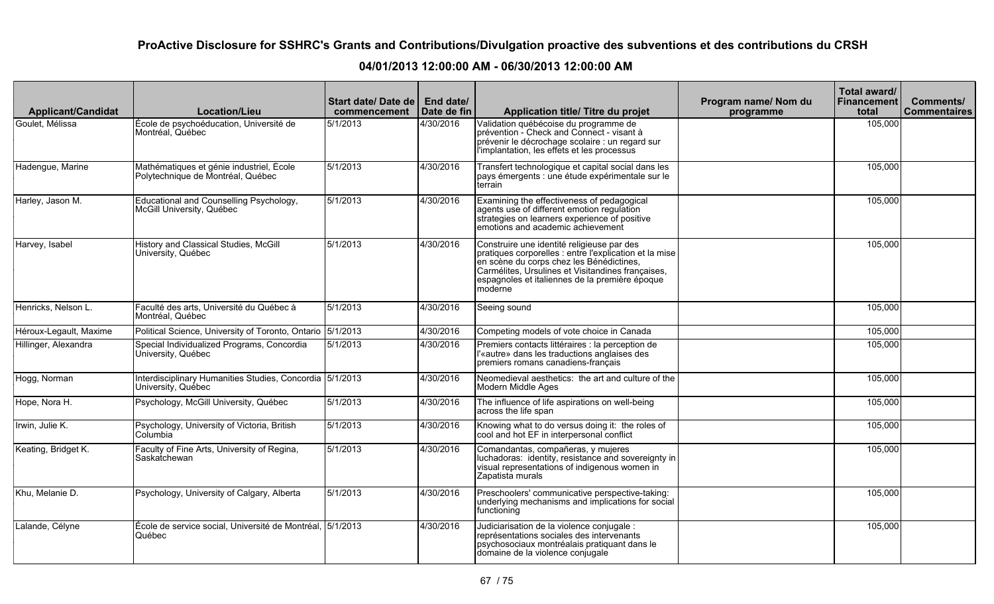| <b>Applicant/Candidat</b> | <b>Location/Lieu</b>                                                           | Start date/Date de   End date/<br>commencement | Date de fin | Application title/ Titre du projet                                                                                                                                                                                                                                 | Program name/ Nom du<br>programme | Total award/<br><b>Financement</b><br>total | Comments/<br><b>Commentaires</b> |
|---------------------------|--------------------------------------------------------------------------------|------------------------------------------------|-------------|--------------------------------------------------------------------------------------------------------------------------------------------------------------------------------------------------------------------------------------------------------------------|-----------------------------------|---------------------------------------------|----------------------------------|
| Goulet. Mélissa           | École de psychoéducation, Université de<br>Montréal, Québec                    | 5/1/2013                                       | 4/30/2016   | Validation québécoise du programme de<br>prévention - Check and Connect - visant à<br>prévenir le décrochage scolaire : un regard sur<br>l'implantation, les effets et les processus                                                                               |                                   | 105,000                                     |                                  |
| Hadengue, Marine          | Mathématiques et génie industriel, École<br>Polytechnique de Montréal, Québec  | 5/1/2013                                       | 4/30/2016   | Transfert technologique et capital social dans les<br>pays émergents : une étude expérimentale sur le<br>terrain                                                                                                                                                   |                                   | 105,000                                     |                                  |
| Harley, Jason M.          | Educational and Counselling Psychology,<br>McGill University, Québec           | 5/1/2013                                       | 4/30/2016   | Examining the effectiveness of pedagogical<br>agents use of different emotion regulation<br>strategies on learners experience of positive<br>emotions and academic achievement                                                                                     |                                   | 105,000                                     |                                  |
| Harvey, Isabel            | History and Classical Studies, McGill<br>University, Québec                    | 5/1/2013                                       | 4/30/2016   | Construire une identité religieuse par des<br>pratiques corporelles : entre l'explication et la mise<br>en scène du corps chez les Bénédictines,<br>Carmélites, Ursulines et Visitandines françaises,<br>espagnoles et italiennes de la première époque<br>moderne |                                   | 105,000                                     |                                  |
| Henricks, Nelson L.       | Faculté des arts, Université du Québec à<br>Montréal, Québec                   | 5/1/2013                                       | 4/30/2016   | Seeing sound                                                                                                                                                                                                                                                       |                                   | 105,000                                     |                                  |
| Héroux-Legault, Maxime    | Political Science, University of Toronto, Ontario 5/1/2013                     |                                                | 4/30/2016   | Competing models of vote choice in Canada                                                                                                                                                                                                                          |                                   | 105,000                                     |                                  |
| Hillinger, Alexandra      | Special Individualized Programs, Concordia<br>University, Québec               | 5/1/2013                                       | 4/30/2016   | Premiers contacts littéraires : la perception de<br>l'«autre» dans les traductions anglaises des<br>premiers romans canadiens-français                                                                                                                             |                                   | 105,000                                     |                                  |
| Hogg, Norman              | Interdisciplinary Humanities Studies, Concordia 5/1/2013<br>University, Québec |                                                | 4/30/2016   | Neomedieval aesthetics: the art and culture of the<br>Modern Middle Ages                                                                                                                                                                                           |                                   | 105,000                                     |                                  |
| Hope, Nora H.             | Psychology, McGill University, Québec                                          | 5/1/2013                                       | 4/30/2016   | The influence of life aspirations on well-being<br>across the life span                                                                                                                                                                                            |                                   | 105,000                                     |                                  |
| Irwin, Julie K.           | Psychology, University of Victoria, British<br>Columbia                        | $\sqrt{5/1/2013}$                              | 4/30/2016   | Knowing what to do versus doing it: the roles of<br>cool and hot EF in interpersonal conflict                                                                                                                                                                      |                                   | 105,000                                     |                                  |
| Keating, Bridget K.       | Faculty of Fine Arts, University of Regina,<br>Saskatchewan                    | 5/1/2013                                       | 4/30/2016   | Comandantas, compañeras, y mujeres<br>luchadoras: identity, resistance and sovereignty in<br>visual representations of indigenous women in<br>Zapatista murals                                                                                                     |                                   | 105,000                                     |                                  |
| Khu, Melanie D.           | Psychology, University of Calgary, Alberta                                     | 5/1/2013                                       | 4/30/2016   | Preschoolers' communicative perspective-taking:<br>underlying mechanisms and implications for social<br>functioning                                                                                                                                                |                                   | 105,000                                     |                                  |
| Lalande, Célyne           | École de service social, Université de Montréal, 5/1/2013<br>Québec            |                                                | 4/30/2016   | Judiciarisation de la violence conjugale :<br>représentations sociales des intervenants<br>psychosociaux montréalais pratiquant dans le<br>domaine de la violence conjugale                                                                                        |                                   | 105,000                                     |                                  |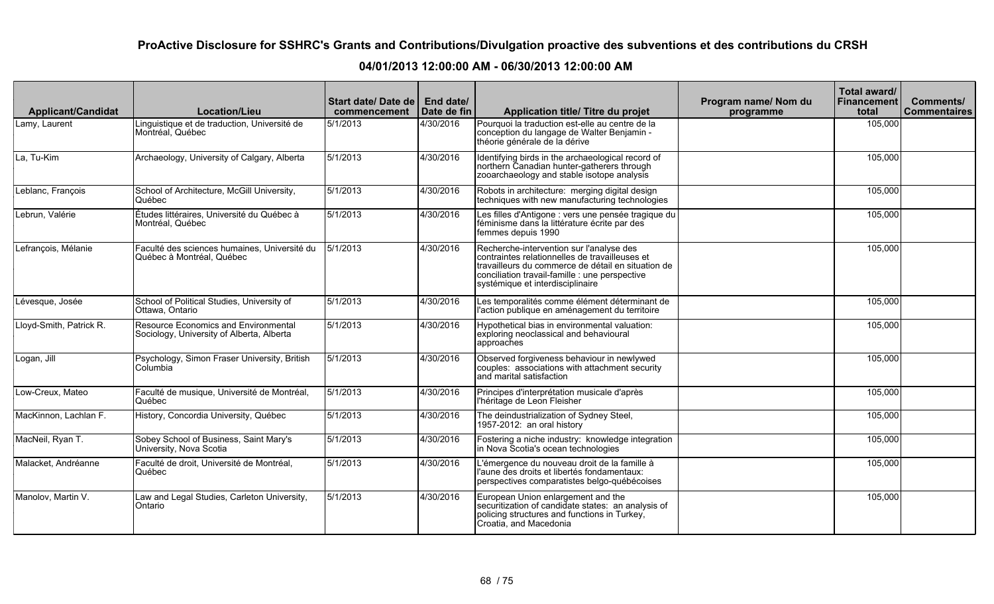| <b>Applicant/Candidat</b> | Location/Lieu                                                                            | Start date/Date de l<br>commencement | End date/<br>Date de fin | Application title/ Titre du projet                                                                                                                                                                                                     | Program name/ Nom du<br>programme | Total award/<br><b>Financement</b><br>total | Comments/<br><b>Commentaires</b> |
|---------------------------|------------------------------------------------------------------------------------------|--------------------------------------|--------------------------|----------------------------------------------------------------------------------------------------------------------------------------------------------------------------------------------------------------------------------------|-----------------------------------|---------------------------------------------|----------------------------------|
| Lamy, Laurent             | Linguistique et de traduction, Université de<br>Montréal, Québec                         | 5/1/2013                             | 4/30/2016                | Pourquoi la traduction est-elle au centre de la<br>conception du langage de Walter Benjamin -<br>théorie générale de la dérive                                                                                                         |                                   | 105,000                                     |                                  |
| La, Tu-Kim                | Archaeology, University of Calgary, Alberta                                              | 5/1/2013                             | 4/30/2016                | Identifying birds in the archaeological record of<br>northern Canadian hunter-gatherers through<br>zooarchaeology and stable isotope analysis                                                                                          |                                   | 105,000                                     |                                  |
| Leblanc, François         | School of Architecture, McGill University,<br>Québec                                     | 5/1/2013                             | 4/30/2016                | Robots in architecture: merging digital design<br>techniques with new manufacturing technologies                                                                                                                                       |                                   | 105,000                                     |                                  |
| Lebrun, Valérie           | Études littéraires, Université du Québec à<br>Montréal, Québec                           | 5/1/2013                             | 4/30/2016                | Les filles d'Antigone : vers une pensée tragique du<br>féminisme dans la littérature écrite par des<br>femmes depuis 1990                                                                                                              |                                   | 105,000                                     |                                  |
| Lefrançois, Mélanie       | Faculté des sciences humaines, Université du<br>Québec à Montréal, Québec                | 5/1/2013                             | 4/30/2016                | Recherche-intervention sur l'analyse des<br>contraintes relationnelles de travailleuses et<br>travailleurs du commerce de détail en situation de<br>conciliation travail-famille : une perspective<br>systémique et interdisciplinaire |                                   | 105,000                                     |                                  |
| Lévesque, Josée           | School of Political Studies, University of<br>Ottawa, Ontario                            | 5/1/2013                             | 4/30/2016                | Les temporalités comme élément déterminant de<br>l'action publique en aménagement du territoire                                                                                                                                        |                                   | 105,000                                     |                                  |
| Lloyd-Smith, Patrick R.   | <b>Resource Economics and Environmental</b><br>Sociology, University of Alberta, Alberta | 5/1/2013                             | 4/30/2016                | Hypothetical bias in environmental valuation:<br>exploring neoclassical and behavioural<br>approaches                                                                                                                                  |                                   | 105,000                                     |                                  |
| Logan, Jill               | Psychology, Simon Fraser University, British<br>Columbia                                 | 5/1/2013                             | 4/30/2016                | Observed forgiveness behaviour in newlywed<br>couples: associations with attachment security<br>and marital satisfaction                                                                                                               |                                   | 105,000                                     |                                  |
| Low-Creux, Mateo          | Faculté de musique, Université de Montréal,<br>Québec                                    | 5/1/2013                             | 4/30/2016                | Principes d'interprétation musicale d'après<br>l'héritage de Leon Fleisher                                                                                                                                                             |                                   | 105,000                                     |                                  |
| MacKinnon, Lachlan F.     | History, Concordia University, Québec                                                    | 5/1/2013                             | 4/30/2016                | The deindustrialization of Sydney Steel,<br>1957-2012: an oral history                                                                                                                                                                 |                                   | 105,000                                     |                                  |
| MacNeil, Ryan T.          | Sobey School of Business, Saint Mary's<br>University, Nova Scotia                        | 5/1/2013                             | 4/30/2016                | Fostering a niche industry: knowledge integration<br>in Nova Scotia's ocean technologies                                                                                                                                               |                                   | 105,000                                     |                                  |
| Malacket, Andréanne       | Faculté de droit, Université de Montréal,<br>Québec                                      | 5/1/2013                             | 4/30/2016                | L'émergence du nouveau droit de la famille à<br>l'aune des droits et libertés fondamentaux:<br>perspectives comparatistes belgo-québécoises                                                                                            |                                   | 105,000                                     |                                  |
| Manolov, Martin V.        | Law and Legal Studies, Carleton University,<br>Ontario                                   | 5/1/2013                             | 4/30/2016                | European Union enlargement and the<br>securitization of candidate states: an analysis of<br>policing structures and functions in Turkey,<br>Croatia, and Macedonia                                                                     |                                   | 105,000                                     |                                  |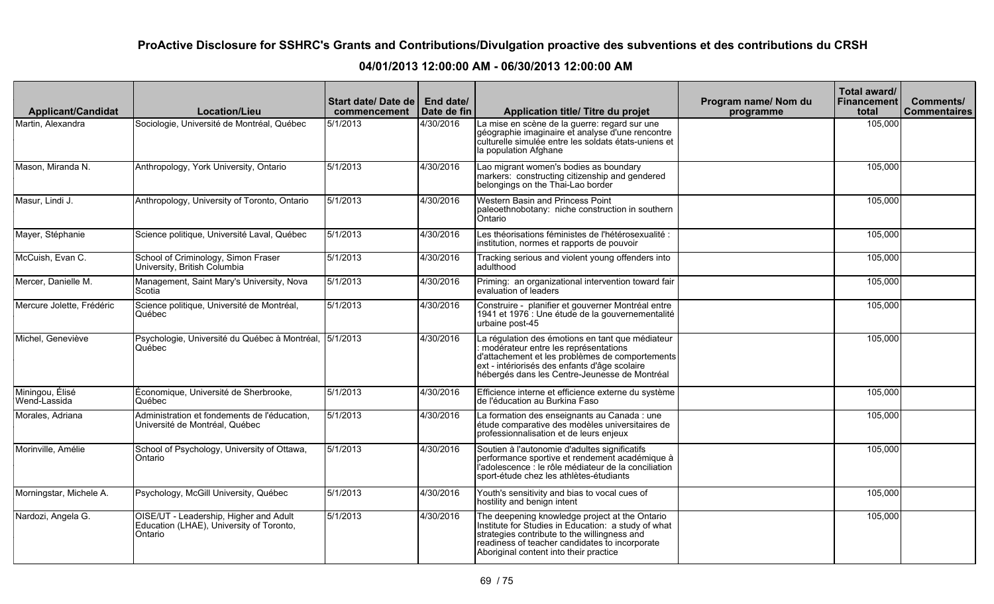| <b>Applicant/Candidat</b>       | <b>Location/Lieu</b>                                                                          | Start date/Date de   End date/<br>commencement | Date de fin | <b>Application title/ Titre du projet</b>                                                                                                                                                                                                         | Program name/ Nom du<br>programme | Total award/<br><b>Financement</b><br>total | Comments/<br>  Commentaires |
|---------------------------------|-----------------------------------------------------------------------------------------------|------------------------------------------------|-------------|---------------------------------------------------------------------------------------------------------------------------------------------------------------------------------------------------------------------------------------------------|-----------------------------------|---------------------------------------------|-----------------------------|
| Martin, Alexandra               | Sociologie, Université de Montréal, Québec                                                    | $\sqrt{5/1/2013}$                              | 4/30/2016   | La mise en scène de la guerre: regard sur une<br>géographie imaginaire et analyse d'une rencontre<br>culturelle simulée entre les soldats états-uniens et<br>la population Afghane                                                                |                                   | 105,000                                     |                             |
| Mason, Miranda N.               | Anthropology, York University, Ontario                                                        | 5/1/2013                                       | 4/30/2016   | Lao migrant women's bodies as boundary<br>markers: constructing citizenship and gendered<br>belongings on the Thai-Lao border                                                                                                                     |                                   | 105,000                                     |                             |
| Masur, Lindi J.                 | Anthropology, University of Toronto, Ontario                                                  | 5/1/2013                                       | 4/30/2016   | <b>Western Basin and Princess Point</b><br>paleoethnobotany: niche construction in southern<br>Ontario                                                                                                                                            |                                   | 105,000                                     |                             |
| Mayer, Stéphanie                | Science politique, Université Laval, Québec                                                   | $\sqrt{5/1/2013}$                              | 4/30/2016   | Les théorisations féministes de l'hétérosexualité :<br>institution, normes et rapports de pouvoir                                                                                                                                                 |                                   | 105,000                                     |                             |
| McCuish, Evan C.                | School of Criminology, Simon Fraser<br>University, British Columbia                           | $\sqrt{5/1/2013}$                              | 4/30/2016   | Tracking serious and violent young offenders into<br>adulthood                                                                                                                                                                                    |                                   | 105,000                                     |                             |
| Mercer, Danielle M.             | Management, Saint Mary's University, Nova<br>Scotia                                           | 5/1/2013                                       | 4/30/2016   | Priming: an organizational intervention toward fair<br>evaluation of leaders                                                                                                                                                                      |                                   | 105,000                                     |                             |
| Mercure Jolette, Frédéric       | Science politique, Université de Montréal,<br>Québec                                          | $\sqrt{5/1/2013}$                              | 4/30/2016   | Construire - planifier et gouverner Montréal entre<br>1941 et 1976 : Une étude de la gouvernementalité<br>urbaine post-45                                                                                                                         |                                   | 105,000                                     |                             |
| Michel, Geneviève               | Psychologie, Université du Québec à Montréal,<br>Québec                                       | 5/1/2013                                       | 4/30/2016   | La régulation des émotions en tant que médiateur<br>modérateur entre les représentations<br>d'attachement et les problèmes de comportements<br>ext - intériorisés des enfants d'âge scolaire<br>hébergés dans les Centre-Jeunesse de Montréal     |                                   | 105,000                                     |                             |
| Miningou, Élisé<br>Wend-Lassida | Économique, Université de Sherbrooke,<br>Québec                                               | 5/1/2013                                       | 4/30/2016   | Efficience interne et efficience externe du système<br>de l'éducation au Burkina Faso                                                                                                                                                             |                                   | 105,000                                     |                             |
| Morales, Adriana                | Administration et fondements de l'éducation,<br>Université de Montréal, Québec                | 5/1/2013                                       | 4/30/2016   | La formation des enseignants au Canada : une<br>etude comparative des modèles universitaires de<br>professionnalisation et de leurs enjeux                                                                                                        |                                   | 105,000                                     |                             |
| Morinville, Amélie              | School of Psychology, University of Ottawa,<br>Ontario                                        | 5/1/2013                                       | 4/30/2016   | Soutien à l'autonomie d'adultes significatifs<br>performance sportive et rendement académique à<br>l'adolescence : le rôle médiateur de la conciliation<br>sport-étude chez les athlètes-étudiants                                                |                                   | 105,000                                     |                             |
| Morningstar, Michele A.         | Psychology, McGill University, Québec                                                         | 5/1/2013                                       | 4/30/2016   | Youth's sensitivity and bias to vocal cues of<br>hostility and benign intent                                                                                                                                                                      |                                   | 105,000                                     |                             |
| Nardozi, Angela G.              | OISE/UT - Leadership, Higher and Adult<br>Education (LHAE), University of Toronto,<br>Ontario | $\sqrt{5/1/2013}$                              | 4/30/2016   | The deepening knowledge project at the Ontario<br>Institute for Studies in Education: a study of what<br>strategies contribute to the willingness and<br>readiness of teacher candidates to incorporate<br>Aboriginal content into their practice |                                   | 105,000                                     |                             |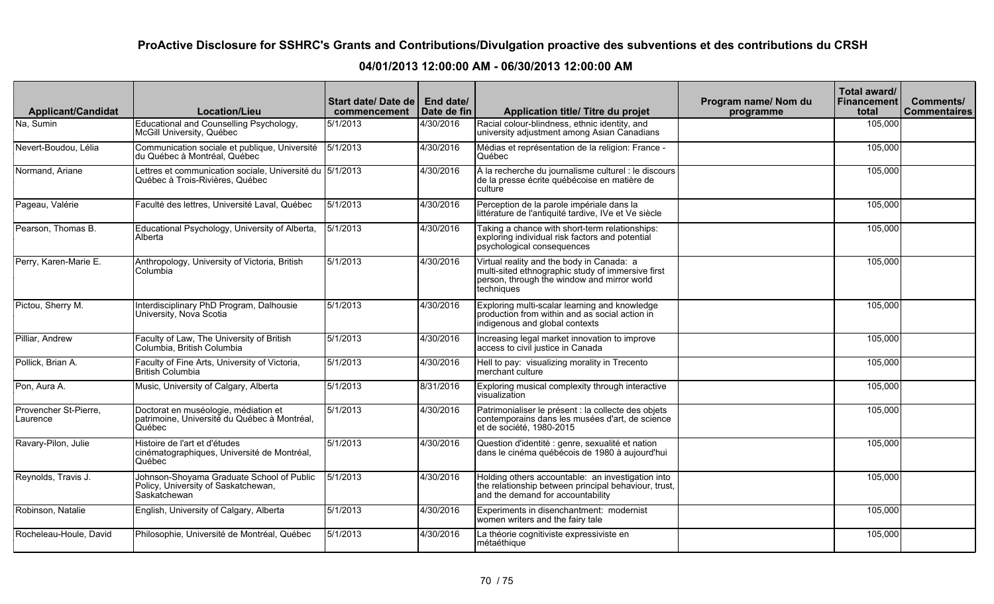| <b>Applicant/Candidat</b>         | <b>Location/Lieu</b>                                                                             | Start date/ Date de   End date/<br>commencement | Date de fin | Application title/ Titre du projet                                                                                                                          | Program name/ Nom du<br>programme | Total award/<br>Financement<br>total | Comments/<br><b>Commentaires</b> |
|-----------------------------------|--------------------------------------------------------------------------------------------------|-------------------------------------------------|-------------|-------------------------------------------------------------------------------------------------------------------------------------------------------------|-----------------------------------|--------------------------------------|----------------------------------|
| Na, Sumin                         | Educational and Counselling Psychology,<br>McGill University, Québec                             | 5/1/2013                                        | 4/30/2016   | Racial colour-blindness, ethnic identity, and<br>university adjustment among Asian Canadians                                                                |                                   | 105,000                              |                                  |
| Nevert-Boudou, Lélia              | Communication sociale et publique, Université<br>du Québec à Montréal, Québec                    | 5/1/2013                                        | 4/30/2016   | Médias et représentation de la religion: France -<br><b>Québec</b>                                                                                          |                                   | 105,000                              |                                  |
| Normand, Ariane                   | Lettres et communication sociale, Université du 5/1/2013<br>Québec à Trois-Rivières, Québec      |                                                 | 4/30/2016   | À la recherche du journalisme culturel : le discours<br>de la presse écrite québécoise en matière de<br>Iculture                                            |                                   | 105,000                              |                                  |
| Pageau, Valérie                   | Faculté des lettres, Université Laval, Québec                                                    | 5/1/2013                                        | 4/30/2016   | Perception de la parole impériale dans la<br>littérature de l'antiquité tardive, IVe et Ve siècle                                                           |                                   | 105,000                              |                                  |
| Pearson, Thomas B.                | Educational Psychology, University of Alberta,<br>Alberta                                        | 5/1/2013                                        | 4/30/2016   | Taking a chance with short-term relationships:<br>exploring individual risk factors and potential<br>psychological consequences                             |                                   | 105,000                              |                                  |
| Perry, Karen-Marie E.             | Anthropology, University of Victoria, British<br>Columbia                                        | 5/1/2013                                        | 4/30/2016   | Virtual reality and the body in Canada: a<br>multi-sited ethnographic study of immersive first<br>person, through the window and mirror world<br>techniques |                                   | 105,000                              |                                  |
| Pictou, Sherry M.                 | Interdisciplinary PhD Program, Dalhousie<br>University, Nova Scotia                              | 5/1/2013                                        | 4/30/2016   | Exploring multi-scalar learning and knowledge<br>production from within and as social action in<br>indigenous and global contexts                           |                                   | 105,000                              |                                  |
| Pilliar, Andrew                   | Faculty of Law, The University of British<br>Columbia, British Columbia                          | 5/1/2013                                        | 4/30/2016   | Increasing legal market innovation to improve<br>access to civil justice in Canada                                                                          |                                   | 105,000                              |                                  |
| Pollick, Brian A.                 | Faculty of Fine Arts, University of Victoria,<br>British Columbia                                | 5/1/2013                                        | 4/30/2016   | Hell to pay: visualizing morality in Trecento<br>merchant culture                                                                                           |                                   | 105,000                              |                                  |
| Pon, Aura A.                      | Music, University of Calgary, Alberta                                                            | 5/1/2013                                        | 8/31/2016   | Exploring musical complexity through interactive<br>l visualization                                                                                         |                                   | 105,000                              |                                  |
| Provencher St-Pierre,<br>Laurence | Doctorat en muséologie, médiation et<br>patrimoine, Université du Québec à Montréal,<br>Québec   | 5/1/2013                                        | 4/30/2016   | Patrimonialiser le présent : la collecte des objets<br>contemporains dans les musées d'art, de science<br>et de société, 1980-2015                          |                                   | 105,000                              |                                  |
| Ravary-Pilon, Julie               | Histoire de l'art et d'études<br>cinématographiques, Université de Montréal,<br>Québec           | 5/1/2013                                        | 4/30/2016   | Question d'identité : genre, sexualité et nation<br>dans le cinéma québécois de 1980 à aujourd'hui                                                          |                                   | 105,000                              |                                  |
| Reynolds, Travis J.               | Johnson-Shoyama Graduate School of Public<br>Policy, University of Saskatchewan,<br>Saskatchewan | 5/1/2013                                        | 4/30/2016   | Holding others accountable: an investigation into<br>the relationship between principal behaviour, trust,<br>and the demand for accountability              |                                   | 105,000                              |                                  |
| Robinson, Natalie                 | English, University of Calgary, Alberta                                                          | 5/1/2013                                        | 4/30/2016   | Experiments in disenchantment: modernist<br>women writers and the fairy tale                                                                                |                                   | 105,000                              |                                  |
| Rocheleau-Houle, David            | Philosophie, Université de Montréal, Québec                                                      | 5/1/2013                                        | 4/30/2016   | La théorie cognitiviste expressiviste en<br>métaéthique                                                                                                     |                                   | 105,000                              |                                  |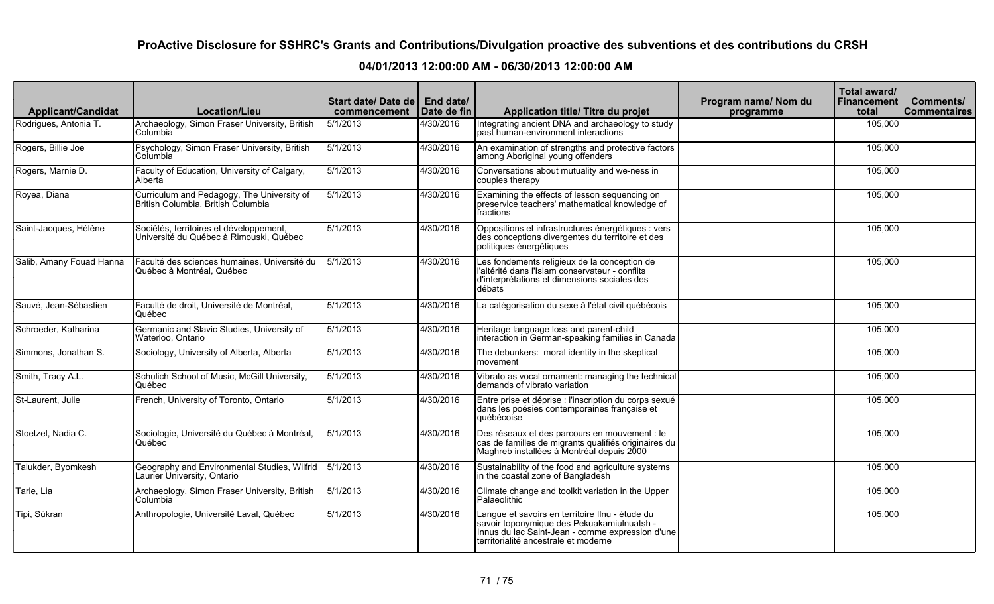| <b>Applicant/Candidat</b> | <b>Location/Lieu</b>                                                               | Start date/ Date de   End date/<br>commencement | Date de fin | Application title/ Titre du projet                                                                                                                                                        | Program name/Nom du<br>programme | Total award/<br><b>Financement</b><br>total | Comments/<br><b>Commentaires</b> |
|---------------------------|------------------------------------------------------------------------------------|-------------------------------------------------|-------------|-------------------------------------------------------------------------------------------------------------------------------------------------------------------------------------------|----------------------------------|---------------------------------------------|----------------------------------|
| Rodrigues, Antonia T.     | Archaeology, Simon Fraser University, British<br>Columbia                          | 5/1/2013                                        | 4/30/2016   | Integrating ancient DNA and archaeology to study<br>Ipast human-environment interactions                                                                                                  |                                  | 105,000                                     |                                  |
| Rogers, Billie Joe        | Psychology, Simon Fraser University, British<br>Columbia                           | 5/1/2013                                        | 4/30/2016   | An examination of strengths and protective factors<br>among Aboriginal young offenders                                                                                                    |                                  | 105,000                                     |                                  |
| Rogers, Marnie D.         | Faculty of Education, University of Calgary,<br>Alberta                            | 5/1/2013                                        | 4/30/2016   | Conversations about mutuality and we-ness in<br>couples therapy                                                                                                                           |                                  | 105,000                                     |                                  |
| Royea, Diana              | Curriculum and Pedagogy, The University of<br>British Columbia, British Columbia   | 5/1/2013                                        | 4/30/2016   | Examining the effects of lesson sequencing on<br>preservice teachers' mathematical knowledge of<br>fractions                                                                              |                                  | 105,000                                     |                                  |
| Saint-Jacques, Hélène     | Sociétés, territoires et développement,<br>Université du Québec à Rimouski, Québec | 5/1/2013                                        | 4/30/2016   | Oppositions et infrastructures énergétiques : vers<br>des conceptions divergentes du territoire et des<br>politiques énergétiques                                                         |                                  | 105,000                                     |                                  |
| Salib, Amany Fouad Hanna  | Faculté des sciences humaines, Université du<br>Québec à Montréal, Québec          | 5/1/2013                                        | 4/30/2016   | Les fondements religieux de la conception de<br>l'altérité dans l'Islam conservateur - conflits<br>d'interprétations et dimensions sociales des<br>débats                                 |                                  | 105,000                                     |                                  |
| Sauvé, Jean-Sébastien     | Faculté de droit, Université de Montréal,<br>Québec                                | 5/1/2013                                        | 4/30/2016   | La catégorisation du sexe à l'état civil québécois                                                                                                                                        |                                  | 105,000                                     |                                  |
| Schroeder, Katharina      | Germanic and Slavic Studies, University of<br>Waterloo, Ontario                    | 5/1/2013                                        | 4/30/2016   | Heritage language loss and parent-child<br>interaction in German-speaking families in Canada                                                                                              |                                  | 105,000                                     |                                  |
| Simmons, Jonathan S.      | Sociology, University of Alberta, Alberta                                          | 5/1/2013                                        | 4/30/2016   | The debunkers: moral identity in the skeptical<br>movement                                                                                                                                |                                  | 105,000                                     |                                  |
| Smith, Tracy A.L.         | Schulich School of Music, McGill University,<br>Québec                             | 5/1/2013                                        | 4/30/2016   | Vibrato as vocal ornament: managing the technical<br>demands of vibrato variation                                                                                                         |                                  | 105,000                                     |                                  |
| St-Laurent, Julie         | French, University of Toronto, Ontario                                             | $\sqrt{5/1/2013}$                               | 4/30/2016   | Entre prise et déprise : l'inscription du corps sexué<br>dans les poésies contemporaines française et<br>québécoise                                                                       |                                  | 105,000                                     |                                  |
| Stoetzel, Nadia C.        | Sociologie, Université du Québec à Montréal,<br>Québec                             | $\sqrt{5/1/2013}$                               | 4/30/2016   | Des réseaux et des parcours en mouvement : le<br>cas de familles de migrants qualifiés originaires du<br>Maghreb installées à Montréal depuis 2000                                        |                                  | 105,000                                     |                                  |
| Talukder, Byomkesh        | Geography and Environmental Studies, Wilfrid<br>Laurier University, Ontario        | 5/1/2013                                        | 4/30/2016   | Sustainability of the food and agriculture systems<br>in the coastal zone of Bangladesh                                                                                                   |                                  | 105,000                                     |                                  |
| Tarle, Lia                | Archaeology, Simon Fraser University, British<br>Columbia                          | 5/1/2013                                        | 4/30/2016   | Climate change and toolkit variation in the Upper<br>Palaeolithic                                                                                                                         |                                  | 105,000                                     |                                  |
| Tipi, Sükran              | Anthropologie, Université Laval, Québec                                            | $\sqrt{5/1/2013}$                               | 4/30/2016   | Langue et savoirs en territoire Ilnu - étude du<br>savoir toponymique des Pekuakamiulnuatsh -<br>Innus du lac Saint-Jean - comme expression d'une<br>territorialité ancestrale et moderne |                                  | 105,000                                     |                                  |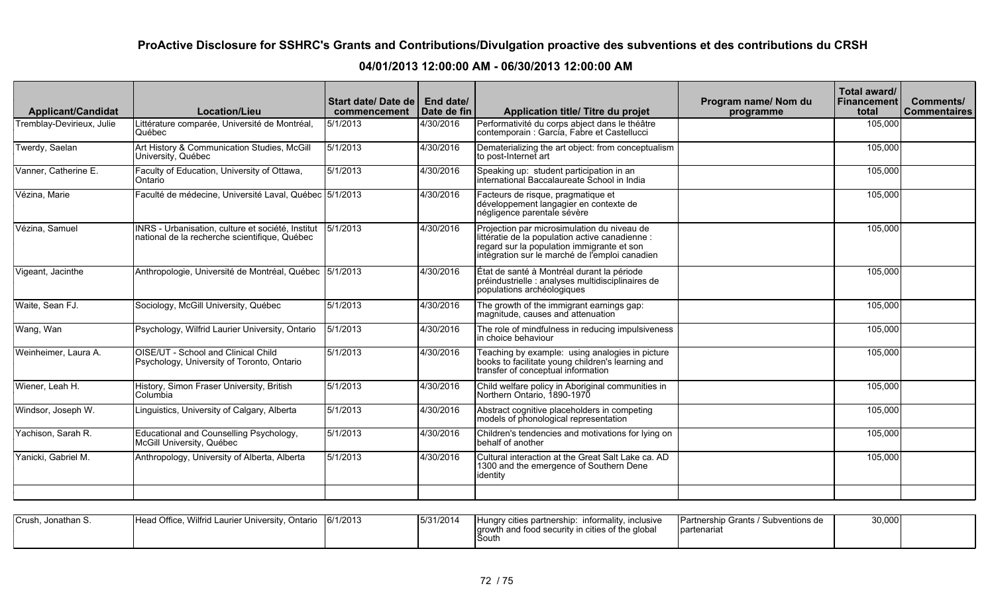| <b>Applicant/Candidat</b> | <b>Location/Lieu</b>                                                                                          | Start date/ Date de   End date/<br>commencement Date de fin |           | Application title/ Titre du projet                                                                                                                                                             | Program name/ Nom du<br>programme | Total award/<br>Financement<br>total | <b>Comments/</b><br><b>Commentaires</b> |
|---------------------------|---------------------------------------------------------------------------------------------------------------|-------------------------------------------------------------|-----------|------------------------------------------------------------------------------------------------------------------------------------------------------------------------------------------------|-----------------------------------|--------------------------------------|-----------------------------------------|
| Tremblay-Devirieux, Julie | Littérature comparée, Université de Montréal,<br>Québec                                                       | 5/1/2013                                                    | 4/30/2016 | Performativité du corps abject dans le théâtre<br>contemporain : García, Fabre et Castellucci                                                                                                  |                                   | 105,000                              |                                         |
| Twerdy, Saelan            | Art History & Communication Studies, McGill<br>University, Québec                                             | 5/1/2013                                                    | 4/30/2016 | Dematerializing the art object: from conceptualism<br>to post-Internet art                                                                                                                     |                                   | 105,000                              |                                         |
| Vanner, Catherine E.      | Faculty of Education, University of Ottawa,<br>Ontario                                                        | 5/1/2013                                                    | 4/30/2016 | Speaking up: student participation in an<br>international Baccalaureate School in India                                                                                                        |                                   | 105,000                              |                                         |
| Vézina, Marie             | Faculté de médecine, Université Laval, Québec 5/1/2013                                                        |                                                             | 4/30/2016 | Facteurs de risque, pragmatique et<br>développement langagier en contexte de<br>négligence parentale sévère                                                                                    |                                   | 105,000                              |                                         |
| Vézina, Samuel            | INRS - Urbanisation, culture et société, Institut   5/1/2013<br>national de la recherche scientifique, Québec |                                                             | 4/30/2016 | Projection par microsimulation du niveau de<br>littératie de la population active canadienne :<br>regard sur la population immigrante et son<br>intégration sur le marché de l'emploi canadien |                                   | 105,000                              |                                         |
| Vigeant, Jacinthe         | Anthropologie, Université de Montréal, Québec 5/1/2013                                                        |                                                             | 4/30/2016 | État de santé à Montréal durant la période<br>préindustrielle : analyses multidisciplinaires de<br>populations archéologiques                                                                  |                                   | 105,000                              |                                         |
| Waite, Sean FJ.           | Sociology, McGill University, Québec                                                                          | 5/1/2013                                                    | 4/30/2016 | The growth of the immigrant earnings gap:<br>magnitude, causes and attenuation                                                                                                                 |                                   | 105,000                              |                                         |
| Wang, Wan                 | Psychology, Wilfrid Laurier University, Ontario                                                               | 5/1/2013                                                    | 4/30/2016 | The role of mindfulness in reducing impulsiveness<br>in choice behaviour                                                                                                                       |                                   | 105,000                              |                                         |
| Weinheimer, Laura A.      | OISE/UT - School and Clinical Child<br>Psychology, University of Toronto, Ontario                             | 5/1/2013                                                    | 4/30/2016 | Teaching by example: using analogies in picture<br>books to facilitate young children's learning and<br>transfer of conceptual information                                                     |                                   | 105,000                              |                                         |
| Wiener, Leah H.           | History, Simon Fraser University, British<br>Columbia                                                         | 5/1/2013                                                    | 4/30/2016 | Child welfare policy in Aboriginal communities in<br>Northern Ontario, 1890-1970                                                                                                               |                                   | 105,000                              |                                         |
| Windsor, Joseph W.        | Linguistics, University of Calgary, Alberta                                                                   | 5/1/2013                                                    | 4/30/2016 | Abstract cognitive placeholders in competing<br>models of phonological representation                                                                                                          |                                   | 105,000                              |                                         |
| Yachison, Sarah R.        | Educational and Counselling Psychology,<br>McGill University, Québec                                          | 5/1/2013                                                    | 4/30/2016 | Children's tendencies and motivations for lying on<br>behalf of another                                                                                                                        |                                   | 105,000                              |                                         |
| Yanicki, Gabriel M.       | Anthropology, University of Alberta, Alberta                                                                  | 5/1/2013                                                    | 4/30/2016 | Cultural interaction at the Great Salt Lake ca. AD<br>1300 and the emergence of Southern Dene<br>lidentity                                                                                     |                                   | 105,000                              |                                         |

| Crush, Jonathan S. | Head Office, Wilfrid Laurier University, Ontario | 6/1/2013 | 15/31/2014 | Hungry cities partnership.<br>informality, inclusive<br>growth and food security in cities of the global<br>lSouth | Partnership Grants / Subventions de<br>Ipartenariat | 30,000 |  |
|--------------------|--------------------------------------------------|----------|------------|--------------------------------------------------------------------------------------------------------------------|-----------------------------------------------------|--------|--|
|--------------------|--------------------------------------------------|----------|------------|--------------------------------------------------------------------------------------------------------------------|-----------------------------------------------------|--------|--|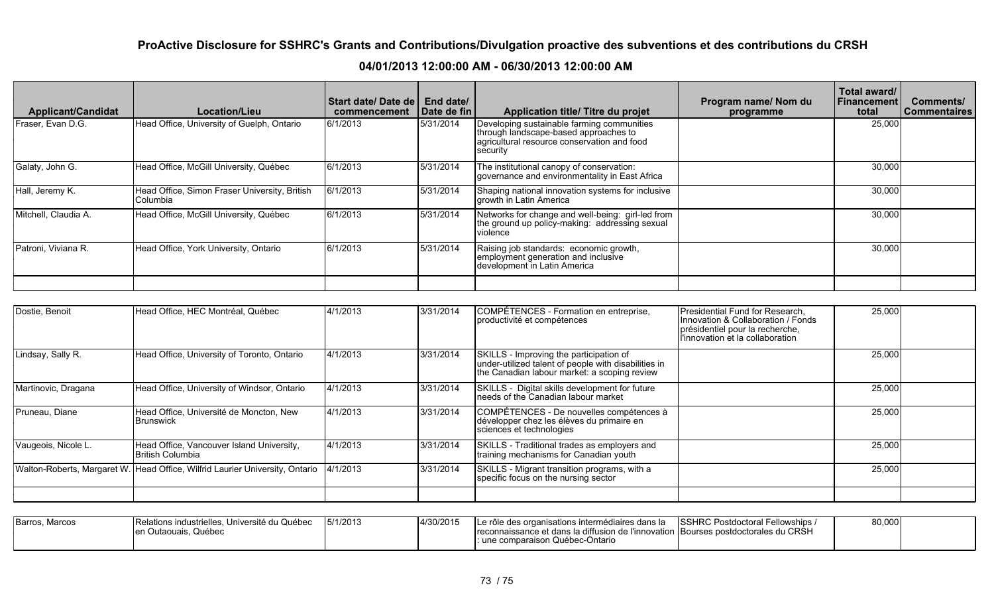# **ProActive Disclosure for SSHRC's Grants and Contributions/Divulgation proactive des subventions et des contributions du CRSH**

## **04/01/2013 12:00:00 AM - 06/30/2013 12:00:00 AM**

| <b>Applicant/Candidat</b> | Location/Lieu                                             | Start date/Date de   End date/<br>commencement | Date de fin | Application title/ Titre du projet                                                                                                             | Program name/ Nom du<br>programme | Total award/<br><b>Financement</b><br>total | Comments/<br><b>Commentaires</b> |
|---------------------------|-----------------------------------------------------------|------------------------------------------------|-------------|------------------------------------------------------------------------------------------------------------------------------------------------|-----------------------------------|---------------------------------------------|----------------------------------|
| Fraser, Evan D.G.         | Head Office, University of Guelph, Ontario                | 6/1/2013                                       | 5/31/2014   | Developing sustainable farming communities<br>through landscape-based approaches to<br>agricultural resource conservation and food<br>security |                                   | 25,000                                      |                                  |
| Galaty, John G.           | Head Office, McGill University, Québec                    | 6/1/2013                                       | 5/31/2014   | The institutional canopy of conservation:<br>governance and environmentality in East Africa                                                    |                                   | 30,000                                      |                                  |
| Hall, Jeremy K.           | Head Office, Simon Fraser University, British<br>Columbia | 6/1/2013                                       | 5/31/2014   | Shaping national innovation systems for inclusive<br>growth in Latin America                                                                   |                                   | 30,000                                      |                                  |
| Mitchell, Claudia A.      | Head Office, McGill University, Québec                    | 6/1/2013                                       | 5/31/2014   | Networks for change and well-being: girl-led from<br>the ground up policy-making: addressing sexual<br>violence                                |                                   | 30,000                                      |                                  |
| Patroni, Viviana R.       | Head Office, York University, Ontario                     | 6/1/2013                                       | 5/31/2014   | Raising job standards: economic growth,<br>employment generation and inclusive<br>development in Latin America                                 |                                   | 30,000                                      |                                  |
|                           |                                                           |                                                |             |                                                                                                                                                |                                   |                                             |                                  |

| Dostie, Benoit      | Head Office, HEC Montréal, Québec                                            | 4/1/2013 | 3/31/2014 | COMPÉTENCES - Formation en entreprise,<br>productivité et compétences                                                                           | Presidential Fund for Research,<br>Innovation & Collaboration / Fonds<br>présidentiel pour la recherche,<br>l'innovation et la collaboration | 25,000 |  |
|---------------------|------------------------------------------------------------------------------|----------|-----------|-------------------------------------------------------------------------------------------------------------------------------------------------|----------------------------------------------------------------------------------------------------------------------------------------------|--------|--|
| Lindsay, Sally R.   | Head Office, University of Toronto, Ontario                                  | 4/1/2013 | 3/31/2014 | SKILLS - Improving the participation of<br>under-utilized talent of people with disabilities in<br>the Canadian labour market: a scoping review |                                                                                                                                              | 25,000 |  |
| Martinovic, Dragana | Head Office, University of Windsor, Ontario                                  | 4/1/2013 | 3/31/2014 | SKILLS - Digital skills development for future<br>needs of the Canadian labour market                                                           |                                                                                                                                              | 25,000 |  |
| Pruneau, Diane      | Head Office, Université de Moncton, New<br>Brunswick                         | 4/1/2013 | 3/31/2014 | COMPÉTENCES - De nouvelles compétences à<br>développer chez les élèves du primaire en<br>sciences et technologies                               |                                                                                                                                              | 25,000 |  |
| Vaugeois, Nicole L. | Head Office, Vancouver Island University,<br><b>British Columbia</b>         | 4/1/2013 | 3/31/2014 | SKILLS - Traditional trades as employers and<br>training mechanisms for Canadian youth                                                          |                                                                                                                                              | 25,000 |  |
|                     | Walton-Roberts, Margaret W. Head Office, Wilfrid Laurier University, Ontario | 4/1/2013 | 3/31/2014 | SKILLS - Migrant transition programs, with a<br>specific focus on the nursing sector                                                            |                                                                                                                                              | 25,000 |  |
|                     |                                                                              |          |           |                                                                                                                                                 |                                                                                                                                              |        |  |

| Barros, Marcos<br>, Université du Québec<br>5/1/2013<br>'Relations industrielles.<br>Outaouais, Québec | 1/30/2015 | 'Le rôle des organisations intermédiaires dans la<br>reconnaissance et dans la diffusion de l'innovation Bourses postdoctorales du CRSH<br>une comparaison Québec-Ontario | > Postdoctoral Fellowships /<br><b>ISSHRC P</b> | 80,000 |  |
|--------------------------------------------------------------------------------------------------------|-----------|---------------------------------------------------------------------------------------------------------------------------------------------------------------------------|-------------------------------------------------|--------|--|
|--------------------------------------------------------------------------------------------------------|-----------|---------------------------------------------------------------------------------------------------------------------------------------------------------------------------|-------------------------------------------------|--------|--|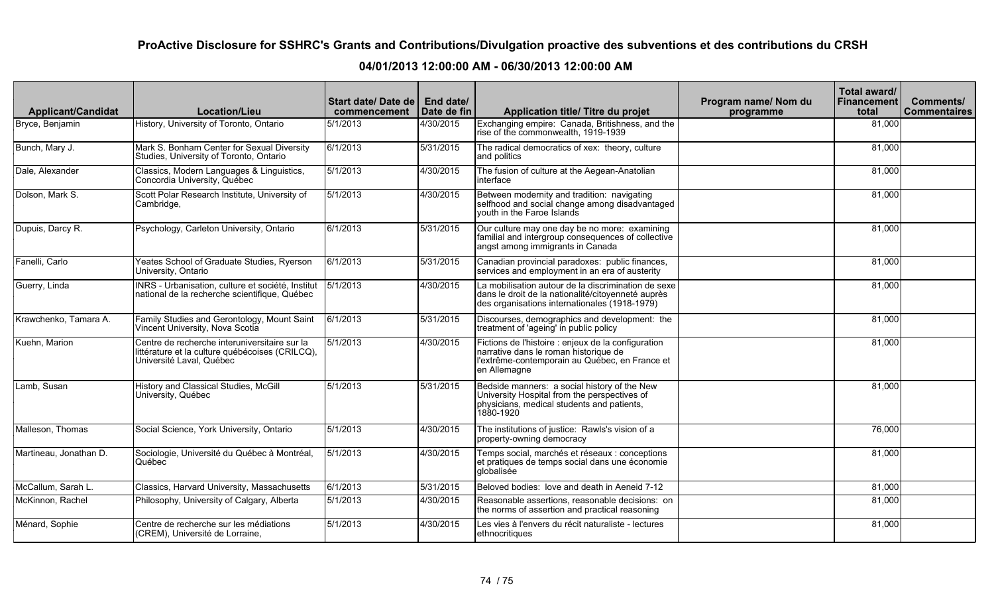# **ProActive Disclosure for SSHRC's Grants and Contributions/Divulgation proactive des subventions et des contributions du CRSH**

## **04/01/2013 12:00:00 AM - 06/30/2013 12:00:00 AM**

| <b>Applicant/Candidat</b> | <b>Location/Lieu</b>                                                                                                         | Start date/Date de l<br>commencement | End date/<br>Date de fin | Application title/ Titre du projet                                                                                                                             | Program name/ Nom du<br>programme | Total award/<br><b>Financement</b><br>total | Comments/<br><b>Commentaires</b> |
|---------------------------|------------------------------------------------------------------------------------------------------------------------------|--------------------------------------|--------------------------|----------------------------------------------------------------------------------------------------------------------------------------------------------------|-----------------------------------|---------------------------------------------|----------------------------------|
| Bryce, Benjamin           | History, University of Toronto, Ontario                                                                                      | 5/1/2013                             | 4/30/2015                | Exchanging empire: Canada, Britishness, and the<br>rise of the commonwealth, 1919-1939                                                                         |                                   | 81,000                                      |                                  |
| Bunch, Mary J.            | Mark S. Bonham Center for Sexual Diversity<br>Studies, University of Toronto, Ontario                                        | 6/1/2013                             | 5/31/2015                | The radical democratics of xex: theory, culture<br>and politics                                                                                                |                                   | 81,000                                      |                                  |
| Dale, Alexander           | Classics, Modern Languages & Linguistics,<br>Concordia University, Québec                                                    | 5/1/2013                             | 4/30/2015                | The fusion of culture at the Aegean-Anatolian<br>Iinterface                                                                                                    |                                   | 81,000                                      |                                  |
| Dolson, Mark S.           | Scott Polar Research Institute, University of<br>Cambridge,                                                                  | 5/1/2013                             | 4/30/2015                | Between modernity and tradition: navigating<br>selfhood and social change among disadvantaged<br>vouth in the Faroe Islands                                    |                                   | 81,000                                      |                                  |
| Dupuis, Darcy R.          | Psychology, Carleton University, Ontario                                                                                     | 6/1/2013                             | 5/31/2015                | Our culture may one day be no more: examining<br>familial and intergroup consequences of collective<br>angst among immigrants in Canada                        |                                   | 81,000                                      |                                  |
| Fanelli, Carlo            | Yeates School of Graduate Studies, Ryerson<br>University, Ontario                                                            | 6/1/2013                             | 5/31/2015                | Canadian provincial paradoxes: public finances,<br>services and employment in an era of austerity                                                              |                                   | 81,000                                      |                                  |
| Guerry, Linda             | INRS - Urbanisation, culture et société, Institut<br>national de la recherche scientifique, Québec                           | 5/1/2013                             | 4/30/2015                | La mobilisation autour de la discrimination de sexe<br>dans le droit de la nationalité/citoyenneté auprès<br>des organisations internationales (1918-1979)     |                                   | 81,000                                      |                                  |
| Krawchenko, Tamara A.     | Family Studies and Gerontology, Mount Saint<br>Vincent University, Nova Scotia                                               | 6/1/2013                             | 5/31/2015                | Discourses, demographics and development: the<br>treatment of 'ageing' in public policy                                                                        |                                   | 81,000                                      |                                  |
| Kuehn, Marion             | Centre de recherche interuniversitaire sur la<br>littérature et la culture québécoises (CRILCQ),<br>Université Laval, Québec | 5/1/2013                             | 4/30/2015                | Fictions de l'histoire : enjeux de la configuration<br>narrative dans le roman historique de<br>l'extrême-contemporain au Québec, en France et<br>en Allemagne |                                   | 81,000                                      |                                  |
| Lamb, Susan               | History and Classical Studies, McGill<br>University, Québec                                                                  | 5/1/2013                             | 5/31/2015                | Bedside manners: a social history of the New<br>University Hospital from the perspectives of<br>physicians, medical students and patients,<br>1880-1920        |                                   | 81,000                                      |                                  |
| Malleson, Thomas          | Social Science, York University, Ontario                                                                                     | 5/1/2013                             | 4/30/2015                | The institutions of justice: Rawls's vision of a<br>property-owning democracy                                                                                  |                                   | 76,000                                      |                                  |
| Martineau, Jonathan D.    | Sociologie, Université du Québec à Montréal,<br>Québec                                                                       | 5/1/2013                             | 4/30/2015                | Temps social, marchés et réseaux : conceptions<br>et pratiques de temps social dans une économie<br>globalisée                                                 |                                   | 81,000                                      |                                  |
| McCallum, Sarah L.        | Classics, Harvard University, Massachusetts                                                                                  | 6/1/2013                             | 5/31/2015                | Beloved bodies: love and death in Aeneid 7-12                                                                                                                  |                                   | 81,000                                      |                                  |
| McKinnon, Rachel          | Philosophy, University of Calgary, Alberta                                                                                   | 5/1/2013                             | 4/30/2015                | Reasonable assertions, reasonable decisions: on<br>the norms of assertion and practical reasoning                                                              |                                   | 81,000                                      |                                  |
| Ménard, Sophie            | Centre de recherche sur les médiations<br>(CREM), Université de Lorraine,                                                    | $\sqrt{5/1/2013}$                    | 4/30/2015                | Les vies à l'envers du récit naturaliste - lectures<br>ethnocritiques                                                                                          |                                   | 81,000                                      |                                  |